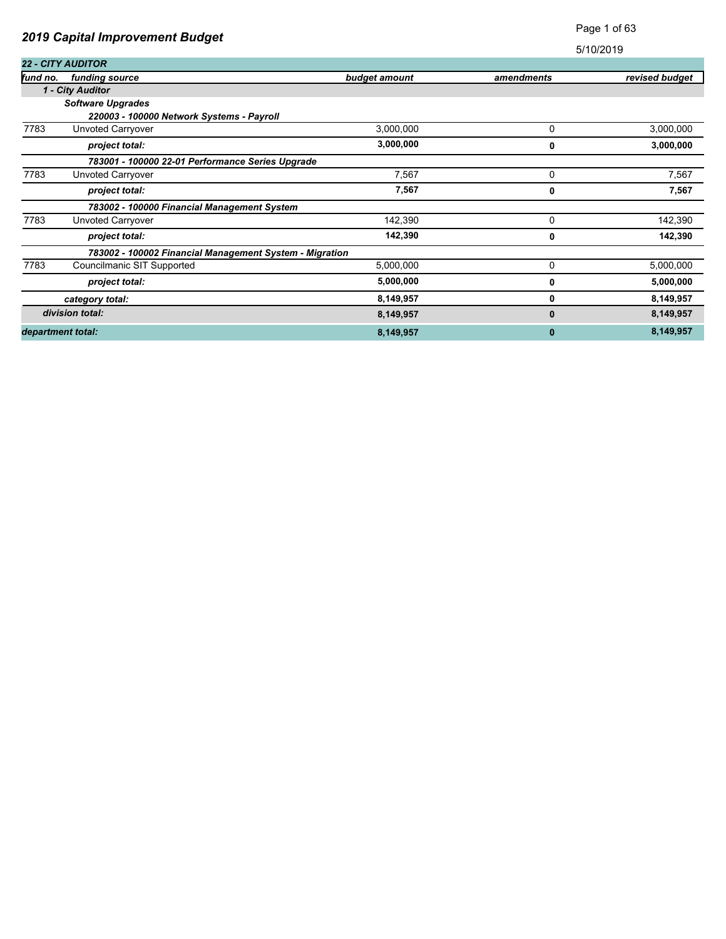| <b>2019 Capital Improvement Budget</b> |                                                         |               |              | <b>Faye</b> TUI 00 |  |
|----------------------------------------|---------------------------------------------------------|---------------|--------------|--------------------|--|
|                                        |                                                         |               |              | 5/10/2019          |  |
|                                        | <b>22 - CITY AUDITOR</b>                                |               |              |                    |  |
| fund no.                               | funding source                                          | budget amount | amendments   | revised budget     |  |
|                                        | 1 - City Auditor                                        |               |              |                    |  |
|                                        | <b>Software Upgrades</b>                                |               |              |                    |  |
|                                        | 220003 - 100000 Network Systems - Payroll               |               |              |                    |  |
| 7783                                   | Unvoted Carryover                                       | 3,000,000     | 0            | 3,000,000          |  |
|                                        | project total:                                          | 3,000,000     | 0            | 3,000,000          |  |
|                                        | 783001 - 100000 22-01 Performance Series Upgrade        |               |              |                    |  |
| 7783                                   | Unvoted Carryover                                       | 7,567         | 0            | 7,567              |  |
|                                        | project total:                                          | 7,567         | 0            | 7,567              |  |
|                                        | 783002 - 100000 Financial Management System             |               |              |                    |  |
| 7783                                   | Unvoted Carryover                                       | 142,390       | 0            | 142,390            |  |
|                                        | project total:                                          | 142,390       | 0            | 142,390            |  |
|                                        | 783002 - 100002 Financial Management System - Migration |               |              |                    |  |
| 7783                                   | Councilmanic SIT Supported                              | 5,000,000     | 0            | 5,000,000          |  |
|                                        | project total:                                          | 5,000,000     | 0            | 5,000,000          |  |
|                                        | category total:                                         | 8,149,957     | 0            | 8,149,957          |  |
|                                        | division total:                                         | 8,149,957     | $\mathbf{0}$ | 8,149,957          |  |
|                                        | department total:                                       | 8,149,957     | 0            | 8,149,957          |  |

Page 1 of 63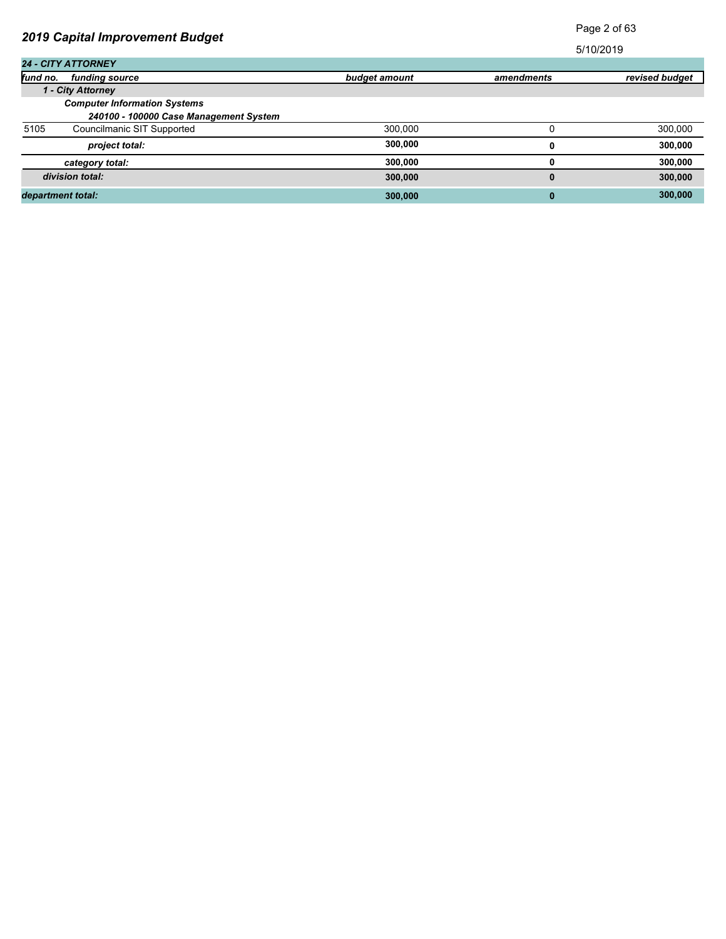| 2019 Capital Improvement Budget        |               |            | i ayu 4 Ui 00  |  |
|----------------------------------------|---------------|------------|----------------|--|
|                                        |               |            | 5/10/2019      |  |
| <b>24 - CITY ATTORNEY</b>              |               |            |                |  |
| fund no.<br>funding source             | budget amount | amendments | revised budget |  |
| 1 - City Attorney                      |               |            |                |  |
| <b>Computer Information Systems</b>    |               |            |                |  |
| 240100 - 100000 Case Management System |               |            |                |  |
| 5105<br>Councilmanic SIT Supported     | 300.000       |            | 300,000        |  |
| project total:                         | 300,000       |            | 300,000        |  |
| category total:                        | 300,000       |            | 300,000        |  |
| division total:                        | 300,000       | $\bf{0}$   | 300,000        |  |
| department total:                      | 300,000       | 0          | 300,000        |  |

Page 2 of 63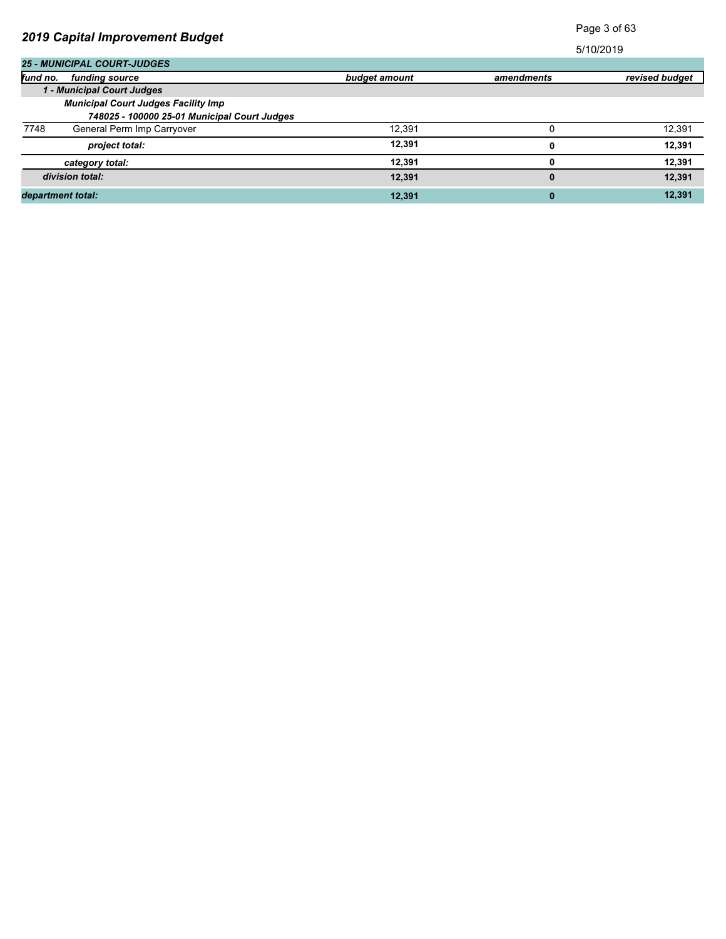|                                              |               | Page 3 of 63 |                |
|----------------------------------------------|---------------|--------------|----------------|
| 2019 Capital Improvement Budget              |               |              | 5/10/2019      |
| <b>25 - MUNICIPAL COURT-JUDGES</b>           |               |              |                |
| fund no.<br>funding source                   | budget amount | amendments   | revised budget |
| 1 - Municipal Court Judges                   |               |              |                |
| <b>Municipal Court Judges Facility Imp</b>   |               |              |                |
| 748025 - 100000 25-01 Municipal Court Judges |               |              |                |
| 7748<br>General Perm Imp Carryover           | 12.391        |              | 12,391         |
| project total:                               | 12,391        | 0            | 12,391         |
| category total:                              | 12,391        | 0            | 12,391         |
| division total:                              | 12,391        | $\bf{0}$     | 12,391         |
| department total:                            | 12.391        | $\bf{0}$     | 12,391         |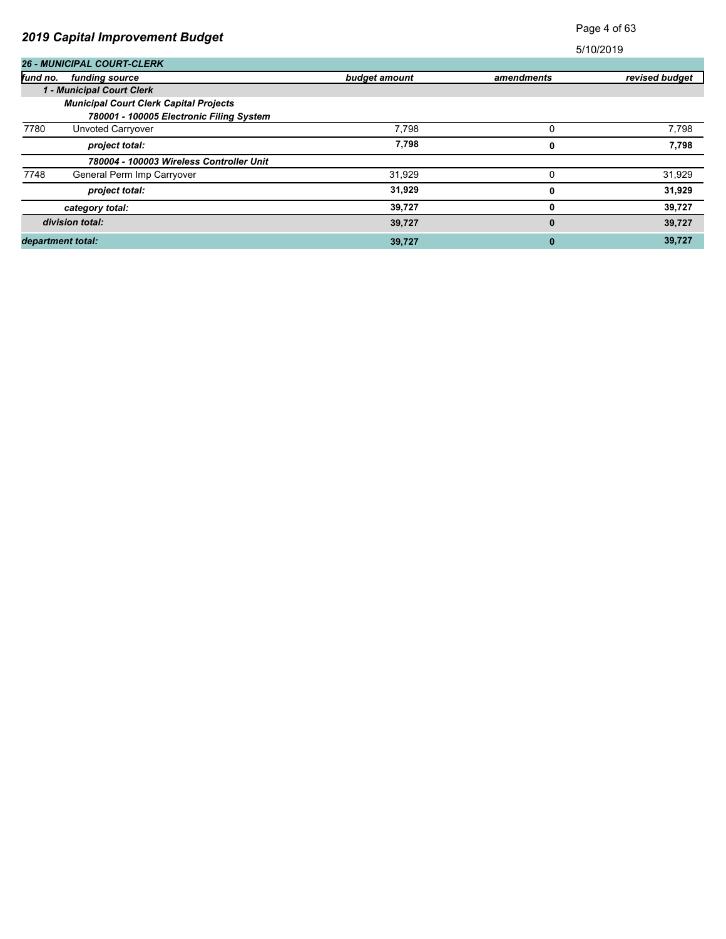| <b>2019 Capital Improvement Budget</b> |                                               |               | Page 4 of 63 |                |
|----------------------------------------|-----------------------------------------------|---------------|--------------|----------------|
|                                        |                                               |               |              | 5/10/2019      |
|                                        | <b>26 - MUNICIPAL COURT-CLERK</b>             |               |              |                |
| fund no.                               | funding source                                | budget amount | amendments   | revised budget |
|                                        | 1 - Municipal Court Clerk                     |               |              |                |
|                                        | <b>Municipal Court Clerk Capital Projects</b> |               |              |                |
|                                        | 780001 - 100005 Electronic Filing System      |               |              |                |
| 7780                                   | Unvoted Carryover                             | 7.798         | $\Omega$     | 7,798          |
|                                        | project total:                                | 7,798         | 0            | 7,798          |
|                                        | 780004 - 100003 Wireless Controller Unit      |               |              |                |
| 7748                                   | General Perm Imp Carryover                    | 31,929        | 0            | 31,929         |
|                                        | project total:                                | 31,929        | 0            | 31,929         |
|                                        | category total:                               | 39,727        | 0            | 39,727         |
|                                        | division total:                               | 39,727        | $\bf{0}$     | 39,727         |
| department total:                      |                                               | 39,727        | $\bf{0}$     | 39,727         |

Page 4 of 63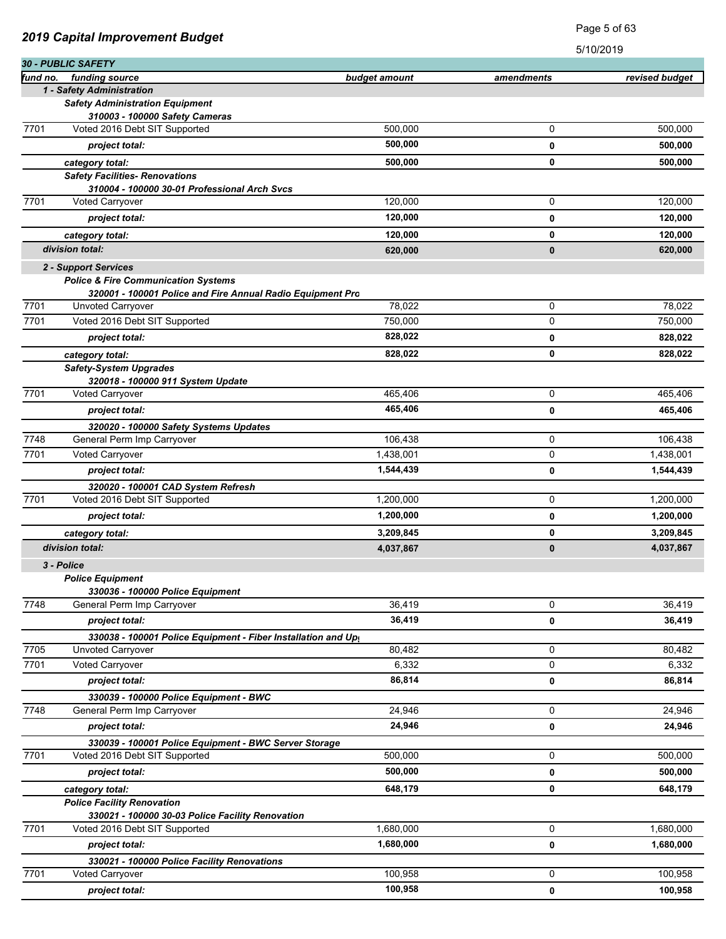| 2010 Suphur miprovement Duuget |                                                                        | 5/10/2019     |              |                |
|--------------------------------|------------------------------------------------------------------------|---------------|--------------|----------------|
|                                | 30 - PUBLIC SAFETY                                                     |               |              |                |
| fund no.                       | funding source                                                         | budget amount | amendments   | revised budget |
|                                | 1 - Safety Administration<br><b>Safety Administration Equipment</b>    |               |              |                |
|                                | 310003 - 100000 Safety Cameras                                         |               |              |                |
| 7701                           | Voted 2016 Debt SIT Supported                                          | 500,000       | 0            | 500,000        |
|                                | project total:                                                         | 500,000       | 0            | 500,000        |
|                                |                                                                        | 500,000       | 0            | 500,000        |
|                                | category total:<br><b>Safety Facilities- Renovations</b>               |               |              |                |
|                                | 310004 - 100000 30-01 Professional Arch Svcs                           |               |              |                |
| 7701                           | <b>Voted Carryover</b>                                                 | 120,000       | 0            | 120,000        |
|                                | project total:                                                         | 120,000       | 0            | 120,000        |
|                                | category total:                                                        | 120,000       | 0            | 120,000        |
|                                | division total:                                                        | 620,000       | $\mathbf{0}$ | 620,000        |
|                                |                                                                        |               |              |                |
|                                | 2 - Support Services<br><b>Police &amp; Fire Communication Systems</b> |               |              |                |
|                                | 320001 - 100001 Police and Fire Annual Radio Equipment Pro             |               |              |                |
| 7701                           | Unvoted Carryover                                                      | 78.022        | 0            | 78,022         |
| 7701                           | Voted 2016 Debt SIT Supported                                          | 750,000       | 0            | 750,000        |
|                                | project total:                                                         | 828,022       | 0            | 828,022        |
|                                | category total:                                                        | 828,022       | 0            | 828,022        |
|                                | <b>Safety-System Upgrades</b>                                          |               |              |                |
|                                | 320018 - 100000 911 System Update                                      |               |              |                |
| 7701                           | Voted Carryover                                                        | 465,406       | 0            | 465,406        |
|                                | project total:                                                         | 465,406       | 0            | 465,406        |
|                                | 320020 - 100000 Safety Systems Updates                                 |               |              |                |
| 7748                           | General Perm Imp Carryover                                             | 106,438       | 0            | 106,438        |
| 7701                           | Voted Carryover                                                        | 1,438,001     | 0            | 1,438,001      |
|                                | project total:                                                         | 1,544,439     | 0            | 1,544,439      |
|                                | 320020 - 100001 CAD System Refresh                                     |               |              |                |
| 7701                           | Voted 2016 Debt SIT Supported                                          | 1,200,000     | 0            | 1,200,000      |
|                                | project total:                                                         | 1,200,000     | 0            | 1,200,000      |
|                                | category total:                                                        | 3,209,845     | 0            | 3,209,845      |
|                                | division total:                                                        | 4,037,867     | $\bf{0}$     | 4,037,867      |
|                                | 3 - Police                                                             |               |              |                |
|                                | <b>Police Equipment</b>                                                |               |              |                |
|                                | 330036 - 100000 Police Equipment                                       |               |              |                |
| 7748                           | General Perm Imp Carryover                                             | 36,419        | 0            | 36,419         |
|                                | project total:                                                         | 36,419        | 0            | 36,419         |
|                                | 330038 - 100001 Police Equipment - Fiber Installation and Up           |               |              |                |
| 7705                           | Unvoted Carryover                                                      | 80,482        | 0            | 80,482         |
| 7701                           | <b>Voted Carryover</b>                                                 | 6,332         | 0            | 6,332          |
|                                | project total:                                                         | 86,814        | 0            | 86,814         |
|                                | 330039 - 100000 Police Equipment - BWC                                 |               |              |                |
| 7748                           | General Perm Imp Carryover                                             | 24.946        | 0            | 24,946         |
|                                | project total:                                                         | 24,946        | 0            | 24,946         |
|                                | 330039 - 100001 Police Equipment - BWC Server Storage                  |               |              |                |
| 7701                           | Voted 2016 Debt SIT Supported                                          | 500,000       | 0            | 500,000        |
|                                | project total:                                                         | 500,000       | 0            | 500,000        |
|                                | category total:                                                        | 648,179       | 0            | 648,179        |
|                                | <b>Police Facility Renovation</b>                                      |               |              |                |
|                                | 330021 - 100000 30-03 Police Facility Renovation                       |               |              |                |
| 7701                           | Voted 2016 Debt SIT Supported                                          | 1,680,000     | 0            | 1,680,000      |
|                                | project total:                                                         | 1,680,000     | 0            | 1,680,000      |
|                                | 330021 - 100000 Police Facility Renovations                            |               |              |                |
| 7701                           | Voted Carryover                                                        | 100,958       | 0            | 100,958        |
|                                | project total:                                                         | 100,958       | 0            | 100,958        |

Page 5 of 63

*2019 Capital Improvement Budget*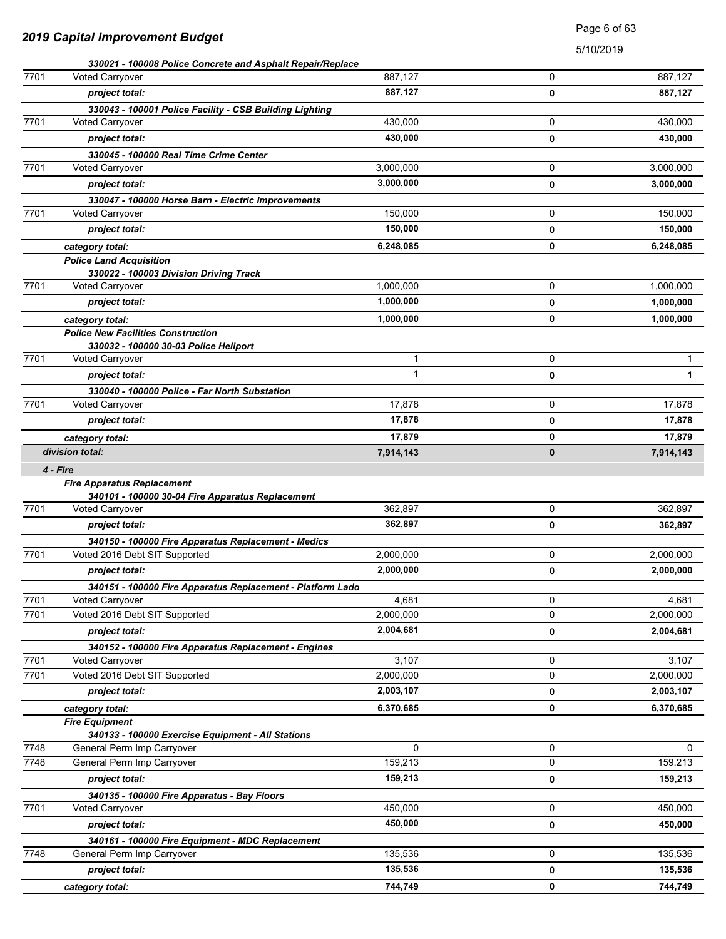| 2019 Capital Improvement Budget |
|---------------------------------|
|---------------------------------|

Page 6 of 63

|      | 330021 - 100008 Police Concrete and Asphalt Repair/Replace                           |           |   |              |
|------|--------------------------------------------------------------------------------------|-----------|---|--------------|
| 7701 | <b>Voted Carryover</b>                                                               | 887,127   | 0 | 887,127      |
|      | project total:                                                                       | 887,127   | 0 | 887,127      |
|      | 330043 - 100001 Police Facility - CSB Building Lighting                              |           |   |              |
| 7701 | Voted Carryover                                                                      | 430,000   | 0 | 430,000      |
|      | project total:                                                                       | 430,000   | 0 | 430,000      |
|      | 330045 - 100000 Real Time Crime Center                                               |           |   |              |
| 7701 | <b>Voted Carryover</b>                                                               | 3,000,000 | 0 | 3,000,000    |
|      | project total:                                                                       | 3,000,000 | 0 | 3,000,000    |
|      | 330047 - 100000 Horse Barn - Electric Improvements                                   |           |   |              |
| 7701 | Voted Carryover                                                                      | 150,000   | 0 | 150,000      |
|      | project total:                                                                       | 150,000   | 0 | 150,000      |
|      | category total:                                                                      | 6,248,085 | 0 | 6,248,085    |
|      | <b>Police Land Acquisition</b>                                                       |           |   |              |
|      | 330022 - 100003 Division Driving Track                                               |           |   |              |
| 7701 | Voted Carryover                                                                      | 1,000,000 | 0 | 1,000,000    |
|      | project total:                                                                       | 1,000,000 | 0 | 1,000,000    |
|      | category total:                                                                      | 1,000,000 | 0 | 1,000,000    |
|      | <b>Police New Facilities Construction</b>                                            |           |   |              |
|      | 330032 - 100000 30-03 Police Heliport                                                |           |   |              |
| 7701 | Voted Carryover                                                                      | 1         | 0 | 1            |
|      | project total:                                                                       | 1         | 0 | $\mathbf{1}$ |
|      | 330040 - 100000 Police - Far North Substation                                        |           |   |              |
| 7701 | Voted Carryover                                                                      | 17,878    | 0 | 17,878       |
|      | project total:                                                                       | 17,878    | 0 | 17,878       |
|      | category total:                                                                      | 17,879    | 0 | 17,879       |
|      | division total:                                                                      | 7,914,143 | 0 | 7,914,143    |
|      | 4 - Fire                                                                             |           |   |              |
|      | <b>Fire Apparatus Replacement</b>                                                    |           |   |              |
| 7701 | 340101 - 100000 30-04 Fire Apparatus Replacement                                     | 362,897   | 0 | 362,897      |
|      | Voted Carryover                                                                      | 362,897   |   |              |
|      | project total:                                                                       |           | 0 | 362,897      |
| 7701 | 340150 - 100000 Fire Apparatus Replacement - Medics<br>Voted 2016 Debt SIT Supported | 2,000,000 | 0 | 2,000,000    |
|      |                                                                                      | 2,000,000 |   |              |
|      | project total:                                                                       |           | 0 | 2,000,000    |
| 7701 | 340151 - 100000 Fire Apparatus Replacement - Platform Ladd<br>Voted Carryover        | 4,681     | 0 | 4,681        |
| 7701 | Voted 2016 Debt SIT Supported                                                        | 2,000,000 | 0 | 2,000,000    |
|      | project total:                                                                       | 2,004,681 |   | 2,004,681    |
|      |                                                                                      |           | 0 |              |
| 7701 | 340152 - 100000 Fire Apparatus Replacement - Engines<br>Voted Carryover              | 3,107     | 0 | 3,107        |
| 7701 | Voted 2016 Debt SIT Supported                                                        | 2,000,000 | 0 | 2,000,000    |
|      | project total:                                                                       | 2,003,107 |   | 2,003,107    |
|      |                                                                                      |           | 0 |              |
|      | category total:                                                                      | 6,370,685 | 0 | 6,370,685    |
|      | <b>Fire Equipment</b><br>340133 - 100000 Exercise Equipment - All Stations           |           |   |              |
| 7748 | General Perm Imp Carryover                                                           | 0         | 0 | 0            |
| 7748 | General Perm Imp Carryover                                                           | 159,213   | 0 | 159,213      |
|      | project total:                                                                       | 159,213   | 0 | 159,213      |
|      | 340135 - 100000 Fire Apparatus - Bay Floors                                          |           |   |              |
| 7701 | Voted Carryover                                                                      | 450,000   | 0 | 450,000      |
|      | project total:                                                                       | 450,000   | 0 | 450,000      |
|      | 340161 - 100000 Fire Equipment - MDC Replacement                                     |           |   |              |
| 7748 | General Perm Imp Carryover                                                           | 135,536   | 0 | 135,536      |
|      | project total:                                                                       | 135,536   | 0 | 135,536      |
|      | category total:                                                                      | 744,749   | 0 | 744,749      |
|      |                                                                                      |           |   |              |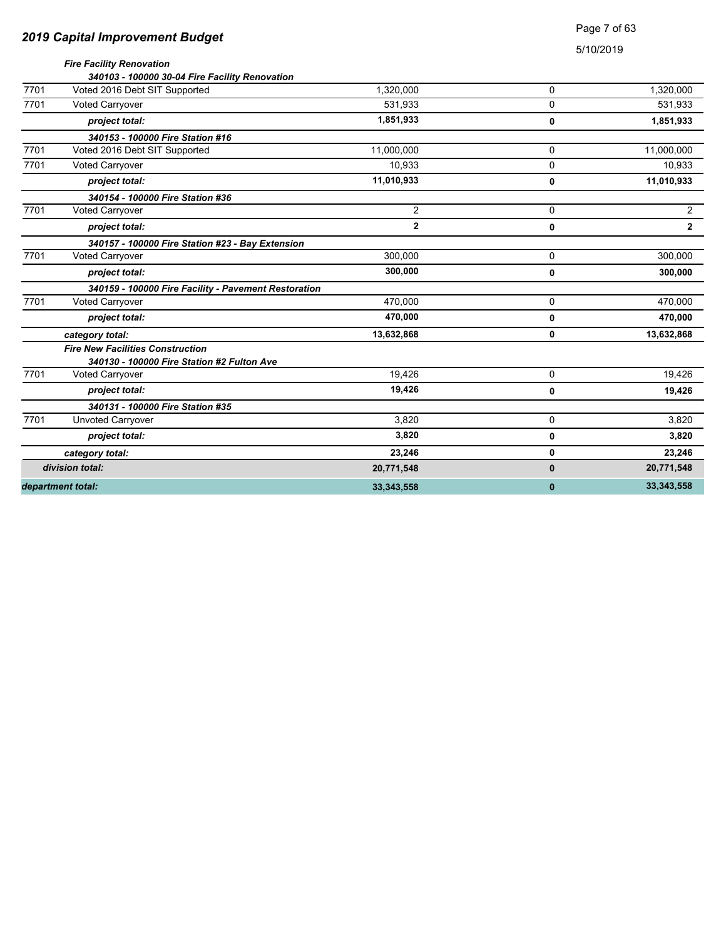| 2019 Capital Improvement Budget |
|---------------------------------|
|---------------------------------|

### Page 7 of 63

|      | <b>Fire Facility Renovation</b><br>340103 - 100000 30-04 Fire Facility Renovation     |              |              |                |
|------|---------------------------------------------------------------------------------------|--------------|--------------|----------------|
| 7701 | Voted 2016 Debt SIT Supported                                                         | 1,320,000    | 0            | 1,320,000      |
| 7701 | Voted Carryover                                                                       | 531.933      | 0            | 531,933        |
|      | project total:                                                                        | 1,851,933    | 0            | 1,851,933      |
|      | 340153 - 100000 Fire Station #16                                                      |              |              |                |
| 7701 | Voted 2016 Debt SIT Supported                                                         | 11.000.000   | 0            | 11,000,000     |
| 7701 | <b>Voted Carryover</b>                                                                | 10,933       | 0            | 10,933         |
|      | project total:                                                                        | 11,010,933   | 0            | 11,010,933     |
|      | 340154 - 100000 Fire Station #36                                                      |              |              |                |
| 7701 | Voted Carryover                                                                       | 2            | $\Omega$     | $\overline{2}$ |
|      | project total:                                                                        | $\mathbf{2}$ | 0            | $\overline{2}$ |
|      | 340157 - 100000 Fire Station #23 - Bay Extension                                      |              |              |                |
| 7701 | <b>Voted Carryover</b>                                                                | 300.000      | 0            | 300,000        |
|      | project total:                                                                        | 300,000      | 0            | 300,000        |
|      | 340159 - 100000 Fire Facility - Pavement Restoration                                  |              |              |                |
| 7701 | <b>Voted Carryover</b>                                                                | 470.000      | 0            | 470,000        |
|      | project total:                                                                        | 470,000      | 0            | 470,000        |
|      | category total:                                                                       | 13,632,868   | 0            | 13,632,868     |
|      | <b>Fire New Facilities Construction</b><br>340130 - 100000 Fire Station #2 Fulton Ave |              |              |                |
| 7701 | Voted Carryover                                                                       | 19.426       | 0            | 19.426         |
|      | project total:                                                                        | 19,426       | 0            | 19,426         |
|      | 340131 - 100000 Fire Station #35                                                      |              |              |                |
| 7701 | Unvoted Carryover                                                                     | 3,820        | 0            | 3,820          |
|      | project total:                                                                        | 3,820        | 0            | 3,820          |
|      | category total:                                                                       | 23,246       | 0            | 23,246         |
|      | division total:                                                                       | 20,771,548   | 0            | 20,771,548     |
|      | department total:                                                                     | 33,343,558   | $\mathbf{0}$ | 33, 343, 558   |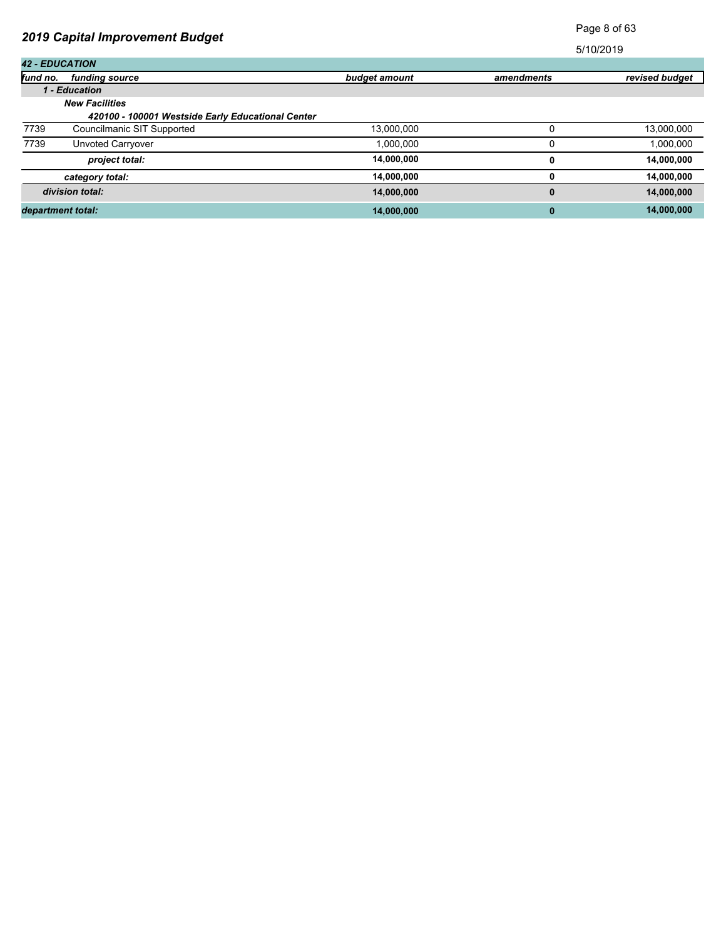# Page 8 of 63

| <b>42 - EDUCATION</b> |                                                   |               |            |                |
|-----------------------|---------------------------------------------------|---------------|------------|----------------|
| fund no.              | funding source                                    | budget amount | amendments | revised budget |
|                       | 1 - Education                                     |               |            |                |
|                       | <b>New Facilities</b>                             |               |            |                |
|                       | 420100 - 100001 Westside Early Educational Center |               |            |                |
| 7739                  | Councilmanic SIT Supported                        | 13,000,000    |            | 13,000,000     |
| 7739                  | Unvoted Carryover                                 | 1,000,000     |            | 1,000,000      |
|                       | project total:                                    | 14,000,000    | 0          | 14,000,000     |
|                       | category total:                                   | 14,000,000    | 0          | 14,000,000     |
|                       | division total:                                   | 14,000,000    | 0          | 14,000,000     |
|                       | department total:                                 | 14,000,000    | 0          | 14,000,000     |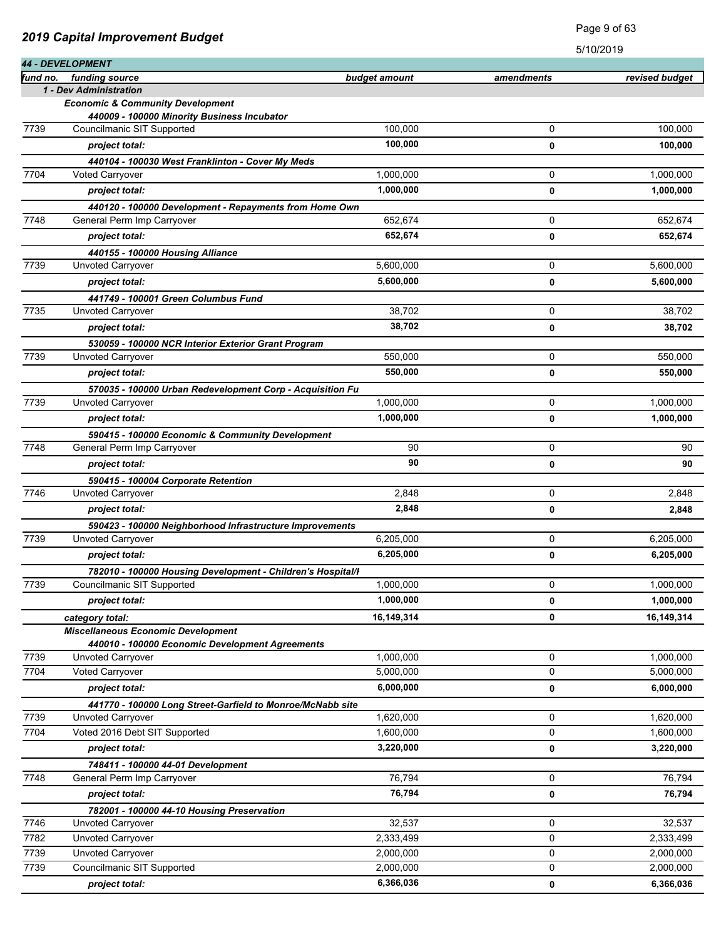|          | <b>44 - DEVELOPMENT</b>                                                         |                      |                     | <b>PLO/SOLO</b> |
|----------|---------------------------------------------------------------------------------|----------------------|---------------------|-----------------|
| fund no. | funding source                                                                  | <u>budget amount</u> | amendments          | revised budget  |
|          | 1 - Dev Administration                                                          |                      |                     |                 |
|          | <b>Economic &amp; Community Development</b>                                     |                      |                     |                 |
|          | 440009 - 100000 Minority Business Incubator                                     |                      |                     |                 |
| 7739     | Councilmanic SIT Supported                                                      | 100,000              | 0                   | 100,000         |
|          | project total:                                                                  | 100,000              | 0                   | 100,000         |
|          | 440104 - 100030 West Franklinton - Cover My Meds                                |                      |                     |                 |
| 7704     | <b>Voted Carryover</b>                                                          | 1,000,000            | 0                   | 1,000,000       |
|          | project total:                                                                  | 1,000,000            | 0                   | 1,000,000       |
|          | 440120 - 100000 Development - Repayments from Home Own                          |                      |                     |                 |
| 7748     | General Perm Imp Carryover                                                      | 652,674              | 0                   | 652.674         |
|          | project total:                                                                  | 652,674              | 0                   | 652,674         |
|          | 440155 - 100000 Housing Alliance                                                |                      |                     |                 |
| 7739     | Unvoted Carryover                                                               | 5,600,000            | 0                   | 5,600,000       |
|          | project total:                                                                  | 5,600,000            | 0                   | 5,600,000       |
|          | 441749 - 100001 Green Columbus Fund                                             |                      |                     |                 |
| 7735     | <b>Unvoted Carryover</b>                                                        | 38,702               | 0                   | 38.702          |
|          | project total:                                                                  | 38.702               | 0                   | 38,702          |
|          | 530059 - 100000 NCR Interior Exterior Grant Program                             |                      |                     |                 |
| 7739     | Unvoted Carryover                                                               | 550,000              | 0                   | 550,000         |
|          | project total:                                                                  | 550,000              | 0                   | 550,000         |
|          | 570035 - 100000 Urban Redevelopment Corp - Acquisition Fu                       |                      |                     |                 |
| 7739     | <b>Unvoted Carryover</b>                                                        | 1,000,000            | 0                   | 1,000,000       |
|          | project total:                                                                  | 1,000,000            | 0                   | 1,000,000       |
|          | 590415 - 100000 Economic & Community Development                                |                      |                     |                 |
| 7748     | General Perm Imp Carryover                                                      | 90                   | 0                   | 90              |
|          | project total:                                                                  | 90                   | 0                   | 90              |
|          | 590415 - 100004 Corporate Retention                                             |                      |                     |                 |
| 7746     | Unvoted Carryover                                                               | 2,848                | 0                   | 2,848           |
|          | project total:                                                                  | 2,848                | 0                   | 2,848           |
|          | 590423 - 100000 Neighborhood Infrastructure Improvements                        |                      |                     |                 |
| 7739     | Unvoted Carryover                                                               | 6,205,000            | 0                   | 6,205,000       |
|          | project total:                                                                  | 6,205,000            | 0                   | 6,205,000       |
|          | 782010 - 100000 Housing Development - Children's Hospital/I                     |                      |                     |                 |
| 7739     | Councilmanic SIT Supported                                                      | 1,000,000            | 0                   | 1,000,000       |
|          | project total:                                                                  | 1,000,000            | 0                   | 1,000,000       |
|          | category total:                                                                 | 16,149,314           | 0                   | 16,149,314      |
|          | <b>Miscellaneous Economic Development</b>                                       |                      |                     |                 |
| 7739     | 440010 - 100000 Economic Development Agreements<br>Unvoted Carryover            | 1,000,000            | 0                   | 1,000,000       |
| 7704     | Voted Carryover                                                                 | 5,000,000            | 0                   | 5,000,000       |
|          | project total:                                                                  | 6,000,000            | 0                   | 6,000,000       |
|          |                                                                                 |                      |                     |                 |
| 7739     | 441770 - 100000 Long Street-Garfield to Monroe/McNabb site<br>Unvoted Carryover | 1,620,000            | 0                   | 1,620,000       |
| 7704     | Voted 2016 Debt SIT Supported                                                   | 1,600,000            | $\mathsf{O}\xspace$ | 1,600,000       |
|          | project total:                                                                  | 3,220,000            | 0                   | 3,220,000       |
|          |                                                                                 |                      |                     |                 |
| 7748     | 748411 - 100000 44-01 Development<br>General Perm Imp Carryover                 | 76,794               | 0                   | 76,794          |
|          | project total:                                                                  | 76,794               | 0                   | 76,794          |
|          |                                                                                 |                      |                     |                 |
| 7746     | 782001 - 100000 44-10 Housing Preservation<br>Unvoted Carryover                 | 32,537               | 0                   | 32,537          |
| 7782     | Unvoted Carryover                                                               | 2,333,499            | 0                   | 2,333,499       |
| 7739     | <b>Unvoted Carryover</b>                                                        | 2,000,000            | 0                   | 2,000,000       |
| 7739     | Councilmanic SIT Supported                                                      | 2,000,000            | 0                   | 2,000,000       |
|          | project total:                                                                  | 6,366,036            | 0                   | 6,366,036       |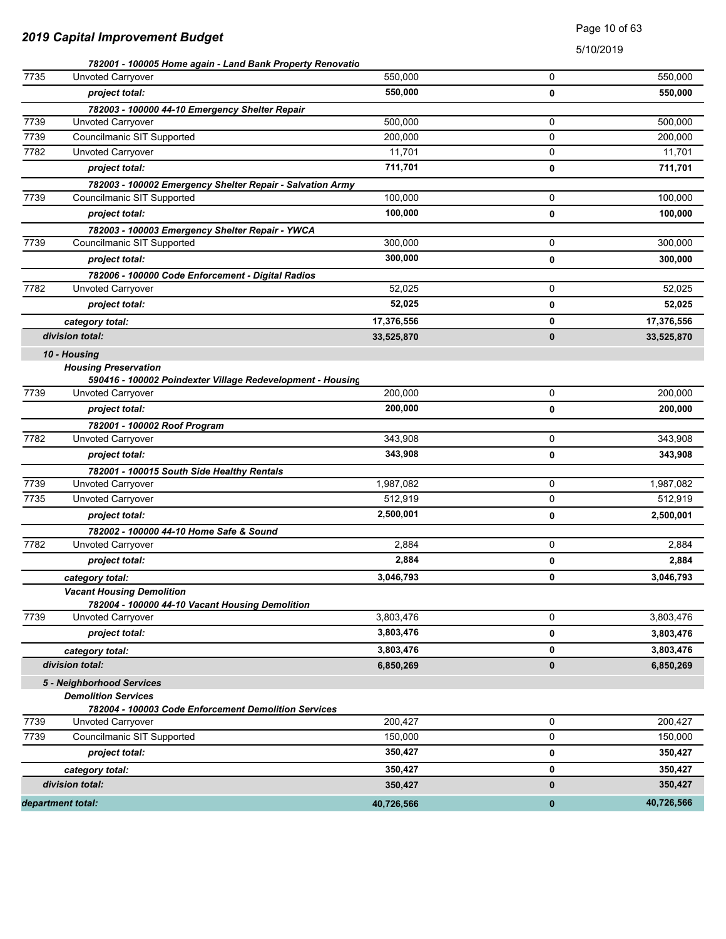### Page 10 of 63

|      | 782001 - 100005 Home again - Land Bank Property Renovatio  |            |          |            |
|------|------------------------------------------------------------|------------|----------|------------|
| 7735 | Unvoted Carryover                                          | 550,000    | 0        | 550,000    |
|      | project total:                                             | 550,000    | 0        | 550,000    |
|      | 782003 - 100000 44-10 Emergency Shelter Repair             |            |          |            |
| 7739 | Unvoted Carryover                                          | 500.000    | 0        | 500,000    |
| 7739 | Councilmanic SIT Supported                                 | 200,000    | 0        | 200,000    |
| 7782 | Unvoted Carryover                                          | 11,701     | 0        | 11,701     |
|      | project total:                                             | 711,701    | 0        | 711,701    |
|      | 782003 - 100002 Emergency Shelter Repair - Salvation Army  |            |          |            |
| 7739 | Councilmanic SIT Supported                                 | 100,000    | 0        | 100,000    |
|      | project total:                                             | 100,000    | 0        | 100,000    |
|      | 782003 - 100003 Emergency Shelter Repair - YWCA            |            |          |            |
| 7739 | Councilmanic SIT Supported                                 | 300,000    | 0        | 300,000    |
|      | project total:                                             | 300,000    | 0        | 300,000    |
|      | 782006 - 100000 Code Enforcement - Digital Radios          |            |          |            |
| 7782 | <b>Unvoted Carryover</b>                                   | 52,025     | 0        | 52,025     |
|      | project total:                                             | 52,025     | 0        | 52,025     |
|      | category total:                                            | 17,376,556 | 0        | 17,376,556 |
|      | division total:                                            | 33,525,870 | $\bf{0}$ | 33,525,870 |
|      | 10 - Housing                                               |            |          |            |
|      | <b>Housing Preservation</b>                                |            |          |            |
|      | 590416 - 100002 Poindexter Village Redevelopment - Housing |            |          |            |
| 7739 | Unvoted Carryover                                          | 200,000    | 0        | 200.000    |
|      | project total:                                             | 200,000    | 0        | 200,000    |
|      | 782001 - 100002 Roof Program                               |            |          |            |
| 7782 | <b>Unvoted Carryover</b>                                   | 343,908    | 0        | 343,908    |
|      | project total:                                             | 343,908    | 0        | 343,908    |
|      | 782001 - 100015 South Side Healthy Rentals                 |            |          |            |
| 7739 | <b>Unvoted Carryover</b>                                   | 1,987,082  | 0        | 1,987,082  |
| 7735 | Unvoted Carryover                                          | 512,919    | 0        | 512,919    |
|      | project total:                                             | 2,500,001  | 0        | 2,500,001  |
|      | 782002 - 100000 44-10 Home Safe & Sound                    |            |          |            |
| 7782 | <b>Unvoted Carryover</b>                                   | 2,884      | 0        | 2,884      |
|      | project total:                                             | 2,884      | 0        | 2,884      |
|      | category total:                                            | 3,046,793  | 0        | 3,046,793  |
|      | <b>Vacant Housing Demolition</b>                           |            |          |            |
|      | 782004 - 100000 44-10 Vacant Housing Demolition            |            |          |            |
| 7739 | Unvoted Carryover                                          | 3,803,476  | 0        | 3,803,476  |
|      | project total:                                             | 3,803,476  | 0        | 3,803,476  |
|      | category total:                                            | 3,803,476  | 0        | 3,803,476  |
|      | division total:                                            | 6,850,269  | 0        | 6,850,269  |
|      | 5 - Neighborhood Services                                  |            |          |            |
|      | <b>Demolition Services</b>                                 |            |          |            |
|      | 782004 - 100003 Code Enforcement Demolition Services       |            |          |            |
| 7739 | Unvoted Carryover                                          | 200,427    | 0        | 200,427    |
| 7739 | Councilmanic SIT Supported                                 | 150,000    | 0        | 150,000    |
|      | project total:                                             | 350,427    | 0        | 350,427    |
|      | category total:                                            | 350,427    | 0        | 350,427    |
|      | division total:                                            | 350,427    | 0        | 350,427    |
|      | department total:                                          | 40,726,566 | $\bf{0}$ | 40,726,566 |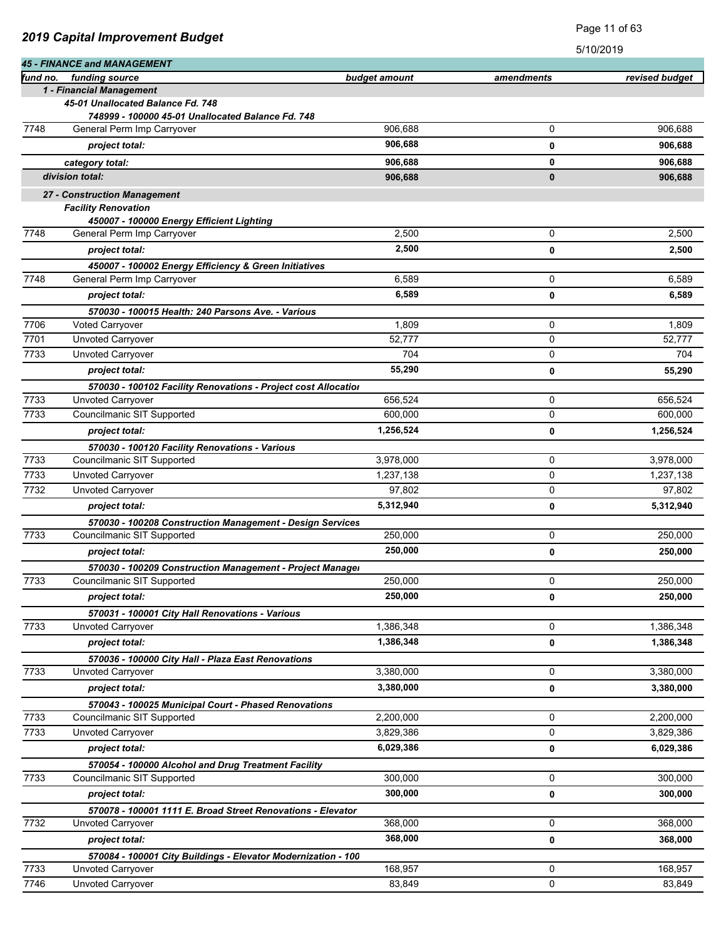| fund no. | <b>45 - FINANCE and MANAGEMENT</b>                                                 |               |             |                |
|----------|------------------------------------------------------------------------------------|---------------|-------------|----------------|
|          | funding source<br>1 - Financial Management                                         | budget amount | amendments  | revised budget |
|          | 45-01 Unallocated Balance Fd. 748                                                  |               |             |                |
|          | 748999 - 100000 45-01 Unallocated Balance Fd. 748                                  |               |             |                |
| 7748     | General Perm Imp Carryover                                                         | 906,688       | 0           | 906,688        |
|          | project total:                                                                     | 906,688       | 0           | 906,688        |
|          | category total:                                                                    | 906,688       | 0           | 906,688        |
|          | division total:                                                                    | 906,688       | 0           | 906,688        |
|          | 27 - Construction Management                                                       |               |             |                |
|          | <b>Facility Renovation</b>                                                         |               |             |                |
|          | 450007 - 100000 Energy Efficient Lighting                                          |               |             |                |
| 7748     | General Perm Imp Carryover                                                         | 2,500         | 0           | 2,500          |
|          | project total:                                                                     | 2,500         | 0           | 2,500          |
|          | 450007 - 100002 Energy Efficiency & Green Initiatives                              |               |             |                |
| 7748     | General Perm Imp Carryover                                                         | 6,589         | 0           | 6,589          |
|          | project total:                                                                     | 6,589         | 0           | 6,589          |
|          | 570030 - 100015 Health: 240 Parsons Ave. - Various                                 |               |             |                |
| 7706     | Voted Carryover                                                                    | 1,809         | 0           | 1,809          |
| 7701     | Unvoted Carryover                                                                  | 52,777        | 0           | 52,777         |
| 7733     | Unvoted Carryover                                                                  | 704           | 0           | 704            |
|          | project total:                                                                     | 55,290        | 0           | 55,290         |
|          | 570030 - 100102 Facility Renovations - Project cost Allocation                     |               |             |                |
| 7733     | Unvoted Carryover                                                                  | 656,524       | 0           | 656,524        |
| 7733     | Councilmanic SIT Supported                                                         | 600,000       | 0           | 600,000        |
|          | project total:                                                                     | 1,256,524     | 0           | 1,256,524      |
|          | 570030 - 100120 Facility Renovations - Various                                     |               |             |                |
| 7733     | Councilmanic SIT Supported                                                         | 3,978,000     | 0           | 3,978,000      |
| 7733     | Unvoted Carryover                                                                  | 1,237,138     | 0           | 1,237,138      |
| 7732     | <b>Unvoted Carryover</b>                                                           | 97,802        | 0           | 97,802         |
|          | project total:                                                                     | 5,312,940     | 0           | 5,312,940      |
|          | 570030 - 100208 Construction Management - Design Services                          |               |             |                |
| 7733     | Councilmanic SIT Supported                                                         | 250,000       | 0           | 250,000        |
|          | project total:                                                                     | 250,000       | 0           | 250,000        |
|          | 570030 - 100209 Construction Management - Project Manager                          |               |             |                |
| 7733     | Councilmanic SIT Supported                                                         | 250,000       | 0           | 250,000        |
|          | project total:                                                                     | 250,000       | 0           | 250,000        |
|          | 570031 - 100001 City Hall Renovations - Various                                    |               |             |                |
| 7733     | Unvoted Carryover                                                                  | 1,386,348     | 0           | 1,386,348      |
|          | project total:                                                                     | 1,386,348     | 0           | 1,386,348      |
|          | 570036 - 100000 City Hall - Plaza East Renovations                                 |               |             |                |
| 7733     | Unvoted Carryover                                                                  | 3,380,000     | 0           | 3,380,000      |
|          | project total:                                                                     | 3,380,000     | 0           | 3,380,000      |
|          | 570043 - 100025 Municipal Court - Phased Renovations                               |               |             |                |
| 7733     | Councilmanic SIT Supported                                                         | 2,200,000     | $\mathbf 0$ | 2,200,000      |
| 7733     | Unvoted Carryover                                                                  | 3,829,386     | 0           | 3,829,386      |
|          | project total:                                                                     | 6,029,386     | 0           | 6,029,386      |
|          | 570054 - 100000 Alcohol and Drug Treatment Facility                                |               |             |                |
| 7733     | Councilmanic SIT Supported                                                         | 300,000       | 0           | 300,000        |
|          | project total:                                                                     | 300,000       | 0           | 300,000        |
|          |                                                                                    |               |             |                |
| 7732     | 570078 - 100001 1111 E. Broad Street Renovations - Elevator<br>Unvoted Carryover   | 368,000       | 0           | 368,000        |
|          | project total:                                                                     | 368,000       | 0           | 368,000        |
|          |                                                                                    |               |             |                |
| 7733     | 570084 - 100001 City Buildings - Elevator Modernization - 100<br>Unvoted Carryover | 168,957       | 0           | 168,957        |
| 7746     | Unvoted Carryover                                                                  | 83,849        | 0           | 83,849         |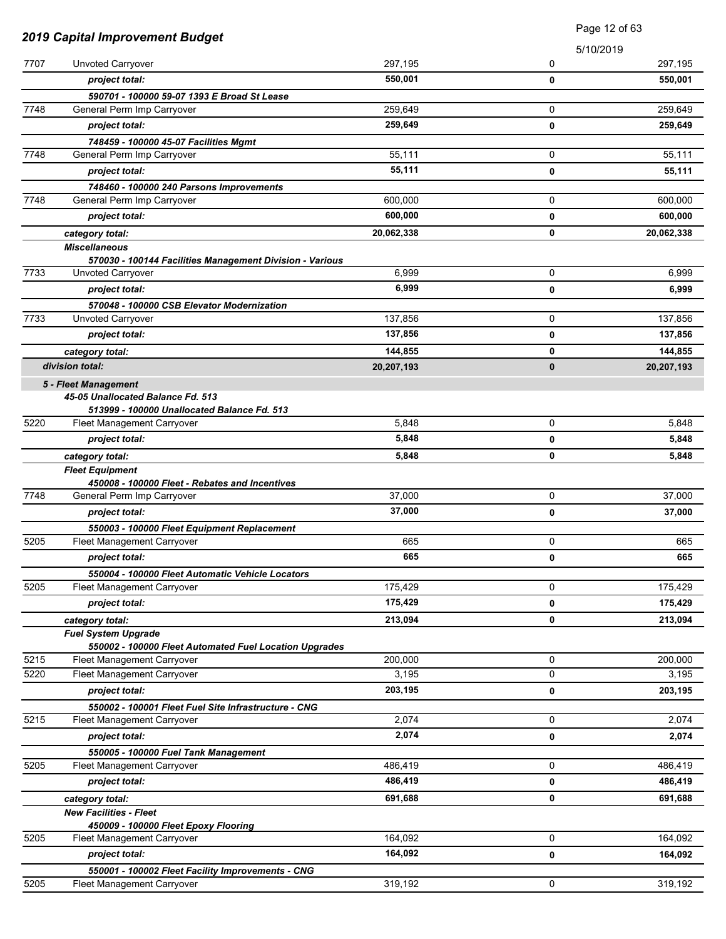|      |                                                                               |            | Page 12 of 63 |            |
|------|-------------------------------------------------------------------------------|------------|---------------|------------|
|      | 2019 Capital Improvement Budget                                               |            | 5/10/2019     |            |
| 7707 | Unvoted Carryover                                                             | 297,195    | 0             | 297,195    |
|      | project total:                                                                | 550,001    | 0             | 550,001    |
|      | 590701 - 100000 59-07 1393 E Broad St Lease                                   |            |               |            |
| 7748 | General Perm Imp Carryover                                                    | 259,649    | 0             | 259,649    |
|      | project total:                                                                | 259,649    | 0             | 259,649    |
|      | 748459 - 100000 45-07 Facilities Mgmt                                         |            |               |            |
| 7748 | General Perm Imp Carryover                                                    | 55,111     | 0             | 55,111     |
|      | project total:                                                                | 55,111     | 0             | 55,111     |
|      | 748460 - 100000 240 Parsons Improvements                                      |            |               |            |
| 7748 | General Perm Imp Carryover                                                    | 600,000    | 0             | 600,000    |
|      | project total:                                                                | 600,000    | 0             | 600,000    |
|      | category total:                                                               | 20,062,338 | 0             | 20,062,338 |
|      | <b>Miscellaneous</b>                                                          |            |               |            |
| 7733 | 570030 - 100144 Facilities Management Division - Various<br>Unvoted Carryover | 6,999      | 0             | 6,999      |
|      | project total:                                                                | 6,999      | 0             | 6,999      |
|      | 570048 - 100000 CSB Elevator Modernization                                    |            |               |            |
| 7733 | Unvoted Carryover                                                             | 137,856    | 0             | 137,856    |
|      | project total:                                                                | 137,856    | 0             | 137,856    |
|      | category total:                                                               | 144,855    | 0             | 144,855    |
|      | division total:                                                               | 20,207,193 | 0             | 20,207,193 |
|      | 5 - Fleet Management                                                          |            |               |            |
|      | 45-05 Unallocated Balance Fd. 513                                             |            |               |            |
|      | 513999 - 100000 Unallocated Balance Fd. 513                                   |            |               |            |
| 5220 | Fleet Management Carryover                                                    | 5,848      | 0             | 5,848      |
|      | project total:                                                                | 5,848      | 0             | 5,848      |
|      | category total:                                                               | 5,848      | 0             | 5,848      |
|      | <b>Fleet Equipment</b>                                                        |            |               |            |
| 7748 | 450008 - 100000 Fleet - Rebates and Incentives<br>General Perm Imp Carryover  | 37,000     | 0             | 37,000     |
|      | project total:                                                                | 37,000     | 0             | 37,000     |
|      | 550003 - 100000 Fleet Equipment Replacement                                   |            |               |            |
| 5205 | Fleet Management Carryover                                                    | 665        | 0             | 665        |
|      | project total:                                                                | 665        | 0             | 665        |
|      | 550004 - 100000 Fleet Automatic Vehicle Locators                              |            |               |            |
| 5205 | Fleet Management Carryover                                                    | 175,429    | 0             | 175,429    |
|      | project total:                                                                | 175,429    | 0             | 175,429    |
|      | category total:                                                               | 213,094    | 0             | 213,094    |
|      | <b>Fuel System Upgrade</b>                                                    |            |               |            |
|      | 550002 - 100000 Fleet Automated Fuel Location Upgrades                        |            |               |            |
| 5215 | Fleet Management Carryover                                                    | 200,000    | 0             | 200,000    |
| 5220 | Fleet Management Carryover                                                    | 3,195      | 0             | 3,195      |
|      | project total:                                                                | 203,195    | 0             | 203,195    |
|      | 550002 - 100001 Fleet Fuel Site Infrastructure - CNG                          |            |               |            |
| 5215 | Fleet Management Carryover                                                    | 2,074      | 0             | 2,074      |
|      | project total:                                                                | 2,074      | 0             | 2,074      |
|      | 550005 - 100000 Fuel Tank Management                                          |            |               |            |
| 5205 | Fleet Management Carryover                                                    | 486,419    | 0             | 486,419    |
|      | project total:                                                                | 486,419    | 0             | 486,419    |
|      | category total:<br><b>New Facilities - Fleet</b>                              | 691,688    | 0             | 691,688    |
|      | 450009 - 100000 Fleet Epoxy Flooring                                          |            |               |            |
| 5205 | Fleet Management Carryover                                                    | 164,092    | 0             | 164,092    |
|      | project total:                                                                | 164,092    | 0             | 164,092    |
|      | 550001 - 100002 Fleet Facility Improvements - CNG                             |            |               |            |
| 5205 | Fleet Management Carryover                                                    | 319,192    | $\mathbf 0$   | 319,192    |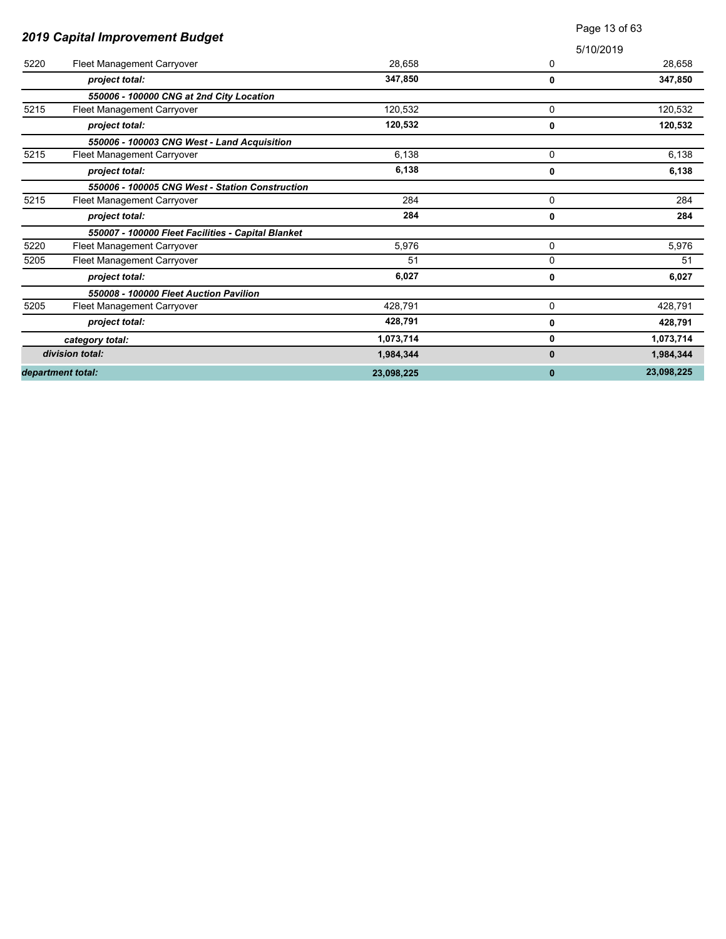|      |                                                    |            |           | Page 13 of 63 |
|------|----------------------------------------------------|------------|-----------|---------------|
|      | 2019 Capital Improvement Budget                    |            | 5/10/2019 |               |
| 5220 | <b>Fleet Management Carryover</b>                  | 28,658     | 0         | 28,658        |
|      | project total:                                     | 347,850    | 0         | 347,850       |
|      | 550006 - 100000 CNG at 2nd City Location           |            |           |               |
| 5215 | Fleet Management Carryover                         | 120,532    | 0         | 120,532       |
|      | project total:                                     | 120,532    | 0         | 120,532       |
|      | 550006 - 100003 CNG West - Land Acquisition        |            |           |               |
| 5215 | Fleet Management Carryover                         | 6.138      | 0         | 6.138         |
|      | project total:                                     | 6,138      | 0         | 6,138         |
|      | 550006 - 100005 CNG West - Station Construction    |            |           |               |
| 5215 | Fleet Management Carryover                         | 284        | 0         | 284           |
|      | project total:                                     | 284        | 0         | 284           |
|      | 550007 - 100000 Fleet Facilities - Capital Blanket |            |           |               |
| 5220 | Fleet Management Carryover                         | 5,976      | 0         | 5,976         |
| 5205 | Fleet Management Carryover                         | 51         | 0         | 51            |
|      | project total:                                     | 6,027      | 0         | 6,027         |
|      | 550008 - 100000 Fleet Auction Pavilion             |            |           |               |
| 5205 | Fleet Management Carryover                         | 428,791    | 0         | 428,791       |
|      | project total:                                     | 428,791    | 0         | 428,791       |
|      | category total:                                    | 1,073,714  | 0         | 1,073,714     |
|      | division total:                                    | 1,984,344  | 0         | 1,984,344     |
|      | department total:                                  | 23.098.225 | $\bf{0}$  | 23,098,225    |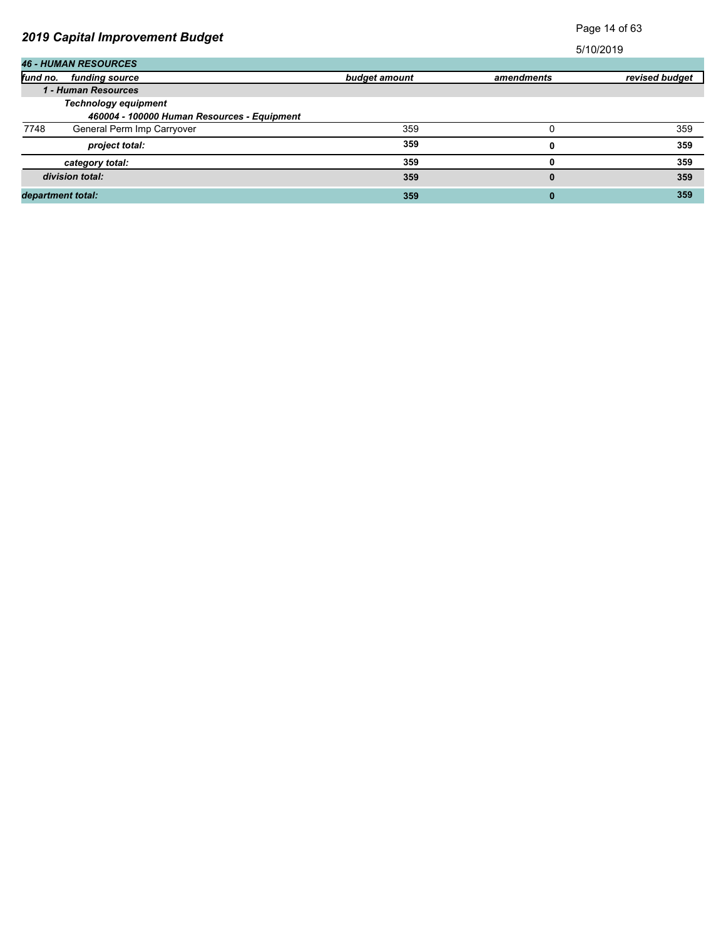# Page 14 of 63

|                   | <b>46 - HUMAN RESOURCES</b>                                                |               |            |                |  |
|-------------------|----------------------------------------------------------------------------|---------------|------------|----------------|--|
| fund no.          | funding source                                                             | budget amount | amendments | revised budget |  |
|                   | 1 - Human Resources                                                        |               |            |                |  |
|                   | <b>Technology equipment</b><br>460004 - 100000 Human Resources - Equipment |               |            |                |  |
| 7748              | General Perm Imp Carryover                                                 | 359           |            | 359            |  |
|                   | project total:                                                             | 359           | o          | 359            |  |
|                   | category total:                                                            | 359           |            | 359            |  |
|                   | division total:                                                            | 359           | 0          | 359            |  |
| department total: |                                                                            | 359           | 0          | 359            |  |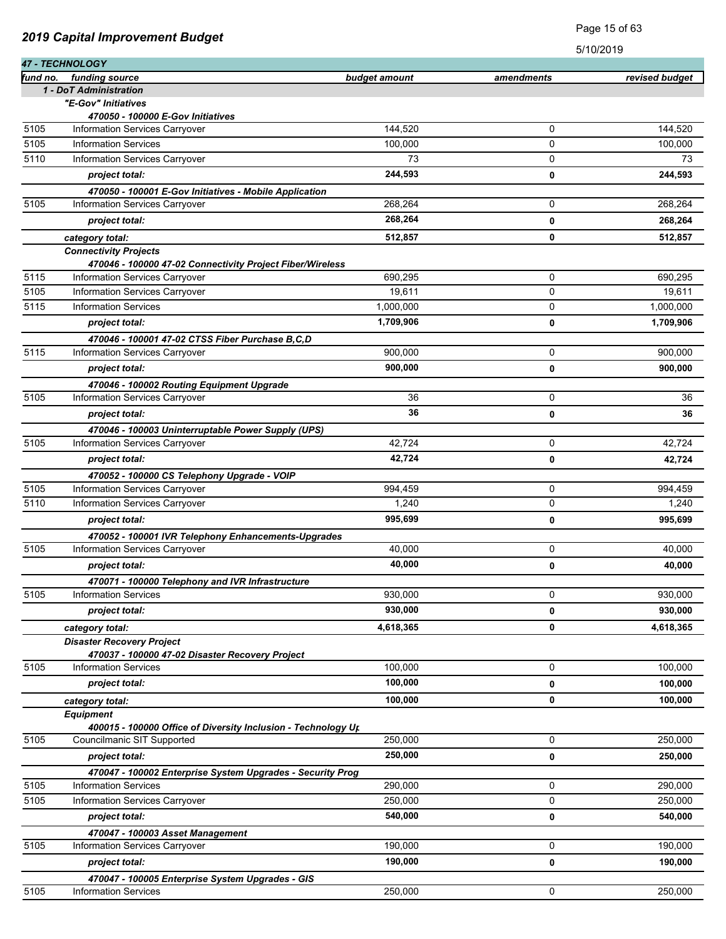|              |                                                                                     |                  |             | <b>PLO/SOLIA</b> |
|--------------|-------------------------------------------------------------------------------------|------------------|-------------|------------------|
| fund no.     | 47 - TECHNOLOGY<br>funding source                                                   |                  |             |                  |
|              | 1 - DoT Administration                                                              | budget amount    | amendments  | revised budget   |
|              | "E-Gov" Initiatives                                                                 |                  |             |                  |
|              | 470050 - 100000 E-Gov Initiatives                                                   |                  |             |                  |
| 5105         | Information Services Carryover                                                      | 144.520          | 0           | 144,520          |
| 5105         | <b>Information Services</b>                                                         | 100,000          | 0           | 100,000          |
| 5110         | Information Services Carryover                                                      | 73               | 0           | 73               |
|              | project total:                                                                      | 244,593          | 0           | 244,593          |
|              | 470050 - 100001 E-Gov Initiatives - Mobile Application                              |                  |             |                  |
| 5105         | Information Services Carryover                                                      | 268,264          | 0           | 268,264          |
|              | project total:                                                                      | 268,264          | 0           | 268,264          |
|              | category total:                                                                     | 512,857          | 0           | 512,857          |
|              | <b>Connectivity Projects</b>                                                        |                  |             |                  |
|              | 470046 - 100000 47-02 Connectivity Project Fiber/Wireless                           |                  |             |                  |
| 5115         | Information Services Carryover                                                      | 690,295          | $\mathbf 0$ | 690,295          |
| 5105         | Information Services Carryover<br><b>Information Services</b>                       | 19,611           | $\mathbf 0$ | 19,611           |
| 5115         |                                                                                     | 1,000,000        | 0           | 1,000,000        |
|              | project total:                                                                      | 1,709,906        | 0           | 1,709,906        |
|              | 470046 - 100001 47-02 CTSS Fiber Purchase B, C, D                                   |                  |             |                  |
| 5115         | Information Services Carryover                                                      | 900,000          | $\mathbf 0$ | 900,000          |
|              | project total:                                                                      | 900,000          | 0           | 900,000          |
|              | 470046 - 100002 Routing Equipment Upgrade                                           |                  |             |                  |
| 5105         | Information Services Carryover                                                      | 36               | 0           | 36               |
|              | project total:                                                                      | 36               | $\mathbf 0$ | 36               |
|              | 470046 - 100003 Uninterruptable Power Supply (UPS)                                  |                  |             |                  |
| 5105         | Information Services Carryover                                                      | 42,724           | 0           | 42,724           |
|              | project total:                                                                      | 42,724           | 0           | 42,724           |
|              | 470052 - 100000 CS Telephony Upgrade - VOIP                                         |                  |             |                  |
| 5105<br>5110 | Information Services Carryover                                                      | 994,459<br>1,240 | 0<br>0      | 994,459<br>1,240 |
|              | Information Services Carryover                                                      |                  |             |                  |
|              | project total:                                                                      | 995,699          | 0           | 995,699          |
| 5105         | 470052 - 100001 IVR Telephony Enhancements-Upgrades                                 | 40,000           |             | 40,000           |
|              | <b>Information Services Carryover</b>                                               | 40.000           | 0           |                  |
|              | project total:                                                                      |                  | 0           | 40,000           |
| 5105         | 470071 - 100000 Telephony and IVR Infrastructure<br><b>Information Services</b>     | 930,000          | 0           | 930,000          |
|              |                                                                                     | 930,000          |             |                  |
|              | project total:                                                                      |                  | 0           | 930,000          |
|              | category total:                                                                     | 4,618,365        | 0           | 4,618,365        |
|              | <b>Disaster Recovery Project</b><br>470037 - 100000 47-02 Disaster Recovery Project |                  |             |                  |
| 5105         | <b>Information Services</b>                                                         | 100,000          | 0           | 100,000          |
|              | project total:                                                                      | 100,000          | 0           | 100,000          |
|              | category total:                                                                     | 100,000          | 0           | 100,000          |
|              | <b>Equipment</b>                                                                    |                  |             |                  |
|              | 400015 - 100000 Office of Diversity Inclusion - Technology Up                       |                  |             |                  |
| 5105         | Councilmanic SIT Supported                                                          | 250,000          | 0           | 250,000          |
|              | project total:                                                                      | 250,000          | 0           | 250,000          |
|              | 470047 - 100002 Enterprise System Upgrades - Security Prog                          |                  |             |                  |
| 5105         | <b>Information Services</b>                                                         | 290,000          | $\mathbf 0$ | 290,000          |
| 5105         | <b>Information Services Carryover</b>                                               | 250,000          | 0           | 250,000          |
|              | project total:                                                                      | 540,000          | 0           | 540,000          |
|              | 470047 - 100003 Asset Management                                                    |                  |             |                  |
| 5105         | Information Services Carryover                                                      | 190,000          | 0           | 190,000          |
|              | project total:                                                                      | 190,000          | 0           | 190,000          |
|              | 470047 - 100005 Enterprise System Upgrades - GIS                                    |                  |             |                  |
| 5105         | <b>Information Services</b>                                                         | 250,000          | 0           | 250,000          |

5/10/2019

Page 15 of 63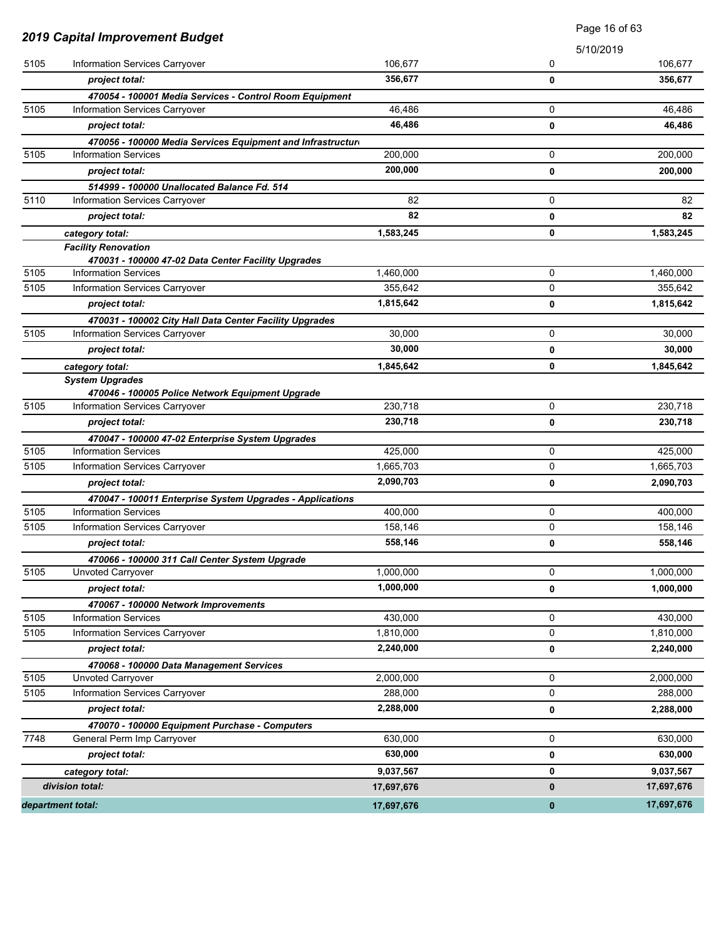|      |                                                               |            |           | Page 16 of 63 |
|------|---------------------------------------------------------------|------------|-----------|---------------|
|      | 2019 Capital Improvement Budget                               |            | 5/10/2019 |               |
| 5105 | Information Services Carryover                                | 106,677    | 0         | 106,677       |
|      | project total:                                                | 356,677    | 0         | 356,677       |
|      | 470054 - 100001 Media Services - Control Room Equipment       |            |           |               |
| 5105 | Information Services Carryover                                | 46,486     | 0         | 46,486        |
|      | project total:                                                | 46,486     | 0         | 46,486        |
|      | 470056 - 100000 Media Services Equipment and Infrastructure   |            |           |               |
| 5105 | <b>Information Services</b>                                   | 200,000    | 0         | 200,000       |
|      | project total:                                                | 200,000    | 0         | 200,000       |
|      | 514999 - 100000 Unallocated Balance Fd. 514                   |            |           |               |
| 5110 | Information Services Carryover                                | 82         | 0         | 82            |
|      | project total:                                                | 82         | 0         | 82            |
|      | category total:                                               | 1,583,245  | 0         | 1,583,245     |
|      | <b>Facility Renovation</b>                                    |            |           |               |
|      | 470031 - 100000 47-02 Data Center Facility Upgrades           |            |           |               |
| 5105 | <b>Information Services</b>                                   | 1,460,000  | 0         | 1,460,000     |
| 5105 | Information Services Carryover                                | 355,642    | 0         | 355,642       |
|      | project total:                                                | 1,815,642  | 0         | 1,815,642     |
|      | 470031 - 100002 City Hall Data Center Facility Upgrades       |            |           |               |
| 5105 | Information Services Carryover                                | 30,000     | 0         | 30,000        |
|      | project total:                                                | 30,000     | 0         | 30,000        |
|      | category total:                                               | 1,845,642  | 0         | 1,845,642     |
|      | <b>System Upgrades</b>                                        |            |           |               |
|      | 470046 - 100005 Police Network Equipment Upgrade              |            |           |               |
| 5105 | Information Services Carryover                                | 230,718    | 0         | 230,718       |
|      | project total:                                                | 230,718    | 0         | 230,718       |
|      | 470047 - 100000 47-02 Enterprise System Upgrades              |            |           |               |
| 5105 | <b>Information Services</b>                                   | 425,000    | 0         | 425,000       |
| 5105 | Information Services Carryover                                | 1,665,703  | 0         | 1,665,703     |
|      | project total:                                                | 2,090,703  | 0         | 2,090,703     |
|      | 470047 - 100011 Enterprise System Upgrades - Applications     |            |           |               |
| 5105 | <b>Information Services</b>                                   | 400,000    | 0         | 400,000       |
| 5105 | Information Services Carryover                                | 158,146    | 0         | 158.146       |
|      | project total:                                                | 558,146    | 0         | 558,146       |
|      | 470066 - 100000 311 Call Center System Upgrade                |            |           |               |
| 5105 | Unvoted Carryover                                             | 1,000,000  | 0         | 1,000,000     |
|      | project total:                                                | 1,000,000  | 0         | 1,000,000     |
|      | 470067 - 100000 Network Improvements                          |            |           |               |
| 5105 | <b>Information Services</b>                                   | 430,000    | 0         | 430,000       |
| 5105 | Information Services Carryover                                | 1,810,000  | 0         | 1,810,000     |
|      | project total:                                                | 2,240,000  | 0         | 2,240,000     |
|      |                                                               |            |           |               |
| 5105 | 470068 - 100000 Data Management Services<br>Unvoted Carryover | 2,000,000  | 0         | 2,000,000     |
| 5105 | Information Services Carryover                                | 288,000    | 0         | 288,000       |
|      |                                                               | 2,288,000  |           |               |
|      | project total:                                                |            | 0         | 2,288,000     |
|      | 470070 - 100000 Equipment Purchase - Computers                |            |           |               |
| 7748 | General Perm Imp Carryover                                    | 630,000    | 0         | 630,000       |
|      | project total:                                                | 630,000    | 0         | 630,000       |
|      | category total:                                               | 9,037,567  | 0         | 9,037,567     |
|      | division total:                                               | 17,697,676 | 0         | 17,697,676    |
|      | department total:                                             | 17,697,676 | $\pmb{0}$ | 17,697,676    |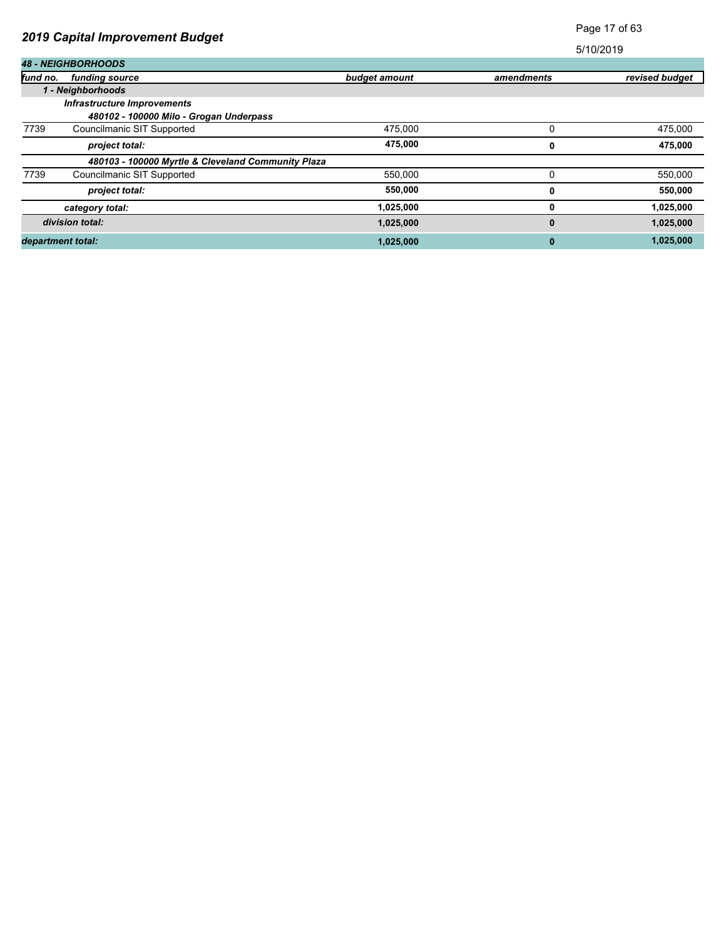# Page 17 of 63

|          | <b>48 - NEIGHBORHOODS</b>                          |               |            |                |  |  |
|----------|----------------------------------------------------|---------------|------------|----------------|--|--|
| fund no. | funding source                                     | budget amount | amendments | revised budget |  |  |
|          | 1 - Neighborhoods                                  |               |            |                |  |  |
|          | <b>Infrastructure Improvements</b>                 |               |            |                |  |  |
|          | 480102 - 100000 Milo - Grogan Underpass            |               |            |                |  |  |
| 7739     | Councilmanic SIT Supported                         | 475.000       |            | 475,000        |  |  |
|          | project total:                                     | 475,000       | 0          | 475,000        |  |  |
|          | 480103 - 100000 Myrtle & Cleveland Community Plaza |               |            |                |  |  |
| 7739     | Councilmanic SIT Supported                         | 550,000       | 0          | 550,000        |  |  |
|          | project total:                                     | 550,000       | 0          | 550,000        |  |  |
|          | category total:                                    | 1,025,000     | 0          | 1,025,000      |  |  |
|          | division total:                                    | 1,025,000     | 0          | 1,025,000      |  |  |
|          | department total:                                  | 1,025,000     | 0          | 1,025,000      |  |  |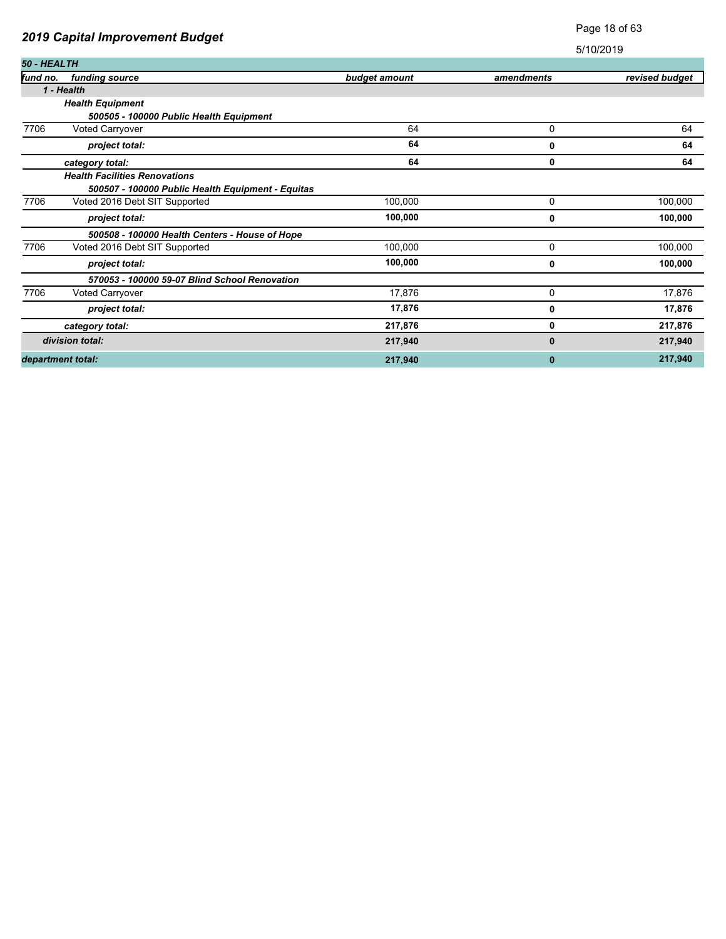### Page 18 of 63

| <b>50 - HEALTH</b> |                                                   |               |            |                |
|--------------------|---------------------------------------------------|---------------|------------|----------------|
| fund no.           | funding source                                    | budget amount | amendments | revised budget |
|                    | 1 - Health                                        |               |            |                |
|                    | <b>Health Equipment</b>                           |               |            |                |
|                    | 500505 - 100000 Public Health Equipment           |               |            |                |
| 7706               | <b>Voted Carryover</b>                            | 64            | 0          | 64             |
|                    | project total:                                    | 64            | 0          | 64             |
|                    | category total:                                   | 64            | 0          | 64             |
|                    | <b>Health Facilities Renovations</b>              |               |            |                |
|                    | 500507 - 100000 Public Health Equipment - Equitas |               |            |                |
| 7706               | Voted 2016 Debt SIT Supported                     | 100,000       | 0          | 100,000        |
|                    | project total:                                    | 100,000       | 0          | 100,000        |
|                    | 500508 - 100000 Health Centers - House of Hope    |               |            |                |
| 7706               | Voted 2016 Debt SIT Supported                     | 100,000       | 0          | 100,000        |
|                    | project total:                                    | 100,000       | 0          | 100,000        |
|                    | 570053 - 100000 59-07 Blind School Renovation     |               |            |                |
| 7706               | <b>Voted Carryover</b>                            | 17,876        | 0          | 17,876         |
|                    | project total:                                    | 17,876        | 0          | 17,876         |
|                    | category total:                                   | 217,876       | 0          | 217,876        |
|                    | division total:                                   | 217,940       | 0          | 217,940        |
|                    | department total:                                 | 217,940       | 0          | 217,940        |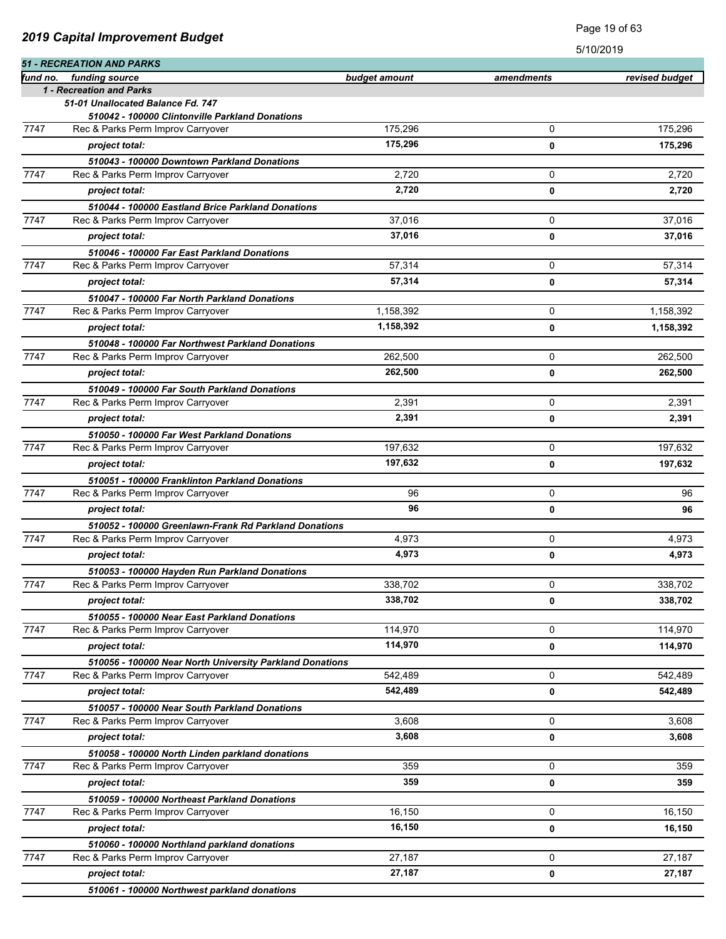|          | <b>51 - RECREATION AND PARKS</b><br>funding source       |               |            |                |
|----------|----------------------------------------------------------|---------------|------------|----------------|
| fund no. | 1 - Recreation and Parks                                 | budget amount | amendments | revised budget |
|          | 51-01 Unallocated Balance Fd. 747                        |               |            |                |
|          | 510042 - 100000 Clintonville Parkland Donations          |               |            |                |
| 7747     | Rec & Parks Perm Improv Carryover                        | 175,296       | 0          | 175,296        |
|          | project total:                                           | 175,296       | 0          | 175,296        |
|          | 510043 - 100000 Downtown Parkland Donations              |               |            |                |
| 7747     | Rec & Parks Perm Improv Carryover                        | 2,720         | 0          | 2.720          |
|          | project total:                                           | 2,720         | 0          | 2,720          |
|          | 510044 - 100000 Eastland Brice Parkland Donations        |               |            |                |
| 7747     | Rec & Parks Perm Improv Carryover                        | 37,016        | 0          | 37,016         |
|          | project total:                                           | 37,016        | 0          | 37,016         |
|          | 510046 - 100000 Far East Parkland Donations              |               |            |                |
| 7747     | Rec & Parks Perm Improv Carryover                        | 57,314        | 0          | 57,314         |
|          | project total:                                           | 57,314        | 0          | 57,314         |
|          | 510047 - 100000 Far North Parkland Donations             |               |            |                |
| 7747     | Rec & Parks Perm Improv Carryover                        | 1,158,392     | 0          | 1,158,392      |
|          | project total:                                           | 1,158,392     | 0          | 1,158,392      |
|          | 510048 - 100000 Far Northwest Parkland Donations         |               |            |                |
| 7747     | Rec & Parks Perm Improv Carryover                        | 262,500       | 0          | 262,500        |
|          | project total:                                           | 262.500       | 0          | 262,500        |
|          | 510049 - 100000 Far South Parkland Donations             |               |            |                |
| 7747     | Rec & Parks Perm Improv Carryover                        | 2,391         | 0          | 2,391          |
|          | project total:                                           | 2,391         | 0          | 2,391          |
|          | 510050 - 100000 Far West Parkland Donations              |               |            |                |
| 7747     | Rec & Parks Perm Improv Carryover                        | 197,632       | 0          | 197,632        |
|          | project total:                                           | 197,632       | 0          | 197,632        |
|          | 510051 - 100000 Franklinton Parkland Donations           |               |            |                |
| 7747     | Rec & Parks Perm Improv Carryover                        | 96            | 0          | 96             |
|          | project total:                                           | 96            | 0          | 96             |
|          | 510052 - 100000 Greenlawn-Frank Rd Parkland Donations    |               |            |                |
| 7747     | Rec & Parks Perm Improv Carryover                        | 4,973         | 0          | 4,973          |
|          | project total:                                           | 4,973         | 0          | 4,973          |
|          | 510053 - 100000 Hayden Run Parkland Donations            |               |            |                |
| 7747     | Rec & Parks Perm Improv Carryover                        | 338,702       | 0          | 338,702        |
|          | project total:                                           | 338,702       | 0          | 338,702        |
|          | 510055 - 100000 Near East Parkland Donations             |               |            |                |
| 7747     | Rec & Parks Perm Improv Carryover                        | 114,970       | 0          | 114,970        |
|          | project total:                                           | 114,970       | 0          | 114,970        |
|          | 510056 - 100000 Near North University Parkland Donations |               |            |                |
| 7747     | Rec & Parks Perm Improv Carryover                        | 542,489       | 0          | 542,489        |
|          | project total:                                           | 542,489       | 0          | 542,489        |
|          | 510057 - 100000 Near South Parkland Donations            |               |            |                |
| 7747     | Rec & Parks Perm Improv Carryover                        | 3,608         | $\Omega$   | 3,608          |
|          | project total:                                           | 3,608         | 0          | 3,608          |
|          | 510058 - 100000 North Linden parkland donations          |               |            |                |
| 7747     | Rec & Parks Perm Improv Carryover                        | 359           | 0          | 359            |
|          | project total:                                           | 359           | 0          | 359            |
|          | 510059 - 100000 Northeast Parkland Donations             |               |            |                |
| 7747     | Rec & Parks Perm Improv Carryover                        | 16,150        | 0          | 16,150         |
|          | project total:                                           | 16,150        | 0          | 16,150         |
|          | 510060 - 100000 Northland parkland donations             |               |            |                |
| 7747     | Rec & Parks Perm Improv Carryover                        | 27,187        | 0          | 27,187         |
|          | project total:                                           | 27,187        | 0          | 27,187         |
|          | 510061 - 100000 Northwest parkland donations             |               |            |                |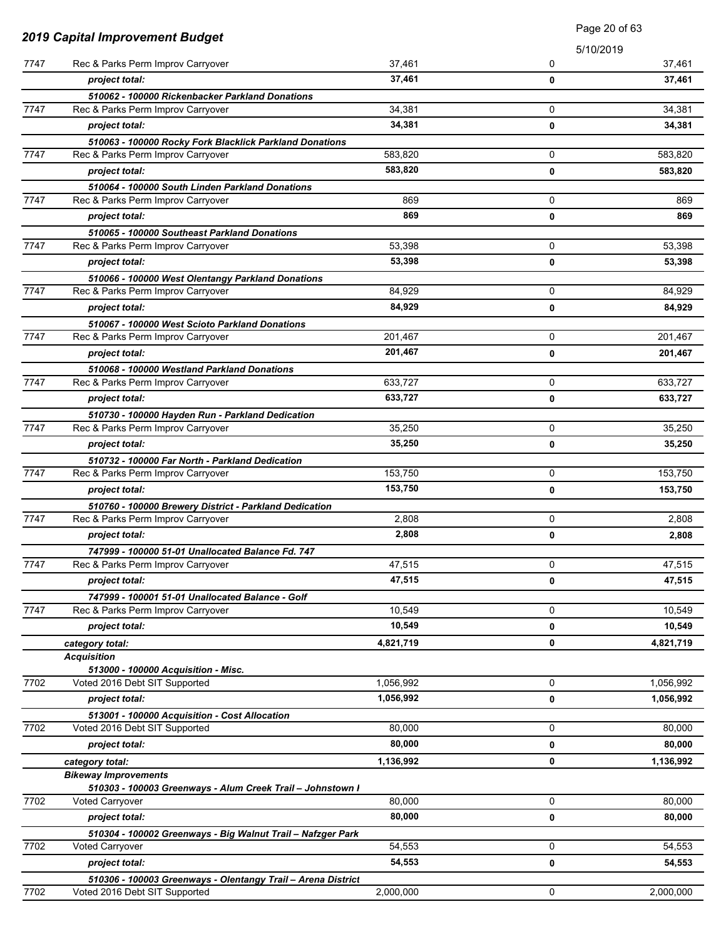| <b>2019 Capital Improvement Budget</b> |                                                                                        | Page 20 of 63 |             |           |
|----------------------------------------|----------------------------------------------------------------------------------------|---------------|-------------|-----------|
|                                        |                                                                                        |               | 5/10/2019   |           |
| 7747                                   | Rec & Parks Perm Improv Carryover                                                      | 37,461        | 0           | 37,461    |
|                                        | project total:                                                                         | 37,461        | 0           | 37,461    |
|                                        | 510062 - 100000 Rickenbacker Parkland Donations                                        |               |             |           |
| 7747                                   | Rec & Parks Perm Improv Carryover                                                      | 34.381        | 0           | 34,381    |
|                                        | project total:                                                                         | 34,381        | 0           | 34,381    |
|                                        | 510063 - 100000 Rocky Fork Blacklick Parkland Donations                                |               |             |           |
| 7747                                   | Rec & Parks Perm Improv Carryover                                                      | 583,820       | 0           | 583,820   |
|                                        | project total:                                                                         | 583,820       | 0           | 583,820   |
|                                        | 510064 - 100000 South Linden Parkland Donations                                        |               |             |           |
| 7747                                   | Rec & Parks Perm Improv Carryover                                                      | 869           | 0           | 869       |
|                                        | project total:                                                                         | 869           | 0           | 869       |
| 7747                                   | 510065 - 100000 Southeast Parkland Donations                                           | 53,398        | 0           | 53,398    |
|                                        | Rec & Parks Perm Improv Carryover                                                      | 53,398        |             |           |
|                                        | project total:                                                                         |               | 0           | 53,398    |
| 7747                                   | 510066 - 100000 West Olentangy Parkland Donations<br>Rec & Parks Perm Improv Carryover | 84,929        | 0           | 84,929    |
|                                        | project total:                                                                         | 84,929        | 0           | 84,929    |
|                                        |                                                                                        |               |             |           |
| 7747                                   | 510067 - 100000 West Scioto Parkland Donations<br>Rec & Parks Perm Improv Carryover    | 201,467       | 0           | 201,467   |
|                                        | project total:                                                                         | 201,467       | 0           | 201,467   |
|                                        | 510068 - 100000 Westland Parkland Donations                                            |               |             |           |
| 7747                                   | Rec & Parks Perm Improv Carryover                                                      | 633,727       | 0           | 633,727   |
|                                        | project total:                                                                         | 633,727       | 0           | 633,727   |
|                                        | 510730 - 100000 Hayden Run - Parkland Dedication                                       |               |             |           |
| 7747                                   | Rec & Parks Perm Improv Carryover                                                      | 35,250        | 0           | 35,250    |
|                                        | project total:                                                                         | 35,250        | 0           | 35,250    |
|                                        | 510732 - 100000 Far North - Parkland Dedication                                        |               |             |           |
| 7747                                   | Rec & Parks Perm Improv Carryover                                                      | 153,750       | 0           | 153,750   |
|                                        | project total:                                                                         | 153,750       | 0           | 153,750   |
|                                        | 510760 - 100000 Brewery District - Parkland Dedication                                 |               |             |           |
| 7747                                   | Rec & Parks Perm Improv Carryover                                                      | 2,808         | 0           | 2,808     |
|                                        | project total:                                                                         | 2,808         | 0           | 2,808     |
|                                        | 747999 - 100000 51-01 Unallocated Balance Fd. 747                                      |               |             |           |
| 7747                                   | Rec & Parks Perm Improv Carryover                                                      | 47,515        | 0           | 47,515    |
|                                        | project total:                                                                         | 47,515        | 0           | 47,515    |
|                                        | 747999 - 100001 51-01 Unallocated Balance - Golf                                       |               |             |           |
| 7747                                   | Rec & Parks Perm Improv Carryover                                                      | 10,549        | 0           | 10,549    |
|                                        | project total:                                                                         | 10,549        | 0           | 10,549    |
|                                        | category total:                                                                        | 4,821,719     | 0           | 4,821,719 |
|                                        | <b>Acquisition</b>                                                                     |               |             |           |
| 7702                                   | 513000 - 100000 Acquisition - Misc.<br>Voted 2016 Debt SIT Supported                   | 1,056,992     | 0           | 1,056,992 |
|                                        | project total:                                                                         | 1,056,992     | 0           | 1,056,992 |
|                                        |                                                                                        |               |             |           |
| 7702                                   | 513001 - 100000 Acquisition - Cost Allocation<br>Voted 2016 Debt SIT Supported         | 80,000        | 0           | 80,000    |
|                                        | project total:                                                                         | 80,000        | 0           | 80,000    |
|                                        | category total:                                                                        | 1,136,992     | 0           | 1,136,992 |
|                                        | <b>Bikeway Improvements</b>                                                            |               |             |           |
|                                        | 510303 - 100003 Greenways - Alum Creek Trail - Johnstown I                             |               |             |           |
| 7702                                   | <b>Voted Carryover</b>                                                                 | 80,000        | $\mathbf 0$ | 80,000    |
|                                        | project total:                                                                         | 80,000        | 0           | 80,000    |
|                                        | 510304 - 100002 Greenways - Big Walnut Trail - Nafzger Park                            |               |             |           |
| 7702                                   | <b>Voted Carryover</b>                                                                 | 54,553        | 0           | 54,553    |
|                                        | project total:                                                                         | 54,553        | 0           | 54,553    |
|                                        | 510306 - 100003 Greenways - Olentangy Trail - Arena District                           |               |             |           |
| 7702                                   | Voted 2016 Debt SIT Supported                                                          | 2,000,000     | 0           | 2,000,000 |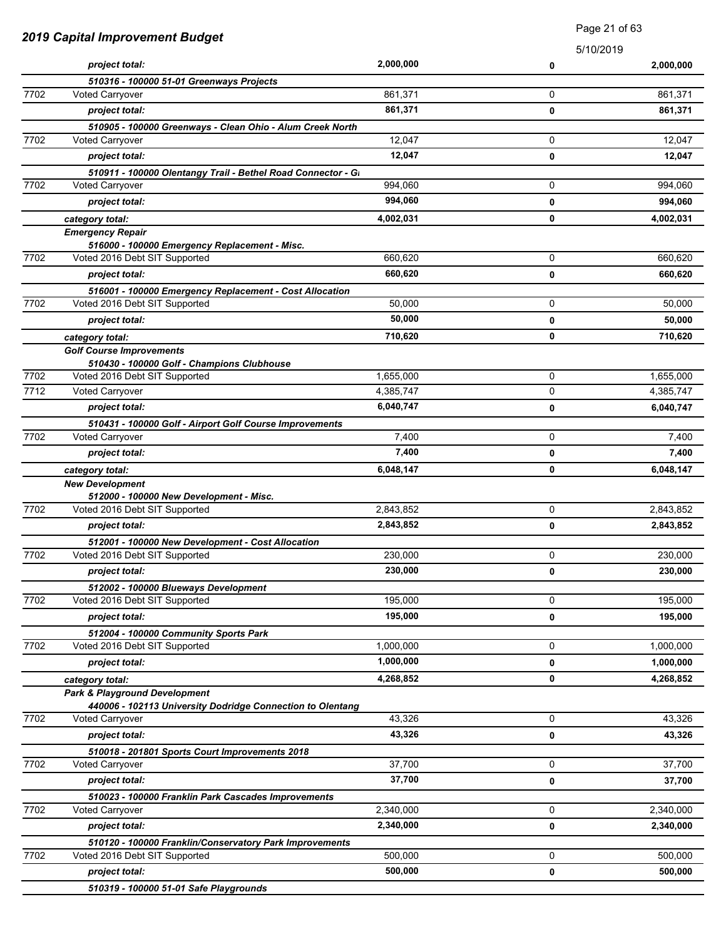|      | 2019 Capital Improvement Budget                              |           | Page 21 of 63 |           |
|------|--------------------------------------------------------------|-----------|---------------|-----------|
|      |                                                              |           | 5/10/2019     |           |
|      | project total:                                               | 2,000,000 | 0             | 2,000,000 |
|      | 510316 - 100000 51-01 Greenways Projects                     |           |               |           |
| 7702 | <b>Voted Carryover</b>                                       | 861,371   | 0             | 861,371   |
|      | project total:                                               | 861,371   | $\mathbf 0$   | 861,371   |
|      | 510905 - 100000 Greenways - Clean Ohio - Alum Creek North    |           |               |           |
| 7702 | <b>Voted Carryover</b>                                       | 12,047    | 0             | 12,047    |
|      | project total:                                               | 12,047    | 0             | 12,047    |
|      | 510911 - 100000 Olentangy Trail - Bethel Road Connector - Gi |           |               |           |
| 7702 | <b>Voted Carryover</b>                                       | 994,060   | 0             | 994,060   |
|      | project total:                                               | 994,060   | 0             | 994,060   |
|      | category total:                                              | 4,002,031 | 0             | 4,002,031 |
|      | <b>Emergency Repair</b>                                      |           |               |           |
|      | 516000 - 100000 Emergency Replacement - Misc.                | 660.620   |               |           |
| 7702 | Voted 2016 Debt SIT Supported                                |           | 0             | 660,620   |
|      | project total:                                               | 660,620   | $\mathbf 0$   | 660,620   |
|      | 516001 - 100000 Emergency Replacement - Cost Allocation      |           |               |           |
| 7702 | Voted 2016 Debt SIT Supported                                | 50,000    | 0             | 50.000    |
|      | project total:                                               | 50,000    | 0             | 50,000    |
|      | category total:                                              | 710,620   | 0             | 710,620   |
|      | <b>Golf Course Improvements</b>                              |           |               |           |
|      | 510430 - 100000 Golf - Champions Clubhouse                   |           |               |           |
| 7702 | Voted 2016 Debt SIT Supported                                | 1,655,000 | 0             | 1,655,000 |
| 7712 | Voted Carryover                                              | 4,385,747 | 0             | 4,385,747 |
|      | project total:                                               | 6,040,747 | 0             | 6,040,747 |
|      | 510431 - 100000 Golf - Airport Golf Course Improvements      |           |               |           |
| 7702 | <b>Voted Carryover</b>                                       | 7,400     | $\mathbf 0$   | 7,400     |
|      | project total:                                               | 7,400     | 0             | 7,400     |
|      | category total:                                              | 6,048,147 | 0             | 6,048,147 |
|      | <b>New Development</b>                                       |           |               |           |
|      | 512000 - 100000 New Development - Misc.                      |           | 0             |           |
| 7702 | Voted 2016 Debt SIT Supported                                | 2,843,852 |               | 2,843,852 |
|      | project total:                                               | 2,843,852 | 0             | 2,843,852 |
|      | 512001 - 100000 New Development - Cost Allocation            |           |               |           |
| 7702 | Voted 2016 Debt SIT Supported                                | 230,000   | 0             | 230,000   |
|      | project total:                                               | 230,000   | $\mathbf 0$   | 230,000   |
|      | 512002 - 100000 Blueways Development                         |           |               |           |
| 7702 | Voted 2016 Debt SIT Supported                                | 195,000   | $\mathbf 0$   | 195,000   |
|      | project total:                                               | 195,000   | 0             | 195,000   |
|      | 512004 - 100000 Community Sports Park                        |           |               |           |
| 7702 | Voted 2016 Debt SIT Supported                                | 1,000,000 | 0             | 1,000,000 |
|      | project total:                                               | 1,000,000 | 0             | 1,000,000 |
|      | category total:                                              | 4,268,852 | 0             | 4,268,852 |
|      | <b>Park &amp; Playground Development</b>                     |           |               |           |
|      | 440006 - 102113 University Dodridge Connection to Olentang   |           |               |           |
| 7702 | Voted Carryover                                              | 43,326    | 0             | 43,326    |
|      | project total:                                               | 43,326    | $\mathbf 0$   | 43,326    |
|      | 510018 - 201801 Sports Court Improvements 2018               |           |               |           |
| 7702 | <b>Voted Carryover</b>                                       | 37,700    | 0             | 37,700    |
|      | project total:                                               | 37,700    | 0             | 37,700    |
|      | 510023 - 100000 Franklin Park Cascades Improvements          |           |               |           |
| 7702 | Voted Carryover                                              | 2,340,000 | 0             | 2,340,000 |
|      | project total:                                               | 2,340,000 | 0             | 2,340,000 |
|      | 510120 - 100000 Franklin/Conservatory Park Improvements      |           |               |           |
| 7702 | Voted 2016 Debt SIT Supported                                | 500,000   | 0             | 500,000   |
|      | project total:                                               | 500,000   | 0             | 500,000   |
|      | 510319 - 100000 51-01 Safe Playgrounds                       |           |               |           |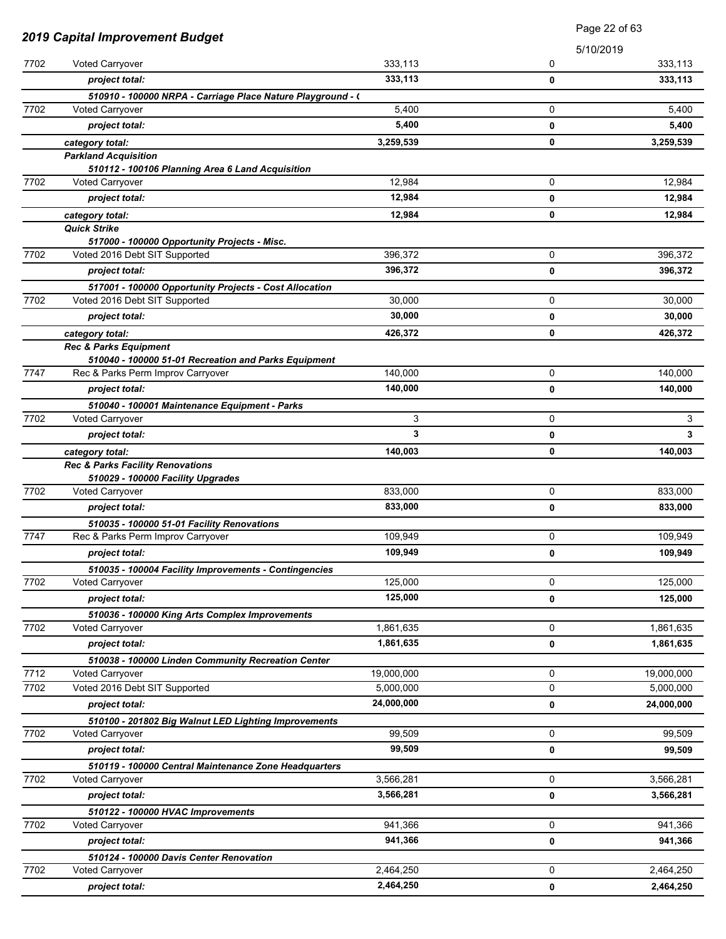|      |                                                                                 | Page 22 of 63 |           |            |
|------|---------------------------------------------------------------------------------|---------------|-----------|------------|
|      | <b>2019 Capital Improvement Budget</b>                                          |               | 5/10/2019 |            |
| 7702 | Voted Carryover                                                                 | 333,113       | 0         | 333,113    |
|      | project total:                                                                  | 333,113       | 0         | 333,113    |
|      | 510910 - 100000 NRPA - Carriage Place Nature Playground - (                     |               |           |            |
| 7702 | <b>Voted Carryover</b>                                                          | 5,400         | 0         | 5,400      |
|      | project total:                                                                  | 5,400         | 0         | 5,400      |
|      | category total:                                                                 | 3,259,539     | 0         | 3,259,539  |
|      | <b>Parkland Acquisition</b>                                                     |               |           |            |
|      | 510112 - 100106 Planning Area 6 Land Acquisition                                |               |           |            |
| 7702 | <b>Voted Carryover</b>                                                          | 12,984        | 0         | 12,984     |
|      | project total:                                                                  | 12,984        | 0         | 12,984     |
|      | category total:                                                                 | 12,984        | 0         | 12,984     |
|      | <b>Quick Strike</b>                                                             |               |           |            |
|      | 517000 - 100000 Opportunity Projects - Misc.                                    |               |           |            |
| 7702 | Voted 2016 Debt SIT Supported                                                   | 396,372       | 0         | 396,372    |
|      | project total:                                                                  | 396,372       | 0         | 396,372    |
|      | 517001 - 100000 Opportunity Projects - Cost Allocation                          |               |           |            |
| 7702 | Voted 2016 Debt SIT Supported                                                   | 30,000        | 0         | 30,000     |
|      | project total:                                                                  | 30,000        | 0         | 30,000     |
|      | category total:                                                                 | 426,372       | 0         | 426,372    |
|      | <b>Rec &amp; Parks Equipment</b>                                                |               |           |            |
| 7747 | 510040 - 100000 51-01 Recreation and Parks Equipment                            | 140,000       | 0         | 140,000    |
|      | Rec & Parks Perm Improv Carryover                                               |               |           |            |
|      | project total:                                                                  | 140,000       | 0         | 140,000    |
|      | 510040 - 100001 Maintenance Equipment - Parks                                   |               |           |            |
| 7702 | Voted Carryover                                                                 | 3             | 0         | 3          |
|      | project total:                                                                  | 3             | 0         | 3          |
|      | category total:                                                                 | 140,003       | 0         | 140,003    |
|      | <b>Rec &amp; Parks Facility Renovations</b>                                     |               |           |            |
| 7702 | 510029 - 100000 Facility Upgrades<br>Voted Carryover                            | 833,000       | 0         | 833,000    |
|      | project total:                                                                  | 833.000       | 0         | 833,000    |
|      |                                                                                 |               |           |            |
| 7747 | 510035 - 100000 51-01 Facility Renovations<br>Rec & Parks Perm Improv Carryover | 109,949       | 0         | 109,949    |
|      |                                                                                 | 109,949       |           |            |
|      | project total:                                                                  |               | 0         | 109,949    |
| 7702 | 510035 - 100004 Facility Improvements - Contingencies<br>Voted Carryover        | 125,000       | 0         | 125,000    |
|      |                                                                                 | 125,000       |           | 125,000    |
|      | project total:                                                                  |               | 0         |            |
| 7702 | 510036 - 100000 King Arts Complex Improvements<br><b>Voted Carryover</b>        | 1,861,635     | 0         | 1,861,635  |
|      |                                                                                 | 1,861,635     |           |            |
|      | project total:                                                                  |               | 0         | 1,861,635  |
| 7712 | 510038 - 100000 Linden Community Recreation Center                              | 19,000,000    | 0         |            |
|      | <b>Voted Carryover</b>                                                          |               | 0         | 19,000,000 |
| 7702 | Voted 2016 Debt SIT Supported                                                   | 5,000,000     |           | 5,000,000  |
|      | project total:                                                                  | 24,000,000    | 0         | 24,000,000 |
|      | 510100 - 201802 Big Walnut LED Lighting Improvements                            |               |           |            |
| 7702 | <b>Voted Carryover</b>                                                          | 99,509        | 0         | 99,509     |
|      | project total:                                                                  | 99,509        | 0         | 99,509     |
|      | 510119 - 100000 Central Maintenance Zone Headquarters                           |               |           |            |
| 7702 | Voted Carryover                                                                 | 3,566,281     | 0         | 3,566,281  |
|      | project total:                                                                  | 3,566,281     | 0         | 3,566,281  |
|      | 510122 - 100000 HVAC Improvements                                               |               |           |            |
| 7702 | Voted Carryover                                                                 | 941,366       | 0         | 941,366    |
|      | project total:                                                                  | 941,366       | 0         | 941,366    |
|      | 510124 - 100000 Davis Center Renovation                                         |               |           |            |
| 7702 | <b>Voted Carryover</b>                                                          | 2,464,250     | 0         | 2,464,250  |
|      | project total:                                                                  | 2,464,250     | 0         | 2,464,250  |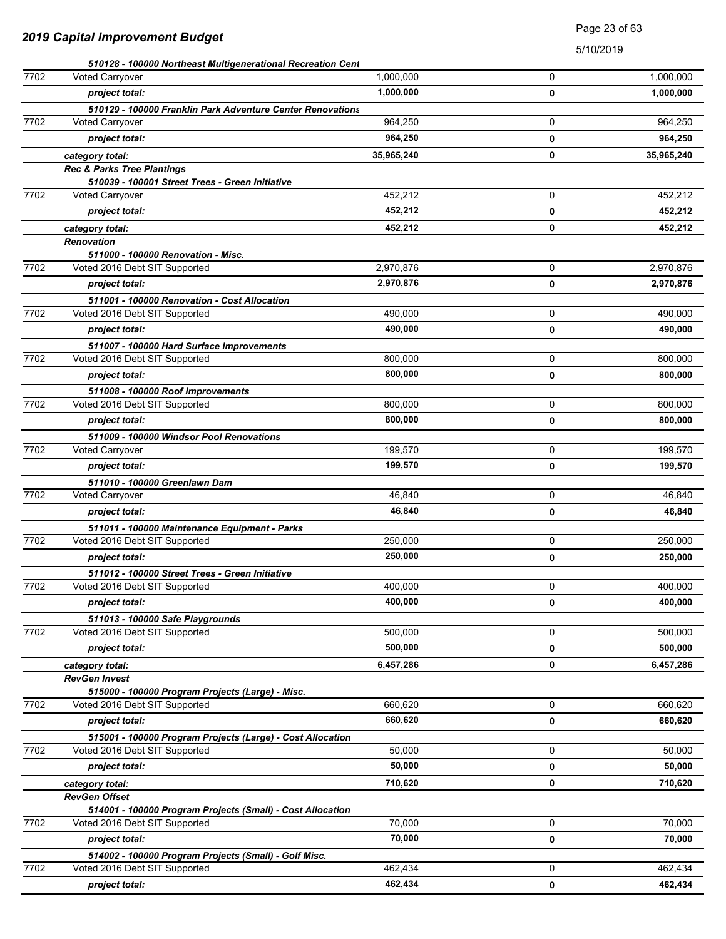### Page 23 of 63

|      | 510128 - 100000 Northeast Multigenerational Recreation Cent |            |   |            |
|------|-------------------------------------------------------------|------------|---|------------|
| 7702 | <b>Voted Carryover</b>                                      | 1,000,000  | 0 | 1,000,000  |
|      | project total:                                              | 1,000,000  | 0 | 1,000,000  |
|      | 510129 - 100000 Franklin Park Adventure Center Renovations  |            |   |            |
| 7702 | <b>Voted Carryover</b>                                      | 964,250    | 0 | 964,250    |
|      | project total:                                              | 964,250    | 0 | 964,250    |
|      | category total:                                             | 35,965,240 | 0 | 35,965,240 |
|      | <b>Rec &amp; Parks Tree Plantings</b>                       |            |   |            |
|      | 510039 - 100001 Street Trees - Green Initiative             |            |   |            |
| 7702 | <b>Voted Carryover</b>                                      | 452,212    | 0 | 452,212    |
|      | project total:                                              | 452,212    | 0 | 452,212    |
|      | category total:                                             | 452,212    | 0 | 452,212    |
|      | <b>Renovation</b>                                           |            |   |            |
|      | 511000 - 100000 Renovation - Misc.                          |            |   |            |
| 7702 | Voted 2016 Debt SIT Supported                               | 2,970,876  | 0 | 2,970,876  |
|      | project total:                                              | 2,970,876  | 0 | 2,970,876  |
|      | 511001 - 100000 Renovation - Cost Allocation                |            |   |            |
| 7702 | Voted 2016 Debt SIT Supported                               | 490,000    | 0 | 490.000    |
|      | project total:                                              | 490.000    | 0 | 490.000    |
|      | 511007 - 100000 Hard Surface Improvements                   |            |   |            |
| 7702 | Voted 2016 Debt SIT Supported                               | 800,000    | 0 | 800,000    |
|      | project total:                                              | 800,000    | 0 | 800,000    |
|      | 511008 - 100000 Roof Improvements                           |            |   |            |
| 7702 | Voted 2016 Debt SIT Supported                               | 800,000    | 0 | 800,000    |
|      | project total:                                              | 800,000    | 0 | 800,000    |
|      | 511009 - 100000 Windsor Pool Renovations                    |            |   |            |
| 7702 | <b>Voted Carryover</b>                                      | 199,570    | 0 | 199,570    |
|      | project total:                                              | 199,570    | 0 | 199,570    |
|      | 511010 - 100000 Greenlawn Dam                               |            |   |            |
| 7702 | Voted Carryover                                             | 46,840     | 0 | 46,840     |
|      | project total:                                              | 46,840     | 0 | 46,840     |
|      | 511011 - 100000 Maintenance Equipment - Parks               |            |   |            |
| 7702 | Voted 2016 Debt SIT Supported                               | 250.000    | 0 | 250,000    |
|      | project total:                                              | 250,000    | 0 | 250,000    |
|      | 511012 - 100000 Street Trees - Green Initiative             |            |   |            |
| 7702 | Voted 2016 Debt SIT Supported                               | 400,000    | 0 | 400,000    |
|      | project total:                                              | 400,000    | 0 | 400,000    |
|      | 511013 - 100000 Safe Playgrounds                            |            |   |            |
| 7702 | Voted 2016 Debt SIT Supported                               | 500,000    | 0 | 500,000    |
|      | project total:                                              | 500,000    | 0 | 500,000    |
|      | category total:                                             | 6,457,286  | 0 | 6,457,286  |
|      | <b>RevGen Invest</b>                                        |            |   |            |
|      | 515000 - 100000 Program Projects (Large) - Misc.            |            |   |            |
| 7702 | Voted 2016 Debt SIT Supported                               | 660,620    | 0 | 660,620    |
|      | project total:                                              | 660,620    | 0 | 660,620    |
|      | 515001 - 100000 Program Projects (Large) - Cost Allocation  |            |   |            |
| 7702 | Voted 2016 Debt SIT Supported                               | 50,000     | 0 | 50,000     |
|      | project total:                                              | 50,000     | 0 | 50,000     |
|      | category total:                                             | 710,620    | 0 | 710,620    |
|      | <b>RevGen Offset</b>                                        |            |   |            |
|      | 514001 - 100000 Program Projects (Small) - Cost Allocation  |            |   |            |
| 7702 | Voted 2016 Debt SIT Supported                               | 70,000     | 0 | 70,000     |
|      | project total:                                              | 70,000     | 0 | 70,000     |
|      | 514002 - 100000 Program Projects (Small) - Golf Misc.       |            |   |            |
| 7702 | Voted 2016 Debt SIT Supported                               | 462,434    | 0 | 462,434    |
|      | project total:                                              | 462,434    | 0 | 462,434    |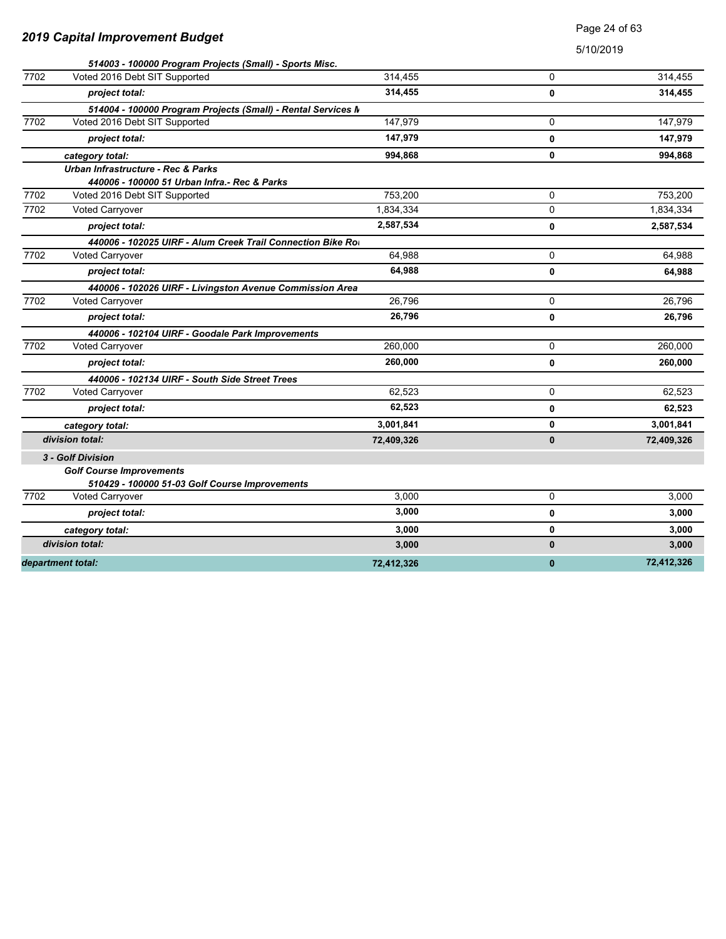| <b>2019 Capital Improvement Budget</b> |  |
|----------------------------------------|--|
|----------------------------------------|--|

Page 24 of 63

|      | 514003 - 100000 Program Projects (Small) - Sports Misc.      |            |              |            |
|------|--------------------------------------------------------------|------------|--------------|------------|
| 7702 | Voted 2016 Debt SIT Supported                                | 314,455    | $\Omega$     | 314,455    |
|      | project total:                                               | 314,455    | 0            | 314,455    |
|      | 514004 - 100000 Program Projects (Small) - Rental Services M |            |              |            |
| 7702 | Voted 2016 Debt SIT Supported                                | 147.979    | 0            | 147,979    |
|      | project total:                                               | 147,979    | 0            | 147,979    |
|      | category total:                                              | 994,868    | 0            | 994,868    |
|      | Urban Infrastructure - Rec & Parks                           |            |              |            |
|      | 440006 - 100000 51 Urban Infra.- Rec & Parks                 |            |              |            |
| 7702 | Voted 2016 Debt SIT Supported                                | 753,200    | 0            | 753,200    |
| 7702 | Voted Carryover                                              | 1,834,334  | 0            | 1,834,334  |
|      | project total:                                               | 2,587,534  | 0            | 2,587,534  |
|      | 440006 - 102025 UIRF - Alum Creek Trail Connection Bike Ro   |            |              |            |
| 7702 | <b>Voted Carryover</b>                                       | 64,988     | 0            | 64,988     |
|      | project total:                                               | 64,988     | 0            | 64,988     |
|      | 440006 - 102026 UIRF - Livingston Avenue Commission Area     |            |              |            |
| 7702 | <b>Voted Carryover</b>                                       | 26,796     | 0            | 26,796     |
|      | project total:                                               | 26,796     | 0            | 26,796     |
|      | 440006 - 102104 UIRF - Goodale Park Improvements             |            |              |            |
| 7702 | <b>Voted Carryover</b>                                       | 260,000    | 0            | 260,000    |
|      | project total:                                               | 260,000    | 0            | 260,000    |
|      | 440006 - 102134 UIRF - South Side Street Trees               |            |              |            |
| 7702 | <b>Voted Carryover</b>                                       | 62,523     | $\Omega$     | 62,523     |
|      | project total:                                               | 62,523     | 0            | 62,523     |
|      | category total:                                              | 3,001,841  | 0            | 3,001,841  |
|      | division total:                                              | 72,409,326 | $\mathbf{0}$ | 72,409,326 |
|      | 3 - Golf Division                                            |            |              |            |
|      | <b>Golf Course Improvements</b>                              |            |              |            |
|      | 510429 - 100000 51-03 Golf Course Improvements               |            |              |            |
| 7702 | <b>Voted Carryover</b>                                       | 3,000      | 0            | 3,000      |
|      | project total:                                               | 3,000      | 0            | 3,000      |
|      | category total:                                              | 3,000      | 0            | 3,000      |
|      | division total:                                              | 3,000      | 0            | 3,000      |
|      | department total:                                            | 72,412,326 | $\bf{0}$     | 72,412,326 |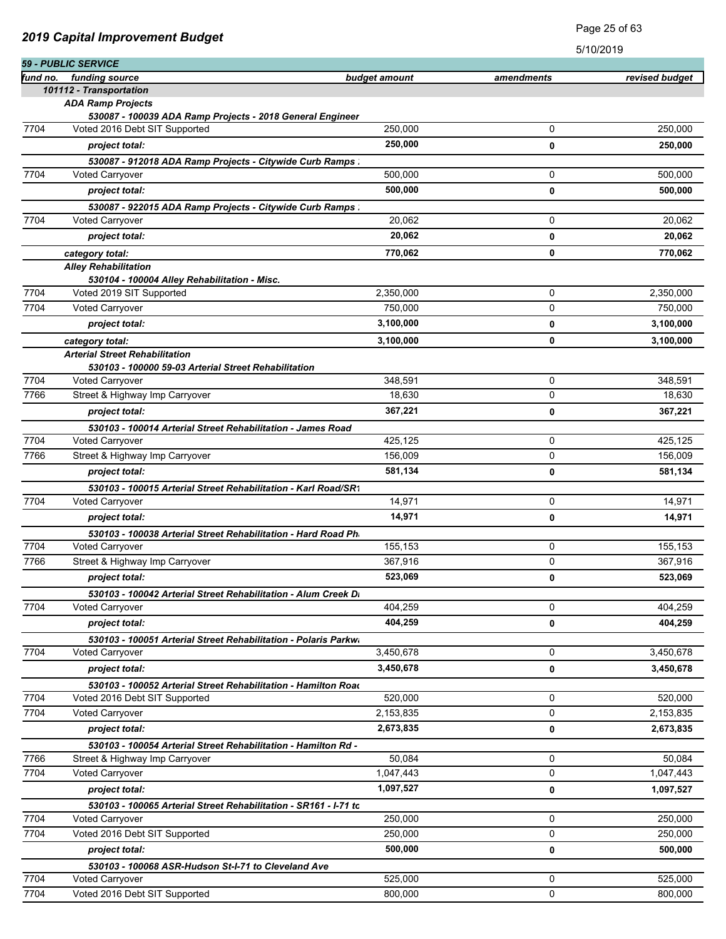|          |                                                                                |               |            | 5/10/2019      |
|----------|--------------------------------------------------------------------------------|---------------|------------|----------------|
|          | 59 - PUBLIC SERVICE                                                            |               |            |                |
| fund no. | funding source                                                                 | budget amount | amendments | revised budget |
|          | 101112 - Transportation<br><b>ADA Ramp Projects</b>                            |               |            |                |
|          | 530087 - 100039 ADA Ramp Projects - 2018 General Engineer                      |               |            |                |
| 7704     | Voted 2016 Debt SIT Supported                                                  | 250,000       | 0          | 250.000        |
|          | project total:                                                                 | 250,000       | 0          | 250,000        |
|          | 530087 - 912018 ADA Ramp Projects - Citywide Curb Ramps :                      |               |            |                |
| 7704     | <b>Voted Carryover</b>                                                         | 500,000       | 0          | 500,000        |
|          | project total:                                                                 | 500,000       | 0          | 500,000        |
|          | 530087 - 922015 ADA Ramp Projects - Citywide Curb Ramps :                      |               |            |                |
| 7704     | <b>Voted Carryover</b>                                                         | 20,062        | 0          | 20,062         |
|          | project total:                                                                 | 20,062        | 0          | 20,062         |
|          | category total:                                                                | 770,062       | 0          | 770,062        |
|          | <b>Alley Rehabilitation</b>                                                    |               |            |                |
|          | 530104 - 100004 Alley Rehabilitation - Misc.                                   |               |            |                |
| 7704     | Voted 2019 SIT Supported                                                       | 2,350,000     | 0          | 2,350,000      |
| 7704     | <b>Voted Carryover</b>                                                         | 750,000       | 0          | 750,000        |
|          | project total:                                                                 | 3,100,000     | 0          | 3,100,000      |
|          | category total:                                                                | 3,100,000     | 0          | 3,100,000      |
|          | <b>Arterial Street Rehabilitation</b>                                          |               |            |                |
| 7704     | 530103 - 100000 59-03 Arterial Street Rehabilitation<br><b>Voted Carryover</b> | 348,591       | 0          | 348.591        |
| 7766     | Street & Highway Imp Carryover                                                 | 18,630        | 0          | 18,630         |
|          | project total:                                                                 | 367,221       | 0          | 367,221        |
|          | 530103 - 100014 Arterial Street Rehabilitation - James Road                    |               |            |                |
| 7704     | <b>Voted Carryover</b>                                                         | 425,125       | 0          | 425,125        |
| 7766     | Street & Highway Imp Carryover                                                 | 156,009       | 0          | 156,009        |
|          | project total:                                                                 | 581,134       | 0          | 581,134        |
|          | 530103 - 100015 Arterial Street Rehabilitation - Karl Road/SR1                 |               |            |                |
| 7704     | <b>Voted Carryover</b>                                                         | 14,971        | 0          | 14,971         |
|          | project total:                                                                 | 14,971        | 0          | 14,971         |
|          | 530103 - 100038 Arterial Street Rehabilitation - Hard Road Ph                  |               |            |                |
| 7704     | Voted Carryover                                                                | 155,153       | 0          | 155,153        |
| 7766     | Street & Highway Imp Carryover                                                 | 367,916       | 0          | 367,916        |
|          | project total:                                                                 | 523,069       | 0          | 523,069        |
|          | 530103 - 100042 Arterial Street Rehabilitation - Alum Creek Di                 |               |            |                |
| 7704     | Voted Carryover                                                                | 404,259       | 0          | 404,259        |
|          | project total:                                                                 | 404,259       | 0          | 404,259        |
|          | 530103 - 100051 Arterial Street Rehabilitation - Polaris Parkwa                |               |            |                |
| 7704     | <b>Voted Carryover</b>                                                         | 3,450,678     | 0          | 3,450,678      |
|          | project total:                                                                 | 3,450,678     | 0          | 3,450,678      |
|          | 530103 - 100052 Arterial Street Rehabilitation - Hamilton Road                 |               |            |                |
| 7704     | Voted 2016 Debt SIT Supported                                                  | 520,000       | 0          | 520,000        |
| 7704     | <b>Voted Carryover</b>                                                         | 2,153,835     | 0          | 2,153,835      |
|          | project total:                                                                 | 2,673,835     | 0          | 2,673,835      |
|          | 530103 - 100054 Arterial Street Rehabilitation - Hamilton Rd -                 |               |            |                |
| 7766     | Street & Highway Imp Carryover                                                 | 50,084        | 0          | 50,084         |
| 7704     | <b>Voted Carryover</b>                                                         | 1,047,443     | 0          | 1,047,443      |
|          | project total:                                                                 | 1,097,527     | 0          | 1,097,527      |
|          | 530103 - 100065 Arterial Street Rehabilitation - SR161 - I-71 to               |               |            |                |
| 7704     | Voted Carryover                                                                | 250,000       | 0          | 250,000        |
| 7704     | Voted 2016 Debt SIT Supported                                                  | 250,000       | 0          | 250,000        |
|          | project total:                                                                 | 500,000       | 0          | 500,000        |
|          | 530103 - 100068 ASR-Hudson St-I-71 to Cleveland Ave                            |               |            |                |
| 7704     | Voted Carryover                                                                | 525,000       | 0          | 525,000        |
| 7704     | Voted 2016 Debt SIT Supported                                                  | 800,000       | 0          | 800,000        |

Page 25 of 63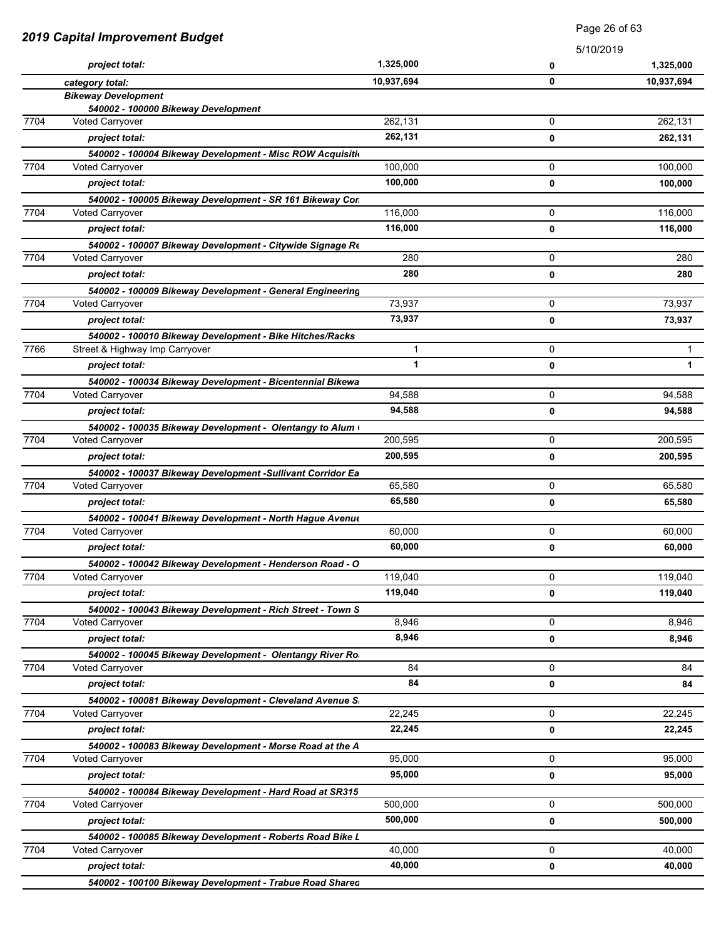|      | Page 26 of 63                                                                              |              |             |              |
|------|--------------------------------------------------------------------------------------------|--------------|-------------|--------------|
|      | <b>2019 Capital Improvement Budget</b>                                                     |              | 5/10/2019   |              |
|      | project total:                                                                             | 1,325,000    | 0           | 1,325,000    |
|      | category total:                                                                            | 10,937,694   | 0           | 10,937,694   |
|      | <b>Bikeway Development</b>                                                                 |              |             |              |
| 7704 | 540002 - 100000 Bikeway Development                                                        | 262,131      | 0           | 262,131      |
|      | Voted Carryover                                                                            | 262,131      |             |              |
|      | project total:                                                                             |              | 0           | 262,131      |
| 7704 | 540002 - 100004 Bikeway Development - Misc ROW Acquisitio                                  | 100,000      | 0           | 100,000      |
|      | Voted Carryover                                                                            | 100,000      |             |              |
|      | project total:                                                                             |              | 0           | 100,000      |
| 7704 | 540002 - 100005 Bikeway Development - SR 161 Bikeway Con<br><b>Voted Carryover</b>         | 116,000      | 0           | 116,000      |
|      | project total:                                                                             | 116,000      | 0           | 116,000      |
|      |                                                                                            |              |             |              |
| 7704 | 540002 - 100007 Bikeway Development - Citywide Signage Re<br><b>Voted Carryover</b>        | 280          | 0           | 280          |
|      | project total:                                                                             | 280          | $\mathbf 0$ | 280          |
|      |                                                                                            |              |             |              |
| 7704 | 540002 - 100009 Bikeway Development - General Engineering<br>Voted Carryover               | 73,937       | 0           | 73,937       |
|      | project total:                                                                             | 73,937       | 0           | 73,937       |
|      |                                                                                            |              |             |              |
| 7766 | 540002 - 100010 Bikeway Development - Bike Hitches/Racks<br>Street & Highway Imp Carryover | 1            | 0           | $\mathbf{1}$ |
|      | project total:                                                                             | $\mathbf{1}$ | 0           | $\mathbf{1}$ |
|      |                                                                                            |              |             |              |
| 7704 | 540002 - 100034 Bikeway Development - Bicentennial Bikewa<br>Voted Carryover               | 94,588       | 0           | 94,588       |
|      | project total:                                                                             | 94,588       | 0           | 94,588       |
|      |                                                                                            |              |             |              |
| 7704 | 540002 - 100035 Bikeway Development - Olentangy to Alum (<br>Voted Carryover               | 200,595      | 0           | 200,595      |
|      | project total:                                                                             | 200,595      | 0           | 200,595      |
|      | 540002 - 100037 Bikeway Development - Sullivant Corridor Ea                                |              |             |              |
| 7704 | Voted Carryover                                                                            | 65,580       | 0           | 65,580       |
|      | project total:                                                                             | 65,580       | $\mathbf 0$ | 65,580       |
|      | 540002 - 100041 Bikeway Development - North Hague Avenue                                   |              |             |              |
| 7704 | Voted Carryover                                                                            | 60,000       | 0           | 60,000       |
|      | project total:                                                                             | 60,000       | 0           | 60,000       |
|      | 540002 - 100042 Bikeway Development - Henderson Road - O                                   |              |             |              |
| 7704 | <b>Voted Carryover</b>                                                                     | 119,040      | 0           | 119,040      |
|      | project total:                                                                             | 119,040      | 0           | 119,040      |
|      | 540002 - 100043 Bikeway Development - Rich Street - Town S                                 |              |             |              |
| 7704 | <b>Voted Carryover</b>                                                                     | 8,946        | 0           | 8,946        |
|      | project total:                                                                             | 8,946        | 0           | 8,946        |
|      | 540002 - 100045 Bikeway Development - Olentangy River Ro                                   |              |             |              |
| 7704 | Voted Carryover                                                                            | 84           | 0           | 84           |
|      | project total:                                                                             | 84           | 0           | 84           |
|      | 540002 - 100081 Bikeway Development - Cleveland Avenue S.                                  |              |             |              |
| 7704 | Voted Carryover                                                                            | 22,245       | 0           | 22,245       |
|      | project total:                                                                             | 22,245       | $\mathbf 0$ | 22,245       |
|      | 540002 - 100083 Bikeway Development - Morse Road at the A                                  |              |             |              |
| 7704 | <b>Voted Carryover</b>                                                                     | 95,000       | 0           | 95,000       |
|      | project total:                                                                             | 95,000       | 0           | 95,000       |
|      | 540002 - 100084 Bikeway Development - Hard Road at SR315                                   |              |             |              |
| 7704 | Voted Carryover                                                                            | 500,000      | 0           | 500,000      |
|      | project total:                                                                             | 500,000      | 0           | 500,000      |
|      | 540002 - 100085 Bikeway Development - Roberts Road Bike L                                  |              |             |              |
| 7704 | Voted Carryover                                                                            | 40,000       | 0           | 40,000       |
|      | project total:                                                                             | 40,000       | 0           | 40,000       |
|      | 540002 - 100100 Bikeway Development - Trabue Road Shared                                   |              |             |              |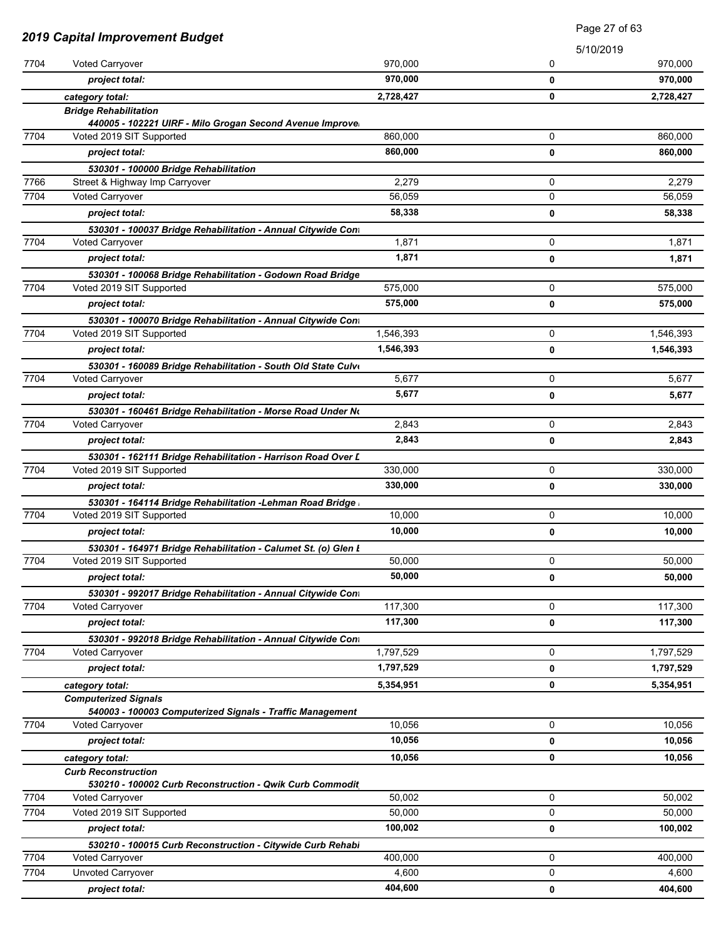| 5/10/2019<br>7704<br>Voted Carryover<br>970,000<br>0<br>970,000<br>project total:<br>0<br>0<br>category total:<br>2,728,427<br><b>Bridge Rehabilitation</b><br>440005 - 102221 UIRF - Milo Grogan Second Avenue Improve<br>7704<br>Voted 2019 SIT Supported<br>860,000<br>0<br>860,000<br>project total:<br>0<br>530301 - 100000 Bridge Rehabilitation<br>7766<br>0<br>Street & Highway Imp Carryover<br>2,279<br>56,059<br>0<br>7704<br>Voted Carryover<br>58,338<br>project total:<br>0<br>530301 - 100037 Bridge Rehabilitation - Annual Citywide Cont<br>7704<br>0<br><b>Voted Carryover</b><br>1,871<br>1,871<br>0<br>project total:<br>530301 - 100068 Bridge Rehabilitation - Godown Road Bridge<br>7704<br>0<br>Voted 2019 SIT Supported<br>575,000<br>575,000<br>project total:<br>0<br>530301 - 100070 Bridge Rehabilitation - Annual Citywide Con<br>7704<br>Voted 2019 SIT Supported<br>0<br>1,546,393<br>1,546,393<br>project total:<br>0<br>530301 - 160089 Bridge Rehabilitation - South Old State Culve<br>7704<br>0<br><b>Voted Carryover</b><br>5,677<br>5,677<br>project total:<br>0<br>530301 - 160461 Bridge Rehabilitation - Morse Road Under No<br>7704<br>Voted Carryover<br>2,843<br>0<br>2,843<br>project total:<br>0<br>530301 - 162111 Bridge Rehabilitation - Harrison Road Over L<br>7704<br>Voted 2019 SIT Supported<br>330,000<br>0<br>330,000<br>0<br>project total:<br>530301 - 164114 Bridge Rehabilitation - Lehman Road Bridge<br>7704<br>10,000<br>0<br>Voted 2019 SIT Supported<br>10,000<br>project total:<br>0<br>530301 - 164971 Bridge Rehabilitation - Calumet St. (o) Glen L<br>7704<br>0<br>Voted 2019 SIT Supported<br>50,000<br>50,000<br>project total:<br>0<br>530301 - 992017 Bridge Rehabilitation - Annual Citywide Cont<br>7704<br>117,300<br>0<br><b>Voted Carryover</b><br>117,300<br>project total:<br>0<br>530301 - 992018 Bridge Rehabilitation - Annual Citywide Cont<br>7704<br>1,797,529<br>0<br><b>Voted Carryover</b><br>1,797,529<br>project total:<br>0<br>5,354,951<br>0<br>category total:<br><b>Computerized Signals</b><br>540003 - 100003 Computerized Signals - Traffic Management<br>7704<br>10,056<br>0<br>Voted Carryover<br>10,056<br>project total:<br>0<br>10,056<br>0<br>category total:<br><b>Curb Reconstruction</b><br>530210 - 100002 Curb Reconstruction - Qwik Curb Commodit<br>7704<br>50,002<br>0<br>Voted Carryover<br>7704<br>Voted 2019 SIT Supported<br>50,000<br>0<br>100,002<br>project total:<br>0<br>530210 - 100015 Curb Reconstruction - Citywide Curb Rehabi<br>7704<br>Voted Carryover<br>0<br>400,000 | 2019 Capital Improvement Budget |                   |       | Page 27 of 63 |           |
|-----------------------------------------------------------------------------------------------------------------------------------------------------------------------------------------------------------------------------------------------------------------------------------------------------------------------------------------------------------------------------------------------------------------------------------------------------------------------------------------------------------------------------------------------------------------------------------------------------------------------------------------------------------------------------------------------------------------------------------------------------------------------------------------------------------------------------------------------------------------------------------------------------------------------------------------------------------------------------------------------------------------------------------------------------------------------------------------------------------------------------------------------------------------------------------------------------------------------------------------------------------------------------------------------------------------------------------------------------------------------------------------------------------------------------------------------------------------------------------------------------------------------------------------------------------------------------------------------------------------------------------------------------------------------------------------------------------------------------------------------------------------------------------------------------------------------------------------------------------------------------------------------------------------------------------------------------------------------------------------------------------------------------------------------------------------------------------------------------------------------------------------------------------------------------------------------------------------------------------------------------------------------------------------------------------------------------------------------------------------------------------------------------------------------------------------------------------------------------------------------------------------------------------------------------------------------------------------------------------|---------------------------------|-------------------|-------|---------------|-----------|
|                                                                                                                                                                                                                                                                                                                                                                                                                                                                                                                                                                                                                                                                                                                                                                                                                                                                                                                                                                                                                                                                                                                                                                                                                                                                                                                                                                                                                                                                                                                                                                                                                                                                                                                                                                                                                                                                                                                                                                                                                                                                                                                                                                                                                                                                                                                                                                                                                                                                                                                                                                                                           |                                 |                   |       |               |           |
|                                                                                                                                                                                                                                                                                                                                                                                                                                                                                                                                                                                                                                                                                                                                                                                                                                                                                                                                                                                                                                                                                                                                                                                                                                                                                                                                                                                                                                                                                                                                                                                                                                                                                                                                                                                                                                                                                                                                                                                                                                                                                                                                                                                                                                                                                                                                                                                                                                                                                                                                                                                                           |                                 |                   |       |               | 970,000   |
|                                                                                                                                                                                                                                                                                                                                                                                                                                                                                                                                                                                                                                                                                                                                                                                                                                                                                                                                                                                                                                                                                                                                                                                                                                                                                                                                                                                                                                                                                                                                                                                                                                                                                                                                                                                                                                                                                                                                                                                                                                                                                                                                                                                                                                                                                                                                                                                                                                                                                                                                                                                                           |                                 |                   |       |               | 970,000   |
|                                                                                                                                                                                                                                                                                                                                                                                                                                                                                                                                                                                                                                                                                                                                                                                                                                                                                                                                                                                                                                                                                                                                                                                                                                                                                                                                                                                                                                                                                                                                                                                                                                                                                                                                                                                                                                                                                                                                                                                                                                                                                                                                                                                                                                                                                                                                                                                                                                                                                                                                                                                                           |                                 |                   |       |               | 2,728,427 |
|                                                                                                                                                                                                                                                                                                                                                                                                                                                                                                                                                                                                                                                                                                                                                                                                                                                                                                                                                                                                                                                                                                                                                                                                                                                                                                                                                                                                                                                                                                                                                                                                                                                                                                                                                                                                                                                                                                                                                                                                                                                                                                                                                                                                                                                                                                                                                                                                                                                                                                                                                                                                           |                                 |                   |       |               |           |
|                                                                                                                                                                                                                                                                                                                                                                                                                                                                                                                                                                                                                                                                                                                                                                                                                                                                                                                                                                                                                                                                                                                                                                                                                                                                                                                                                                                                                                                                                                                                                                                                                                                                                                                                                                                                                                                                                                                                                                                                                                                                                                                                                                                                                                                                                                                                                                                                                                                                                                                                                                                                           |                                 |                   |       |               | 860,000   |
|                                                                                                                                                                                                                                                                                                                                                                                                                                                                                                                                                                                                                                                                                                                                                                                                                                                                                                                                                                                                                                                                                                                                                                                                                                                                                                                                                                                                                                                                                                                                                                                                                                                                                                                                                                                                                                                                                                                                                                                                                                                                                                                                                                                                                                                                                                                                                                                                                                                                                                                                                                                                           |                                 |                   |       |               |           |
|                                                                                                                                                                                                                                                                                                                                                                                                                                                                                                                                                                                                                                                                                                                                                                                                                                                                                                                                                                                                                                                                                                                                                                                                                                                                                                                                                                                                                                                                                                                                                                                                                                                                                                                                                                                                                                                                                                                                                                                                                                                                                                                                                                                                                                                                                                                                                                                                                                                                                                                                                                                                           |                                 |                   |       |               | 860,000   |
|                                                                                                                                                                                                                                                                                                                                                                                                                                                                                                                                                                                                                                                                                                                                                                                                                                                                                                                                                                                                                                                                                                                                                                                                                                                                                                                                                                                                                                                                                                                                                                                                                                                                                                                                                                                                                                                                                                                                                                                                                                                                                                                                                                                                                                                                                                                                                                                                                                                                                                                                                                                                           |                                 |                   |       |               | 2,279     |
|                                                                                                                                                                                                                                                                                                                                                                                                                                                                                                                                                                                                                                                                                                                                                                                                                                                                                                                                                                                                                                                                                                                                                                                                                                                                                                                                                                                                                                                                                                                                                                                                                                                                                                                                                                                                                                                                                                                                                                                                                                                                                                                                                                                                                                                                                                                                                                                                                                                                                                                                                                                                           |                                 |                   |       |               | 56,059    |
|                                                                                                                                                                                                                                                                                                                                                                                                                                                                                                                                                                                                                                                                                                                                                                                                                                                                                                                                                                                                                                                                                                                                                                                                                                                                                                                                                                                                                                                                                                                                                                                                                                                                                                                                                                                                                                                                                                                                                                                                                                                                                                                                                                                                                                                                                                                                                                                                                                                                                                                                                                                                           |                                 |                   |       |               | 58,338    |
|                                                                                                                                                                                                                                                                                                                                                                                                                                                                                                                                                                                                                                                                                                                                                                                                                                                                                                                                                                                                                                                                                                                                                                                                                                                                                                                                                                                                                                                                                                                                                                                                                                                                                                                                                                                                                                                                                                                                                                                                                                                                                                                                                                                                                                                                                                                                                                                                                                                                                                                                                                                                           |                                 |                   |       |               |           |
|                                                                                                                                                                                                                                                                                                                                                                                                                                                                                                                                                                                                                                                                                                                                                                                                                                                                                                                                                                                                                                                                                                                                                                                                                                                                                                                                                                                                                                                                                                                                                                                                                                                                                                                                                                                                                                                                                                                                                                                                                                                                                                                                                                                                                                                                                                                                                                                                                                                                                                                                                                                                           |                                 |                   |       |               | 1,871     |
|                                                                                                                                                                                                                                                                                                                                                                                                                                                                                                                                                                                                                                                                                                                                                                                                                                                                                                                                                                                                                                                                                                                                                                                                                                                                                                                                                                                                                                                                                                                                                                                                                                                                                                                                                                                                                                                                                                                                                                                                                                                                                                                                                                                                                                                                                                                                                                                                                                                                                                                                                                                                           |                                 |                   |       |               | 1,871     |
|                                                                                                                                                                                                                                                                                                                                                                                                                                                                                                                                                                                                                                                                                                                                                                                                                                                                                                                                                                                                                                                                                                                                                                                                                                                                                                                                                                                                                                                                                                                                                                                                                                                                                                                                                                                                                                                                                                                                                                                                                                                                                                                                                                                                                                                                                                                                                                                                                                                                                                                                                                                                           |                                 |                   |       |               |           |
|                                                                                                                                                                                                                                                                                                                                                                                                                                                                                                                                                                                                                                                                                                                                                                                                                                                                                                                                                                                                                                                                                                                                                                                                                                                                                                                                                                                                                                                                                                                                                                                                                                                                                                                                                                                                                                                                                                                                                                                                                                                                                                                                                                                                                                                                                                                                                                                                                                                                                                                                                                                                           |                                 |                   |       |               | 575,000   |
|                                                                                                                                                                                                                                                                                                                                                                                                                                                                                                                                                                                                                                                                                                                                                                                                                                                                                                                                                                                                                                                                                                                                                                                                                                                                                                                                                                                                                                                                                                                                                                                                                                                                                                                                                                                                                                                                                                                                                                                                                                                                                                                                                                                                                                                                                                                                                                                                                                                                                                                                                                                                           |                                 |                   |       |               | 575,000   |
|                                                                                                                                                                                                                                                                                                                                                                                                                                                                                                                                                                                                                                                                                                                                                                                                                                                                                                                                                                                                                                                                                                                                                                                                                                                                                                                                                                                                                                                                                                                                                                                                                                                                                                                                                                                                                                                                                                                                                                                                                                                                                                                                                                                                                                                                                                                                                                                                                                                                                                                                                                                                           |                                 |                   |       |               |           |
|                                                                                                                                                                                                                                                                                                                                                                                                                                                                                                                                                                                                                                                                                                                                                                                                                                                                                                                                                                                                                                                                                                                                                                                                                                                                                                                                                                                                                                                                                                                                                                                                                                                                                                                                                                                                                                                                                                                                                                                                                                                                                                                                                                                                                                                                                                                                                                                                                                                                                                                                                                                                           |                                 |                   |       |               | 1,546,393 |
|                                                                                                                                                                                                                                                                                                                                                                                                                                                                                                                                                                                                                                                                                                                                                                                                                                                                                                                                                                                                                                                                                                                                                                                                                                                                                                                                                                                                                                                                                                                                                                                                                                                                                                                                                                                                                                                                                                                                                                                                                                                                                                                                                                                                                                                                                                                                                                                                                                                                                                                                                                                                           |                                 |                   |       |               | 1,546,393 |
|                                                                                                                                                                                                                                                                                                                                                                                                                                                                                                                                                                                                                                                                                                                                                                                                                                                                                                                                                                                                                                                                                                                                                                                                                                                                                                                                                                                                                                                                                                                                                                                                                                                                                                                                                                                                                                                                                                                                                                                                                                                                                                                                                                                                                                                                                                                                                                                                                                                                                                                                                                                                           |                                 |                   |       |               |           |
|                                                                                                                                                                                                                                                                                                                                                                                                                                                                                                                                                                                                                                                                                                                                                                                                                                                                                                                                                                                                                                                                                                                                                                                                                                                                                                                                                                                                                                                                                                                                                                                                                                                                                                                                                                                                                                                                                                                                                                                                                                                                                                                                                                                                                                                                                                                                                                                                                                                                                                                                                                                                           |                                 |                   |       |               | 5,677     |
|                                                                                                                                                                                                                                                                                                                                                                                                                                                                                                                                                                                                                                                                                                                                                                                                                                                                                                                                                                                                                                                                                                                                                                                                                                                                                                                                                                                                                                                                                                                                                                                                                                                                                                                                                                                                                                                                                                                                                                                                                                                                                                                                                                                                                                                                                                                                                                                                                                                                                                                                                                                                           |                                 |                   |       |               | 5,677     |
|                                                                                                                                                                                                                                                                                                                                                                                                                                                                                                                                                                                                                                                                                                                                                                                                                                                                                                                                                                                                                                                                                                                                                                                                                                                                                                                                                                                                                                                                                                                                                                                                                                                                                                                                                                                                                                                                                                                                                                                                                                                                                                                                                                                                                                                                                                                                                                                                                                                                                                                                                                                                           |                                 |                   |       |               |           |
|                                                                                                                                                                                                                                                                                                                                                                                                                                                                                                                                                                                                                                                                                                                                                                                                                                                                                                                                                                                                                                                                                                                                                                                                                                                                                                                                                                                                                                                                                                                                                                                                                                                                                                                                                                                                                                                                                                                                                                                                                                                                                                                                                                                                                                                                                                                                                                                                                                                                                                                                                                                                           |                                 |                   |       |               | 2,843     |
|                                                                                                                                                                                                                                                                                                                                                                                                                                                                                                                                                                                                                                                                                                                                                                                                                                                                                                                                                                                                                                                                                                                                                                                                                                                                                                                                                                                                                                                                                                                                                                                                                                                                                                                                                                                                                                                                                                                                                                                                                                                                                                                                                                                                                                                                                                                                                                                                                                                                                                                                                                                                           |                                 |                   |       |               | 2,843     |
|                                                                                                                                                                                                                                                                                                                                                                                                                                                                                                                                                                                                                                                                                                                                                                                                                                                                                                                                                                                                                                                                                                                                                                                                                                                                                                                                                                                                                                                                                                                                                                                                                                                                                                                                                                                                                                                                                                                                                                                                                                                                                                                                                                                                                                                                                                                                                                                                                                                                                                                                                                                                           |                                 |                   |       |               |           |
|                                                                                                                                                                                                                                                                                                                                                                                                                                                                                                                                                                                                                                                                                                                                                                                                                                                                                                                                                                                                                                                                                                                                                                                                                                                                                                                                                                                                                                                                                                                                                                                                                                                                                                                                                                                                                                                                                                                                                                                                                                                                                                                                                                                                                                                                                                                                                                                                                                                                                                                                                                                                           |                                 |                   |       |               | 330,000   |
|                                                                                                                                                                                                                                                                                                                                                                                                                                                                                                                                                                                                                                                                                                                                                                                                                                                                                                                                                                                                                                                                                                                                                                                                                                                                                                                                                                                                                                                                                                                                                                                                                                                                                                                                                                                                                                                                                                                                                                                                                                                                                                                                                                                                                                                                                                                                                                                                                                                                                                                                                                                                           |                                 |                   |       |               | 330,000   |
|                                                                                                                                                                                                                                                                                                                                                                                                                                                                                                                                                                                                                                                                                                                                                                                                                                                                                                                                                                                                                                                                                                                                                                                                                                                                                                                                                                                                                                                                                                                                                                                                                                                                                                                                                                                                                                                                                                                                                                                                                                                                                                                                                                                                                                                                                                                                                                                                                                                                                                                                                                                                           |                                 |                   |       |               |           |
|                                                                                                                                                                                                                                                                                                                                                                                                                                                                                                                                                                                                                                                                                                                                                                                                                                                                                                                                                                                                                                                                                                                                                                                                                                                                                                                                                                                                                                                                                                                                                                                                                                                                                                                                                                                                                                                                                                                                                                                                                                                                                                                                                                                                                                                                                                                                                                                                                                                                                                                                                                                                           |                                 |                   |       |               | 10,000    |
|                                                                                                                                                                                                                                                                                                                                                                                                                                                                                                                                                                                                                                                                                                                                                                                                                                                                                                                                                                                                                                                                                                                                                                                                                                                                                                                                                                                                                                                                                                                                                                                                                                                                                                                                                                                                                                                                                                                                                                                                                                                                                                                                                                                                                                                                                                                                                                                                                                                                                                                                                                                                           |                                 |                   |       |               | 10,000    |
|                                                                                                                                                                                                                                                                                                                                                                                                                                                                                                                                                                                                                                                                                                                                                                                                                                                                                                                                                                                                                                                                                                                                                                                                                                                                                                                                                                                                                                                                                                                                                                                                                                                                                                                                                                                                                                                                                                                                                                                                                                                                                                                                                                                                                                                                                                                                                                                                                                                                                                                                                                                                           |                                 |                   |       |               |           |
|                                                                                                                                                                                                                                                                                                                                                                                                                                                                                                                                                                                                                                                                                                                                                                                                                                                                                                                                                                                                                                                                                                                                                                                                                                                                                                                                                                                                                                                                                                                                                                                                                                                                                                                                                                                                                                                                                                                                                                                                                                                                                                                                                                                                                                                                                                                                                                                                                                                                                                                                                                                                           |                                 |                   |       |               | 50,000    |
|                                                                                                                                                                                                                                                                                                                                                                                                                                                                                                                                                                                                                                                                                                                                                                                                                                                                                                                                                                                                                                                                                                                                                                                                                                                                                                                                                                                                                                                                                                                                                                                                                                                                                                                                                                                                                                                                                                                                                                                                                                                                                                                                                                                                                                                                                                                                                                                                                                                                                                                                                                                                           |                                 |                   |       |               | 50,000    |
|                                                                                                                                                                                                                                                                                                                                                                                                                                                                                                                                                                                                                                                                                                                                                                                                                                                                                                                                                                                                                                                                                                                                                                                                                                                                                                                                                                                                                                                                                                                                                                                                                                                                                                                                                                                                                                                                                                                                                                                                                                                                                                                                                                                                                                                                                                                                                                                                                                                                                                                                                                                                           |                                 |                   |       |               |           |
|                                                                                                                                                                                                                                                                                                                                                                                                                                                                                                                                                                                                                                                                                                                                                                                                                                                                                                                                                                                                                                                                                                                                                                                                                                                                                                                                                                                                                                                                                                                                                                                                                                                                                                                                                                                                                                                                                                                                                                                                                                                                                                                                                                                                                                                                                                                                                                                                                                                                                                                                                                                                           |                                 |                   |       |               | 117,300   |
|                                                                                                                                                                                                                                                                                                                                                                                                                                                                                                                                                                                                                                                                                                                                                                                                                                                                                                                                                                                                                                                                                                                                                                                                                                                                                                                                                                                                                                                                                                                                                                                                                                                                                                                                                                                                                                                                                                                                                                                                                                                                                                                                                                                                                                                                                                                                                                                                                                                                                                                                                                                                           |                                 |                   |       |               | 117,300   |
|                                                                                                                                                                                                                                                                                                                                                                                                                                                                                                                                                                                                                                                                                                                                                                                                                                                                                                                                                                                                                                                                                                                                                                                                                                                                                                                                                                                                                                                                                                                                                                                                                                                                                                                                                                                                                                                                                                                                                                                                                                                                                                                                                                                                                                                                                                                                                                                                                                                                                                                                                                                                           |                                 |                   |       |               |           |
|                                                                                                                                                                                                                                                                                                                                                                                                                                                                                                                                                                                                                                                                                                                                                                                                                                                                                                                                                                                                                                                                                                                                                                                                                                                                                                                                                                                                                                                                                                                                                                                                                                                                                                                                                                                                                                                                                                                                                                                                                                                                                                                                                                                                                                                                                                                                                                                                                                                                                                                                                                                                           |                                 |                   |       |               | 1,797,529 |
|                                                                                                                                                                                                                                                                                                                                                                                                                                                                                                                                                                                                                                                                                                                                                                                                                                                                                                                                                                                                                                                                                                                                                                                                                                                                                                                                                                                                                                                                                                                                                                                                                                                                                                                                                                                                                                                                                                                                                                                                                                                                                                                                                                                                                                                                                                                                                                                                                                                                                                                                                                                                           |                                 |                   |       |               | 1,797,529 |
|                                                                                                                                                                                                                                                                                                                                                                                                                                                                                                                                                                                                                                                                                                                                                                                                                                                                                                                                                                                                                                                                                                                                                                                                                                                                                                                                                                                                                                                                                                                                                                                                                                                                                                                                                                                                                                                                                                                                                                                                                                                                                                                                                                                                                                                                                                                                                                                                                                                                                                                                                                                                           |                                 |                   |       |               | 5,354,951 |
|                                                                                                                                                                                                                                                                                                                                                                                                                                                                                                                                                                                                                                                                                                                                                                                                                                                                                                                                                                                                                                                                                                                                                                                                                                                                                                                                                                                                                                                                                                                                                                                                                                                                                                                                                                                                                                                                                                                                                                                                                                                                                                                                                                                                                                                                                                                                                                                                                                                                                                                                                                                                           |                                 |                   |       |               |           |
|                                                                                                                                                                                                                                                                                                                                                                                                                                                                                                                                                                                                                                                                                                                                                                                                                                                                                                                                                                                                                                                                                                                                                                                                                                                                                                                                                                                                                                                                                                                                                                                                                                                                                                                                                                                                                                                                                                                                                                                                                                                                                                                                                                                                                                                                                                                                                                                                                                                                                                                                                                                                           |                                 |                   |       |               |           |
|                                                                                                                                                                                                                                                                                                                                                                                                                                                                                                                                                                                                                                                                                                                                                                                                                                                                                                                                                                                                                                                                                                                                                                                                                                                                                                                                                                                                                                                                                                                                                                                                                                                                                                                                                                                                                                                                                                                                                                                                                                                                                                                                                                                                                                                                                                                                                                                                                                                                                                                                                                                                           |                                 |                   |       |               | 10,056    |
|                                                                                                                                                                                                                                                                                                                                                                                                                                                                                                                                                                                                                                                                                                                                                                                                                                                                                                                                                                                                                                                                                                                                                                                                                                                                                                                                                                                                                                                                                                                                                                                                                                                                                                                                                                                                                                                                                                                                                                                                                                                                                                                                                                                                                                                                                                                                                                                                                                                                                                                                                                                                           |                                 |                   |       |               | 10,056    |
|                                                                                                                                                                                                                                                                                                                                                                                                                                                                                                                                                                                                                                                                                                                                                                                                                                                                                                                                                                                                                                                                                                                                                                                                                                                                                                                                                                                                                                                                                                                                                                                                                                                                                                                                                                                                                                                                                                                                                                                                                                                                                                                                                                                                                                                                                                                                                                                                                                                                                                                                                                                                           |                                 |                   |       |               | 10,056    |
|                                                                                                                                                                                                                                                                                                                                                                                                                                                                                                                                                                                                                                                                                                                                                                                                                                                                                                                                                                                                                                                                                                                                                                                                                                                                                                                                                                                                                                                                                                                                                                                                                                                                                                                                                                                                                                                                                                                                                                                                                                                                                                                                                                                                                                                                                                                                                                                                                                                                                                                                                                                                           |                                 |                   |       |               |           |
|                                                                                                                                                                                                                                                                                                                                                                                                                                                                                                                                                                                                                                                                                                                                                                                                                                                                                                                                                                                                                                                                                                                                                                                                                                                                                                                                                                                                                                                                                                                                                                                                                                                                                                                                                                                                                                                                                                                                                                                                                                                                                                                                                                                                                                                                                                                                                                                                                                                                                                                                                                                                           |                                 |                   |       |               | 50,002    |
|                                                                                                                                                                                                                                                                                                                                                                                                                                                                                                                                                                                                                                                                                                                                                                                                                                                                                                                                                                                                                                                                                                                                                                                                                                                                                                                                                                                                                                                                                                                                                                                                                                                                                                                                                                                                                                                                                                                                                                                                                                                                                                                                                                                                                                                                                                                                                                                                                                                                                                                                                                                                           |                                 |                   |       |               | 50,000    |
|                                                                                                                                                                                                                                                                                                                                                                                                                                                                                                                                                                                                                                                                                                                                                                                                                                                                                                                                                                                                                                                                                                                                                                                                                                                                                                                                                                                                                                                                                                                                                                                                                                                                                                                                                                                                                                                                                                                                                                                                                                                                                                                                                                                                                                                                                                                                                                                                                                                                                                                                                                                                           |                                 |                   |       |               | 100,002   |
|                                                                                                                                                                                                                                                                                                                                                                                                                                                                                                                                                                                                                                                                                                                                                                                                                                                                                                                                                                                                                                                                                                                                                                                                                                                                                                                                                                                                                                                                                                                                                                                                                                                                                                                                                                                                                                                                                                                                                                                                                                                                                                                                                                                                                                                                                                                                                                                                                                                                                                                                                                                                           |                                 |                   |       |               |           |
|                                                                                                                                                                                                                                                                                                                                                                                                                                                                                                                                                                                                                                                                                                                                                                                                                                                                                                                                                                                                                                                                                                                                                                                                                                                                                                                                                                                                                                                                                                                                                                                                                                                                                                                                                                                                                                                                                                                                                                                                                                                                                                                                                                                                                                                                                                                                                                                                                                                                                                                                                                                                           |                                 |                   |       |               | 400,000   |
|                                                                                                                                                                                                                                                                                                                                                                                                                                                                                                                                                                                                                                                                                                                                                                                                                                                                                                                                                                                                                                                                                                                                                                                                                                                                                                                                                                                                                                                                                                                                                                                                                                                                                                                                                                                                                                                                                                                                                                                                                                                                                                                                                                                                                                                                                                                                                                                                                                                                                                                                                                                                           | 7704                            | Unvoted Carryover | 4,600 | 0             | 4,600     |
| 404,600<br>project total:<br>0                                                                                                                                                                                                                                                                                                                                                                                                                                                                                                                                                                                                                                                                                                                                                                                                                                                                                                                                                                                                                                                                                                                                                                                                                                                                                                                                                                                                                                                                                                                                                                                                                                                                                                                                                                                                                                                                                                                                                                                                                                                                                                                                                                                                                                                                                                                                                                                                                                                                                                                                                                            |                                 |                   |       |               | 404,600   |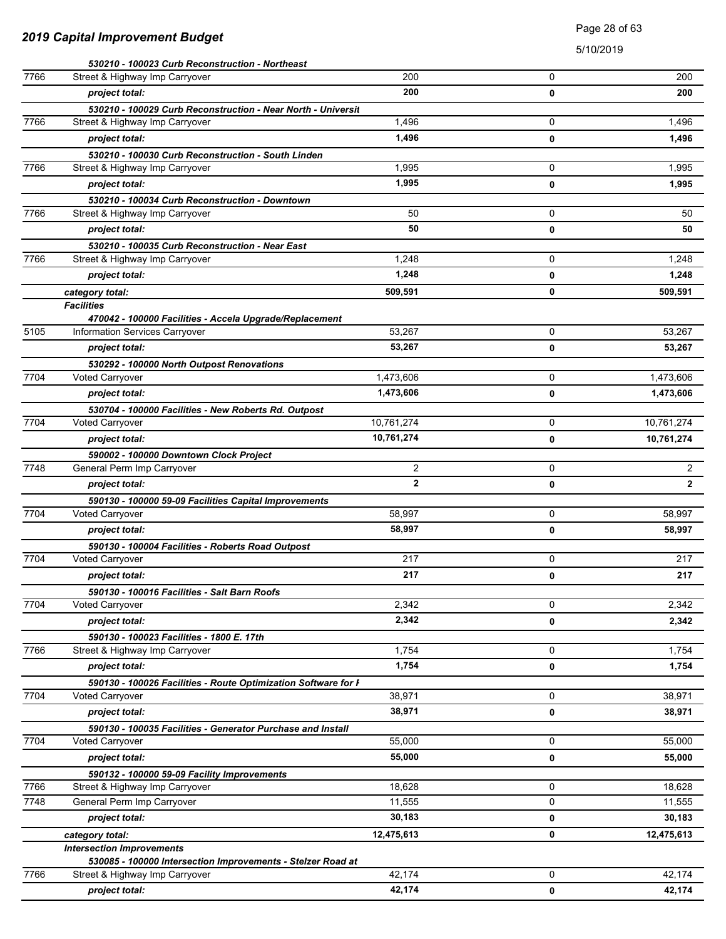### Page 28 of 63

|      | 530210 - 100023 Curb Reconstruction - Northeast                               |                    |   |              |
|------|-------------------------------------------------------------------------------|--------------------|---|--------------|
| 7766 | Street & Highway Imp Carryover                                                | 200                | 0 | 200          |
|      | project total:                                                                | 200                | 0 | 200          |
|      | 530210 - 100029 Curb Reconstruction - Near North - Universit                  |                    |   |              |
| 7766 | Street & Highway Imp Carryover                                                | 1,496              | 0 | 1,496        |
|      | project total:                                                                | 1,496              | 0 | 1,496        |
|      | 530210 - 100030 Curb Reconstruction - South Linden                            |                    |   |              |
| 7766 | Street & Highway Imp Carryover                                                | 1,995              | 0 | 1,995        |
|      | project total:                                                                | 1,995              | 0 | 1,995        |
|      | 530210 - 100034 Curb Reconstruction - Downtown                                |                    |   |              |
| 7766 | Street & Highway Imp Carryover                                                | 50                 | 0 | 50           |
|      | project total:                                                                | 50                 | 0 | 50           |
|      | 530210 - 100035 Curb Reconstruction - Near East                               |                    |   |              |
| 7766 | Street & Highway Imp Carryover                                                | 1,248              | 0 | 1,248        |
|      | project total:                                                                | 1,248              | 0 | 1,248        |
|      | category total:                                                               | 509,591            | 0 | 509,591      |
|      | <b>Facilities</b>                                                             |                    |   |              |
|      | 470042 - 100000 Facilities - Accela Upgrade/Replacement                       |                    |   |              |
| 5105 | Information Services Carryover                                                | 53,267             | 0 | 53,267       |
|      | project total:                                                                | 53,267             | 0 | 53,267       |
|      | 530292 - 100000 North Outpost Renovations                                     |                    |   |              |
| 7704 | Voted Carryover                                                               | 1,473,606          | 0 | 1,473,606    |
|      | project total:                                                                | 1,473,606          | 0 | 1,473,606    |
|      | 530704 - 100000 Facilities - New Roberts Rd. Outpost                          |                    |   |              |
| 7704 | Voted Carryover                                                               | 10,761,274         | 0 | 10,761,274   |
|      | project total:                                                                | 10,761,274         | 0 | 10,761,274   |
|      | 590002 - 100000 Downtown Clock Project                                        |                    |   |              |
| 7748 | General Perm Imp Carryover                                                    | 2                  | 0 | 2            |
|      | project total:                                                                | $\overline{2}$     | 0 | $\mathbf{2}$ |
|      | 590130 - 100000 59-09 Facilities Capital Improvements                         |                    |   |              |
| 7704 | Voted Carryover                                                               | 58,997             | 0 | 58,997       |
|      | project total:                                                                | 58,997             | 0 | 58,997       |
|      | 590130 - 100004 Facilities - Roberts Road Outpost                             |                    |   |              |
| 7704 | Voted Carryover                                                               | 217                | 0 | 217          |
|      | project total:                                                                | 217                | 0 | 217          |
|      | 590130 - 100016 Facilities - Salt Barn Roofs                                  |                    |   |              |
| 7704 | <b>Voted Carryover</b>                                                        | $\overline{2,}342$ | 0 | 2,342        |
|      | project total:                                                                | 2,342              | 0 | 2,342        |
|      | 590130 - 100023 Facilities - 1800 E. 17th                                     |                    |   |              |
| 7766 | Street & Highway Imp Carryover                                                | 1,754              | 0 | 1,754        |
|      | project total:                                                                | 1,754              | 0 | 1,754        |
|      | 590130 - 100026 Facilities - Route Optimization Software for I                |                    |   |              |
| 7704 | <b>Voted Carryover</b>                                                        | 38.971             | 0 | 38,971       |
|      | project total:                                                                | 38,971             | 0 | 38,971       |
|      | 590130 - 100035 Facilities - Generator Purchase and Install                   |                    |   |              |
| 7704 | <b>Voted Carryover</b>                                                        | 55,000             | 0 | 55,000       |
|      | project total:                                                                | 55,000             | 0 | 55,000       |
|      |                                                                               |                    |   |              |
| 7766 | 590132 - 100000 59-09 Facility Improvements<br>Street & Highway Imp Carryover | 18,628             | 0 | 18,628       |
| 7748 | General Perm Imp Carryover                                                    | 11,555             | 0 | 11,555       |
|      | project total:                                                                | 30,183             | 0 | 30,183       |
|      |                                                                               |                    |   |              |
|      | category total:<br><b>Intersection Improvements</b>                           | 12,475,613         | 0 | 12,475,613   |
|      | 530085 - 100000 Intersection Improvements - Stelzer Road at                   |                    |   |              |
| 7766 | Street & Highway Imp Carryover                                                | 42,174             | 0 | 42,174       |
|      | project total:                                                                | 42,174             | 0 | 42,174       |
|      |                                                                               |                    |   |              |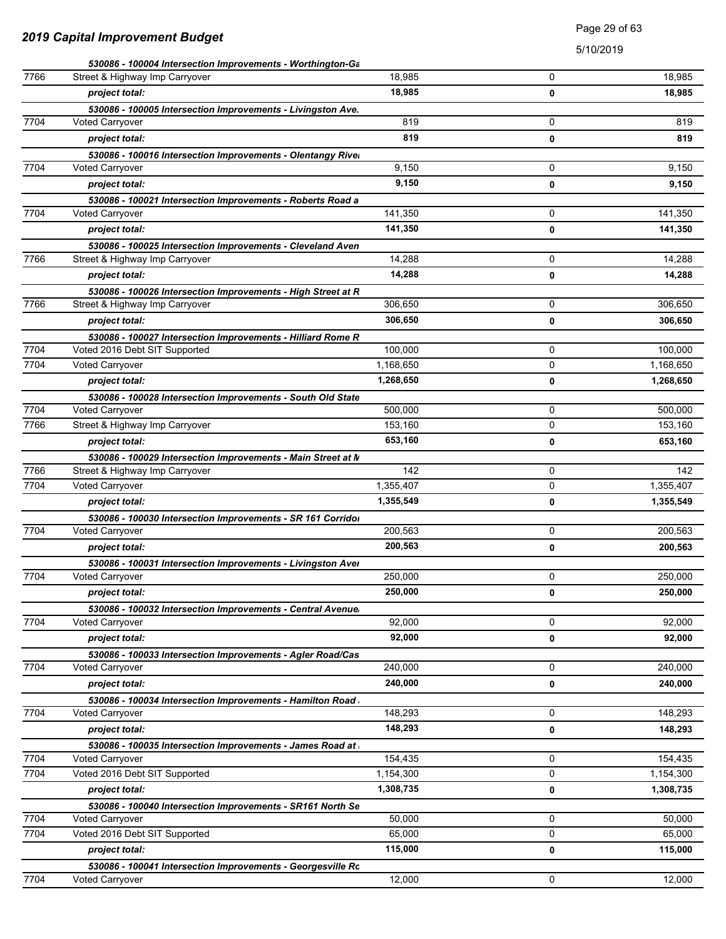### Page 29 of 63

|      | 530086 - 100004 Intersection Improvements - Worthington-Ga   |           |   |           |
|------|--------------------------------------------------------------|-----------|---|-----------|
| 7766 | Street & Highway Imp Carryover                               | 18,985    | 0 | 18,985    |
|      | project total:                                               | 18,985    | 0 | 18,985    |
|      | 530086 - 100005 Intersection Improvements - Livingston Ave.  |           |   |           |
| 7704 | <b>Voted Carryover</b>                                       | 819       | 0 | 819       |
|      | project total:                                               | 819       | 0 | 819       |
|      | 530086 - 100016 Intersection Improvements - Olentangy River  |           |   |           |
| 7704 | Voted Carryover                                              | 9,150     | 0 | 9,150     |
|      | project total:                                               | 9,150     | 0 | 9,150     |
|      | 530086 - 100021 Intersection Improvements - Roberts Road a   |           |   |           |
| 7704 | Voted Carryover                                              | 141,350   | 0 | 141,350   |
|      | project total:                                               | 141,350   | 0 | 141,350   |
|      | 530086 - 100025 Intersection Improvements - Cleveland Aven   |           |   |           |
| 7766 | Street & Highway Imp Carryover                               | 14,288    | 0 | 14,288    |
|      | project total:                                               | 14,288    | 0 | 14,288    |
|      | 530086 - 100026 Intersection Improvements - High Street at R |           |   |           |
| 7766 | Street & Highway Imp Carryover                               | 306,650   | 0 | 306,650   |
|      | project total:                                               | 306,650   | 0 | 306,650   |
|      | 530086 - 100027 Intersection Improvements - Hilliard Rome R  |           |   |           |
| 7704 | Voted 2016 Debt SIT Supported                                | 100,000   | 0 | 100,000   |
| 7704 | <b>Voted Carryover</b>                                       | 1,168,650 | 0 | 1,168,650 |
|      | project total:                                               | 1,268,650 | 0 | 1,268,650 |
|      | 530086 - 100028 Intersection Improvements - South Old State  |           |   |           |
| 7704 | <b>Voted Carryover</b>                                       | 500,000   | 0 | 500,000   |
| 7766 | Street & Highway Imp Carryover                               | 153,160   | 0 | 153,160   |
|      | project total:                                               | 653,160   | 0 | 653,160   |
|      | 530086 - 100029 Intersection Improvements - Main Street at M |           |   |           |
| 7766 | Street & Highway Imp Carryover                               | 142       | 0 | 142       |
| 7704 | Voted Carryover                                              | 1,355,407 | 0 | 1,355,407 |
|      | project total:                                               | 1,355,549 | 0 | 1,355,549 |
|      | 530086 - 100030 Intersection Improvements - SR 161 Corridor  |           |   |           |
| 7704 | Voted Carryover                                              | 200,563   | 0 | 200,563   |
|      | project total:                                               | 200,563   | 0 | 200,563   |
|      | 530086 - 100031 Intersection Improvements - Livingston Aver  |           |   |           |
| 7704 | Voted Carryover                                              | 250,000   | 0 | 250,000   |
|      | project total:                                               | 250,000   | 0 | 250,000   |
|      | 530086 - 100032 Intersection Improvements - Central Avenue   |           |   |           |
| 7704 | Voted Carryover                                              | 92,000    | 0 | 92,000    |
|      | project total:                                               | 92,000    | 0 | 92,000    |
|      | 530086 - 100033 Intersection Improvements - Agler Road/Cas   |           |   |           |
| 7704 | <b>Voted Carryover</b>                                       | 240,000   | 0 | 240,000   |
|      | project total:                                               | 240,000   | 0 | 240,000   |
|      | 530086 - 100034 Intersection Improvements - Hamilton Road    |           |   |           |
| 7704 | <b>Voted Carryover</b>                                       | 148,293   | 0 | 148,293   |
|      | project total:                                               | 148,293   | 0 | 148,293   |
|      | 530086 - 100035 Intersection Improvements - James Road at    |           |   |           |
| 7704 | Voted Carryover                                              | 154,435   | 0 | 154,435   |
| 7704 | Voted 2016 Debt SIT Supported                                | 1,154,300 | 0 | 1,154,300 |
|      | project total:                                               | 1,308,735 | 0 | 1,308,735 |
|      | 530086 - 100040 Intersection Improvements - SR161 North Se   |           |   |           |
| 7704 | Voted Carryover                                              | 50,000    | 0 | 50,000    |
| 7704 | Voted 2016 Debt SIT Supported                                | 65,000    | 0 | 65,000    |
|      | project total:                                               | 115,000   | 0 | 115,000   |
|      | 530086 - 100041 Intersection Improvements - Georgesville Ro  |           |   |           |
| 7704 | Voted Carryover                                              | 12,000    | 0 | 12,000    |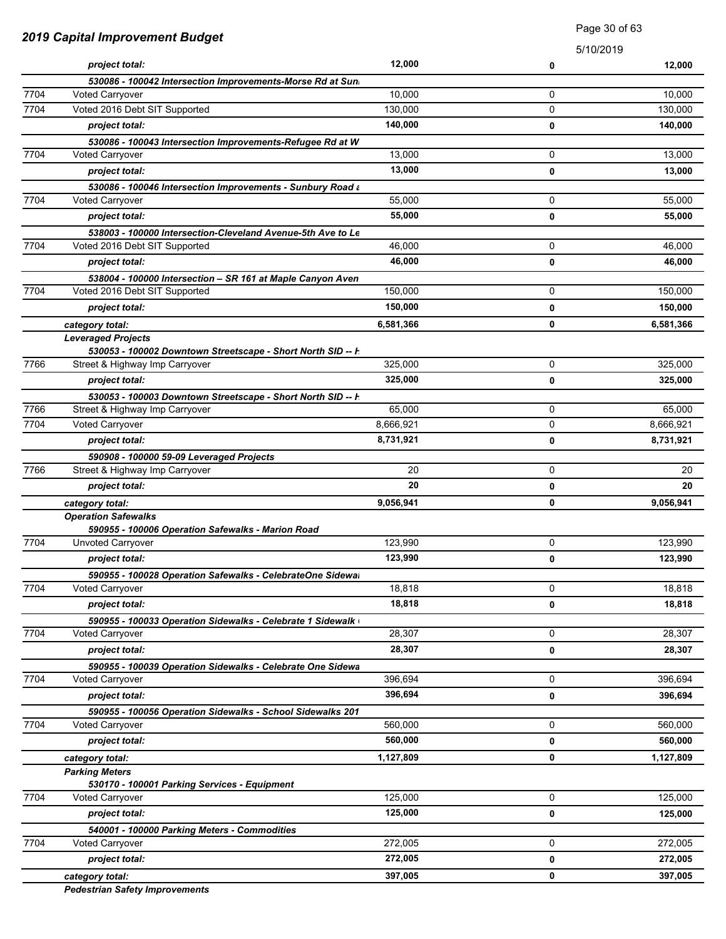|      | 2019 Capital Improvement Budget                                                             |           | 5/10/2019 |           |
|------|---------------------------------------------------------------------------------------------|-----------|-----------|-----------|
|      | project total:                                                                              | 12,000    | 0         | 12,000    |
|      | 530086 - 100042 Intersection Improvements-Morse Rd at Sun                                   |           |           |           |
| 7704 | Voted Carryover                                                                             | 10,000    | 0         | 10,000    |
| 7704 | Voted 2016 Debt SIT Supported                                                               | 130,000   | 0         | 130,000   |
|      | project total:                                                                              | 140,000   | 0         | 140,000   |
|      | 530086 - 100043 Intersection Improvements-Refugee Rd at W.                                  |           |           |           |
| 7704 | <b>Voted Carryover</b>                                                                      | 13,000    | 0         | 13,000    |
|      | project total:                                                                              | 13,000    | 0         | 13,000    |
| 7704 | 530086 - 100046 Intersection Improvements - Sunbury Road a                                  |           | 0         | 55,000    |
|      | <b>Voted Carryover</b>                                                                      | 55,000    |           |           |
|      | project total:                                                                              | 55,000    | 0         | 55,000    |
|      | 538003 - 100000 Intersection-Cleveland Avenue-5th Ave to Le                                 | 46,000    |           |           |
| 7704 | Voted 2016 Debt SIT Supported                                                               |           | 0         | 46,000    |
|      | project total:                                                                              | 46,000    | 0         | 46,000    |
| 7704 | 538004 - 100000 Intersection - SR 161 at Maple Canyon Aven<br>Voted 2016 Debt SIT Supported | 150,000   | 0         | 150,000   |
|      |                                                                                             | 150,000   |           |           |
|      | project total:                                                                              |           | 0         | 150,000   |
|      | category total:                                                                             | 6,581,366 | 0         | 6,581,366 |
|      | <b>Leveraged Projects</b><br>530053 - 100002 Downtown Streetscape - Short North SID -- F    |           |           |           |
| 7766 | Street & Highway Imp Carryover                                                              | 325,000   | 0         | 325,000   |
|      | project total:                                                                              | 325,000   | 0         | 325,000   |
|      | 530053 - 100003 Downtown Streetscape - Short North SID -- F                                 |           |           |           |
| 7766 | Street & Highway Imp Carryover                                                              | 65,000    | 0         | 65,000    |
| 7704 | Voted Carryover                                                                             | 8,666,921 | 0         | 8,666,921 |
|      | project total:                                                                              | 8,731,921 | 0         | 8,731,921 |
|      | 590908 - 100000 59-09 Leveraged Projects                                                    |           |           |           |
| 7766 | Street & Highway Imp Carryover                                                              | 20        | 0         | 20        |
|      | project total:                                                                              | 20        | 0         | 20        |
|      | category total:                                                                             | 9,056,941 | 0         | 9,056,941 |
|      | <b>Operation Safewalks</b>                                                                  |           |           |           |
|      | 590955 - 100006 Operation Safewalks - Marion Road                                           |           |           |           |
| 7704 | Unvoted Carryover                                                                           | 123,990   | 0         | 123,990   |
|      | project total:                                                                              | 123,990   | 0         | 123,990   |
|      | 590955 - 100028 Operation Safewalks - CelebrateOne Sidewal                                  |           |           |           |
| 7704 | <b>Voted Carryover</b>                                                                      | 18,818    | 0         | 18,818    |
|      | project total:                                                                              | 18,818    | 0         | 18,818    |
|      | 590955 - 100033 Operation Sidewalks - Celebrate 1 Sidewalk                                  |           |           |           |
| 7704 | Voted Carryover                                                                             | 28,307    | 0         | 28,307    |
|      | project total:                                                                              | 28,307    | 0         | 28,307    |
|      | 590955 - 100039 Operation Sidewalks - Celebrate One Sidewa                                  |           |           |           |
| 7704 | <b>Voted Carryover</b>                                                                      | 396,694   | 0         | 396,694   |
|      | project total:                                                                              | 396,694   | 0         | 396,694   |
|      | 590955 - 100056 Operation Sidewalks - School Sidewalks 201                                  |           |           |           |
| 7704 | Voted Carryover                                                                             | 560,000   | 0         | 560,000   |
|      | project total:                                                                              | 560,000   | 0         | 560,000   |
|      | category total:                                                                             | 1,127,809 | 0         | 1,127,809 |
|      | <b>Parking Meters</b>                                                                       |           |           |           |
|      | 530170 - 100001 Parking Services - Equipment                                                |           |           |           |
| 7704 | Voted Carryover                                                                             | 125,000   | 0         | 125,000   |
|      | project total:                                                                              | 125,000   | 0         | 125,000   |
|      | 540001 - 100000 Parking Meters - Commodities                                                |           |           |           |
| 7704 | <b>Voted Carryover</b>                                                                      | 272,005   | 0         | 272,005   |
|      | project total:                                                                              | 272,005   | 0         | 272,005   |
|      | category total:                                                                             | 397,005   | 0         | 397,005   |

Page 30 of 63

*Pedestrian Safety Improvements*

#### *2019 Capital Improvement Budget*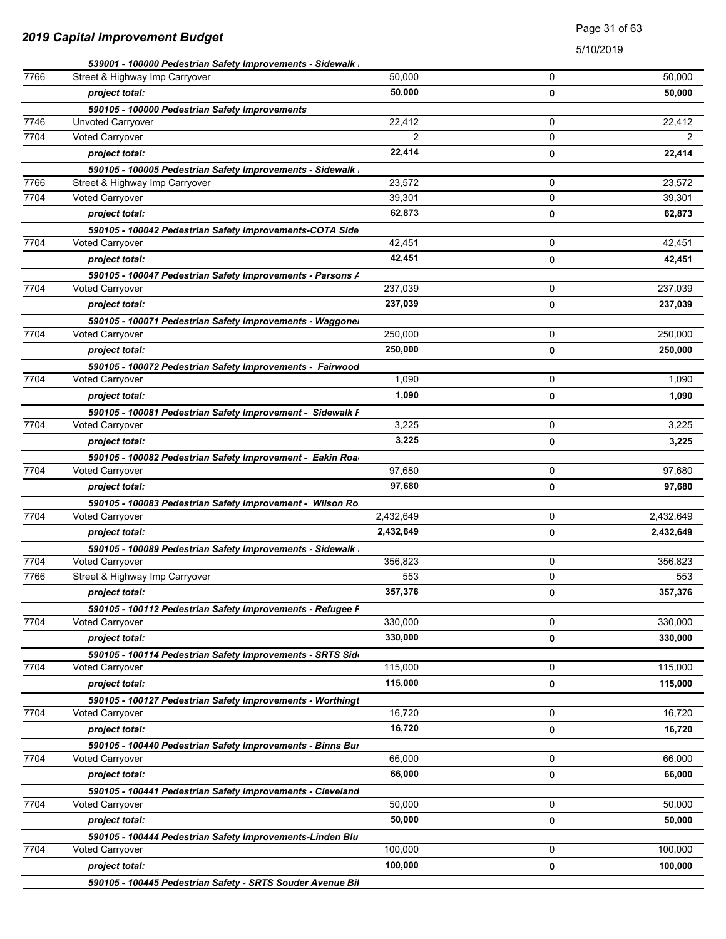### Page 31 of 63

|      | 539001 - 100000 Pedestrian Safety Improvements - Sidewalk I                          |                |        |                |
|------|--------------------------------------------------------------------------------------|----------------|--------|----------------|
| 7766 | Street & Highway Imp Carryover                                                       | 50,000         | 0      | 50,000         |
|      | project total:                                                                       | 50.000         | 0      | 50,000         |
|      | 590105 - 100000 Pedestrian Safety Improvements                                       |                |        |                |
| 7746 | <b>Unvoted Carryover</b>                                                             | 22,412         | 0      | 22,412         |
| 7704 | Voted Carryover                                                                      | $\overline{2}$ | 0      | $\overline{2}$ |
|      | project total:                                                                       | 22,414         | 0      | 22,414         |
|      | 590105 - 100005 Pedestrian Safety Improvements - Sidewalk I                          |                |        |                |
| 7766 | Street & Highway Imp Carryover                                                       | 23,572         | 0      | 23,572         |
| 7704 | Voted Carryover                                                                      | 39.301         | 0      | 39,301         |
|      | project total:                                                                       | 62,873         | 0      | 62,873         |
|      | 590105 - 100042 Pedestrian Safety Improvements-COTA Side                             |                |        |                |
| 7704 | Voted Carryover                                                                      | 42,451         | 0      | 42,451         |
|      | project total:                                                                       | 42,451         | 0      | 42,451         |
|      | 590105 - 100047 Pedestrian Safety Improvements - Parsons A                           |                |        |                |
| 7704 | <b>Voted Carryover</b>                                                               | 237,039        | 0      | 237,039        |
|      | project total:                                                                       | 237,039        | 0      | 237,039        |
|      | 590105 - 100071 Pedestrian Safety Improvements - Waggoner                            |                |        |                |
| 7704 | <b>Voted Carryover</b>                                                               | 250,000        | 0      | 250,000        |
|      | project total:                                                                       | 250,000        | 0      | 250,000        |
|      | 590105 - 100072 Pedestrian Safety Improvements - Fairwood                            |                |        |                |
| 7704 | <b>Voted Carryover</b>                                                               | 1,090          | 0      | 1,090          |
|      | project total:                                                                       | 1,090          | 0      | 1,090          |
|      | 590105 - 100081 Pedestrian Safety Improvement - Sidewalk F                           |                |        |                |
| 7704 | Voted Carryover                                                                      | 3,225          | 0      | 3,225          |
|      | project total:                                                                       | 3,225          | 0      | 3,225          |
|      | 590105 - 100082 Pedestrian Safety Improvement - Eakin Road                           |                |        |                |
| 7704 | Voted Carryover                                                                      | 97,680         | 0      | 97,680         |
|      | project total:                                                                       | 97,680         | 0      | 97,680         |
|      | 590105 - 100083 Pedestrian Safety Improvement - Wilson Ro                            |                |        |                |
| 7704 | <b>Voted Carryover</b>                                                               | 2,432,649      | 0      | 2,432,649      |
|      | project total:                                                                       | 2,432,649      | 0      | 2,432,649      |
|      | 590105 - 100089 Pedestrian Safety Improvements - Sidewalk I                          |                |        |                |
| 7704 | Voted Carryover                                                                      | 356,823        | 0<br>0 | 356,823        |
| 7766 | Street & Highway Imp Carryover                                                       | 553<br>357,376 |        | 553            |
|      | project total:                                                                       |                | 0      | 357,376        |
| 7704 | 590105 - 100112 Pedestrian Safety Improvements - Refugee F<br>Voted Carryover        | 330,000        | 0      | 330,000        |
|      |                                                                                      | 330,000        | 0      | 330,000        |
|      | project total:                                                                       |                |        |                |
| 7704 | 590105 - 100114 Pedestrian Safety Improvements - SRTS Side<br>Voted Carryover        | 115,000        | 0      | 115,000        |
|      | project total:                                                                       | 115,000        | 0      | 115,000        |
|      |                                                                                      |                |        |                |
| 7704 | 590105 - 100127 Pedestrian Safety Improvements - Worthingt<br><b>Voted Carryover</b> | 16,720         | 0      | 16,720         |
|      | project total:                                                                       | 16,720         | 0      | 16,720         |
|      |                                                                                      |                |        |                |
| 7704 | 590105 - 100440 Pedestrian Safety Improvements - Binns Bur<br>Voted Carryover        | 66,000         | 0      | 66,000         |
|      | project total:                                                                       | 66,000         | 0      | 66,000         |
|      | 590105 - 100441 Pedestrian Safety Improvements - Cleveland                           |                |        |                |
| 7704 | Voted Carryover                                                                      | 50,000         | 0      | 50,000         |
|      | project total:                                                                       | 50,000         | 0      | 50,000         |
|      | 590105 - 100444 Pedestrian Safety Improvements-Linden Blu                            |                |        |                |
| 7704 | Voted Carryover                                                                      | 100,000        | 0      | 100,000        |
|      | project total:                                                                       | 100,000        | 0      | 100,000        |
|      | 590105 - 100445 Pedestrian Safety - SRTS Souder Avenue Bil                           |                |        |                |
|      |                                                                                      |                |        |                |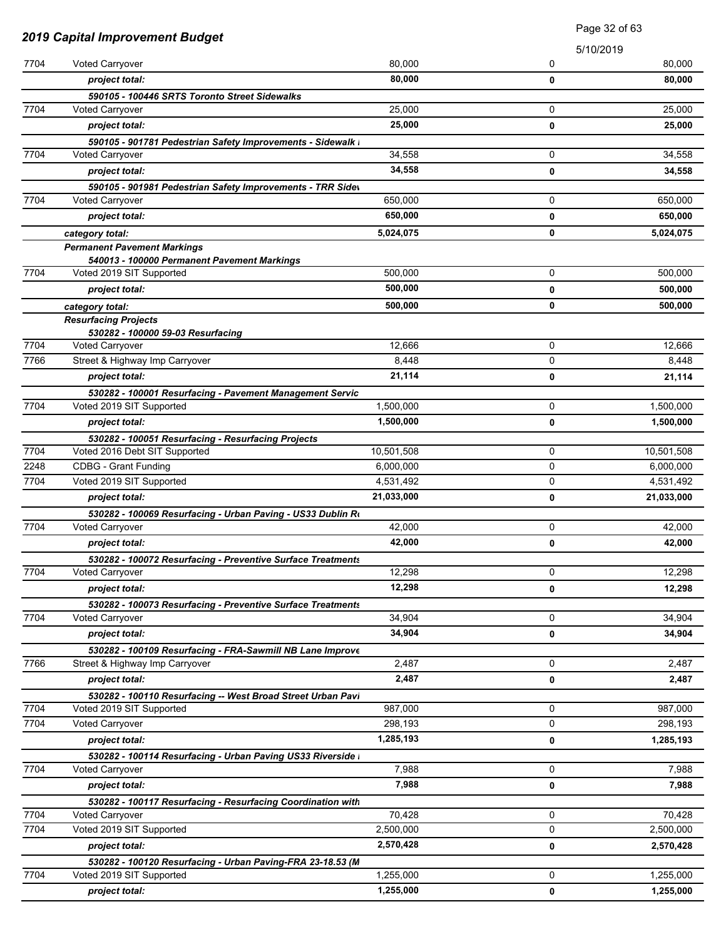|      |                                                                                       |                    | Page 32 of 63 |            |
|------|---------------------------------------------------------------------------------------|--------------------|---------------|------------|
|      | <b>2019 Capital Improvement Budget</b>                                                |                    | 5/10/2019     |            |
| 7704 | Voted Carryover                                                                       | 80,000             | 0             | 80,000     |
|      | project total:                                                                        | 80,000             | 0             | 80,000     |
|      | 590105 - 100446 SRTS Toronto Street Sidewalks                                         |                    |               |            |
| 7704 | <b>Voted Carryover</b>                                                                | 25,000             | 0             | 25,000     |
|      | project total:                                                                        | 25,000             | 0             | 25,000     |
|      | 590105 - 901781 Pedestrian Safety Improvements - Sidewalk I                           |                    |               |            |
| 7704 | <b>Voted Carryover</b>                                                                | 34,558             | 0             | 34,558     |
|      | project total:                                                                        | 34,558             | 0             | 34,558     |
|      | 590105 - 901981 Pedestrian Safety Improvements - TRR Sidev                            |                    |               |            |
| 7704 | <b>Voted Carryover</b>                                                                | 650,000<br>650,000 | 0             | 650,000    |
|      | project total:                                                                        |                    | 0             | 650,000    |
|      | category total:                                                                       | 5,024,075          | 0             | 5,024,075  |
|      | <b>Permanent Pavement Markings</b><br>540013 - 100000 Permanent Pavement Markings     |                    |               |            |
| 7704 | Voted 2019 SIT Supported                                                              | 500,000            | 0             | 500,000    |
|      | project total:                                                                        | 500,000            | 0             | 500,000    |
|      | category total:                                                                       | 500,000            | 0             | 500,000    |
|      | <b>Resurfacing Projects</b>                                                           |                    |               |            |
|      | 530282 - 100000 59-03 Resurfacing                                                     |                    |               |            |
| 7704 | Voted Carryover                                                                       | 12,666             | 0             | 12,666     |
| 7766 | Street & Highway Imp Carryover                                                        | 8,448              | 0             | 8,448      |
|      | project total:                                                                        | 21,114             | 0             | 21,114     |
|      | 530282 - 100001 Resurfacing - Pavement Management Servic                              |                    |               |            |
| 7704 | Voted 2019 SIT Supported                                                              | 1,500,000          | 0             | 1,500,000  |
|      | project total:                                                                        | 1,500,000          | 0             | 1,500,000  |
|      | 530282 - 100051 Resurfacing - Resurfacing Projects                                    |                    |               |            |
| 7704 | Voted 2016 Debt SIT Supported                                                         | 10,501,508         | 0             | 10,501,508 |
| 2248 | <b>CDBG - Grant Funding</b>                                                           | 6,000,000          | 0             | 6,000,000  |
| 7704 | Voted 2019 SIT Supported                                                              | 4,531,492          | 0             | 4,531,492  |
|      | project total:                                                                        | 21,033,000         | 0             | 21,033,000 |
|      | 530282 - 100069 Resurfacing - Urban Paving - US33 Dublin Ro                           |                    |               |            |
| 7704 | Voted Carryover                                                                       | 42,000             | 0             | 42,000     |
|      | project total:                                                                        | 42,000             | 0             | 42,000     |
| 7704 | 530282 - 100072 Resurfacing - Preventive Surface Treatments<br><b>Voted Carryover</b> | 12,298             | 0             | 12,298     |
|      | project total:                                                                        | 12,298             | 0             | 12,298     |
|      |                                                                                       |                    |               |            |
| 7704 | 530282 - 100073 Resurfacing - Preventive Surface Treatments<br>Voted Carryover        | 34,904             | 0             | 34,904     |
|      | project total:                                                                        | 34,904             | 0             | 34,904     |
|      | 530282 - 100109 Resurfacing - FRA-Sawmill NB Lane Improve                             |                    |               |            |
| 7766 | Street & Highway Imp Carryover                                                        | 2,487              | 0             | 2,487      |
|      | project total:                                                                        | 2,487              | 0             | 2,487      |
|      | 530282 - 100110 Resurfacing -- West Broad Street Urban Pavi                           |                    |               |            |
| 7704 | Voted 2019 SIT Supported                                                              | 987,000            | 0             | 987,000    |
| 7704 | <b>Voted Carryover</b>                                                                | 298,193            | 0             | 298,193    |
|      | project total:                                                                        | 1,285,193          | 0             | 1,285,193  |
|      | 530282 - 100114 Resurfacing - Urban Paving US33 Riverside I                           |                    |               |            |
| 7704 | <b>Voted Carryover</b>                                                                | 7,988              | 0             | 7,988      |
|      | project total:                                                                        | 7,988              | 0             | 7,988      |
|      | 530282 - 100117 Resurfacing - Resurfacing Coordination with                           |                    |               |            |
| 7704 | Voted Carryover                                                                       | 70,428             | 0             | 70,428     |
| 7704 | Voted 2019 SIT Supported                                                              | 2,500,000          | 0             | 2,500,000  |
|      | project total:                                                                        | 2,570,428          | 0             | 2,570,428  |
|      | 530282 - 100120 Resurfacing - Urban Paving-FRA 23-18.53 (M                            |                    |               |            |
| 7704 | Voted 2019 SIT Supported                                                              | 1,255,000          | 0             | 1,255,000  |
|      | project total:                                                                        | 1,255,000          | 0             | 1,255,000  |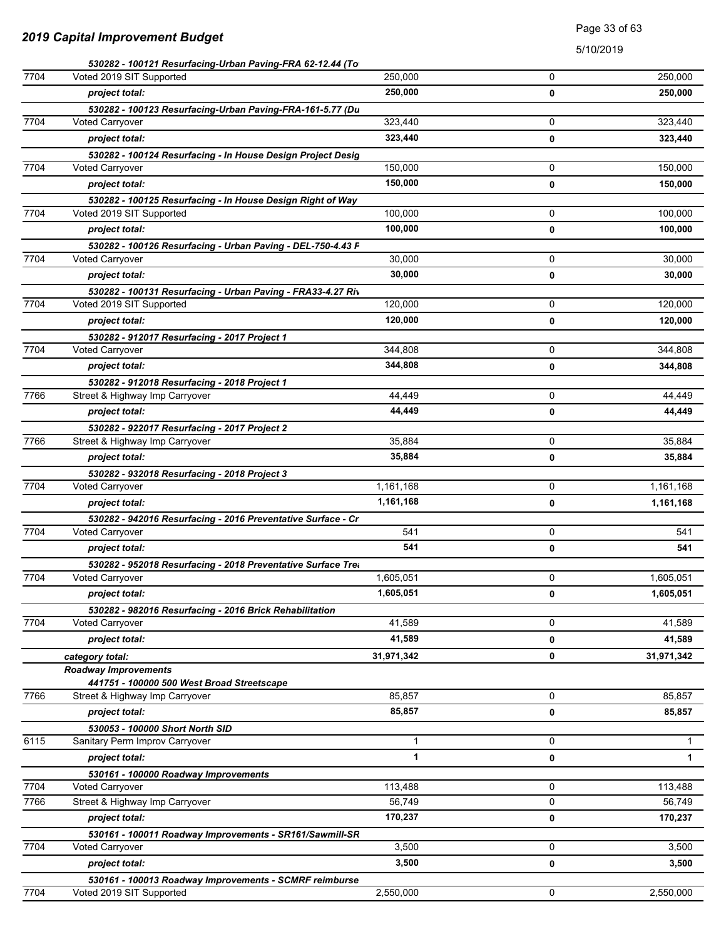|      | 530282 - 100121 Resurfacing-Urban Paving-FRA 62-12.44 (To    |              |   |              |
|------|--------------------------------------------------------------|--------------|---|--------------|
| 7704 | Voted 2019 SIT Supported                                     | 250,000      | 0 | 250,000      |
|      | project total:                                               | 250,000      | 0 | 250,000      |
|      | 530282 - 100123 Resurfacing-Urban Paving-FRA-161-5.77 (Du    |              |   |              |
| 7704 | <b>Voted Carryover</b>                                       | 323,440      | 0 | 323,440      |
|      | project total:                                               | 323,440      | 0 | 323,440      |
|      | 530282 - 100124 Resurfacing - In House Design Project Desig  |              |   |              |
| 7704 | Voted Carryover                                              | 150,000      | 0 | 150,000      |
|      | project total:                                               | 150,000      | 0 | 150,000      |
|      | 530282 - 100125 Resurfacing - In House Design Right of Way   |              |   |              |
| 7704 | Voted 2019 SIT Supported                                     | 100,000      | 0 | 100,000      |
|      | project total:                                               | 100,000      | 0 | 100,000      |
|      | 530282 - 100126 Resurfacing - Urban Paving - DEL-750-4.43 P  |              |   |              |
| 7704 | <b>Voted Carryover</b>                                       | 30,000       | 0 | 30,000       |
|      | project total:                                               | 30,000       | 0 | 30,000       |
|      | 530282 - 100131 Resurfacing - Urban Paving - FRA33-4.27 Riv  |              |   |              |
| 7704 | Voted 2019 SIT Supported                                     | 120,000      | 0 | 120,000      |
|      | project total:                                               | 120,000      | 0 | 120,000      |
|      | 530282 - 912017 Resurfacing - 2017 Project 1                 |              |   |              |
| 7704 | Voted Carryover                                              | 344,808      | 0 | 344,808      |
|      | project total:                                               | 344,808      | 0 | 344,808      |
|      | 530282 - 912018 Resurfacing - 2018 Project 1                 |              |   |              |
| 7766 | Street & Highway Imp Carryover                               | 44,449       | 0 | 44,449       |
|      | project total:                                               | 44,449       | 0 | 44,449       |
|      | 530282 - 922017 Resurfacing - 2017 Project 2                 |              |   |              |
| 7766 | Street & Highway Imp Carryover                               | 35,884       | 0 | 35,884       |
|      | project total:                                               | 35,884       | 0 | 35,884       |
|      | 530282 - 932018 Resurfacing - 2018 Project 3                 |              |   |              |
| 7704 | Voted Carryover                                              | 1,161,168    | 0 | 1,161,168    |
|      | project total:                                               | 1,161,168    | 0 | 1,161,168    |
|      | 530282 - 942016 Resurfacing - 2016 Preventative Surface - Cr |              |   |              |
| 7704 | Voted Carryover                                              | 541          | 0 | 541          |
|      | project total:                                               | 541          | 0 | 541          |
|      | 530282 - 952018 Resurfacing - 2018 Preventative Surface Trea |              |   |              |
| 7704 | Voted Carryover                                              | 1,605,051    | 0 | 1,605,051    |
|      | project total:                                               | 1,605,051    | 0 | 1,605,051    |
|      | 530282 - 982016 Resurfacing - 2016 Brick Rehabilitation      |              |   |              |
| 7704 | <b>Voted Carryover</b>                                       | 41,589       | 0 | 41,589       |
|      | project total:                                               | 41,589       | 0 | 41,589       |
|      | category total:                                              | 31,971,342   | 0 | 31,971,342   |
|      | <b>Roadway Improvements</b>                                  |              |   |              |
|      | 441751 - 100000 500 West Broad Streetscape                   |              |   |              |
| 7766 | Street & Highway Imp Carryover                               | 85,857       | 0 | 85,857       |
|      | project total:                                               | 85,857       | 0 | 85,857       |
|      | 530053 - 100000 Short North SID                              |              |   |              |
| 6115 | Sanitary Perm Improv Carryover                               | 1            | 0 | $\mathbf 1$  |
|      | project total:                                               | $\mathbf{1}$ | 0 | $\mathbf{1}$ |
|      | 530161 - 100000 Roadway Improvements                         |              |   |              |
| 7704 | <b>Voted Carryover</b>                                       | 113,488      | 0 | 113,488      |
| 7766 | Street & Highway Imp Carryover                               | 56,749       | 0 | 56,749       |
|      | project total:                                               | 170,237      | 0 | 170,237      |
|      | 530161 - 100011 Roadway Improvements - SR161/Sawmill-SR      |              |   |              |
| 7704 | Voted Carryover                                              | 3,500        | 0 | 3,500        |
|      | project total:                                               | 3,500        | 0 | 3,500        |
|      | 530161 - 100013 Roadway Improvements - SCMRF reimburse       |              |   |              |
| 7704 | Voted 2019 SIT Supported                                     | 2,550,000    | 0 | 2,550,000    |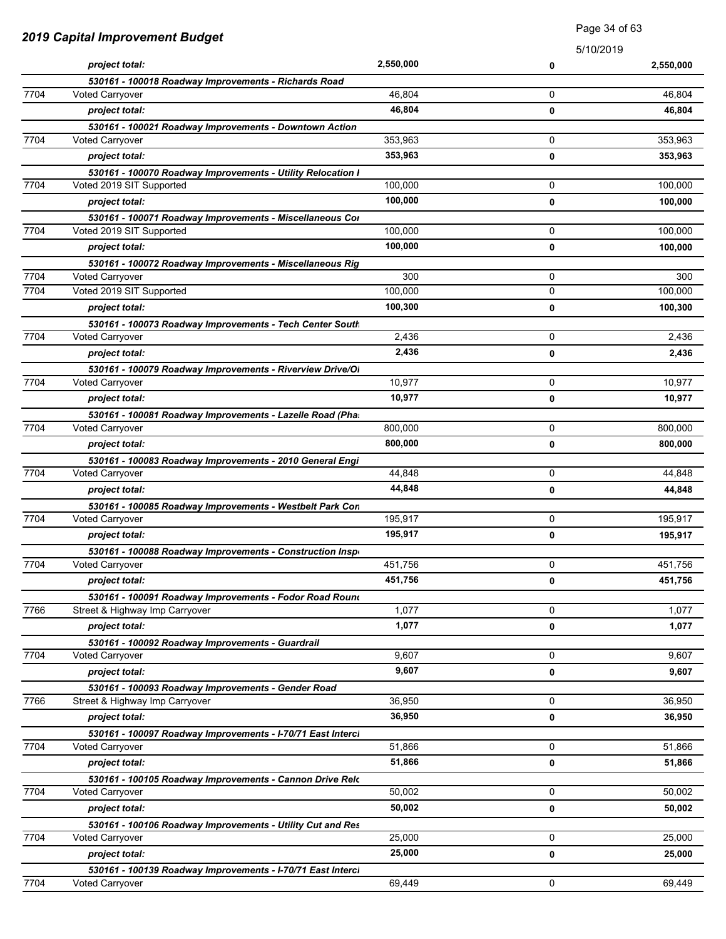| 2019 Capital Improvement Budget |                                                             | raye u4 ui uu |           |           |
|---------------------------------|-------------------------------------------------------------|---------------|-----------|-----------|
|                                 |                                                             |               | 5/10/2019 |           |
|                                 | project total:                                              | 2,550,000     | 0         | 2,550,000 |
|                                 | 530161 - 100018 Roadway Improvements - Richards Road        |               |           |           |
| 7704                            | <b>Voted Carryover</b>                                      | 46,804        | 0         | 46,804    |
|                                 | project total:                                              | 46,804        | 0         | 46,804    |
|                                 | 530161 - 100021 Roadway Improvements - Downtown Action      |               |           |           |
| 7704                            | <b>Voted Carryover</b>                                      | 353,963       | 0         | 353,963   |
|                                 | project total:                                              | 353,963       | 0         | 353,963   |
|                                 | 530161 - 100070 Roadway Improvements - Utility Relocation I |               |           |           |
| 7704                            | Voted 2019 SIT Supported                                    | 100,000       | 0         | 100,000   |
|                                 | project total:                                              | 100,000       | 0         | 100,000   |
|                                 | 530161 - 100071 Roadway Improvements - Miscellaneous Cor    |               |           |           |
| 7704                            | Voted 2019 SIT Supported                                    | 100,000       | 0         | 100,000   |
|                                 | project total:                                              | 100,000       | 0         | 100,000   |
|                                 | 530161 - 100072 Roadway Improvements - Miscellaneous Rig    |               |           |           |
| 7704                            | <b>Voted Carryover</b>                                      | 300           | 0         | 300       |
| 7704                            | Voted 2019 SIT Supported                                    | 100,000       | 0         | 100,000   |
|                                 | project total:                                              | 100,300       | 0         | 100,300   |
|                                 | 530161 - 100073 Roadway Improvements - Tech Center South    |               |           |           |
| 7704                            | Voted Carryover                                             | 2,436         | 0         | 2,436     |
|                                 | project total:                                              | 2,436         | 0         | 2,436     |
|                                 | 530161 - 100079 Roadway Improvements - Riverview Drive/OI   |               |           |           |
| 7704                            | Voted Carryover                                             | 10,977        | 0         | 10,977    |
|                                 | project total:                                              | 10,977        | 0         | 10,977    |
|                                 | 530161 - 100081 Roadway Improvements - Lazelle Road (Pha.   |               |           |           |
| 7704                            | <b>Voted Carryover</b>                                      | 800,000       | 0         | 800,000   |
|                                 | project total:                                              | 800,000       | 0         | 800,000   |
|                                 | 530161 - 100083 Roadway Improvements - 2010 General Engi    |               |           |           |
| 7704                            | <b>Voted Carryover</b>                                      | 44,848        | 0         | 44,848    |
|                                 | project total:                                              | 44,848        | 0         | 44,848    |
|                                 | 530161 - 100085 Roadway Improvements - Westbelt Park Con    |               |           |           |
| 7704                            | Voted Carryover                                             | 195,917       | 0         | 195,917   |
|                                 | project total:                                              | 195,917       | 0         | 195,917   |
|                                 | 530161 - 100088 Roadway Improvements - Construction Inspe   |               |           |           |
| 7704                            | Voted Carryover                                             | 451,756       | 0         | 451,756   |
|                                 | project total:                                              | 451,756       | 0         | 451,756   |
|                                 | 530161 - 100091 Roadway Improvements - Fodor Road Round     |               |           |           |
| 7766                            | Street & Highway Imp Carryover                              | 1,077         | 0         | 1,077     |
|                                 | project total:                                              | 1,077         | 0         | 1,077     |
|                                 | 530161 - 100092 Roadway Improvements - Guardrail            |               |           |           |
| 7704                            | <b>Voted Carryover</b>                                      | 9,607         | 0         | 9,607     |
|                                 | project total:                                              | 9,607         | 0         | 9,607     |
|                                 | 530161 - 100093 Roadway Improvements - Gender Road          |               |           |           |
| 7766                            | Street & Highway Imp Carryover                              | 36,950        | 0         | 36,950    |
|                                 | project total:                                              | 36,950        | 0         | 36,950    |
|                                 | 530161 - 100097 Roadway Improvements - I-70/71 East Interci |               |           |           |
| 7704                            | Voted Carryover                                             | 51,866        | 0         | 51,866    |
|                                 | project total:                                              | 51,866        | 0         | 51,866    |
|                                 | 530161 - 100105 Roadway Improvements - Cannon Drive Relc    |               |           |           |
| 7704                            | Voted Carryover                                             | 50,002        | 0         | 50,002    |
|                                 | project total:                                              | 50,002        | 0         | 50,002    |
|                                 | 530161 - 100106 Roadway Improvements - Utility Cut and Res  |               |           |           |
| 7704                            | <b>Voted Carryover</b>                                      | 25,000        | 0         | 25,000    |
|                                 | project total:                                              | 25,000        | 0         | 25,000    |
|                                 | 530161 - 100139 Roadway Improvements - I-70/71 East Interci |               |           |           |
| 7704                            | <b>Voted Carryover</b>                                      | 69,449        | 0         | 69,449    |

Page 34 of 63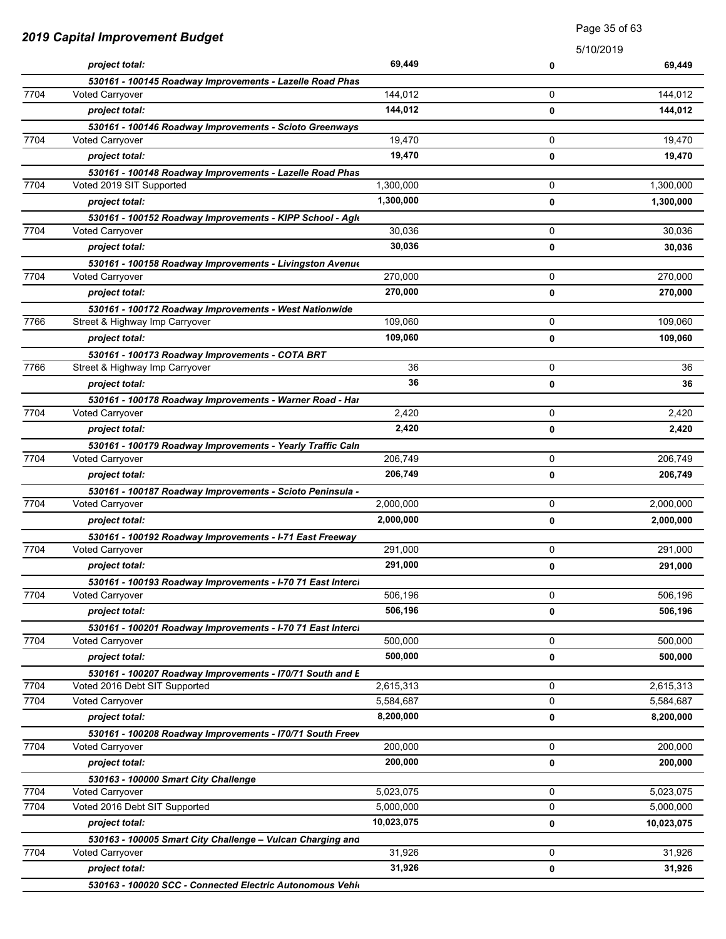| <b>2019 Capital Improvement Budget</b> |                                                                                            | Page 35 of 63          |             |            |
|----------------------------------------|--------------------------------------------------------------------------------------------|------------------------|-------------|------------|
|                                        |                                                                                            |                        | 5/10/2019   |            |
|                                        | project total:                                                                             | 69,449                 | 0           | 69,449     |
|                                        | 530161 - 100145 Roadway Improvements - Lazelle Road Phas                                   |                        |             |            |
| 7704                                   | <b>Voted Carryover</b>                                                                     | 144,012                | 0           | 144,012    |
|                                        | project total:                                                                             | 144,012                | 0           | 144,012    |
|                                        | 530161 - 100146 Roadway Improvements - Scioto Greenways                                    |                        |             |            |
| 7704                                   | <b>Voted Carryover</b>                                                                     | 19,470                 | 0           | 19,470     |
|                                        | project total:                                                                             | 19,470                 | 0           | 19,470     |
|                                        | 530161 - 100148 Roadway Improvements - Lazelle Road Phas                                   |                        |             | 1,300,000  |
| 7704                                   | Voted 2019 SIT Supported                                                                   | 1,300,000<br>1,300,000 | 0           |            |
|                                        | project total:                                                                             |                        | 0           | 1,300,000  |
| 7704                                   | 530161 - 100152 Roadway Improvements - KIPP School - Agk<br><b>Voted Carryover</b>         | 30,036                 | 0           | 30,036     |
|                                        | project total:                                                                             | 30,036                 | 0           | 30,036     |
|                                        |                                                                                            |                        |             |            |
| 7704                                   | 530161 - 100158 Roadway Improvements - Livingston Avenue<br>Voted Carryover                | 270,000                | 0           | 270,000    |
|                                        | project total:                                                                             | 270,000                | 0           | 270,000    |
|                                        | 530161 - 100172 Roadway Improvements - West Nationwide                                     |                        |             |            |
| 7766                                   | Street & Highway Imp Carryover                                                             | 109,060                | 0           | 109,060    |
|                                        | project total:                                                                             | 109,060                | 0           | 109,060    |
|                                        | 530161 - 100173 Roadway Improvements - COTA BRT                                            |                        |             |            |
| 7766                                   | Street & Highway Imp Carryover                                                             | 36                     | 0           | 36         |
|                                        | project total:                                                                             | 36                     | 0           | 36         |
|                                        | 530161 - 100178 Roadway Improvements - Warner Road - Har                                   |                        |             |            |
| 7704                                   | Voted Carryover                                                                            | 2,420                  | 0           | 2,420      |
|                                        | project total:                                                                             | 2,420                  | 0           | 2,420      |
|                                        | 530161 - 100179 Roadway Improvements - Yearly Traffic Caln                                 |                        |             |            |
| 7704                                   | Voted Carryover                                                                            | 206,749                | 0           | 206,749    |
|                                        | project total:                                                                             | 206,749                | 0           | 206,749    |
|                                        | 530161 - 100187 Roadway Improvements - Scioto Peninsula -                                  |                        |             |            |
| 7704                                   | Voted Carryover                                                                            | 2,000,000              | 0           | 2,000,000  |
|                                        | project total:                                                                             | 2,000,000              | 0           | 2,000,000  |
|                                        | 530161 - 100192 Roadway Improvements - I-71 East Freeway                                   |                        |             |            |
| 7704                                   | Voted Carryover                                                                            | 291,000                | $\Omega$    | 291,000    |
|                                        | project total:                                                                             | 291,000                | 0           | 291,000    |
|                                        | 530161 - 100193 Roadway Improvements - I-70 71 East Interci                                |                        |             |            |
| 7704                                   | <b>Voted Carryover</b>                                                                     | 506,196                | $\mathbf 0$ | 506,196    |
|                                        | project total:                                                                             | 506,196                | 0           | 506,196    |
| 7704                                   | 530161 - 100201 Roadway Improvements - I-70 71 East Interci<br><b>Voted Carryover</b>      | 500,000                | 0           | 500,000    |
|                                        |                                                                                            | 500,000                | $\mathbf 0$ | 500,000    |
|                                        | project total:                                                                             |                        |             |            |
| 7704                                   | 530161 - 100207 Roadway Improvements - I70/71 South and E<br>Voted 2016 Debt SIT Supported | 2,615,313              | $\mathbf 0$ | 2,615,313  |
| 7704                                   | Voted Carryover                                                                            | 5,584,687              | 0           | 5,584,687  |
|                                        | project total:                                                                             | 8,200,000              | 0           | 8,200,000  |
|                                        | 530161 - 100208 Roadway Improvements - I70/71 South Freev                                  |                        |             |            |
| 7704                                   | <b>Voted Carryover</b>                                                                     | 200,000                | 0           | 200,000    |
|                                        | project total:                                                                             | 200,000                | 0           | 200,000    |
|                                        | 530163 - 100000 Smart City Challenge                                                       |                        |             |            |
| 7704                                   | <b>Voted Carryover</b>                                                                     | 5,023,075              | 0           | 5,023,075  |
| 7704                                   | Voted 2016 Debt SIT Supported                                                              | 5,000,000              | 0           | 5,000,000  |
|                                        | project total:                                                                             | 10,023,075             | 0           | 10,023,075 |
|                                        | 530163 - 100005 Smart City Challenge - Vulcan Charging and                                 |                        |             |            |
| 7704                                   | <b>Voted Carryover</b>                                                                     | 31,926                 | 0           | 31,926     |
|                                        | project total:                                                                             | 31,926                 | 0           | 31,926     |
|                                        | 530163 - 100020 SCC - Connected Electric Autonomous Vehio                                  |                        |             |            |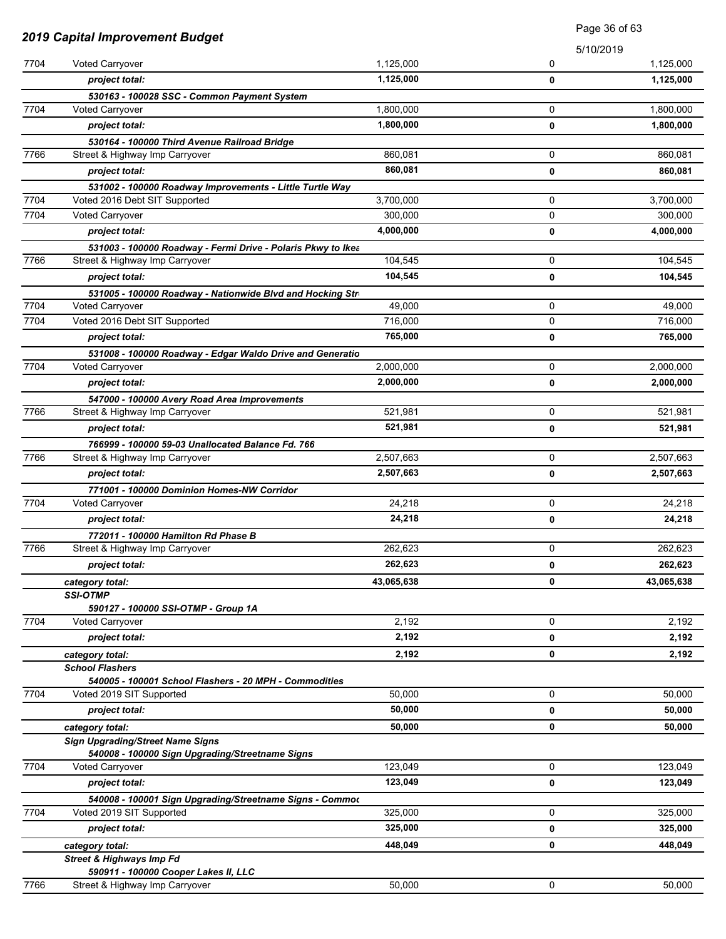| <b>2019 Capital Improvement Budget</b> |                                                                                      |            | Page 36 of 63 |            |
|----------------------------------------|--------------------------------------------------------------------------------------|------------|---------------|------------|
|                                        |                                                                                      |            | 5/10/2019     |            |
| 7704                                   | Voted Carryover                                                                      | 1,125,000  | 0             | 1,125,000  |
|                                        | project total:                                                                       | 1,125,000  | 0             | 1,125,000  |
|                                        | 530163 - 100028 SSC - Common Payment System                                          |            |               |            |
| 7704                                   | <b>Voted Carryover</b>                                                               | 1,800,000  | 0             | 1,800,000  |
|                                        | project total:                                                                       | 1,800,000  | 0             | 1,800,000  |
|                                        | 530164 - 100000 Third Avenue Railroad Bridge                                         |            |               |            |
| 7766                                   | Street & Highway Imp Carryover                                                       | 860,081    | 0             | 860,081    |
|                                        | project total:                                                                       | 860,081    | 0             | 860,081    |
|                                        | 531002 - 100000 Roadway Improvements - Little Turtle Way                             |            |               |            |
| 7704                                   | Voted 2016 Debt SIT Supported                                                        | 3,700,000  | 0             | 3,700,000  |
| 7704                                   | Voted Carryover                                                                      | 300,000    | 0             | 300,000    |
|                                        | project total:                                                                       | 4,000,000  | 0             | 4,000,000  |
|                                        | 531003 - 100000 Roadway - Fermi Drive - Polaris Pkwy to Ikea                         |            |               |            |
| 7766                                   | Street & Highway Imp Carryover                                                       | 104,545    | 0             | 104,545    |
|                                        | project total:                                                                       | 104,545    | 0             | 104,545    |
|                                        | 531005 - 100000 Roadway - Nationwide Blvd and Hocking Str                            |            |               |            |
| 7704                                   | Voted Carryover                                                                      | 49,000     | 0             | 49,000     |
| 7704                                   | Voted 2016 Debt SIT Supported                                                        | 716,000    | 0             | 716,000    |
|                                        | project total:                                                                       | 765,000    | 0             | 765,000    |
|                                        | 531008 - 100000 Roadway - Edgar Waldo Drive and Generatio                            |            |               |            |
| 7704                                   | <b>Voted Carryover</b>                                                               | 2,000,000  | 0             | 2,000,000  |
|                                        | project total:                                                                       | 2,000,000  | 0             | 2,000,000  |
|                                        | 547000 - 100000 Avery Road Area Improvements                                         |            |               |            |
| 7766                                   | Street & Highway Imp Carryover                                                       | 521,981    | 0             | 521,981    |
|                                        | project total:                                                                       | 521,981    | 0             | 521,981    |
| 7766                                   | 766999 - 100000 59-03 Unallocated Balance Fd. 766<br>Street & Highway Imp Carryover  | 2,507,663  | 0             | 2,507,663  |
|                                        | project total:                                                                       | 2,507,663  | 0             |            |
|                                        |                                                                                      |            |               | 2,507,663  |
| 7704                                   | 771001 - 100000 Dominion Homes-NW Corridor<br>Voted Carryover                        | 24,218     | 0             | 24,218     |
|                                        | project total:                                                                       | 24,218     | 0             | 24,218     |
|                                        | 772011 - 100000 Hamilton Rd Phase B                                                  |            |               |            |
| 7766                                   | Street & Highway Imp Carryover                                                       | 262,623    | 0             | 262,623    |
|                                        | project total:                                                                       | 262,623    | 0             | 262,623    |
|                                        |                                                                                      | 43,065,638 | 0             | 43,065,638 |
|                                        | category total:<br><b>SSI-OTMP</b>                                                   |            |               |            |
|                                        | 590127 - 100000 SSI-OTMP - Group 1A                                                  |            |               |            |
| 7704                                   | Voted Carryover                                                                      | 2,192      | 0             | 2,192      |
|                                        | project total:                                                                       | 2,192      | 0             | 2,192      |
|                                        | category total:                                                                      | 2,192      | 0             | 2,192      |
|                                        | <b>School Flashers</b>                                                               |            |               |            |
|                                        | 540005 - 100001 School Flashers - 20 MPH - Commodities                               |            |               |            |
| 7704                                   | Voted 2019 SIT Supported                                                             | 50,000     | 0             | 50,000     |
|                                        | project total:                                                                       | 50,000     | 0             | 50,000     |
|                                        | category total:                                                                      | 50,000     | 0             | 50,000     |
|                                        | <b>Sign Upgrading/Street Name Signs</b>                                              |            |               |            |
|                                        | 540008 - 100000 Sign Upgrading/Streetname Signs                                      | 123,049    | 0             | 123,049    |
| 7704                                   | Voted Carryover                                                                      |            |               |            |
|                                        | project total:                                                                       | 123,049    | 0             | 123,049    |
| 7704                                   | 540008 - 100001 Sign Upgrading/Streetname Signs - Commoc<br>Voted 2019 SIT Supported | 325,000    | 0             | 325,000    |
|                                        |                                                                                      | 325,000    |               |            |
|                                        | project total:                                                                       |            | 0             | 325,000    |
|                                        | category total:                                                                      | 448,049    | 0             | 448,049    |
|                                        | <b>Street &amp; Highways Imp Fd</b><br>590911 - 100000 Cooper Lakes II, LLC          |            |               |            |
| 7766                                   | Street & Highway Imp Carryover                                                       | 50,000     | 0             | 50,000     |
|                                        |                                                                                      |            |               |            |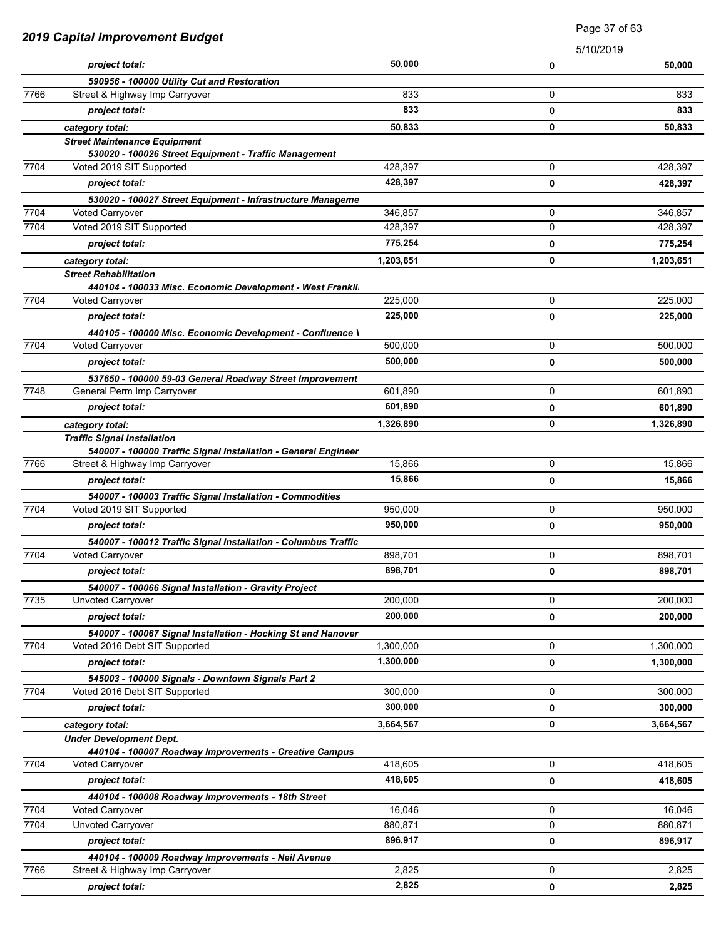| 2019 Capital Improvement Budget |                                                                                   | raye or or oo |           |           |
|---------------------------------|-----------------------------------------------------------------------------------|---------------|-----------|-----------|
|                                 |                                                                                   |               | 5/10/2019 |           |
|                                 | project total:                                                                    | 50,000        | 0         | 50,000    |
|                                 | 590956 - 100000 Utility Cut and Restoration                                       |               |           |           |
| 7766                            | Street & Highway Imp Carryover                                                    | 833           | 0         | 833       |
|                                 | project total:                                                                    | 833           | 0         | 833       |
|                                 | category total:                                                                   | 50,833        | 0         | 50,833    |
|                                 | <b>Street Maintenance Equipment</b>                                               |               |           |           |
| 7704                            | 530020 - 100026 Street Equipment - Traffic Management<br>Voted 2019 SIT Supported | 428,397       | 0         | 428,397   |
|                                 | project total:                                                                    | 428,397       |           | 428,397   |
|                                 |                                                                                   |               | 0         |           |
| 7704                            | 530020 - 100027 Street Equipment - Infrastructure Manageme<br>Voted Carryover     | 346,857       | 0         | 346,857   |
| 7704                            | Voted 2019 SIT Supported                                                          | 428,397       | 0         | 428,397   |
|                                 | project total:                                                                    | 775,254       |           | 775,254   |
|                                 |                                                                                   |               | 0         |           |
|                                 | category total:<br><b>Street Rehabilitation</b>                                   | 1,203,651     | 0         | 1,203,651 |
|                                 | 440104 - 100033 Misc. Economic Development - West Franklin                        |               |           |           |
| 7704                            | <b>Voted Carryover</b>                                                            | 225,000       | 0         | 225,000   |
|                                 | project total:                                                                    | 225,000       | 0         | 225,000   |
|                                 | 440105 - 100000 Misc. Economic Development - Confluence \                         |               |           |           |
| 7704                            | <b>Voted Carryover</b>                                                            | 500,000       | 0         | 500,000   |
|                                 | project total:                                                                    | 500,000       | 0         | 500,000   |
|                                 | 537650 - 100000 59-03 General Roadway Street Improvement                          |               |           |           |
| 7748                            | General Perm Imp Carryover                                                        | 601,890       | 0         | 601,890   |
|                                 | project total:                                                                    | 601,890       | 0         | 601,890   |
|                                 | category total:                                                                   | 1,326,890     | 0         | 1,326,890 |
|                                 | <b>Traffic Signal Installation</b>                                                |               |           |           |
|                                 | 540007 - 100000 Traffic Signal Installation - General Engineer                    |               |           |           |
| 7766                            | Street & Highway Imp Carryover                                                    | 15,866        | 0         | 15,866    |
|                                 | project total:                                                                    | 15,866        | 0         | 15,866    |
|                                 | 540007 - 100003 Traffic Signal Installation - Commodities                         |               |           |           |
| 7704                            | Voted 2019 SIT Supported                                                          | 950,000       | 0         | 950,000   |
|                                 | project total:                                                                    | 950,000       | 0         | 950,000   |
|                                 | 540007 - 100012 Traffic Signal Installation - Columbus Traffic                    |               |           |           |
| 7704                            | Voted Carryover                                                                   | 898,701       | 0         | 898,701   |
|                                 | project total:                                                                    | 898,701       | 0         | 898,701   |
|                                 | 540007 - 100066 Signal Installation - Gravity Project                             |               |           |           |
| 7735                            | Unvoted Carryover                                                                 | 200,000       | 0         | 200,000   |
|                                 | project total:                                                                    | 200,000       | 0         | 200,000   |
|                                 | 540007 - 100067 Signal Installation - Hocking St and Hanover                      |               |           |           |
| 7704                            | Voted 2016 Debt SIT Supported                                                     | 1,300,000     | 0         | 1,300,000 |
|                                 | project total:                                                                    | 1,300,000     | 0         | 1,300,000 |
|                                 | 545003 - 100000 Signals - Downtown Signals Part 2                                 |               |           |           |
| 7704                            | Voted 2016 Debt SIT Supported                                                     | 300,000       | 0         | 300,000   |
|                                 | project total:                                                                    | 300,000       | 0         | 300,000   |
|                                 | category total:                                                                   | 3,664,567     | 0         | 3,664,567 |
|                                 | <b>Under Development Dept.</b>                                                    |               |           |           |
|                                 | 440104 - 100007 Roadway Improvements - Creative Campus                            |               |           |           |
| 7704                            | Voted Carryover                                                                   | 418,605       | 0         | 418,605   |
|                                 | project total:                                                                    | 418,605       | 0         | 418,605   |
|                                 | 440104 - 100008 Roadway Improvements - 18th Street                                |               |           |           |
| 7704                            | <b>Voted Carryover</b>                                                            | 16,046        | 0         | 16,046    |
| 7704                            | Unvoted Carryover                                                                 | 880,871       | 0         | 880,871   |
|                                 | project total:                                                                    | 896,917       | 0         | 896,917   |
|                                 | 440104 - 100009 Roadway Improvements - Neil Avenue                                |               |           |           |
| 7766                            | Street & Highway Imp Carryover                                                    | 2,825         | 0         | 2,825     |
|                                 | project total:                                                                    | 2,825         | 0         | 2,825     |

Page 37 of 63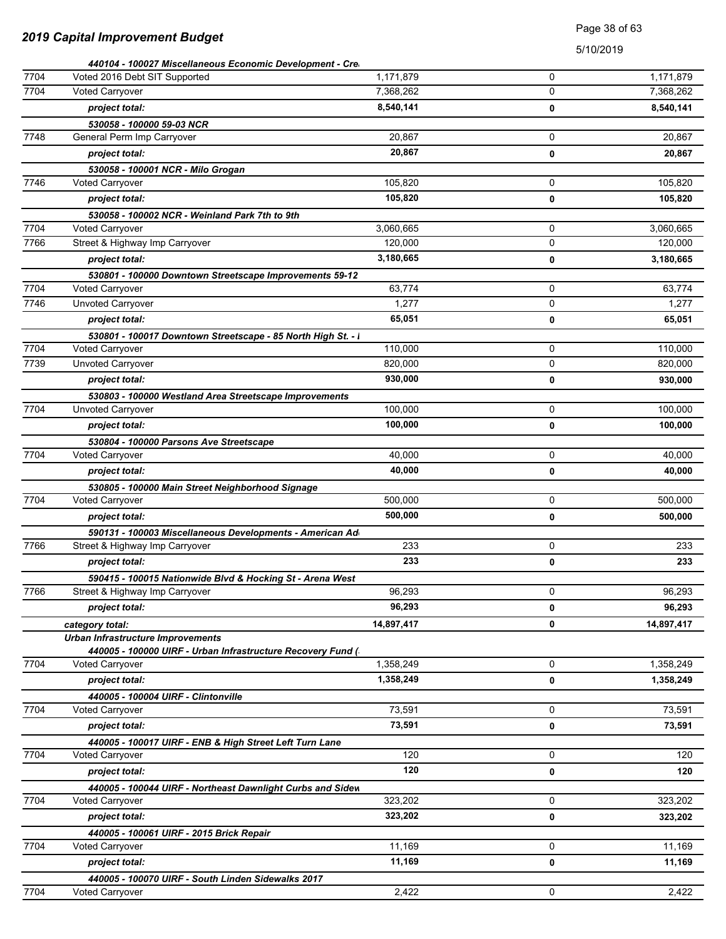### Page 38 of 63

|      | 440104 - 100027 Miscellaneous Economic Development - Cre     |            |             |            |
|------|--------------------------------------------------------------|------------|-------------|------------|
| 7704 | Voted 2016 Debt SIT Supported                                | 1,171,879  | 0           | 1,171,879  |
| 7704 | Voted Carryover                                              | 7,368,262  | 0           | 7,368,262  |
|      | project total:                                               | 8,540,141  | 0           | 8,540,141  |
|      | 530058 - 100000 59-03 NCR                                    |            |             |            |
| 7748 | General Perm Imp Carryover                                   | 20.867     | $\mathbf 0$ | 20,867     |
|      | project total:                                               | 20,867     | 0           | 20,867     |
|      | 530058 - 100001 NCR - Milo Grogan                            |            |             |            |
| 7746 | <b>Voted Carryover</b>                                       | 105,820    | 0           | 105,820    |
|      | project total:                                               | 105,820    | 0           | 105,820    |
|      | 530058 - 100002 NCR - Weinland Park 7th to 9th               |            |             |            |
| 7704 | <b>Voted Carryover</b>                                       | 3,060,665  | 0           | 3,060,665  |
| 7766 | Street & Highway Imp Carryover                               | 120,000    | 0           | 120,000    |
|      | project total:                                               | 3,180,665  | 0           | 3,180,665  |
|      | 530801 - 100000 Downtown Streetscape Improvements 59-12      |            |             |            |
| 7704 | Voted Carryover                                              | 63,774     | 0           | 63,774     |
| 7746 | Unvoted Carryover                                            | 1,277      | $\mathbf 0$ | 1,277      |
|      | project total:                                               | 65,051     | 0           | 65,051     |
|      | 530801 - 100017 Downtown Streetscape - 85 North High St. - I |            |             |            |
| 7704 | <b>Voted Carryover</b>                                       | 110,000    | 0           | 110,000    |
| 7739 | <b>Unvoted Carryover</b>                                     | 820,000    | 0           | 820,000    |
|      | project total:                                               | 930,000    | 0           | 930,000    |
|      | 530803 - 100000 Westland Area Streetscape Improvements       |            |             |            |
| 7704 | Unvoted Carryover                                            | 100,000    | 0           | 100,000    |
|      | project total:                                               | 100,000    | 0           | 100,000    |
|      | 530804 - 100000 Parsons Ave Streetscape                      |            |             |            |
| 7704 | Voted Carryover                                              | 40,000     | 0           | 40,000     |
|      | project total:                                               | 40,000     | 0           | 40,000     |
|      | 530805 - 100000 Main Street Neighborhood Signage             |            |             |            |
| 7704 | Voted Carryover                                              | 500,000    | 0           | 500,000    |
|      | project total:                                               | 500,000    | 0           | 500,000    |
|      | 590131 - 100003 Miscellaneous Developments - American Ad     |            |             |            |
| 7766 | Street & Highway Imp Carryover                               | 233        | 0           | 233        |
|      | project total:                                               | 233        | 0           | 233        |
|      | 590415 - 100015 Nationwide Blvd & Hocking St - Arena West    |            |             |            |
| 7766 | Street & Highway Imp Carryover                               | 96,293     | 0           | 96,293     |
|      | project total:                                               | 96,293     | 0           | 96,293     |
|      |                                                              | 14,897,417 | 0           | 14,897,417 |
|      | category total:<br><b>Urban Infrastructure Improvements</b>  |            |             |            |
|      | 440005 - 100000 UIRF - Urban Infrastructure Recovery Fund (  |            |             |            |
| 7704 | <b>Voted Carryover</b>                                       | 1,358,249  | $\mathbf 0$ | 1,358,249  |
|      | project total:                                               | 1,358,249  | 0           | 1,358,249  |
|      | 440005 - 100004 UIRF - Clintonville                          |            |             |            |
| 7704 | <b>Voted Carryover</b>                                       | 73,591     | $\mathbf 0$ | 73,591     |
|      | project total:                                               | 73,591     | 0           | 73,591     |
|      | 440005 - 100017 UIRF - ENB & High Street Left Turn Lane      |            |             |            |
| 7704 | <b>Voted Carryover</b>                                       | 120        | 0           | 120        |
|      | project total:                                               | 120        | 0           | 120        |
|      | 440005 - 100044 UIRF - Northeast Dawnlight Curbs and Sidew   |            |             |            |
| 7704 | <b>Voted Carryover</b>                                       | 323,202    | 0           | 323,202    |
|      | project total:                                               | 323,202    | 0           | 323,202    |
|      | 440005 - 100061 UIRF - 2015 Brick Repair                     |            |             |            |
| 7704 | Voted Carryover                                              | 11,169     | 0           | 11,169     |
|      | project total:                                               | 11,169     | 0           | 11,169     |
|      | 440005 - 100070 UIRF - South Linden Sidewalks 2017           |            |             |            |
| 7704 | Voted Carryover                                              | 2,422      | 0           | 2,422      |
|      |                                                              |            |             |            |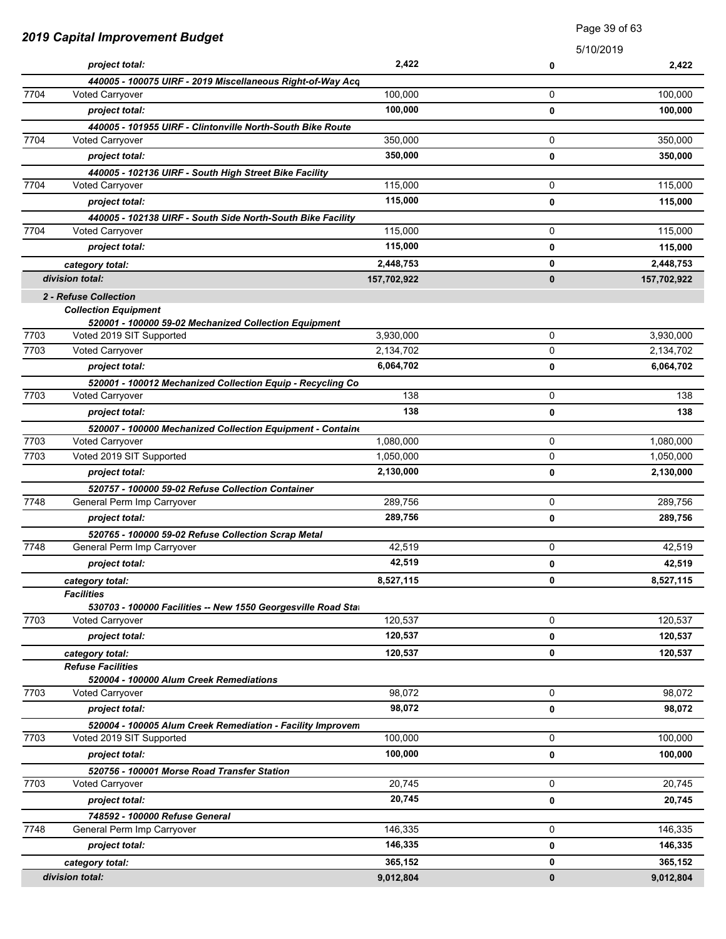| 2019 Capital Improvement Budget |                                                                                         | Page 39 of 63 |           |             |
|---------------------------------|-----------------------------------------------------------------------------------------|---------------|-----------|-------------|
|                                 |                                                                                         |               | 5/10/2019 |             |
|                                 | project total:                                                                          | 2,422         | 0         | 2,422       |
|                                 | 440005 - 100075 UIRF - 2019 Miscellaneous Right-of-Way Acq                              |               |           |             |
| 7704                            | Voted Carryover                                                                         | 100.000       | 0         | 100,000     |
|                                 | project total:                                                                          | 100,000       | 0         | 100,000     |
|                                 | 440005 - 101955 UIRF - Clintonville North-South Bike Route                              |               |           |             |
| 7704                            | <b>Voted Carryover</b>                                                                  | 350,000       | 0         | 350,000     |
|                                 | project total:                                                                          | 350,000       | 0         | 350,000     |
|                                 | 440005 - 102136 UIRF - South High Street Bike Facility                                  |               |           |             |
| 7704                            | <b>Voted Carryover</b>                                                                  | 115,000       | 0         | 115,000     |
|                                 | project total:                                                                          | 115,000       | 0         | 115,000     |
|                                 | 440005 - 102138 UIRF - South Side North-South Bike Facility                             |               |           |             |
| 7704                            | <b>Voted Carryover</b>                                                                  | 115,000       | 0         | 115,000     |
|                                 | project total:                                                                          | 115,000       | 0         | 115,000     |
|                                 | category total:                                                                         | 2,448,753     | 0         | 2,448,753   |
|                                 | division total:                                                                         | 157,702,922   | $\bf{0}$  | 157,702,922 |
|                                 | 2 - Refuse Collection                                                                   |               |           |             |
|                                 | <b>Collection Equipment</b>                                                             |               |           |             |
|                                 | 520001 - 100000 59-02 Mechanized Collection Equipment                                   |               |           |             |
| 7703                            | Voted 2019 SIT Supported                                                                | 3,930,000     | 0         | 3,930,000   |
| 7703                            | Voted Carryover                                                                         | 2,134,702     | 0         | 2,134,702   |
|                                 | project total:                                                                          | 6,064,702     | 0         | 6,064,702   |
|                                 | 520001 - 100012 Mechanized Collection Equip - Recycling Co.                             |               |           |             |
| 7703                            | Voted Carryover                                                                         | 138           | 0         | 138         |
|                                 | project total:                                                                          | 138           | 0         | 138         |
|                                 | 520007 - 100000 Mechanized Collection Equipment - Containe                              |               |           |             |
| 7703                            | Voted Carryover                                                                         | 1,080,000     | 0         | 1,080,000   |
| 7703                            | Voted 2019 SIT Supported                                                                | 1,050,000     | 0         | 1,050,000   |
|                                 | project total:                                                                          | 2,130,000     | 0         | 2,130,000   |
|                                 | 520757 - 100000 59-02 Refuse Collection Container                                       |               |           |             |
| 7748                            | General Perm Imp Carryover                                                              | 289,756       | 0         | 289,756     |
|                                 | project total:                                                                          | 289,756       | 0         | 289,756     |
|                                 | 520765 - 100000 59-02 Refuse Collection Scrap Metal                                     |               |           |             |
| 7748                            | General Perm Imp Carryover                                                              | 42.519        | 0         | 42,519      |
|                                 | project total:                                                                          | 42,519        | 0         | 42,519      |
|                                 | category total:                                                                         | 8,527,115     | 0         | 8,527,115   |
|                                 | <b>Facilities</b>                                                                       |               |           |             |
| 7703                            | 530703 - 100000 Facilities -- New 1550 Georgesville Road Stat<br><b>Voted Carryover</b> | 120,537       | 0         | 120,537     |
|                                 |                                                                                         | 120,537       |           |             |
|                                 | project total:                                                                          |               | 0         | 120,537     |
|                                 | category total:                                                                         | 120,537       | 0         | 120,537     |
|                                 | <b>Refuse Facilities</b><br>520004 - 100000 Alum Creek Remediations                     |               |           |             |
| 7703                            | Voted Carryover                                                                         | 98.072        | 0         | 98,072      |
|                                 | project total:                                                                          | 98,072        | 0         | 98,072      |
|                                 | 520004 - 100005 Alum Creek Remediation - Facility Improvem                              |               |           |             |
| 7703                            | Voted 2019 SIT Supported                                                                | 100,000       | 0         | 100,000     |
|                                 | project total:                                                                          | 100,000       | 0         | 100,000     |
|                                 | 520756 - 100001 Morse Road Transfer Station                                             |               |           |             |
| 7703                            | Voted Carryover                                                                         | 20,745        | 0         | 20,745      |
|                                 | project total:                                                                          | 20,745        | 0         | 20,745      |
|                                 | 748592 - 100000 Refuse General                                                          |               |           |             |
| 7748                            | General Perm Imp Carryover                                                              | 146,335       | 0         | 146,335     |
|                                 | project total:                                                                          | 146,335       | 0         | 146,335     |
|                                 |                                                                                         |               |           |             |
|                                 | category total:                                                                         | 365,152       | 0         | 365,152     |
|                                 | division total:                                                                         | 9,012,804     | $\bf{0}$  | 9,012,804   |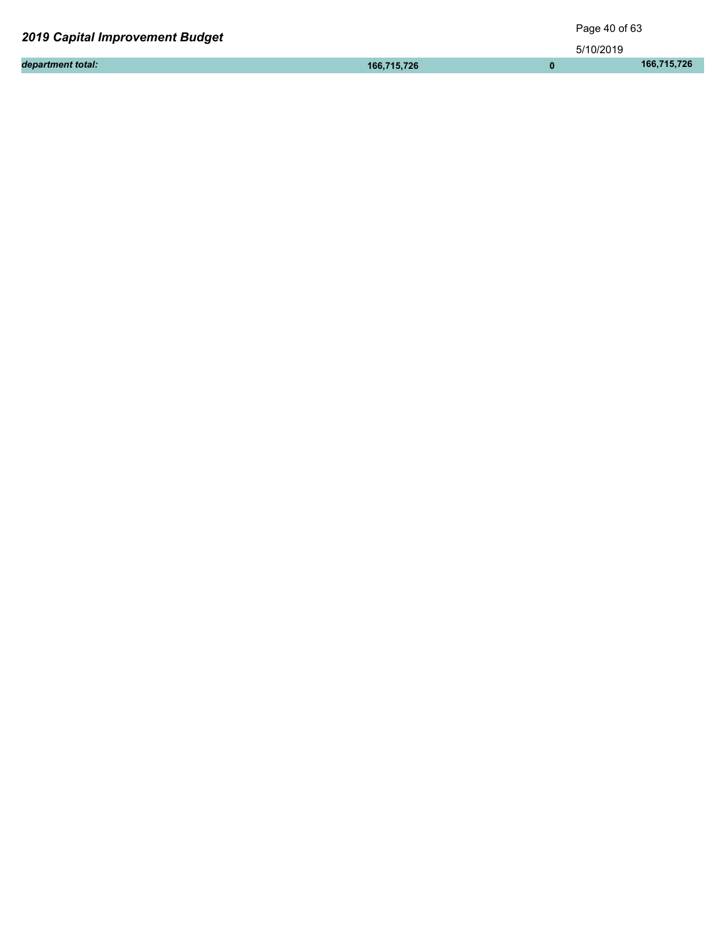| <b>2019 Capital Improvement Budget</b> | Page 40 of 63 |           |             |
|----------------------------------------|---------------|-----------|-------------|
|                                        |               | 5/10/2019 |             |
| department total:                      | 166.715.726   |           | 166.715.726 |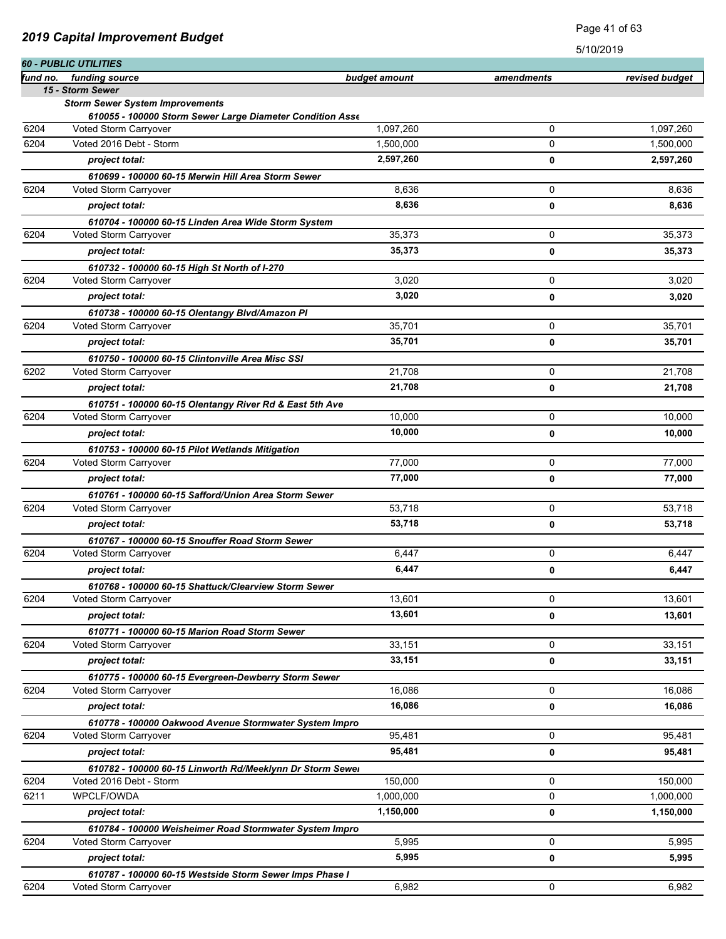|          |                                                           |               |            | שו ט∡וטו וט    |
|----------|-----------------------------------------------------------|---------------|------------|----------------|
| fund no. | 60 - PUBLIC UTILITIES<br>funding source                   | budget amount | amendments | revised budget |
|          | 15 - Storm Sewer                                          |               |            |                |
|          | <b>Storm Sewer System Improvements</b>                    |               |            |                |
|          | 610055 - 100000 Storm Sewer Large Diameter Condition Asse |               |            |                |
| 6204     | Voted Storm Carryover                                     | 1,097,260     | 0          | 1,097,260      |
| 6204     | Voted 2016 Debt - Storm                                   | 1,500,000     | 0          | 1,500,000      |
|          | project total:                                            | 2,597,260     | 0          | 2,597,260      |
|          | 610699 - 100000 60-15 Merwin Hill Area Storm Sewer        |               |            |                |
| 6204     | Voted Storm Carryover                                     | 8,636         | 0          | 8,636          |
|          | project total:                                            | 8,636         | 0          | 8,636          |
|          | 610704 - 100000 60-15 Linden Area Wide Storm System       |               |            |                |
| 6204     | Voted Storm Carryover                                     | 35,373        | 0          | 35,373         |
|          | project total:                                            | 35,373        | 0          | 35,373         |
|          | 610732 - 100000 60-15 High St North of I-270              |               |            |                |
| 6204     | Voted Storm Carryover                                     | 3,020         | 0          | 3,020          |
|          | project total:                                            | 3,020         | 0          | 3,020          |
|          | 610738 - 100000 60-15 Olentangy Blvd/Amazon Pl            |               |            |                |
| 6204     | Voted Storm Carryover                                     | 35,701        | 0          | 35,701         |
|          | project total:                                            | 35,701        | 0          | 35,701         |
|          | 610750 - 100000 60-15 Clintonville Area Misc SSI          |               |            |                |
| 6202     | Voted Storm Carryover                                     | 21,708        | 0          | 21,708         |
|          | project total:                                            | 21,708        | 0          | 21,708         |
|          | 610751 - 100000 60-15 Olentangy River Rd & East 5th Ave   |               |            |                |
| 6204     | Voted Storm Carryover                                     | 10,000        | 0          | 10,000         |
|          | project total:                                            | 10,000        | 0          | 10,000         |
|          | 610753 - 100000 60-15 Pilot Wetlands Mitigation           |               |            |                |
| 6204     | Voted Storm Carryover                                     | 77,000        | 0          | 77,000         |
|          | project total:                                            | 77,000        | 0          | 77,000         |
|          | 610761 - 100000 60-15 Safford/Union Area Storm Sewer      |               |            |                |
| 6204     | Voted Storm Carryover                                     | 53,718        | 0          | 53,718         |
|          | project total:                                            | 53,718        | 0          | 53,718         |
|          | 610767 - 100000 60-15 Snouffer Road Storm Sewer           |               |            |                |
| 6204     | Voted Storm Carryover                                     | 6,447         | 0          | 6,447          |
|          | project total:                                            | 6,447         | 0          | 6,447          |
|          | 610768 - 100000 60-15 Shattuck/Clearview Storm Sewer      |               |            |                |
| 6204     | Voted Storm Carryover                                     | 13,601        | 0          | 13,601         |
|          | project total:                                            | 13,601        | 0          | 13,601         |
|          | 610771 - 100000 60-15 Marion Road Storm Sewer             |               |            |                |
| 6204     | Voted Storm Carryover                                     | 33,151        | 0          | 33,151         |
|          | project total:                                            | 33,151        | 0          | 33,151         |
|          | 610775 - 100000 60-15 Evergreen-Dewberry Storm Sewer      |               |            |                |
| 6204     | Voted Storm Carryover                                     | 16,086        | 0          | 16,086         |
|          | project total:                                            | 16,086        | 0          | 16,086         |
|          | 610778 - 100000 Oakwood Avenue Stormwater System Impro    |               |            |                |
| 6204     | Voted Storm Carryover                                     | 95,481        | 0          | 95,481         |
|          | project total:                                            | 95,481        | 0          | 95,481         |
|          | 610782 - 100000 60-15 Linworth Rd/Meeklynn Dr Storm Sewer |               |            |                |
| 6204     | Voted 2016 Debt - Storm                                   | 150,000       | 0          | 150,000        |
| 6211     | WPCLF/OWDA                                                | 1,000,000     | 0          | 1,000,000      |
|          | project total:                                            | 1,150,000     | 0          | 1,150,000      |
|          | 610784 - 100000 Weisheimer Road Stormwater System Impro   |               |            |                |
| 6204     | Voted Storm Carryover                                     | 5,995         | 0          | 5,995          |
|          | project total:                                            | 5,995         | 0          | 5,995          |
|          | 610787 - 100000 60-15 Westside Storm Sewer Imps Phase I   |               |            |                |
| 6204     | Voted Storm Carryover                                     | 6,982         | 0          | 6,982          |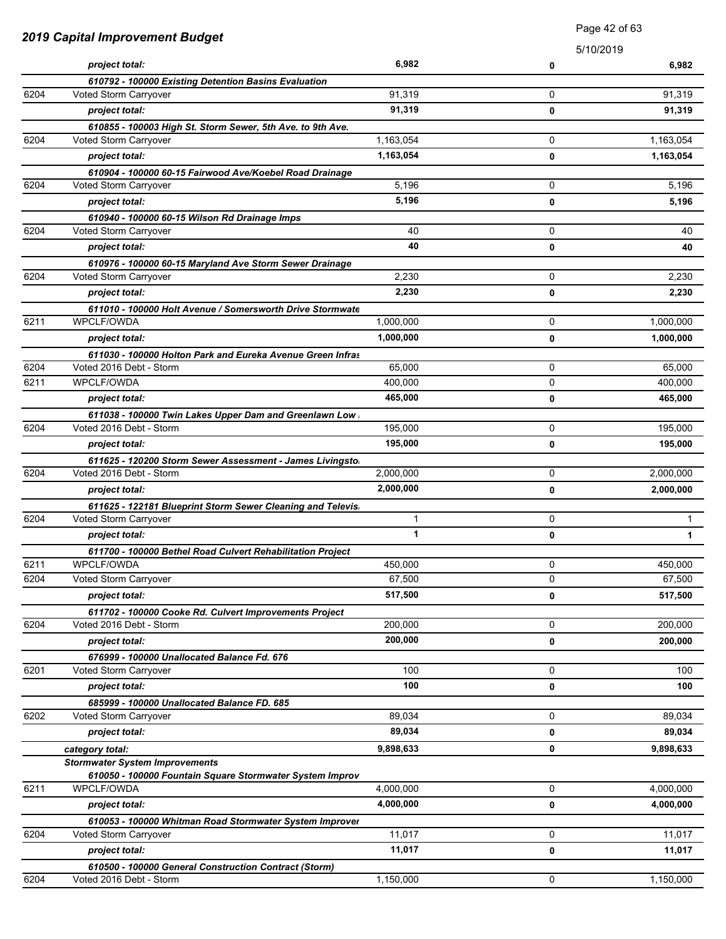|      |                                                                                      | Page 42 of 63 |           |           |
|------|--------------------------------------------------------------------------------------|---------------|-----------|-----------|
|      | <b>2019 Capital Improvement Budget</b>                                               |               | 5/10/2019 |           |
|      | project total:                                                                       | 6,982         | 0         | 6,982     |
|      | 610792 - 100000 Existing Detention Basins Evaluation                                 |               |           |           |
| 6204 | Voted Storm Carryover                                                                | 91,319        | 0         | 91,319    |
|      | project total:                                                                       | 91,319        | 0         | 91,319    |
|      | 610855 - 100003 High St. Storm Sewer, 5th Ave. to 9th Ave.                           |               |           |           |
| 6204 | Voted Storm Carryover                                                                | 1,163,054     | 0         | 1,163,054 |
|      | project total:                                                                       | 1,163,054     | 0         | 1,163,054 |
|      | 610904 - 100000 60-15 Fairwood Ave/Koebel Road Drainage                              |               |           |           |
| 6204 | Voted Storm Carryover                                                                | 5,196         | 0         | 5,196     |
|      | project total:                                                                       | 5,196         | 0         | 5,196     |
|      | 610940 - 100000 60-15 Wilson Rd Drainage Imps                                        |               |           |           |
| 6204 | Voted Storm Carryover                                                                | 40            | 0         | 40        |
|      | project total:                                                                       | 40            | 0         | 40        |
|      | 610976 - 100000 60-15 Maryland Ave Storm Sewer Drainage                              |               |           |           |
| 6204 | Voted Storm Carryover                                                                | 2,230         | 0         | 2,230     |
|      | project total:                                                                       | 2,230         | 0         | 2,230     |
|      | 611010 - 100000 Holt Avenue / Somersworth Drive Stormwate                            |               |           |           |
| 6211 | WPCLF/OWDA                                                                           | 1,000,000     | 0         | 1,000,000 |
|      | project total:                                                                       | 1,000,000     | 0         | 1,000,000 |
|      | 611030 - 100000 Holton Park and Eureka Avenue Green Infras                           |               |           |           |
| 6204 | Voted 2016 Debt - Storm                                                              | 65,000        | 0         | 65,000    |
| 6211 | <b>WPCLF/OWDA</b>                                                                    | 400,000       | 0         | 400,000   |
|      | project total:                                                                       | 465,000       | 0         | 465,000   |
|      | 611038 - 100000 Twin Lakes Upper Dam and Greenlawn Low<br>Voted 2016 Debt - Storm    |               |           |           |
| 6204 |                                                                                      | 195,000       | 0         | 195,000   |
|      | project total:                                                                       | 195,000       | 0         | 195,000   |
| 6204 | 611625 - 120200 Storm Sewer Assessment - James Livingsto.<br>Voted 2016 Debt - Storm | 2,000,000     | 0         | 2,000,000 |
|      | project total:                                                                       | 2,000,000     |           |           |
|      |                                                                                      |               | 0         | 2,000,000 |
| 6204 | 611625 - 122181 Blueprint Storm Sewer Cleaning and Televis<br>Voted Storm Carryover  | 1             | 0         | 1         |
|      | project total:                                                                       | $\mathbf{1}$  | 0         | 1         |
|      |                                                                                      |               |           |           |
| 6211 | 611700 - 100000 Bethel Road Culvert Rehabilitation Project<br>WPCLF/OWDA             | 450,000       | 0         | 450,000   |
| 6204 | Voted Storm Carryover                                                                | 67,500        | 0         | 67,500    |
|      | project total:                                                                       | 517,500       | 0         | 517,500   |
|      | 611702 - 100000 Cooke Rd. Culvert Improvements Project                               |               |           |           |
| 6204 | Voted 2016 Debt - Storm                                                              | 200,000       | 0         | 200,000   |
|      | project total:                                                                       | 200,000       | 0         | 200,000   |
|      | 676999 - 100000 Unallocated Balance Fd. 676                                          |               |           |           |
| 6201 | Voted Storm Carryover                                                                | 100           | 0         | 100       |
|      | project total:                                                                       | 100           | 0         | 100       |
|      | 685999 - 100000 Unallocated Balance FD. 685                                          |               |           |           |
| 6202 | Voted Storm Carryover                                                                | 89,034        | 0         | 89,034    |
|      | project total:                                                                       | 89,034        | 0         | 89,034    |
|      | category total:                                                                      | 9,898,633     | 0         | 9,898,633 |
|      | <b>Stormwater System Improvements</b>                                                |               |           |           |
|      | 610050 - 100000 Fountain Square Stormwater System Improv                             |               |           |           |
| 6211 | WPCLF/OWDA                                                                           | 4,000,000     | 0         | 4,000,000 |
|      | project total:                                                                       | 4,000,000     | 0         | 4,000,000 |
|      | 610053 - 100000 Whitman Road Stormwater System Improver                              |               |           |           |
| 6204 | Voted Storm Carryover                                                                | 11,017        | 0         | 11,017    |
|      | project total:                                                                       | 11,017        | 0         | 11,017    |
|      | 610500 - 100000 General Construction Contract (Storm)                                |               |           |           |
| 6204 | Voted 2016 Debt - Storm                                                              | 1,150,000     | 0         | 1,150,000 |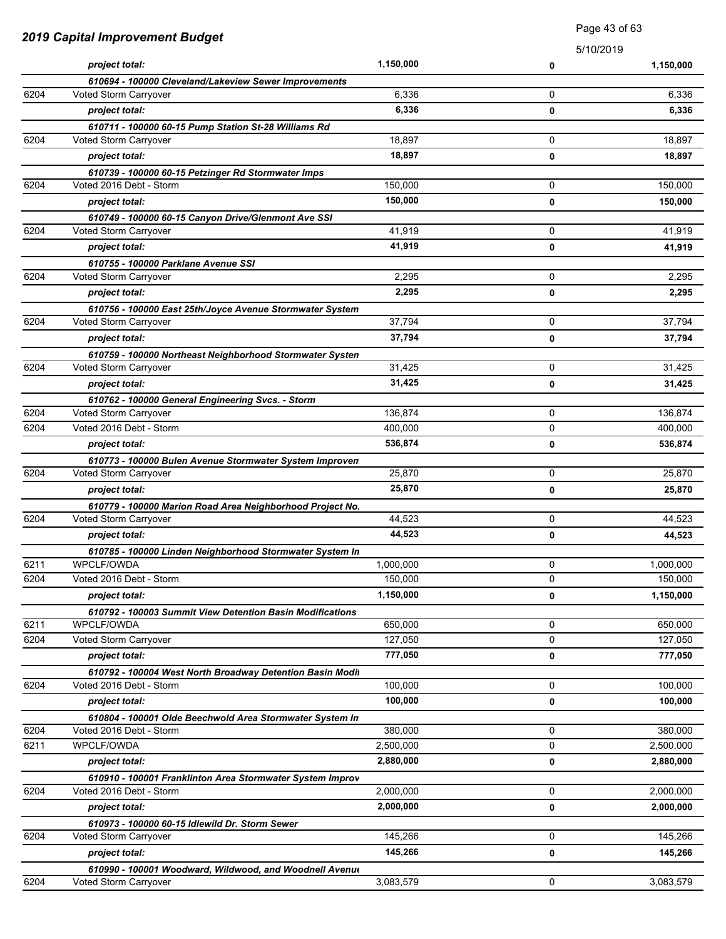| 2019 Capital Improvement Budget |                                                           | <b>Faye 40 UI 00</b> |             |           |
|---------------------------------|-----------------------------------------------------------|----------------------|-------------|-----------|
|                                 |                                                           |                      | 5/10/2019   |           |
|                                 | project total:                                            | 1,150,000            | 0           | 1,150,000 |
|                                 | 610694 - 100000 Cleveland/Lakeview Sewer Improvements     |                      |             |           |
| 6204                            | Voted Storm Carryover                                     | 6,336                | 0           | 6,336     |
|                                 | project total:                                            | 6,336                | 0           | 6,336     |
|                                 | 610711 - 100000 60-15 Pump Station St-28 Williams Rd      |                      |             |           |
| 6204                            | Voted Storm Carryover                                     | 18,897               | 0           | 18,897    |
|                                 | project total:                                            | 18,897               | 0           | 18,897    |
|                                 | 610739 - 100000 60-15 Petzinger Rd Stormwater Imps        |                      |             |           |
| 6204                            | Voted 2016 Debt - Storm                                   | 150,000              | 0           | 150,000   |
|                                 | project total:                                            | 150,000              | 0           | 150,000   |
|                                 | 610749 - 100000 60-15 Canyon Drive/Glenmont Ave SSI       |                      |             |           |
| 6204                            | Voted Storm Carryover                                     | 41,919               | 0           | 41,919    |
|                                 | project total:                                            | 41,919               | 0           | 41,919    |
|                                 | 610755 - 100000 Parklane Avenue SSI                       |                      |             |           |
| 6204                            | Voted Storm Carryover                                     | 2,295                | 0           | 2,295     |
|                                 | project total:                                            | 2,295                | 0           | 2,295     |
|                                 | 610756 - 100000 East 25th/Joyce Avenue Stormwater System  |                      |             |           |
| 6204                            | Voted Storm Carryover                                     | 37,794               | 0           | 37,794    |
|                                 | project total:                                            | 37,794               | 0           | 37,794    |
|                                 | 610759 - 100000 Northeast Neighborhood Stormwater Systen  |                      |             |           |
| 6204                            | Voted Storm Carryover                                     | 31,425               | 0           | 31,425    |
|                                 | project total:                                            | 31,425               | 0           | 31,425    |
|                                 | 610762 - 100000 General Engineering Svcs. - Storm         |                      |             |           |
| 6204                            | Voted Storm Carryover                                     | 136,874              | 0           | 136,874   |
| 6204                            | Voted 2016 Debt - Storm                                   | 400,000              | 0           | 400,000   |
|                                 | project total:                                            | 536,874              | 0           | 536,874   |
|                                 | 610773 - 100000 Bulen Avenue Stormwater System Improven   |                      |             |           |
| 6204                            | Voted Storm Carryover                                     | 25,870               | 0           | 25,870    |
|                                 | project total:                                            | 25,870               | 0           | 25,870    |
|                                 | 610779 - 100000 Marion Road Area Neighborhood Project No. |                      |             |           |
| 6204                            | Voted Storm Carryover                                     | 44,523               | 0           | 44,523    |
|                                 | project total:                                            | 44,523               | 0           | 44,523    |
|                                 | 610785 - 100000 Linden Neighborhood Stormwater System In  |                      |             |           |
| 6211                            | WPCLF/OWDA                                                | 1,000,000            | 0           | 1,000,000 |
| 6204                            | Voted 2016 Debt - Storm                                   | 150,000              | 0           | 150,000   |
|                                 | project total:                                            | 1,150,000            | 0           | 1,150,000 |
|                                 | 610792 - 100003 Summit View Detention Basin Modifications |                      |             |           |
| 6211                            | WPCLF/OWDA                                                | 650,000              | 0           | 650,000   |
| 6204                            | Voted Storm Carryover                                     | 127,050              | 0           | 127,050   |
|                                 | project total:                                            | 777,050              | 0           | 777,050   |
|                                 | 610792 - 100004 West North Broadway Detention Basin Modil |                      |             |           |
| 6204                            | Voted 2016 Debt - Storm                                   | 100,000              | 0           | 100,000   |
|                                 | project total:                                            | 100,000              | 0           | 100,000   |
|                                 | 610804 - 100001 Olde Beechwold Area Stormwater System In  |                      |             |           |
| 6204                            | Voted 2016 Debt - Storm                                   | 380,000              | 0           | 380,000   |
| 6211                            | WPCLF/OWDA                                                | 2,500,000            | 0           | 2,500,000 |
|                                 | project total:                                            | 2,880,000            | 0           | 2,880,000 |
|                                 | 610910 - 100001 Franklinton Area Stormwater System Improv |                      |             |           |
| 6204                            | Voted 2016 Debt - Storm                                   | 2,000,000            | 0           | 2,000,000 |
|                                 | project total:                                            | 2,000,000            | 0           | 2,000,000 |
|                                 | 610973 - 100000 60-15 Idlewild Dr. Storm Sewer            |                      |             |           |
| 6204                            | Voted Storm Carryover                                     | 145,266              | 0           | 145,266   |
|                                 | project total:                                            | 145,266              | 0           | 145,266   |
|                                 | 610990 - 100001 Woodward, Wildwood, and Woodnell Avenue   |                      |             |           |
| 6204                            | Voted Storm Carryover                                     | 3,083,579            | $\mathbf 0$ | 3,083,579 |

Page 43 of 63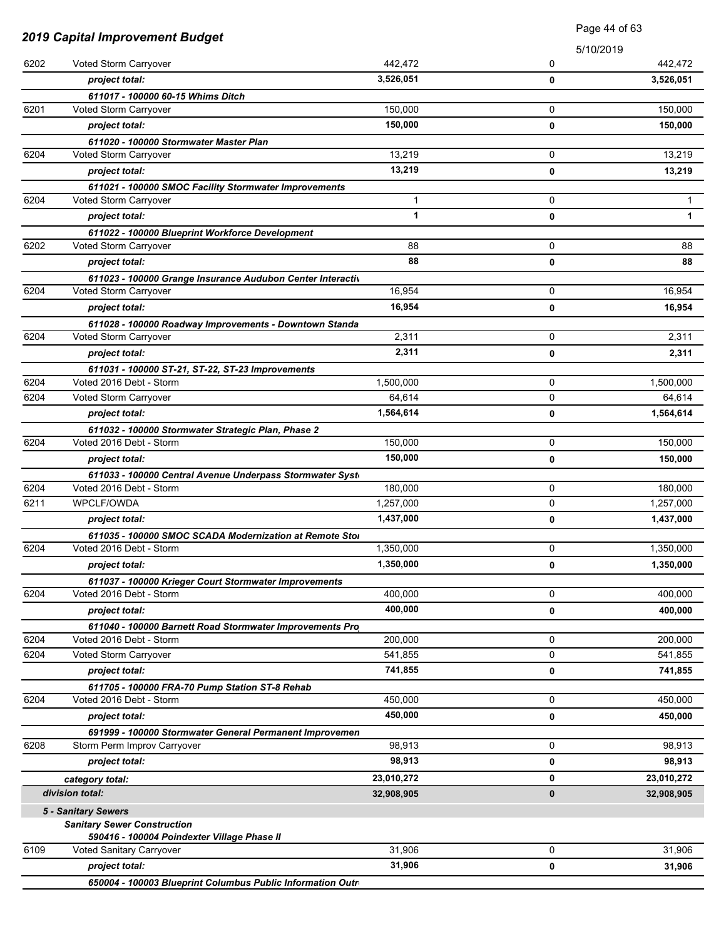|      |                                                                                      | Page 44 of 63 |             |            |
|------|--------------------------------------------------------------------------------------|---------------|-------------|------------|
|      | <b>2019 Capital Improvement Budget</b>                                               |               | 5/10/2019   |            |
| 6202 | Voted Storm Carryover                                                                | 442,472       | 0           | 442,472    |
|      | project total:                                                                       | 3,526,051     | 0           | 3,526,051  |
|      | 611017 - 100000 60-15 Whims Ditch                                                    |               |             |            |
| 6201 | Voted Storm Carryover                                                                | 150,000       | 0           | 150,000    |
|      | project total:                                                                       | 150,000       | 0           | 150,000    |
|      | 611020 - 100000 Stormwater Master Plan                                               |               |             |            |
| 6204 | Voted Storm Carryover                                                                | 13,219        | 0           | 13,219     |
|      | project total:                                                                       | 13,219        | 0           | 13,219     |
|      | 611021 - 100000 SMOC Facility Stormwater Improvements                                |               |             |            |
| 6204 | Voted Storm Carryover                                                                | 1             | 0           | 1          |
|      | project total:                                                                       | 1             | 0           | 1          |
|      | 611022 - 100000 Blueprint Workforce Development                                      |               |             |            |
| 6202 | Voted Storm Carryover                                                                | 88            | 0           | 88         |
|      | project total:                                                                       | 88            | 0           | 88         |
|      | 611023 - 100000 Grange Insurance Audubon Center Interactiv                           |               |             |            |
| 6204 | Voted Storm Carryover                                                                | 16,954        | 0           | 16,954     |
|      | project total:                                                                       | 16,954        | 0           | 16,954     |
|      | 611028 - 100000 Roadway Improvements - Downtown Standa                               |               |             |            |
| 6204 | Voted Storm Carryover                                                                | 2,311         | 0           | 2,311      |
|      | project total:                                                                       | 2,311         | 0           | 2,311      |
| 6204 | 611031 - 100000 ST-21, ST-22, ST-23 Improvements<br>Voted 2016 Debt - Storm          | 1,500,000     | 0           | 1,500,000  |
| 6204 | Voted Storm Carryover                                                                | 64,614        | 0           | 64,614     |
|      |                                                                                      | 1,564,614     | 0           | 1,564,614  |
|      | project total:                                                                       |               |             |            |
| 6204 | 611032 - 100000 Stormwater Strategic Plan, Phase 2<br>Voted 2016 Debt - Storm        | 150,000       | 0           | 150,000    |
|      | project total:                                                                       | 150,000       | 0           | 150,000    |
|      |                                                                                      |               |             |            |
| 6204 | 611033 - 100000 Central Avenue Underpass Stormwater Syste<br>Voted 2016 Debt - Storm | 180,000       | 0           | 180,000    |
| 6211 | WPCLF/OWDA                                                                           | 1,257,000     | 0           | 1,257,000  |
|      | project total:                                                                       | 1,437,000     | 0           | 1,437,000  |
|      | 611035 - 100000 SMOC SCADA Modernization at Remote Stor                              |               |             |            |
| 6204 | Voted 2016 Debt - Storm                                                              | 1,350,000     | 0           | 1,350,000  |
|      | project total:                                                                       | 1,350,000     | 0           | 1,350,000  |
|      | 611037 - 100000 Krieger Court Stormwater Improvements                                |               |             |            |
| 6204 | Voted 2016 Debt - Storm                                                              | 400,000       | 0           | 400.000    |
|      | project total:                                                                       | 400,000       | 0           | 400,000    |
|      | 611040 - 100000 Barnett Road Stormwater Improvements Pro                             |               |             |            |
| 6204 | Voted 2016 Debt - Storm                                                              | 200,000       | 0           | 200,000    |
| 6204 | Voted Storm Carryover                                                                | 541,855       | 0           | 541,855    |
|      | project total:                                                                       | 741,855       | 0           | 741,855    |
|      | 611705 - 100000 FRA-70 Pump Station ST-8 Rehab                                       |               |             |            |
| 6204 | Voted 2016 Debt - Storm                                                              | 450,000       | $\mathbf 0$ | 450,000    |
|      | project total:                                                                       | 450,000       | 0           | 450,000    |
|      | 691999 - 100000 Stormwater General Permanent Improvemen                              |               |             |            |
| 6208 | Storm Perm Improv Carryover                                                          | 98,913        | 0           | 98,913     |
|      | project total:                                                                       | 98,913        | 0           | 98,913     |
|      | category total:                                                                      | 23,010,272    | 0           | 23,010,272 |
|      | division total:                                                                      | 32,908,905    | 0           | 32,908,905 |
|      | 5 - Sanitary Sewers                                                                  |               |             |            |
|      | <b>Sanitary Sewer Construction</b>                                                   |               |             |            |
|      | 590416 - 100004 Poindexter Village Phase II                                          |               |             |            |
| 6109 | Voted Sanitary Carryover                                                             | 31,906        | 0           | 31,906     |
|      | project total:<br>650004 - 100003 Blueprint Columbus Public Information Outro        | 31,906        | 0           | 31,906     |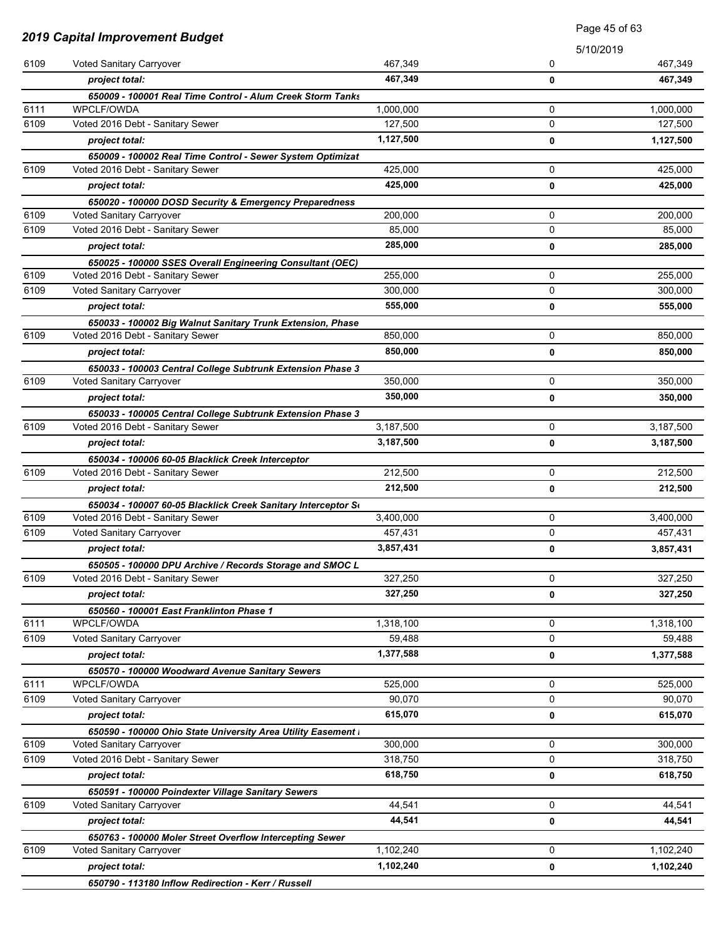| <b>2019 Capital Improvement Budget</b> |                                                               |           | Page 45 of 63 |           |
|----------------------------------------|---------------------------------------------------------------|-----------|---------------|-----------|
|                                        |                                                               |           | 5/10/2019     |           |
| 6109                                   | Voted Sanitary Carryover                                      | 467,349   | 0             | 467,349   |
|                                        | project total:                                                | 467,349   | 0             | 467,349   |
|                                        | 650009 - 100001 Real Time Control - Alum Creek Storm Tanks    |           |               |           |
| 6111                                   | WPCLF/OWDA                                                    | 1,000,000 | 0             | 1,000,000 |
| 6109                                   | Voted 2016 Debt - Sanitary Sewer                              | 127,500   | 0             | 127,500   |
|                                        | project total:                                                | 1,127,500 | 0             | 1,127,500 |
|                                        | 650009 - 100002 Real Time Control - Sewer System Optimizat    |           |               |           |
| 6109                                   | Voted 2016 Debt - Sanitary Sewer                              | 425,000   | 0             | 425,000   |
|                                        | project total:                                                | 425,000   | 0             | 425,000   |
|                                        | 650020 - 100000 DOSD Security & Emergency Preparedness        |           |               |           |
| 6109                                   | Voted Sanitary Carryover                                      | 200,000   | 0             | 200,000   |
| 6109                                   | Voted 2016 Debt - Sanitary Sewer                              | 85,000    | 0             | 85,000    |
|                                        | project total:                                                | 285,000   | 0             | 285,000   |
|                                        | 650025 - 100000 SSES Overall Engineering Consultant (OEC)     |           |               |           |
| 6109                                   | Voted 2016 Debt - Sanitary Sewer                              | 255,000   | 0             | 255,000   |
| 6109                                   | Voted Sanitary Carryover                                      | 300,000   | 0             | 300,000   |
|                                        | project total:                                                | 555,000   | 0             | 555,000   |
|                                        | 650033 - 100002 Big Walnut Sanitary Trunk Extension, Phase    |           |               |           |
| 6109                                   | Voted 2016 Debt - Sanitary Sewer                              | 850,000   | 0             | 850,000   |
|                                        | project total:                                                | 850,000   | 0             | 850,000   |
|                                        | 650033 - 100003 Central College Subtrunk Extension Phase 3    |           |               |           |
| 6109                                   | Voted Sanitary Carryover                                      | 350,000   | 0             | 350,000   |
|                                        | project total:                                                | 350,000   | 0             | 350,000   |
|                                        | 650033 - 100005 Central College Subtrunk Extension Phase 3    |           |               |           |
| 6109                                   | Voted 2016 Debt - Sanitary Sewer                              | 3,187,500 | 0             | 3,187,500 |
|                                        | project total:                                                | 3,187,500 | 0             | 3,187,500 |
|                                        | 650034 - 100006 60-05 Blacklick Creek Interceptor             |           |               |           |
| 6109                                   | Voted 2016 Debt - Sanitary Sewer                              | 212,500   | 0             | 212,500   |
|                                        | project total:                                                | 212,500   | 0             | 212,500   |
|                                        | 650034 - 100007 60-05 Blacklick Creek Sanitary Interceptor So |           |               |           |
| 6109                                   | Voted 2016 Debt - Sanitary Sewer                              | 3,400,000 | 0             | 3,400,000 |
| 6109                                   | Voted Sanitary Carryover                                      | 457,431   | 0             | 457,431   |
|                                        | project total:                                                | 3,857,431 | 0             | 3,857,431 |
|                                        | 650505 - 100000 DPU Archive / Records Storage and SMOC L      |           |               |           |
| 6109                                   | Voted 2016 Debt - Sanitary Sewer                              | 327,250   | 0             | 327,250   |
|                                        | project total:                                                | 327,250   | 0             | 327,250   |
|                                        | 650560 - 100001 East Franklinton Phase 1                      |           |               |           |
| 6111                                   | WPCLF/OWDA                                                    | 1,318,100 | 0             | 1,318,100 |
| 6109                                   | Voted Sanitary Carryover                                      | 59,488    | 0             | 59,488    |
|                                        | project total:                                                | 1,377,588 | 0             | 1,377,588 |
|                                        | 650570 - 100000 Woodward Avenue Sanitary Sewers               |           |               |           |
| 6111                                   | WPCLF/OWDA                                                    | 525,000   | 0             | 525,000   |
| 6109                                   | Voted Sanitary Carryover                                      | 90,070    | 0             | 90,070    |
|                                        | project total:                                                | 615,070   | 0             | 615,070   |
|                                        | 650590 - 100000 Ohio State University Area Utility Easement I |           |               |           |
| 6109                                   | Voted Sanitary Carryover                                      | 300,000   | 0             | 300,000   |
| 6109                                   | Voted 2016 Debt - Sanitary Sewer                              | 318,750   | 0             | 318,750   |
|                                        | project total:                                                | 618,750   | 0             | 618,750   |
|                                        | 650591 - 100000 Poindexter Village Sanitary Sewers            |           |               |           |
| 6109                                   | Voted Sanitary Carryover                                      | 44,541    | 0             | 44,541    |
|                                        | project total:                                                | 44,541    | 0             | 44,541    |
|                                        | 650763 - 100000 Moler Street Overflow Intercepting Sewer      |           |               |           |
| 6109                                   | Voted Sanitary Carryover                                      | 1,102,240 | 0             | 1,102,240 |
|                                        | project total:                                                | 1,102,240 | 0             | 1,102,240 |
|                                        | 650790 - 113180 Inflow Redirection - Kerr / Russell           |           |               |           |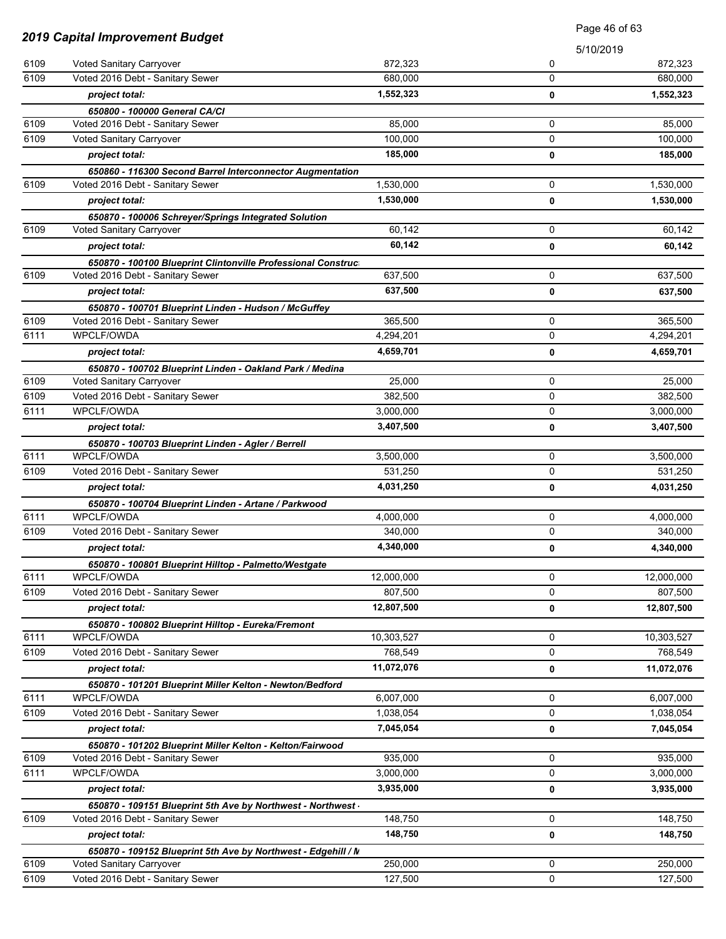| <b>2019 Capital Improvement Budget</b> |                                                                                                  | Page 46 of 63 |             |            |
|----------------------------------------|--------------------------------------------------------------------------------------------------|---------------|-------------|------------|
|                                        |                                                                                                  |               |             | 5/10/2019  |
| 6109                                   | Voted Sanitary Carryover                                                                         | 872,323       | 0           | 872,323    |
| 6109                                   | Voted 2016 Debt - Sanitary Sewer                                                                 | 680,000       | 0           | 680,000    |
|                                        | project total:                                                                                   | 1,552,323     | $\mathbf 0$ | 1,552,323  |
|                                        | 650800 - 100000 General CA/CI                                                                    |               |             |            |
| 6109                                   | Voted 2016 Debt - Sanitary Sewer                                                                 | 85,000        | 0           | 85,000     |
| 6109                                   | Voted Sanitary Carryover                                                                         | 100.000       | $\Omega$    | 100.000    |
|                                        | project total:                                                                                   | 185,000       | 0           | 185,000    |
|                                        | 650860 - 116300 Second Barrel Interconnector Augmentation                                        |               |             |            |
| 6109                                   | Voted 2016 Debt - Sanitary Sewer                                                                 | 1,530,000     | 0           | 1,530,000  |
|                                        | project total:                                                                                   | 1,530,000     | $\mathbf 0$ | 1,530,000  |
|                                        | 650870 - 100006 Schreyer/Springs Integrated Solution                                             |               |             |            |
| 6109                                   | Voted Sanitary Carryover                                                                         | 60,142        | 0           | 60,142     |
|                                        | project total:                                                                                   | 60,142        | 0           | 60,142     |
|                                        | 650870 - 100100 Blueprint Clintonville Professional Construct                                    |               |             |            |
| 6109                                   | Voted 2016 Debt - Sanitary Sewer                                                                 | 637,500       | 0           | 637,500    |
|                                        | project total:                                                                                   | 637,500       | 0           | 637,500    |
| 6109                                   | 650870 - 100701 Blueprint Linden - Hudson / McGuffey                                             | 365.500       | 0           | 365,500    |
| 6111                                   | Voted 2016 Debt - Sanitary Sewer<br>WPCLF/OWDA                                                   | 4,294,201     | 0           | 4,294,201  |
|                                        | project total:                                                                                   | 4,659,701     | 0           | 4,659,701  |
|                                        |                                                                                                  |               |             |            |
| 6109                                   | 650870 - 100702 Blueprint Linden - Oakland Park / Medina<br>Voted Sanitary Carryover             | 25,000        | 0           | 25,000     |
| 6109                                   | Voted 2016 Debt - Sanitary Sewer                                                                 | 382,500       | 0           | 382,500    |
| 6111                                   | <b>WPCLF/OWDA</b>                                                                                | 3,000,000     | 0           | 3,000,000  |
|                                        | project total:                                                                                   | 3,407,500     | 0           | 3,407,500  |
|                                        | 650870 - 100703 Blueprint Linden - Agler / Berrell                                               |               |             |            |
| 6111                                   | WPCLF/OWDA                                                                                       | 3,500,000     | 0           | 3,500,000  |
| 6109                                   | Voted 2016 Debt - Sanitary Sewer                                                                 | 531,250       | 0           | 531,250    |
|                                        | project total:                                                                                   | 4,031,250     | 0           | 4,031,250  |
|                                        | 650870 - 100704 Blueprint Linden - Artane / Parkwood                                             |               |             |            |
| 6111                                   | WPCLF/OWDA                                                                                       | 4,000,000     | 0           | 4,000,000  |
| 6109                                   | Voted 2016 Debt - Sanitary Sewer                                                                 | 340,000       | 0           | 340,000    |
|                                        | project total:                                                                                   | 4,340,000     | 0           | 4,340,000  |
|                                        | 650870 - 100801 Blueprint Hilltop - Palmetto/Westgate                                            |               |             |            |
| 6111                                   | WPCLF/OWDA                                                                                       | 12,000,000    | 0           | 12,000,000 |
| 6109                                   | Voted 2016 Debt - Sanitary Sewer                                                                 | 807,500       | 0           | 807,500    |
|                                        | project total:                                                                                   | 12,807,500    | 0           | 12,807,500 |
|                                        | 650870 - 100802 Blueprint Hilltop - Eureka/Fremont                                               |               |             |            |
| 6111                                   | WPCLF/OWDA                                                                                       | 10,303,527    | 0           | 10,303,527 |
| 6109                                   | Voted 2016 Debt - Sanitary Sewer                                                                 | 768,549       | 0           | 768,549    |
|                                        | project total:                                                                                   | 11,072,076    | 0           | 11,072,076 |
|                                        | 650870 - 101201 Blueprint Miller Kelton - Newton/Bedford                                         |               |             |            |
| 6111<br>6109                           | WPCLF/OWDA                                                                                       | 6,007,000     | 0           | 6,007,000  |
|                                        | Voted 2016 Debt - Sanitary Sewer                                                                 | 1,038,054     | 0           | 1,038,054  |
|                                        | project total:                                                                                   | 7,045,054     | 0           | 7,045,054  |
| 6109                                   | 650870 - 101202 Blueprint Miller Kelton - Kelton/Fairwood<br>Voted 2016 Debt - Sanitary Sewer    | 935,000       | 0           | 935,000    |
| 6111                                   | WPCLF/OWDA                                                                                       | 3,000,000     | 0           | 3,000,000  |
|                                        | project total:                                                                                   | 3,935,000     |             | 3,935,000  |
|                                        |                                                                                                  |               | 0           |            |
| 6109                                   | 650870 - 109151 Blueprint 5th Ave by Northwest - Northwest -<br>Voted 2016 Debt - Sanitary Sewer | 148,750       | 0           | 148,750    |
|                                        | project total:                                                                                   | 148,750       | 0           | 148,750    |
|                                        | 650870 - 109152 Blueprint 5th Ave by Northwest - Edgehill / N                                    |               |             |            |
| 6109                                   | Voted Sanitary Carryover                                                                         | 250,000       | 0           | 250,000    |
| 6109                                   | Voted 2016 Debt - Sanitary Sewer                                                                 | 127,500       | 0           | 127,500    |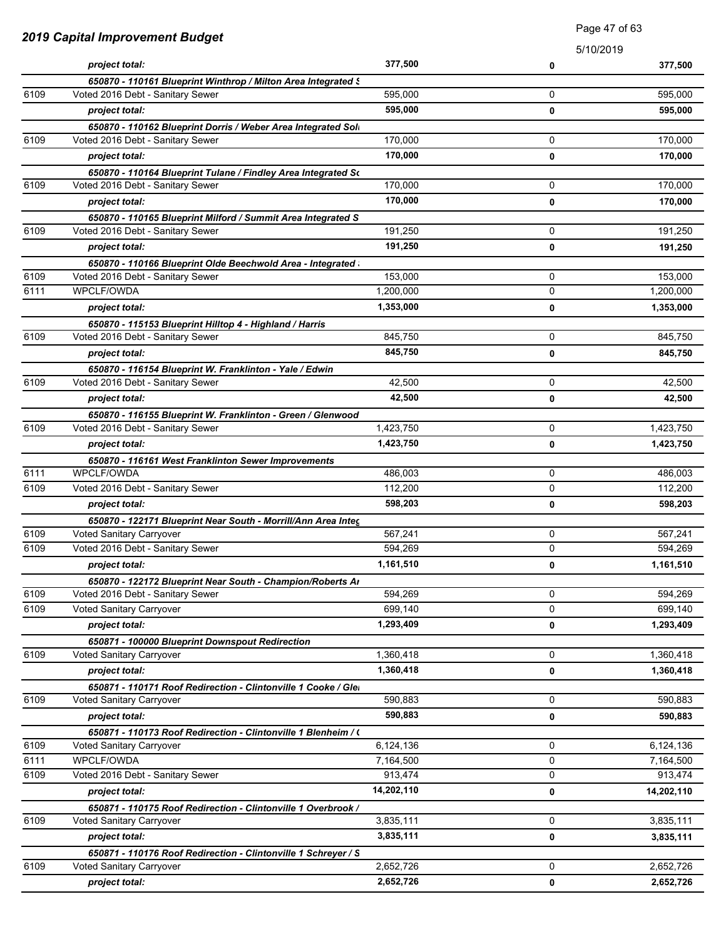|      | 2019 Capital Improvement Budget                                |            |             | Fay <del>c</del> 47 UI 00 |
|------|----------------------------------------------------------------|------------|-------------|---------------------------|
|      |                                                                |            | 5/10/2019   |                           |
|      | project total:                                                 | 377,500    | 0           | 377,500                   |
|      | 650870 - 110161 Blueprint Winthrop / Milton Area Integrated S  |            |             |                           |
| 6109 | Voted 2016 Debt - Sanitary Sewer                               | 595,000    | 0           | 595,000                   |
|      | project total:                                                 | 595,000    | 0           | 595,000                   |
|      | 650870 - 110162 Blueprint Dorris / Weber Area Integrated Soli  |            |             |                           |
| 6109 | Voted 2016 Debt - Sanitary Sewer                               | 170,000    | 0           | 170,000                   |
|      | project total:                                                 | 170,000    | $\mathbf 0$ | 170,000                   |
|      | 650870 - 110164 Blueprint Tulane / Findley Area Integrated So  |            |             |                           |
| 6109 | Voted 2016 Debt - Sanitary Sewer                               | 170,000    | 0           | 170,000                   |
|      | project total:                                                 | 170,000    | 0           | 170,000                   |
|      | 650870 - 110165 Blueprint Milford / Summit Area Integrated S   |            |             |                           |
| 6109 | Voted 2016 Debt - Sanitary Sewer                               | 191,250    | 0           | 191,250                   |
|      | project total:                                                 | 191,250    | 0           | 191,250                   |
|      | 650870 - 110166 Blueprint Olde Beechwold Area - Integrated     |            |             |                           |
| 6109 | Voted 2016 Debt - Sanitary Sewer                               | 153,000    | 0           | 153,000                   |
| 6111 | WPCLF/OWDA                                                     | 1,200,000  | 0           | 1,200,000                 |
|      | project total:                                                 | 1,353,000  | 0           | 1,353,000                 |
|      | 650870 - 115153 Blueprint Hilltop 4 - Highland / Harris        |            |             |                           |
| 6109 | Voted 2016 Debt - Sanitary Sewer                               | 845,750    | 0           | 845.750                   |
|      | project total:                                                 | 845,750    | 0           | 845,750                   |
|      | 650870 - 116154 Blueprint W. Franklinton - Yale / Edwin        |            |             |                           |
| 6109 | Voted 2016 Debt - Sanitary Sewer                               | 42,500     | 0           | 42,500                    |
|      | project total:                                                 | 42,500     | 0           | 42,500                    |
|      | 650870 - 116155 Blueprint W. Franklinton - Green / Glenwood    |            |             |                           |
| 6109 | Voted 2016 Debt - Sanitary Sewer                               | 1,423,750  | 0           | 1,423,750                 |
|      | project total:                                                 | 1,423,750  | 0           | 1,423,750                 |
|      | 650870 - 116161 West Franklinton Sewer Improvements            |            |             |                           |
| 6111 | WPCLF/OWDA                                                     | 486,003    | 0           | 486,003                   |
| 6109 | Voted 2016 Debt - Sanitary Sewer                               | 112,200    | 0           | 112,200                   |
|      | project total:                                                 | 598,203    | 0           | 598,203                   |
|      | 650870 - 122171 Blueprint Near South - Morrill/Ann Area Integ  |            |             |                           |
| 6109 | Voted Sanitary Carryover                                       | 567,241    | 0           | 567,241                   |
| 6109 | Voted 2016 Debt - Sanitary Sewer                               | 594,269    | 0           | 594,269                   |
|      | project total:                                                 | 1,161,510  | 0           | 1,161,510                 |
|      | 650870 - 122172 Blueprint Near South - Champion/Roberts Ar     |            |             |                           |
| 6109 | Voted 2016 Debt - Sanitary Sewer                               | 594,269    | $\mathbf 0$ | 594,269                   |
| 6109 | Voted Sanitary Carryover                                       | 699,140    | 0           | 699,140                   |
|      | project total:                                                 | 1,293,409  | 0           | 1,293,409                 |
|      | 650871 - 100000 Blueprint Downspout Redirection                |            |             |                           |
| 6109 | Voted Sanitary Carryover                                       | 1,360,418  | $\mathbf 0$ | 1,360,418                 |
|      | project total:                                                 | 1,360,418  | 0           | 1,360,418                 |
|      | 650871 - 110171 Roof Redirection - Clintonville 1 Cooke / Glei |            |             |                           |
| 6109 | Voted Sanitary Carryover                                       | 590,883    | 0           | 590,883                   |
|      | project total:                                                 | 590,883    | $\mathbf 0$ | 590,883                   |
|      | 650871 - 110173 Roof Redirection - Clintonville 1 Blenheim / ( |            |             |                           |
| 6109 | Voted Sanitary Carryover                                       | 6,124,136  | 0           | 6,124,136                 |
| 6111 | WPCLF/OWDA                                                     | 7,164,500  | 0           | 7,164,500                 |
| 6109 | Voted 2016 Debt - Sanitary Sewer                               | 913,474    | 0           | 913,474                   |
|      | project total:                                                 | 14,202,110 | 0           | 14,202,110                |
|      | 650871 - 110175 Roof Redirection - Clintonville 1 Overbrook /  |            |             |                           |
| 6109 | Voted Sanitary Carryover                                       | 3,835,111  | 0           | 3,835,111                 |
|      | project total:                                                 | 3,835,111  | 0           | 3,835,111                 |
|      | 650871 - 110176 Roof Redirection - Clintonville 1 Schreyer / S |            |             |                           |
| 6109 | Voted Sanitary Carryover                                       | 2,652,726  | $\mathbf 0$ | 2,652,726                 |
|      | project total:                                                 | 2,652,726  | 0           | 2,652,726                 |

Page 47 of 63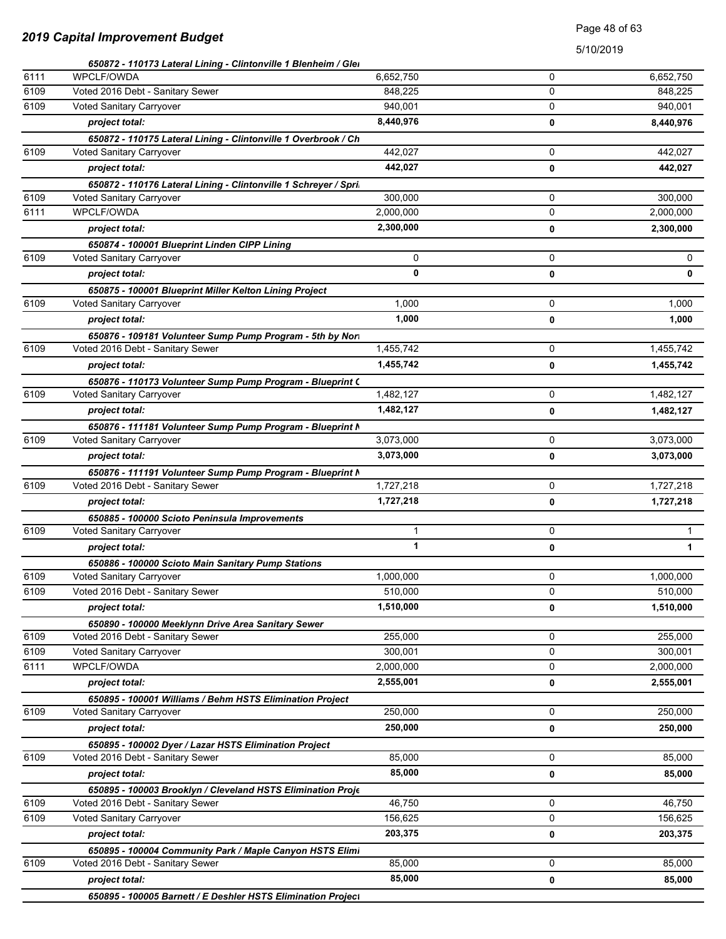### Page 48 of 63

|      | 650872 - 110173 Lateral Lining - Clintonville 1 Blenheim / Glei  |           |             |           |
|------|------------------------------------------------------------------|-----------|-------------|-----------|
| 6111 | WPCLF/OWDA                                                       | 6,652,750 | 0           | 6,652,750 |
| 6109 | Voted 2016 Debt - Sanitary Sewer                                 | 848,225   | 0           | 848,225   |
| 6109 | Voted Sanitary Carryover                                         | 940,001   | 0           | 940,001   |
|      | project total:                                                   | 8,440,976 | $\mathbf 0$ | 8,440,976 |
|      | 650872 - 110175 Lateral Lining - Clintonville 1 Overbrook / Ch   |           |             |           |
| 6109 | Voted Sanitary Carryover                                         | 442,027   | 0           | 442,027   |
|      | project total:                                                   | 442,027   | 0           | 442,027   |
|      | 650872 - 110176 Lateral Lining - Clintonville 1 Schreyer / Spri. |           |             |           |
| 6109 | Voted Sanitary Carryover                                         | 300,000   | 0           | 300,000   |
| 6111 | WPCLF/OWDA                                                       | 2,000,000 | 0           | 2,000,000 |
|      | project total:                                                   | 2,300,000 | 0           | 2,300,000 |
|      | 650874 - 100001 Blueprint Linden CIPP Lining                     |           |             |           |
| 6109 | Voted Sanitary Carryover                                         | 0         | 0           | 0         |
|      | project total:                                                   | 0         | 0           | 0         |
|      | 650875 - 100001 Blueprint Miller Kelton Lining Project           |           |             |           |
| 6109 | Voted Sanitary Carryover                                         | 1,000     | 0           | 1,000     |
|      | project total:                                                   | 1,000     | 0           | 1,000     |
|      | 650876 - 109181 Volunteer Sump Pump Program - 5th by Nori        |           |             |           |
| 6109 | Voted 2016 Debt - Sanitary Sewer                                 | 1,455,742 | 0           | 1,455,742 |
|      | project total:                                                   | 1,455,742 | 0           | 1,455,742 |
|      | 650876 - 110173 Volunteer Sump Pump Program - Blueprint C        |           |             |           |
| 6109 | Voted Sanitary Carryover                                         | 1,482,127 | 0           | 1,482,127 |
|      | project total:                                                   | 1,482,127 | 0           | 1,482,127 |
|      | 650876 - 111181 Volunteer Sump Pump Program - Blueprint N        |           |             |           |
| 6109 | Voted Sanitary Carryover                                         | 3,073,000 | 0           | 3,073,000 |
|      | project total:                                                   | 3,073,000 | 0           | 3,073,000 |
|      | 650876 - 111191 Volunteer Sump Pump Program - Blueprint N        |           |             |           |
| 6109 | Voted 2016 Debt - Sanitary Sewer                                 | 1,727,218 | 0           | 1,727,218 |
|      | project total:                                                   | 1,727,218 | 0           | 1,727,218 |
|      | 650885 - 100000 Scioto Peninsula Improvements                    |           |             |           |
| 6109 | Voted Sanitary Carryover                                         | 1         | 0           | 1.        |
|      | project total:                                                   | 1         | 0           | 1         |
|      | 650886 - 100000 Scioto Main Sanitary Pump Stations               |           |             |           |
| 6109 | Voted Sanitary Carryover                                         | 1,000,000 | 0           | 1,000,000 |
| 6109 | Voted 2016 Debt - Sanitary Sewer                                 | 510,000   | 0           | 510,000   |
|      | project total:                                                   | 1,510,000 | 0           | 1,510,000 |
|      | 650890 - 100000 Meeklynn Drive Area Sanitary Sewer               |           |             |           |
| 6109 | Voted 2016 Debt - Sanitary Sewer                                 | 255,000   | 0           | 255,000   |
| 6109 | Voted Sanitary Carryover                                         | 300,001   | 0           | 300,001   |
| 6111 | WPCLF/OWDA                                                       | 2,000,000 | 0           | 2,000,000 |
|      | project total:                                                   | 2,555,001 | 0           | 2,555,001 |
|      | 650895 - 100001 Williams / Behm HSTS Elimination Project         |           |             |           |
| 6109 | Voted Sanitary Carryover                                         | 250,000   | 0           | 250,000   |
|      | project total:                                                   | 250,000   | 0           | 250,000   |
|      | 650895 - 100002 Dyer / Lazar HSTS Elimination Project            |           |             |           |
| 6109 | Voted 2016 Debt - Sanitary Sewer                                 | 85,000    | 0           | 85,000    |
|      | project total:                                                   | 85,000    | 0           | 85,000    |
|      | 650895 - 100003 Brooklyn / Cleveland HSTS Elimination Proje      |           |             |           |
| 6109 | Voted 2016 Debt - Sanitary Sewer                                 | 46,750    | 0           | 46,750    |
| 6109 | Voted Sanitary Carryover                                         | 156,625   | 0           | 156,625   |
|      | project total:                                                   | 203,375   | 0           | 203,375   |
|      | 650895 - 100004 Community Park / Maple Canyon HSTS Elimi         |           |             |           |
| 6109 | Voted 2016 Debt - Sanitary Sewer                                 | 85,000    | 0           | 85,000    |
|      | project total:                                                   | 85,000    | 0           | 85,000    |
|      | 650895 - 100005 Barnett / E Deshler HSTS Elimination Project     |           |             |           |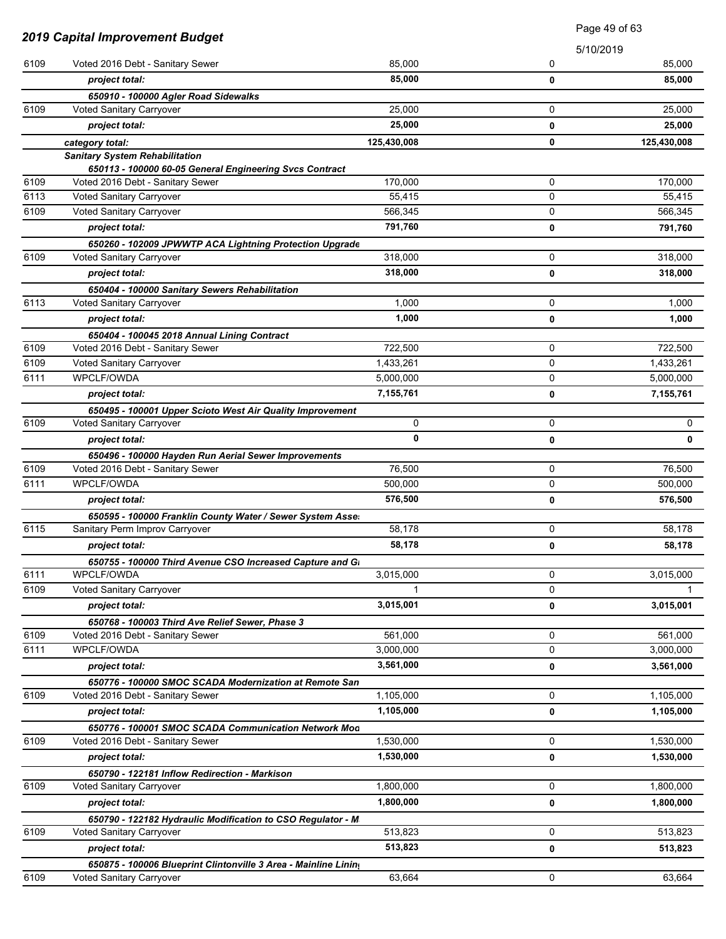|      |                                                                                             | Page 49 of 63 |   |             |
|------|---------------------------------------------------------------------------------------------|---------------|---|-------------|
|      | <b>2019 Capital Improvement Budget</b>                                                      |               |   | 5/10/2019   |
| 6109 | Voted 2016 Debt - Sanitary Sewer                                                            | 85.000        | 0 | 85,000      |
|      | project total:                                                                              | 85,000        | 0 | 85,000      |
|      | 650910 - 100000 Agler Road Sidewalks                                                        |               |   |             |
| 6109 | Voted Sanitary Carryover                                                                    | 25,000        | 0 | 25,000      |
|      | project total:                                                                              | 25,000        | 0 | 25,000      |
|      | category total:                                                                             | 125,430,008   | 0 | 125,430,008 |
|      | <b>Sanitary System Rehabilitation</b>                                                       |               |   |             |
| 6109 | 650113 - 100000 60-05 General Engineering Svcs Contract<br>Voted 2016 Debt - Sanitary Sewer | 170,000       | 0 | 170,000     |
| 6113 | Voted Sanitary Carryover                                                                    | 55,415        | 0 | 55,415      |
| 6109 | Voted Sanitary Carryover                                                                    | 566,345       | 0 | 566,345     |
|      | project total:                                                                              | 791,760       | 0 | 791,760     |
|      | 650260 - 102009 JPWWTP ACA Lightning Protection Upgrade                                     |               |   |             |
| 6109 | Voted Sanitary Carryover                                                                    | 318,000       | 0 | 318,000     |
|      | project total:                                                                              | 318,000       | 0 | 318,000     |
|      | 650404 - 100000 Sanitary Sewers Rehabilitation                                              |               |   |             |
| 6113 | Voted Sanitary Carryover                                                                    | 1,000         | 0 | 1,000       |
|      | project total:                                                                              | 1,000         | 0 | 1,000       |
|      | 650404 - 100045 2018 Annual Lining Contract                                                 |               |   |             |
| 6109 | Voted 2016 Debt - Sanitary Sewer                                                            | 722,500       | 0 | 722,500     |
| 6109 | Voted Sanitary Carryover                                                                    | 1,433,261     | 0 | 1,433,261   |
| 6111 | WPCLF/OWDA                                                                                  | 5,000,000     | 0 | 5,000,000   |
|      | project total:                                                                              | 7,155,761     | 0 | 7,155,761   |
|      | 650495 - 100001 Upper Scioto West Air Quality Improvement                                   |               |   |             |
| 6109 | Voted Sanitary Carryover                                                                    | 0             | 0 | 0           |
|      | project total:                                                                              | 0             | 0 | 0           |
|      | 650496 - 100000 Hayden Run Aerial Sewer Improvements                                        |               |   |             |
| 6109 | Voted 2016 Debt - Sanitary Sewer                                                            | 76,500        | 0 | 76,500      |
| 6111 | <b>WPCLF/OWDA</b>                                                                           | 500,000       | 0 | 500,000     |
|      | project total:                                                                              | 576,500       | 0 | 576,500     |
|      | 650595 - 100000 Franklin County Water / Sewer System Asse.                                  |               |   |             |
| 6115 | Sanitary Perm Improv Carryover                                                              | 58,178        | 0 | 58,178      |
|      | project total:                                                                              | 58,178        | 0 | 58,178      |
|      | 650755 - 100000 Third Avenue CSO Increased Capture and Gi                                   |               |   |             |
| 6111 | WPCLF/OWDA                                                                                  | 3,015,000     | 0 | 3,015,000   |
| 6109 | Voted Sanitary Carryover                                                                    |               | 0 |             |
|      | project total:                                                                              | 3,015,001     | 0 | 3,015,001   |
|      | 650768 - 100003 Third Ave Relief Sewer, Phase 3                                             |               |   |             |
| 6109 | Voted 2016 Debt - Sanitary Sewer                                                            | 561,000       | 0 | 561,000     |
| 6111 | WPCLF/OWDA                                                                                  | 3,000,000     | 0 | 3,000,000   |
|      | project total:                                                                              | 3,561,000     | 0 | 3,561,000   |
|      | 650776 - 100000 SMOC SCADA Modernization at Remote San                                      |               |   |             |
| 6109 | Voted 2016 Debt - Sanitary Sewer                                                            | 1,105,000     | 0 | 1,105,000   |
|      | project total:                                                                              | 1,105,000     | 0 | 1,105,000   |
|      | 650776 - 100001 SMOC SCADA Communication Network Mod                                        |               |   |             |
| 6109 | Voted 2016 Debt - Sanitary Sewer                                                            | 1,530,000     | 0 | 1,530,000   |
|      | project total:                                                                              | 1,530,000     | 0 | 1,530,000   |
|      | 650790 - 122181 Inflow Redirection - Markison                                               |               |   |             |
| 6109 | Voted Sanitary Carryover                                                                    | 1,800,000     | 0 | 1,800,000   |
|      | project total:                                                                              | 1,800,000     | 0 | 1,800,000   |
|      | 650790 - 122182 Hydraulic Modification to CSO Regulator - M                                 |               |   |             |
| 6109 | Voted Sanitary Carryover                                                                    | 513,823       | 0 | 513,823     |
|      | project total:                                                                              | 513,823       | 0 | 513,823     |
|      | 650875 - 100006 Blueprint Clintonville 3 Area - Mainline Lining                             |               |   |             |
| 6109 | Voted Sanitary Carryover                                                                    | 63,664        | 0 | 63,664      |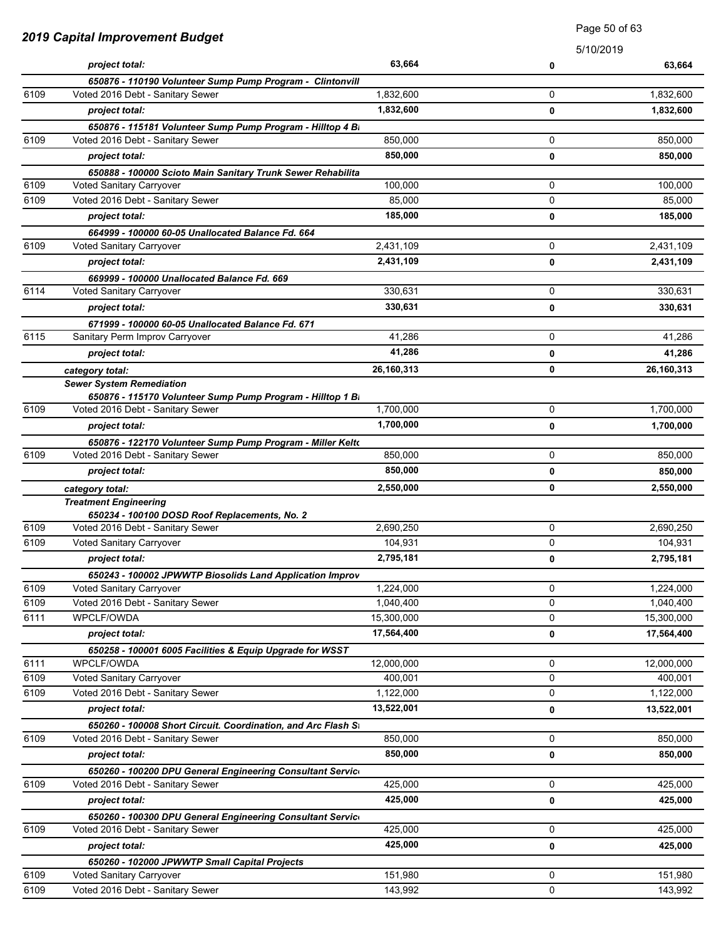|      |                                                               | Page 50 of 63 |           |            |
|------|---------------------------------------------------------------|---------------|-----------|------------|
|      | <b>2019 Capital Improvement Budget</b>                        |               | 5/10/2019 |            |
|      | project total:                                                | 63,664        | 0         | 63,664     |
|      | 650876 - 110190 Volunteer Sump Pump Program - Clintonvill     |               |           |            |
| 6109 | Voted 2016 Debt - Sanitary Sewer                              | 1,832,600     | 0         | 1,832,600  |
|      | project total:                                                | 1,832,600     | 0         | 1,832,600  |
|      | 650876 - 115181 Volunteer Sump Pump Program - Hilltop 4 Bi    |               |           |            |
| 6109 | Voted 2016 Debt - Sanitary Sewer                              | 850,000       | 0         | 850,000    |
|      | project total:                                                | 850,000       | 0         | 850,000    |
|      | 650888 - 100000 Scioto Main Sanitary Trunk Sewer Rehabilita   |               |           |            |
| 6109 | Voted Sanitary Carryover                                      | 100,000       | 0         | 100,000    |
| 6109 | Voted 2016 Debt - Sanitary Sewer                              | 85,000        | 0         | 85,000     |
|      | project total:                                                | 185,000       | 0         | 185,000    |
|      | 664999 - 100000 60-05 Unallocated Balance Fd. 664             |               |           |            |
| 6109 | Voted Sanitary Carryover                                      | 2,431,109     | 0         | 2,431,109  |
|      | project total:                                                | 2,431,109     | 0         | 2,431,109  |
|      | 669999 - 100000 Unallocated Balance Fd. 669                   |               |           |            |
| 6114 | Voted Sanitary Carryover                                      | 330.631       | 0         | 330,631    |
|      | project total:                                                | 330,631       | 0         | 330,631    |
|      | 671999 - 100000 60-05 Unallocated Balance Fd. 671             |               |           |            |
| 6115 | Sanitary Perm Improv Carryover                                | 41.286        | 0         | 41,286     |
|      | project total:                                                | 41,286        | 0         | 41,286     |
|      | category total:                                               | 26,160,313    | 0         | 26,160,313 |
|      | <b>Sewer System Remediation</b>                               |               |           |            |
|      | 650876 - 115170 Volunteer Sump Pump Program - Hilltop 1 Bi    |               |           |            |
| 6109 | Voted 2016 Debt - Sanitary Sewer                              | 1,700,000     | 0         | 1,700,000  |
|      | project total:                                                | 1,700,000     | 0         | 1,700,000  |
|      | 650876 - 122170 Volunteer Sump Pump Program - Miller Kelto    |               |           |            |
| 6109 | Voted 2016 Debt - Sanitary Sewer                              | 850,000       | 0         | 850,000    |
|      | project total:                                                | 850,000       | 0         | 850,000    |
|      | category total:                                               | 2,550,000     | 0         | 2,550,000  |
|      | <b>Treatment Engineering</b>                                  |               |           |            |
|      | 650234 - 100100 DOSD Roof Replacements, No. 2                 |               |           |            |
| 6109 | Voted 2016 Debt - Sanitary Sewer                              | 2,690,250     | 0         | 2,690,250  |
| 6109 | Voted Sanitary Carryover                                      | 104,931       | 0         | 104,931    |
|      | project total:                                                | 2,795,181     | 0         | 2,795,181  |
|      | 650243 - 100002 JPWWTP Biosolids Land Application Improv      |               |           |            |
| 6109 | Voted Sanitary Carryover                                      | 1,224,000     | 0         | 1,224,000  |
| 6109 | Voted 2016 Debt - Sanitary Sewer                              | 1,040,400     | 0         | 1,040,400  |
| 6111 | WPCLF/OWDA                                                    | 15,300,000    | 0         | 15,300,000 |
|      | project total:                                                | 17,564,400    | 0         | 17,564,400 |
|      | 650258 - 100001 6005 Facilities & Equip Upgrade for WSST      |               |           |            |
| 6111 | <b>WPCLF/OWDA</b>                                             | 12,000,000    | 0         | 12,000,000 |
| 6109 | Voted Sanitary Carryover                                      | 400,001       | 0         | 400,001    |
| 6109 | Voted 2016 Debt - Sanitary Sewer                              | 1,122,000     | 0         | 1,122,000  |
|      | project total:                                                | 13,522,001    | 0         | 13,522,001 |
|      | 650260 - 100008 Short Circuit. Coordination, and Arc Flash St |               |           |            |
| 6109 | Voted 2016 Debt - Sanitary Sewer                              | 850,000       | 0         | 850,000    |
|      | project total:                                                | 850,000       | 0         | 850,000    |
|      | 650260 - 100200 DPU General Engineering Consultant Service    |               |           |            |
| 6109 | Voted 2016 Debt - Sanitary Sewer                              | 425,000       | 0         | 425,000    |
|      | project total:                                                | 425,000       | 0         | 425,000    |
|      | 650260 - 100300 DPU General Engineering Consultant Service    |               |           |            |
| 6109 | Voted 2016 Debt - Sanitary Sewer                              | 425,000       | 0         | 425,000    |
|      | project total:                                                | 425,000       | 0         | 425,000    |
|      | 650260 - 102000 JPWWTP Small Capital Projects                 |               |           |            |
| 6109 | Voted Sanitary Carryover                                      | 151,980       | 0         | 151,980    |
| 6109 | Voted 2016 Debt - Sanitary Sewer                              | 143,992       | 0         | 143,992    |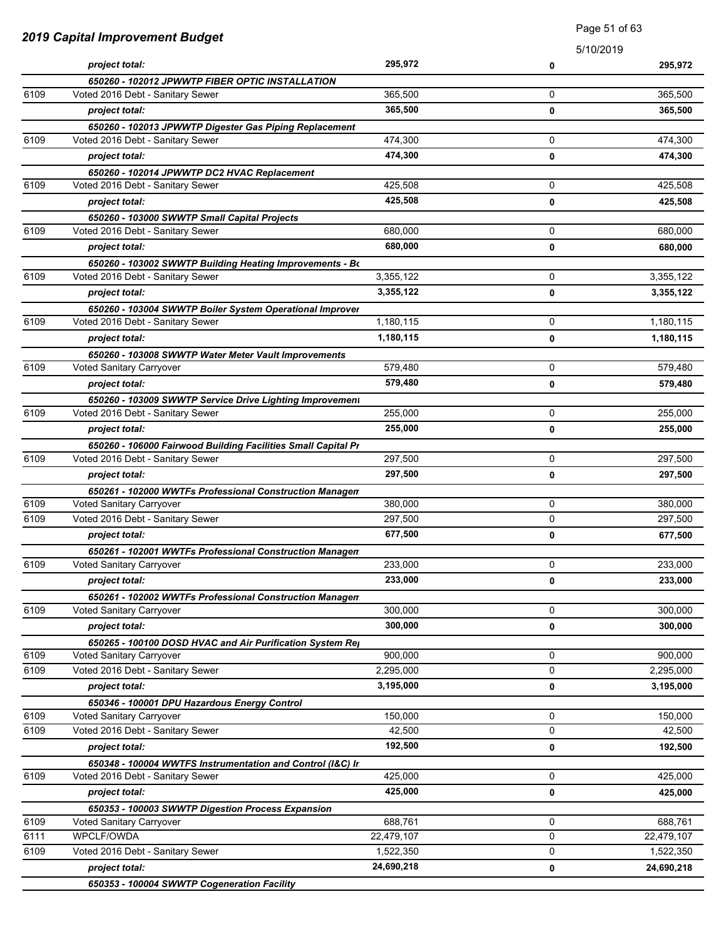| 2019 Capital Improvement Budget |                                                                                              | <b>Faye</b> of or op |             |            |
|---------------------------------|----------------------------------------------------------------------------------------------|----------------------|-------------|------------|
|                                 |                                                                                              |                      | 5/10/2019   |            |
|                                 | project total:                                                                               | 295,972              | 0           | 295,972    |
|                                 | 650260 - 102012 JPWWTP FIBER OPTIC INSTALLATION                                              |                      |             |            |
| 6109                            | Voted 2016 Debt - Sanitary Sewer                                                             | 365,500              | 0           | 365,500    |
|                                 | project total:                                                                               | 365,500              | 0           | 365,500    |
|                                 | 650260 - 102013 JPWWTP Digester Gas Piping Replacement                                       |                      |             |            |
| 6109                            | Voted 2016 Debt - Sanitary Sewer                                                             | 474,300              | 0           | 474,300    |
|                                 | project total:                                                                               | 474,300              | 0           | 474,300    |
|                                 | 650260 - 102014 JPWWTP DC2 HVAC Replacement                                                  |                      |             |            |
| 6109                            | Voted 2016 Debt - Sanitary Sewer                                                             | 425,508              | 0           | 425,508    |
|                                 | project total:                                                                               | 425,508              | 0           | 425,508    |
| 6109                            | 650260 - 103000 SWWTP Small Capital Projects<br>Voted 2016 Debt - Sanitary Sewer             | 680,000              | 0           | 680,000    |
|                                 | project total:                                                                               | 680,000              |             |            |
|                                 |                                                                                              |                      | 0           | 680,000    |
| 6109                            | 650260 - 103002 SWWTP Building Heating Improvements - Bo<br>Voted 2016 Debt - Sanitary Sewer | 3,355,122            | 0           | 3,355,122  |
|                                 | project total:                                                                               | 3,355,122            |             |            |
|                                 |                                                                                              |                      | 0           | 3,355,122  |
| 6109                            | 650260 - 103004 SWWTP Boiler System Operational Improver<br>Voted 2016 Debt - Sanitary Sewer | 1,180,115            | 0           | 1,180,115  |
|                                 | project total:                                                                               | 1,180,115            | 0           | 1,180,115  |
|                                 |                                                                                              |                      |             |            |
| 6109                            | 650260 - 103008 SWWTP Water Meter Vault Improvements<br>Voted Sanitary Carryover             | 579,480              | 0           | 579,480    |
|                                 | project total:                                                                               | 579,480              | 0           | 579,480    |
|                                 |                                                                                              |                      |             |            |
| 6109                            | 650260 - 103009 SWWTP Service Drive Lighting Improvement<br>Voted 2016 Debt - Sanitary Sewer | 255,000              | 0           | 255,000    |
|                                 | project total:                                                                               | 255,000              | 0           | 255,000    |
|                                 | 650260 - 106000 Fairwood Building Facilities Small Capital Pr                                |                      |             |            |
| 6109                            | Voted 2016 Debt - Sanitary Sewer                                                             | 297,500              | 0           | 297,500    |
|                                 | project total:                                                                               | 297,500              | 0           | 297,500    |
|                                 | 650261 - 102000 WWTFs Professional Construction Managen                                      |                      |             |            |
| 6109                            | Voted Sanitary Carryover                                                                     | 380,000              | 0           | 380,000    |
| 6109                            | Voted 2016 Debt - Sanitary Sewer                                                             | 297,500              | 0           | 297,500    |
|                                 | project total:                                                                               | 677,500              | 0           | 677,500    |
|                                 | 650261 - 102001 WWTFs Professional Construction Managen                                      |                      |             |            |
| 6109                            | Voted Sanitary Carryover                                                                     | 233,000              | 0           | 233,000    |
|                                 | project total:                                                                               | 233,000              | 0           | 233,000    |
|                                 | 650261 - 102002 WWTFs Professional Construction Managen                                      |                      |             |            |
| 6109                            | Voted Sanitary Carryover                                                                     | 300,000              | $\mathbf 0$ | 300,000    |
|                                 | project total:                                                                               | 300,000              | 0           | 300,000    |
|                                 | 650265 - 100100 DOSD HVAC and Air Purification System Rej                                    |                      |             |            |
| 6109                            | Voted Sanitary Carryover                                                                     | 900,000              | 0           | 900,000    |
| 6109                            | Voted 2016 Debt - Sanitary Sewer                                                             | 2,295,000            | 0           | 2,295,000  |
|                                 | project total:                                                                               | 3,195,000            | 0           | 3,195,000  |
|                                 | 650346 - 100001 DPU Hazardous Energy Control                                                 |                      |             |            |
| 6109                            | Voted Sanitary Carryover                                                                     | 150,000              | 0           | 150,000    |
| 6109                            | Voted 2016 Debt - Sanitary Sewer                                                             | 42,500               | 0           | 42,500     |
|                                 | project total:                                                                               | 192,500              | 0           | 192,500    |
|                                 | 650348 - 100004 WWTFS Instrumentation and Control (I&C) In                                   |                      |             |            |
| 6109                            | Voted 2016 Debt - Sanitary Sewer                                                             | 425,000              | 0           | 425,000    |
|                                 | project total:                                                                               | 425,000              | 0           | 425,000    |
|                                 | 650353 - 100003 SWWTP Digestion Process Expansion                                            |                      |             |            |
| 6109                            | Voted Sanitary Carryover                                                                     | 688,761              | $\mathbf 0$ | 688,761    |
| 6111                            | WPCLF/OWDA                                                                                   | 22,479,107           | 0           | 22,479,107 |
| 6109                            | Voted 2016 Debt - Sanitary Sewer                                                             | 1,522,350            | 0           | 1,522,350  |
|                                 | project total:                                                                               | 24,690,218           | 0           | 24,690,218 |

Page 51 of 63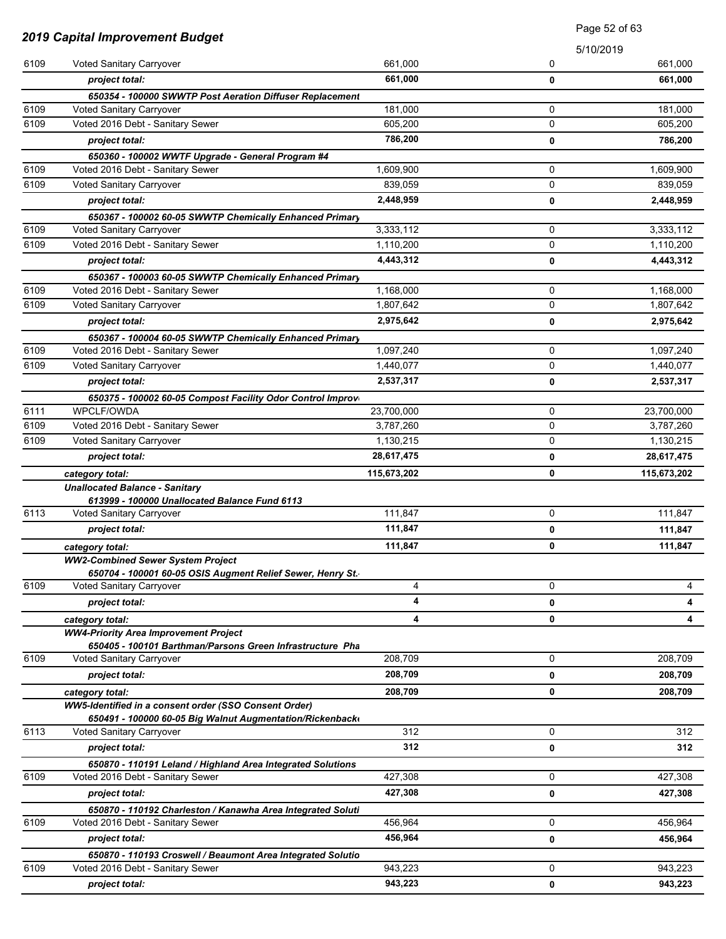| <b>2019 Capital Improvement Budget</b> |                                                                                                 | Page 52 of 63      |             |             |
|----------------------------------------|-------------------------------------------------------------------------------------------------|--------------------|-------------|-------------|
|                                        |                                                                                                 |                    | 5/10/2019   |             |
| 6109                                   | Voted Sanitary Carryover                                                                        | 661,000            | 0           | 661,000     |
|                                        | project total:                                                                                  | 661,000            | 0           | 661,000     |
|                                        | 650354 - 100000 SWWTP Post Aeration Diffuser Replacement                                        |                    |             |             |
| 6109                                   | Voted Sanitary Carryover                                                                        | 181,000            | 0           | 181,000     |
| 6109                                   | Voted 2016 Debt - Sanitary Sewer                                                                | 605,200            | 0           | 605,200     |
|                                        | project total:                                                                                  | 786,200            | 0           | 786,200     |
|                                        | 650360 - 100002 WWTF Upgrade - General Program #4                                               |                    |             |             |
| 6109                                   | Voted 2016 Debt - Sanitary Sewer                                                                | 1,609,900          | 0           | 1,609,900   |
| 6109                                   | Voted Sanitary Carryover                                                                        | 839,059            | 0           | 839,059     |
|                                        | project total:                                                                                  | 2,448,959          | 0           | 2,448,959   |
|                                        | 650367 - 100002 60-05 SWWTP Chemically Enhanced Primary                                         |                    |             |             |
| 6109                                   | Voted Sanitary Carryover                                                                        | 3,333,112          | 0           | 3,333,112   |
| 6109                                   | Voted 2016 Debt - Sanitary Sewer                                                                | 1,110,200          | 0           | 1,110,200   |
|                                        | project total:                                                                                  | 4,443,312          | 0           | 4,443,312   |
|                                        | 650367 - 100003 60-05 SWWTP Chemically Enhanced Primary                                         |                    |             |             |
| 6109                                   | Voted 2016 Debt - Sanitary Sewer                                                                | 1,168,000          | 0           | 1,168,000   |
| 6109                                   | Voted Sanitary Carryover                                                                        | 1,807,642          | $\mathbf 0$ | 1,807,642   |
|                                        | project total:                                                                                  | 2,975,642          | 0           | 2,975,642   |
|                                        | 650367 - 100004 60-05 SWWTP Chemically Enhanced Primary                                         |                    |             |             |
| 6109                                   | Voted 2016 Debt - Sanitary Sewer                                                                | 1,097,240          | $\mathbf 0$ | 1,097,240   |
| 6109                                   | Voted Sanitary Carryover                                                                        | 1,440,077          | 0           | 1,440,077   |
|                                        | project total:                                                                                  | 2,537,317          | 0           | 2,537,317   |
|                                        | 650375 - 100002 60-05 Compost Facility Odor Control Improv                                      |                    |             |             |
| 6111                                   | <b>WPCLF/OWDA</b>                                                                               | 23,700,000         | 0           | 23,700,000  |
| 6109                                   | Voted 2016 Debt - Sanitary Sewer                                                                | 3,787,260          | 0           | 3,787,260   |
| 6109                                   | Voted Sanitary Carryover                                                                        | 1,130,215          | 0           | 1,130,215   |
|                                        | project total:                                                                                  | 28,617,475         | 0           | 28,617,475  |
|                                        | category total:                                                                                 | 115,673,202        | 0           | 115,673,202 |
|                                        | <b>Unallocated Balance - Sanitary</b><br>613999 - 100000 Unallocated Balance Fund 6113          |                    |             |             |
| 6113                                   | Voted Sanitary Carryover                                                                        | 111,847            | 0           | 111,847     |
|                                        | project total:                                                                                  | 111,847            | 0           | 111,847     |
|                                        | category total:                                                                                 | 111,847            | 0           | 111,847     |
|                                        | <b>WW2-Combined Sewer System Project</b>                                                        |                    |             |             |
|                                        | 650704 - 100001 60-05 OSIS Augment Relief Sewer, Henry St.                                      |                    |             |             |
| 6109                                   | Voted Sanitary Carryover                                                                        | 4                  | $\mathbf 0$ | 4           |
|                                        | project total:                                                                                  | 4                  | 0           | 4           |
|                                        | category total:                                                                                 | 4                  | 0           | 4           |
|                                        | <b>WW4-Priority Area Improvement Project</b>                                                    |                    |             |             |
|                                        | 650405 - 100101 Barthman/Parsons Green Infrastructure Pha                                       |                    |             |             |
| 6109                                   | Voted Sanitary Carryover                                                                        | 208,709            | $\mathbf 0$ | 208,709     |
|                                        | project total:                                                                                  | 208,709            | 0           | 208,709     |
|                                        | category total:                                                                                 | 208,709            | 0           | 208,709     |
|                                        | WW5-Identified in a consent order (SSO Consent Order)                                           |                    |             |             |
|                                        | 650491 - 100000 60-05 Big Walnut Augmentation/Rickenback                                        | 312                | 0           | 312         |
| 6113                                   | Voted Sanitary Carryover                                                                        |                    |             |             |
|                                        | project total:                                                                                  | 312                | 0           | 312         |
|                                        | 650870 - 110191 Leland / Highland Area Integrated Solutions                                     |                    |             |             |
| 6109                                   | Voted 2016 Debt - Sanitary Sewer                                                                | 427,308<br>427,308 | 0           | 427,308     |
|                                        | project total:                                                                                  |                    | 0           | 427,308     |
| 6109                                   | 650870 - 110192 Charleston / Kanawha Area Integrated Soluti                                     | 456,964            | 0           | 456,964     |
|                                        | Voted 2016 Debt - Sanitary Sewer                                                                | 456,964            |             |             |
|                                        | project total:                                                                                  |                    | 0           | 456,964     |
| 6109                                   | 650870 - 110193 Croswell / Beaumont Area Integrated Solutio<br>Voted 2016 Debt - Sanitary Sewer | 943,223            | 0           | 943,223     |
|                                        |                                                                                                 | 943,223            |             | 943,223     |
|                                        | project total:                                                                                  |                    | 0           |             |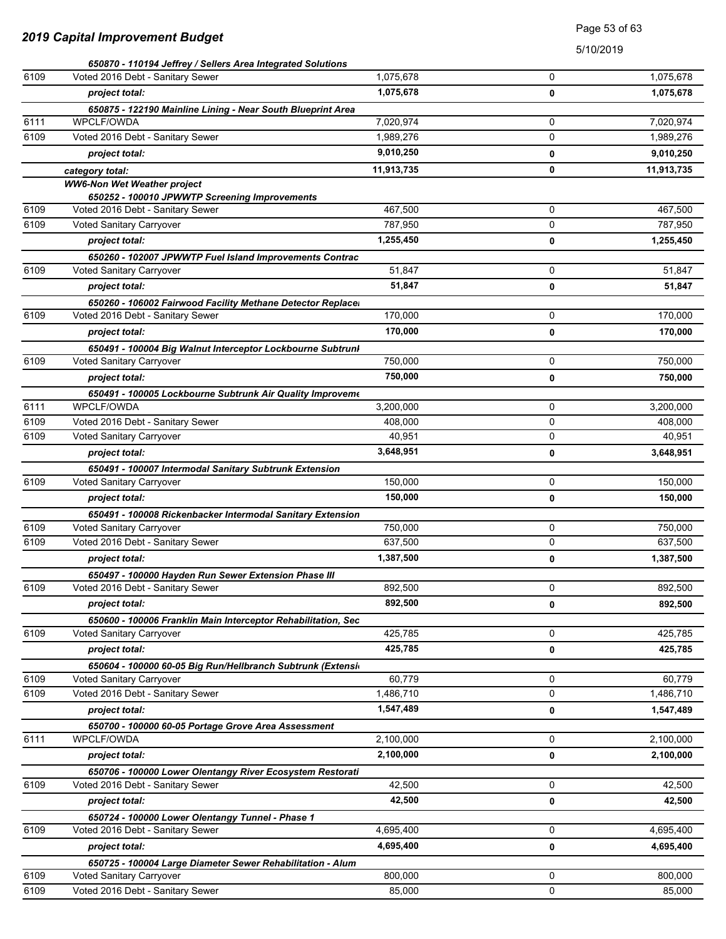### Page 53 of 63

|      | 650870 - 110194 Jeffrey / Sellers Area Integrated Solutions                               |            |   |            |
|------|-------------------------------------------------------------------------------------------|------------|---|------------|
| 6109 | Voted 2016 Debt - Sanitary Sewer                                                          | 1,075,678  | 0 | 1,075,678  |
|      | project total:                                                                            | 1,075,678  | 0 | 1,075,678  |
|      | 650875 - 122190 Mainline Lining - Near South Blueprint Area                               |            |   |            |
| 6111 | WPCLF/OWDA                                                                                | 7,020,974  | 0 | 7,020,974  |
| 6109 | Voted 2016 Debt - Sanitary Sewer                                                          | 1,989,276  | 0 | 1,989,276  |
|      | project total:                                                                            | 9,010,250  | 0 | 9,010,250  |
|      | category total:                                                                           | 11,913,735 | 0 | 11,913,735 |
|      | <b>WW6-Non Wet Weather project</b>                                                        |            |   |            |
|      | 650252 - 100010 JPWWTP Screening Improvements                                             |            |   |            |
| 6109 | Voted 2016 Debt - Sanitary Sewer                                                          | 467,500    | 0 | 467,500    |
| 6109 | Voted Sanitary Carryover                                                                  | 787,950    | 0 | 787,950    |
|      | project total:                                                                            | 1,255,450  | 0 | 1,255,450  |
|      | 650260 - 102007 JPWWTP Fuel Island Improvements Contrac                                   |            |   |            |
| 6109 | Voted Sanitary Carryover                                                                  | 51,847     | 0 | 51,847     |
|      | project total:                                                                            | 51,847     | 0 | 51,847     |
|      | 650260 - 106002 Fairwood Facility Methane Detector Replace                                |            |   |            |
| 6109 | Voted 2016 Debt - Sanitary Sewer                                                          | 170,000    | 0 | 170,000    |
|      | project total:                                                                            | 170,000    | 0 | 170,000    |
|      | 650491 - 100004 Big Walnut Interceptor Lockbourne Subtrunl                                |            |   |            |
| 6109 | Voted Sanitary Carryover                                                                  | 750,000    | 0 | 750,000    |
|      | project total:                                                                            | 750,000    | 0 | 750,000    |
|      | 650491 - 100005 Lockbourne Subtrunk Air Quality Improveme                                 |            |   |            |
| 6111 | WPCLF/OWDA                                                                                | 3,200,000  | 0 | 3,200,000  |
| 6109 | Voted 2016 Debt - Sanitary Sewer                                                          | 408,000    | 0 | 408,000    |
| 6109 | Voted Sanitary Carryover                                                                  | 40,951     | 0 | 40,951     |
|      | project total:                                                                            | 3,648,951  | 0 | 3,648,951  |
|      | 650491 - 100007 Intermodal Sanitary Subtrunk Extension                                    |            |   |            |
| 6109 | Voted Sanitary Carryover                                                                  | 150,000    | 0 | 150,000    |
|      | project total:                                                                            | 150,000    | 0 | 150,000    |
|      | 650491 - 100008 Rickenbacker Intermodal Sanitary Extension                                |            |   |            |
| 6109 | Voted Sanitary Carryover                                                                  | 750,000    | 0 | 750,000    |
| 6109 | Voted 2016 Debt - Sanitary Sewer                                                          | 637,500    | 0 | 637,500    |
|      | project total:                                                                            | 1,387,500  | 0 | 1,387,500  |
|      | 650497 - 100000 Hayden Run Sewer Extension Phase III                                      |            |   |            |
| 6109 | Voted 2016 Debt - Sanitary Sewer                                                          | 892,500    | 0 | 892,500    |
|      | project total:                                                                            | 892,500    | 0 | 892,500    |
|      |                                                                                           |            |   |            |
| 6109 | 650600 - 100006 Franklin Main Interceptor Rehabilitation, Sec<br>Voted Sanitary Carryover | 425,785    | 0 | 425,785    |
|      | project total:                                                                            | 425,785    |   | 425,785    |
|      |                                                                                           |            | 0 |            |
| 6109 | 650604 - 100000 60-05 Big Run/Hellbranch Subtrunk (Extensi<br>Voted Sanitary Carryover    | 60,779     | 0 | 60,779     |
| 6109 | Voted 2016 Debt - Sanitary Sewer                                                          | 1,486,710  | 0 | 1,486,710  |
|      |                                                                                           | 1,547,489  | 0 |            |
|      | project total:                                                                            |            |   | 1,547,489  |
| 6111 | 650700 - 100000 60-05 Portage Grove Area Assessment<br>WPCLF/OWDA                         |            |   | 2,100,000  |
|      |                                                                                           | 2,100,000  | 0 |            |
|      | project total:                                                                            | 2,100,000  | 0 | 2,100,000  |
|      | 650706 - 100000 Lower Olentangy River Ecosystem Restorati                                 |            |   |            |
| 6109 | Voted 2016 Debt - Sanitary Sewer                                                          | 42,500     | 0 | 42,500     |
|      | project total:                                                                            | 42,500     | 0 | 42,500     |
|      | 650724 - 100000 Lower Olentangy Tunnel - Phase 1                                          |            |   |            |
| 6109 | Voted 2016 Debt - Sanitary Sewer                                                          | 4,695,400  | 0 | 4,695,400  |
|      | project total:                                                                            | 4,695,400  | 0 | 4,695,400  |
|      | 650725 - 100004 Large Diameter Sewer Rehabilitation - Alum                                |            |   |            |
| 6109 | Voted Sanitary Carryover                                                                  | 800,000    | 0 | 800,000    |
| 6109 | Voted 2016 Debt - Sanitary Sewer                                                          | 85,000     | 0 | 85,000     |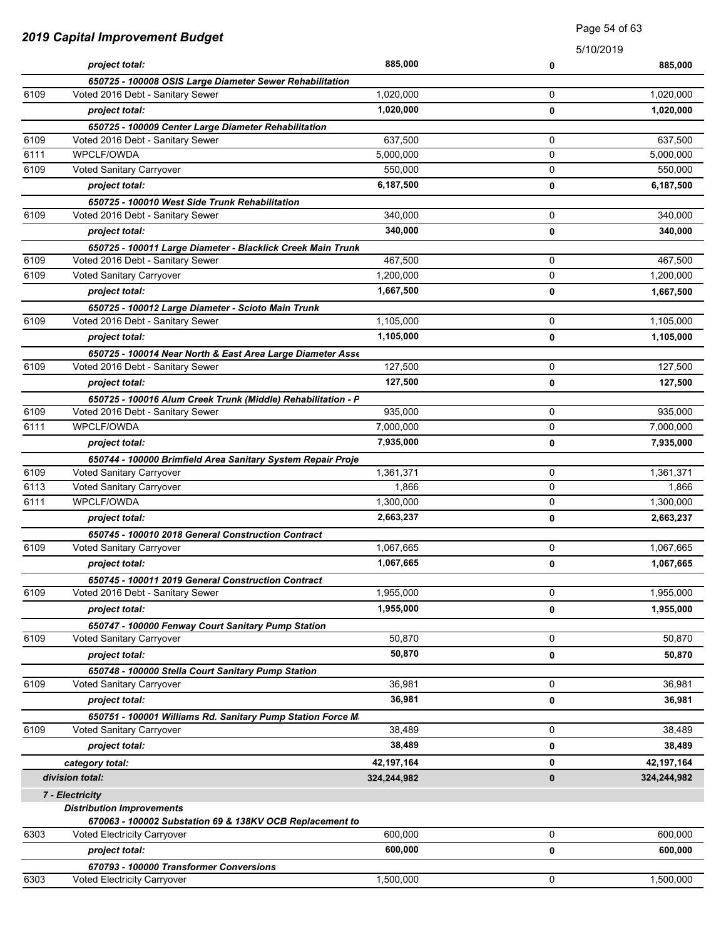| 2019 Capital Improvement Budget |                                                              | raye u4 ui uu |           |             |
|---------------------------------|--------------------------------------------------------------|---------------|-----------|-------------|
|                                 |                                                              |               | 5/10/2019 |             |
|                                 | project total:                                               | 885,000       | 0         | 885,000     |
|                                 | 650725 - 100008 OSIS Large Diameter Sewer Rehabilitation     |               |           |             |
| 6109                            | Voted 2016 Debt - Sanitary Sewer                             | 1,020,000     | 0         | 1,020,000   |
|                                 | project total:                                               | 1,020,000     | 0         | 1,020,000   |
|                                 | 650725 - 100009 Center Large Diameter Rehabilitation         |               |           |             |
| 6109                            | Voted 2016 Debt - Sanitary Sewer                             | 637,500       | 0         | 637,500     |
| 6111                            | WPCLF/OWDA                                                   | 5,000,000     | 0         | 5,000,000   |
| 6109                            | Voted Sanitary Carryover                                     | 550,000       | 0         | 550,000     |
|                                 | project total:                                               | 6,187,500     | 0         | 6,187,500   |
|                                 | 650725 - 100010 West Side Trunk Rehabilitation               |               |           |             |
| 6109                            | Voted 2016 Debt - Sanitary Sewer                             | 340,000       | 0         | 340,000     |
|                                 | project total:                                               | 340,000       | 0         | 340,000     |
|                                 | 650725 - 100011 Large Diameter - Blacklick Creek Main Trunk  |               |           |             |
| 6109                            | Voted 2016 Debt - Sanitary Sewer                             | 467,500       | 0         | 467,500     |
| 6109                            | Voted Sanitary Carryover                                     | 1,200,000     | 0         | 1,200,000   |
|                                 | project total:                                               | 1,667,500     | 0         | 1,667,500   |
|                                 | 650725 - 100012 Large Diameter - Scioto Main Trunk           |               |           |             |
| 6109                            | Voted 2016 Debt - Sanitary Sewer                             | 1,105,000     | 0         | 1,105,000   |
|                                 | project total:                                               | 1,105,000     | 0         | 1,105,000   |
|                                 | 650725 - 100014 Near North & East Area Large Diameter Asse   |               |           |             |
| 6109                            | Voted 2016 Debt - Sanitary Sewer                             | 127,500       | 0         | 127,500     |
|                                 | project total:                                               | 127,500       | 0         | 127,500     |
|                                 | 650725 - 100016 Alum Creek Trunk (Middle) Rehabilitation - P |               |           |             |
| 6109                            | Voted 2016 Debt - Sanitary Sewer                             | 935,000       | 0         | 935,000     |
| 6111                            | WPCLF/OWDA                                                   | 7,000,000     | 0         | 7,000,000   |
|                                 | project total:                                               | 7,935,000     | 0         | 7,935,000   |
|                                 | 650744 - 100000 Brimfield Area Sanitary System Repair Proje  |               |           |             |
| 6109                            | Voted Sanitary Carryover                                     | 1,361,371     | 0         | 1,361,371   |
| 6113                            | Voted Sanitary Carryover                                     | 1,866         | 0         | 1,866       |
| 6111                            | WPCLF/OWDA                                                   | 1,300,000     | 0         | 1,300,000   |
|                                 | project total:                                               | 2,663,237     | 0         | 2,663,237   |
|                                 | 650745 - 100010 2018 General Construction Contract           |               |           |             |
| 6109                            | Voted Sanitary Carryover                                     | 1,067,665     | 0         | 1,067,665   |
|                                 | project total:                                               | 1,067,665     | 0         | 1,067,665   |
|                                 | 650745 - 100011 2019 General Construction Contract           |               |           |             |
| 6109                            | Voted 2016 Debt - Sanitary Sewer                             | 1,955,000     | 0         | 1,955,000   |
|                                 | project total:                                               | 1,955,000     | 0         | 1,955,000   |
|                                 | 650747 - 100000 Fenway Court Sanitary Pump Station           |               |           |             |
| 6109                            | Voted Sanitary Carryover                                     | 50.870        | 0         | 50,870      |
|                                 | project total:                                               | 50,870        | 0         | 50,870      |
|                                 | 650748 - 100000 Stella Court Sanitary Pump Station           |               |           |             |
| 6109                            | Voted Sanitary Carryover                                     | 36,981        | 0         | 36,981      |
|                                 | project total:                                               | 36,981        | 0         | 36,981      |
|                                 | 650751 - 100001 Williams Rd. Sanitary Pump Station Force M.  |               |           |             |
| 6109                            | Voted Sanitary Carryover                                     | 38,489        | 0         | 38,489      |
|                                 | project total:                                               | 38,489        | 0         | 38,489      |
|                                 | category total:                                              | 42, 197, 164  | 0         | 42,197,164  |
|                                 | division total:                                              | 324,244,982   | 0         | 324,244,982 |
|                                 |                                                              |               |           |             |
|                                 | 7 - Electricity<br><b>Distribution Improvements</b>          |               |           |             |
|                                 | 670063 - 100002 Substation 69 & 138KV OCB Replacement to     |               |           |             |
| 6303                            | <b>Voted Electricity Carryover</b>                           | 600,000       | 0         | 600,000     |
|                                 | project total:                                               | 600,000       | 0         | 600,000     |
|                                 | 670793 - 100000 Transformer Conversions                      |               |           |             |
| 6303                            | Voted Electricity Carryover                                  | 1,500,000     | 0         | 1,500,000   |

Page 54 of 63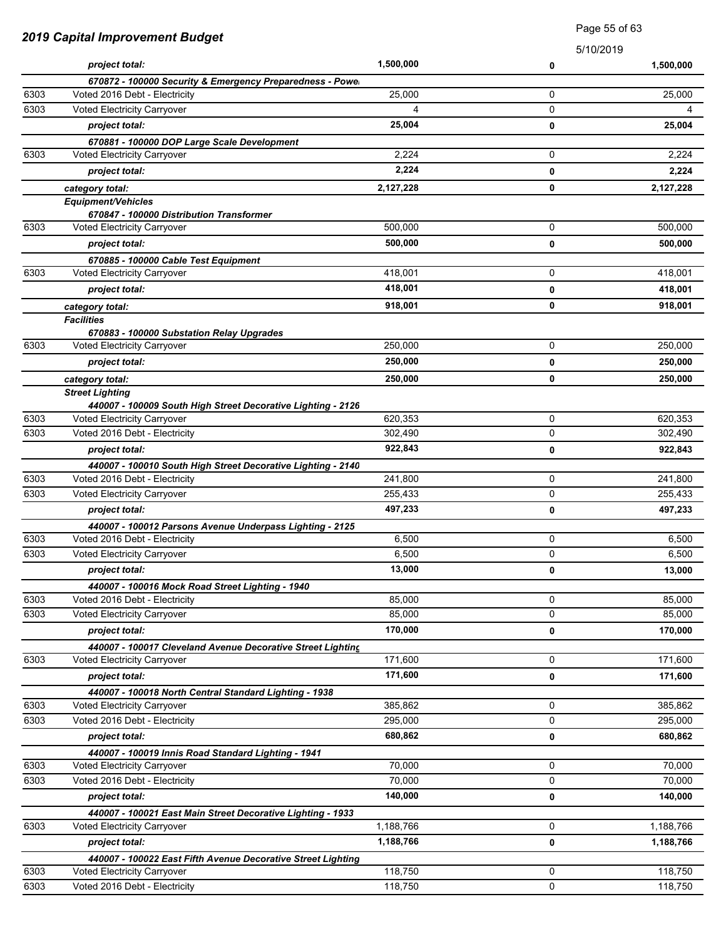|              |                                                                                           |           | Page 55 of 63 |           |
|--------------|-------------------------------------------------------------------------------------------|-----------|---------------|-----------|
|              | <b>2019 Capital Improvement Budget</b>                                                    |           | 5/10/2019     |           |
|              | project total:                                                                            | 1,500,000 | 0             | 1,500,000 |
|              | 670872 - 100000 Security & Emergency Preparedness - Powe                                  |           |               |           |
| 6303         | Voted 2016 Debt - Electricity                                                             | 25.000    | 0             | 25,000    |
| 6303         | Voted Electricity Carryover                                                               | 4         | 0             | 4         |
|              | project total:                                                                            | 25,004    | 0             | 25,004    |
|              | 670881 - 100000 DOP Large Scale Development                                               |           |               |           |
| 6303         | <b>Voted Electricity Carryover</b>                                                        | 2,224     | 0             | 2,224     |
|              | project total:                                                                            | 2,224     | 0             | 2,224     |
|              | category total:                                                                           | 2,127,228 | 0             | 2,127,228 |
|              | <b>Equipment/Vehicles</b>                                                                 |           |               |           |
| 6303         | 670847 - 100000 Distribution Transformer<br><b>Voted Electricity Carryover</b>            | 500,000   | 0             | 500,000   |
|              | project total:                                                                            | 500,000   | 0             | 500,000   |
|              | 670885 - 100000 Cable Test Equipment                                                      |           |               |           |
| 6303         | <b>Voted Electricity Carryover</b>                                                        | 418,001   | 0             | 418,001   |
|              | project total:                                                                            | 418,001   | 0             | 418,001   |
|              | category total:                                                                           | 918,001   | 0             | 918,001   |
|              | <b>Facilities</b>                                                                         |           |               |           |
|              | 670883 - 100000 Substation Relay Upgrades                                                 |           |               |           |
| 6303         | Voted Electricity Carryover                                                               | 250,000   | 0             | 250,000   |
|              | project total:                                                                            | 250,000   | 0             | 250,000   |
|              | category total:                                                                           | 250,000   | 0             | 250,000   |
|              | <b>Street Lighting</b>                                                                    |           |               |           |
|              | 440007 - 100009 South High Street Decorative Lighting - 2126                              |           |               |           |
| 6303         | Voted Electricity Carryover                                                               | 620,353   | 0             | 620,353   |
| 6303         | Voted 2016 Debt - Electricity                                                             | 302,490   | 0             | 302,490   |
|              | project total:                                                                            | 922,843   | 0             | 922,843   |
|              | 440007 - 100010 South High Street Decorative Lighting - 2140                              |           |               |           |
| 6303<br>6303 | Voted 2016 Debt - Electricity                                                             | 241,800   | 0<br>0        | 241,800   |
|              | Voted Electricity Carryover                                                               | 255,433   |               | 255,433   |
|              | project total:                                                                            | 497,233   | 0             | 497,233   |
| 6303         | 440007 - 100012 Parsons Avenue Underpass Lighting - 2125<br>Voted 2016 Debt - Electricity | 6,500     | 0             | 6,500     |
| 6303         | Voted Electricity Carryover                                                               | 6,500     | 0             | 6,500     |
|              | project total:                                                                            | 13,000    | 0             | 13,000    |
|              |                                                                                           |           |               |           |
| 6303         | 440007 - 100016 Mock Road Street Lighting - 1940<br>Voted 2016 Debt - Electricity         | 85,000    | 0             | 85,000    |
| 6303         | Voted Electricity Carryover                                                               | 85,000    | 0             | 85,000    |
|              | project total:                                                                            | 170,000   | 0             | 170,000   |
|              | 440007 - 100017 Cleveland Avenue Decorative Street Lighting                               |           |               |           |
| 6303         | <b>Voted Electricity Carryover</b>                                                        | 171,600   | 0             | 171,600   |
|              | project total:                                                                            | 171,600   | 0             | 171,600   |
|              | 440007 - 100018 North Central Standard Lighting - 1938                                    |           |               |           |
| 6303         | Voted Electricity Carryover                                                               | 385,862   | 0             | 385,862   |
| 6303         | Voted 2016 Debt - Electricity                                                             | 295,000   | 0             | 295,000   |
|              | project total:                                                                            | 680,862   | 0             | 680,862   |
|              | 440007 - 100019 Innis Road Standard Lighting - 1941                                       |           |               |           |
| 6303         | Voted Electricity Carryover                                                               | 70,000    | 0             | 70,000    |
| 6303         | Voted 2016 Debt - Electricity                                                             | 70,000    | 0             | 70,000    |
|              | project total:                                                                            | 140,000   | 0             | 140,000   |
|              | 440007 - 100021 East Main Street Decorative Lighting - 1933                               |           |               |           |
| 6303         | Voted Electricity Carryover                                                               | 1,188,766 | 0             | 1,188,766 |
|              | project total:                                                                            | 1,188,766 | 0             | 1,188,766 |
|              | 440007 - 100022 East Fifth Avenue Decorative Street Lighting                              |           |               |           |
| 6303         | Voted Electricity Carryover                                                               | 118,750   | 0             | 118,750   |
| 6303         | Voted 2016 Debt - Electricity                                                             | 118,750   | 0             | 118,750   |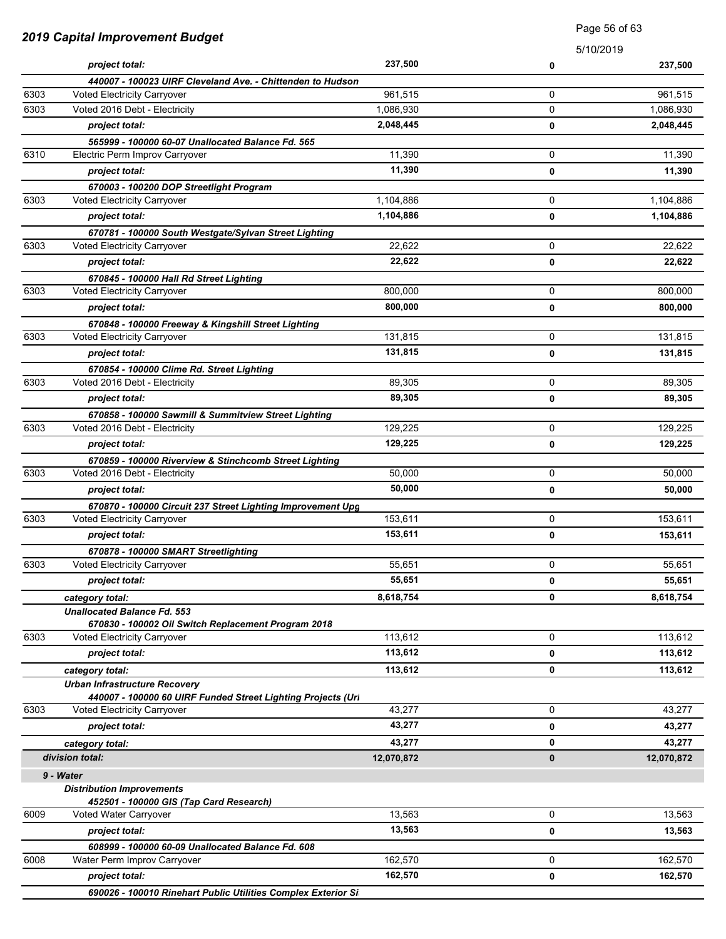| 2019 Capital Improvement Budget |                                                                                       | <b>Faye</b> 50 OF 00   |           |            |
|---------------------------------|---------------------------------------------------------------------------------------|------------------------|-----------|------------|
|                                 |                                                                                       |                        | 5/10/2019 |            |
|                                 | project total:                                                                        | 237,500                | 0         | 237,500    |
|                                 | 440007 - 100023 UIRF Cleveland Ave. - Chittenden to Hudson                            |                        |           |            |
| 6303                            | Voted Electricity Carryover                                                           | 961,515                | 0<br>0    | 961,515    |
| 6303                            | Voted 2016 Debt - Electricity                                                         | 1,086,930<br>2,048,445 |           | 1,086,930  |
|                                 | project total:                                                                        |                        | 0         | 2,048,445  |
| 6310                            | 565999 - 100000 60-07 Unallocated Balance Fd. 565                                     | 11,390                 | 0         | 11,390     |
|                                 | Electric Perm Improv Carryover                                                        | 11,390                 |           |            |
|                                 | project total:                                                                        |                        | 0         | 11,390     |
| 6303                            | 670003 - 100200 DOP Streetlight Program<br>Voted Electricity Carryover                | 1,104,886              | 0         | 1,104,886  |
|                                 |                                                                                       | 1,104,886              |           |            |
|                                 | project total:                                                                        |                        | 0         | 1,104,886  |
| 6303                            | 670781 - 100000 South Westgate/Sylvan Street Lighting<br>Voted Electricity Carryover  | 22,622                 | 0         | 22,622     |
|                                 | project total:                                                                        | 22,622                 |           |            |
|                                 |                                                                                       |                        | 0         | 22,622     |
| 6303                            | 670845 - 100000 Hall Rd Street Lighting<br>Voted Electricity Carryover                | 800.000                | 0         | 800,000    |
|                                 | project total:                                                                        | 800,000                | 0         | 800,000    |
|                                 |                                                                                       |                        |           |            |
| 6303                            | 670848 - 100000 Freeway & Kingshill Street Lighting<br>Voted Electricity Carryover    | 131,815                | 0         | 131,815    |
|                                 | project total:                                                                        | 131,815                |           | 131,815    |
|                                 |                                                                                       |                        | 0         |            |
| 6303                            | 670854 - 100000 Clime Rd. Street Lighting<br>Voted 2016 Debt - Electricity            | 89,305                 | 0         | 89,305     |
|                                 | project total:                                                                        | 89,305                 | 0         | 89,305     |
|                                 |                                                                                       |                        |           |            |
| 6303                            | 670858 - 100000 Sawmill & Summitview Street Lighting<br>Voted 2016 Debt - Electricity | 129,225                | 0         | 129,225    |
|                                 | project total:                                                                        | 129,225                | 0         | 129,225    |
|                                 | 670859 - 100000 Riverview & Stinchcomb Street Lighting                                |                        |           |            |
| 6303                            | Voted 2016 Debt - Electricity                                                         | 50,000                 | 0         | 50,000     |
|                                 | project total:                                                                        | 50,000                 | 0         | 50,000     |
|                                 | 670870 - 100000 Circuit 237 Street Lighting Improvement Upg                           |                        |           |            |
| 6303                            | Voted Electricity Carryover                                                           | 153,611                | 0         | 153,611    |
|                                 | project total:                                                                        | 153,611                | 0         | 153,611    |
|                                 | 670878 - 100000 SMART Streetlighting                                                  |                        |           |            |
| 6303                            | Voted Electricity Carryover                                                           | 55,651                 | 0         | 55,651     |
|                                 | project total:                                                                        | 55,651                 | 0         | 55,651     |
|                                 | category total:                                                                       | 8,618,754              | 0         | 8,618,754  |
|                                 | <b>Unallocated Balance Fd. 553</b>                                                    |                        |           |            |
|                                 | 670830 - 100002 Oil Switch Replacement Program 2018                                   |                        |           |            |
| 6303                            | Voted Electricity Carryover                                                           | 113,612                | 0         | 113,612    |
|                                 | project total:                                                                        | 113,612                | 0         | 113,612    |
|                                 | category total:                                                                       | 113,612                | 0         | 113,612    |
|                                 | <b>Urban Infrastructure Recovery</b>                                                  |                        |           |            |
|                                 | 440007 - 100000 60 UIRF Funded Street Lighting Projects (Url                          |                        |           |            |
| 6303                            | Voted Electricity Carryover                                                           | 43,277                 | 0         | 43,277     |
|                                 | project total:                                                                        | 43,277                 | 0         | 43,277     |
|                                 | category total:                                                                       | 43,277                 | 0         | 43,277     |
|                                 | division total:                                                                       | 12,070,872             | 0         | 12,070,872 |
|                                 | 9 - Water                                                                             |                        |           |            |
|                                 | <b>Distribution Improvements</b>                                                      |                        |           |            |
|                                 | 452501 - 100000 GIS (Tap Card Research)                                               |                        |           |            |
| 6009                            | Voted Water Carryover                                                                 | 13,563                 | 0         | 13,563     |
|                                 | project total:                                                                        | 13,563                 | 0         | 13,563     |
|                                 | 608999 - 100000 60-09 Unallocated Balance Fd. 608                                     |                        |           |            |
| 6008                            | Water Perm Improv Carryover                                                           | 162,570                | 0         | 162,570    |
|                                 | project total:                                                                        | 162,570                | 0         | 162,570    |
|                                 | 690026 - 100010 Rinehart Public Utilities Complex Exterior Si                         |                        |           |            |

Page 56 of 63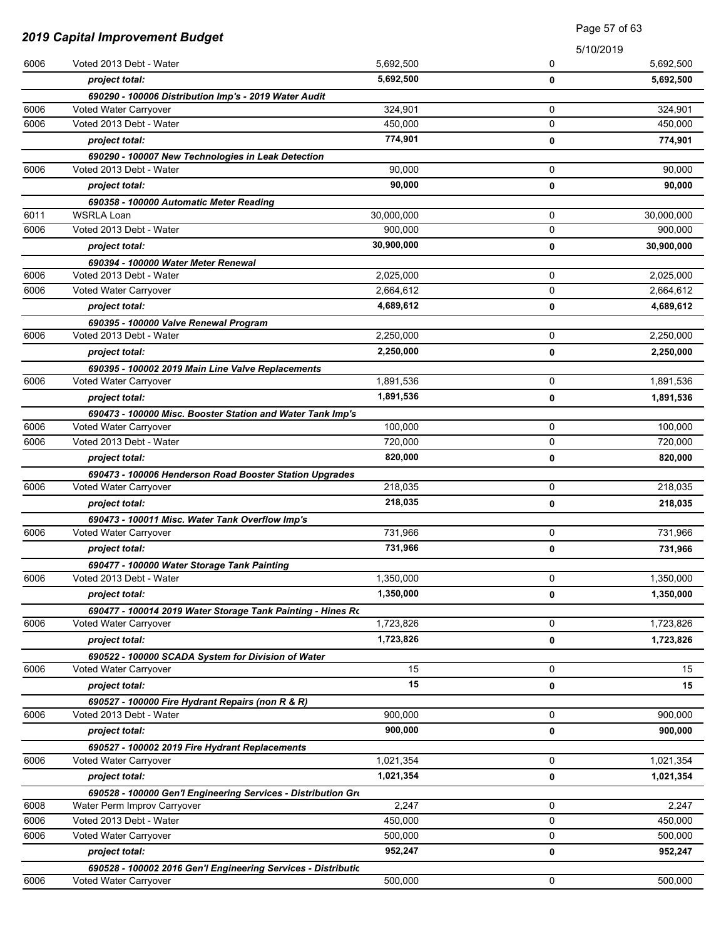| 2019 Capital Improvement Budget |                                                               | Page 57 of 63 |             |            |
|---------------------------------|---------------------------------------------------------------|---------------|-------------|------------|
|                                 |                                                               |               |             | 5/10/2019  |
| 6006                            | Voted 2013 Debt - Water                                       | 5,692,500     | 0           | 5,692,500  |
|                                 | project total:                                                | 5,692,500     | 0           | 5,692,500  |
|                                 | 690290 - 100006 Distribution Imp's - 2019 Water Audit         |               |             |            |
| 6006                            | Voted Water Carryover                                         | 324,901       | 0           | 324,901    |
| 6006                            | Voted 2013 Debt - Water                                       | 450,000       | 0           | 450,000    |
|                                 | project total:                                                | 774,901       | 0           | 774,901    |
|                                 | 690290 - 100007 New Technologies in Leak Detection            |               |             |            |
| 6006                            | Voted 2013 Debt - Water                                       | 90,000        | 0           | 90,000     |
|                                 | project total:                                                | 90.000        | 0           | 90,000     |
|                                 | 690358 - 100000 Automatic Meter Reading                       |               |             |            |
| 6011                            | <b>WSRLA Loan</b>                                             | 30,000,000    | 0           | 30,000,000 |
| 6006                            | Voted 2013 Debt - Water                                       | 900,000       | 0           | 900,000    |
|                                 | project total:                                                | 30,900,000    | 0           | 30,900,000 |
|                                 | 690394 - 100000 Water Meter Renewal                           |               |             |            |
| 6006                            | Voted 2013 Debt - Water                                       | 2,025,000     | 0           | 2,025,000  |
| 6006                            | Voted Water Carryover                                         | 2,664,612     | 0           | 2,664,612  |
|                                 | project total:                                                | 4,689,612     | 0           | 4,689,612  |
|                                 | 690395 - 100000 Valve Renewal Program                         |               |             |            |
| 6006                            | Voted 2013 Debt - Water                                       | 2,250,000     | 0           | 2,250,000  |
|                                 | project total:                                                | 2,250,000     | 0           | 2,250,000  |
|                                 | 690395 - 100002 2019 Main Line Valve Replacements             |               |             |            |
| 6006                            | Voted Water Carryover                                         | 1,891,536     | $\mathbf 0$ | 1,891,536  |
|                                 | project total:                                                | 1,891,536     | 0           | 1,891,536  |
|                                 | 690473 - 100000 Misc. Booster Station and Water Tank Imp's    |               |             |            |
| 6006                            | Voted Water Carryover                                         | 100,000       | $\mathbf 0$ | 100,000    |
| 6006                            | Voted 2013 Debt - Water                                       | 720,000       | $\mathbf 0$ | 720,000    |
|                                 | project total:                                                | 820,000       | 0           | 820,000    |
|                                 | 690473 - 100006 Henderson Road Booster Station Upgrades       |               |             |            |
| 6006                            | Voted Water Carryover                                         | 218,035       | 0           | 218,035    |
|                                 | project total:                                                | 218,035       | 0           | 218,035    |
|                                 | 690473 - 100011 Misc. Water Tank Overflow Imp's               |               |             |            |
| 6006                            | Voted Water Carryover                                         | 731,966       | 0           | 731,966    |
|                                 | project total:                                                | 731,966       | 0           | 731,966    |
|                                 | 690477 - 100000 Water Storage Tank Painting                   |               |             |            |
| 6006                            | Voted 2013 Debt - Water                                       | 1,350,000     | 0           | 1,350,000  |
|                                 | project total:                                                | 1,350,000     | 0           | 1,350,000  |
|                                 | 690477 - 100014 2019 Water Storage Tank Painting - Hines Ro   |               |             |            |
| 6006                            | <b>Voted Water Carryover</b>                                  | 1,723,826     | 0           | 1,723,826  |
|                                 | project total:                                                | 1,723,826     | 0           | 1,723,826  |
|                                 | 690522 - 100000 SCADA System for Division of Water            |               |             |            |
| 6006                            | Voted Water Carryover                                         | 15            | 0           | 15         |
|                                 | project total:                                                | 15            | 0           | 15         |
|                                 | 690527 - 100000 Fire Hydrant Repairs (non R & R)              |               |             |            |
| 6006                            | Voted 2013 Debt - Water                                       | 900,000       | 0           | 900,000    |
|                                 | project total:                                                | 900,000       | 0           | 900,000    |
|                                 | 690527 - 100002 2019 Fire Hydrant Replacements                |               |             |            |
| 6006                            | Voted Water Carryover                                         | 1,021,354     | 0           | 1,021,354  |
|                                 | project total:                                                | 1,021,354     | 0           | 1,021,354  |
|                                 | 690528 - 100000 Gen'l Engineering Services - Distribution Gro |               |             |            |
| 6008                            | Water Perm Improv Carryover                                   | 2,247         | 0           | 2,247      |
| 6006                            | Voted 2013 Debt - Water                                       | 450,000       | 0           | 450,000    |
| 6006                            | Voted Water Carryover                                         | 500,000       | 0           | 500,000    |
|                                 | project total:                                                | 952,247       | 0           | 952,247    |
|                                 | 690528 - 100002 2016 Gen'l Engineering Services - Distributic |               |             |            |
| 6006                            | Voted Water Carryover                                         | 500,000       | 0           | 500,000    |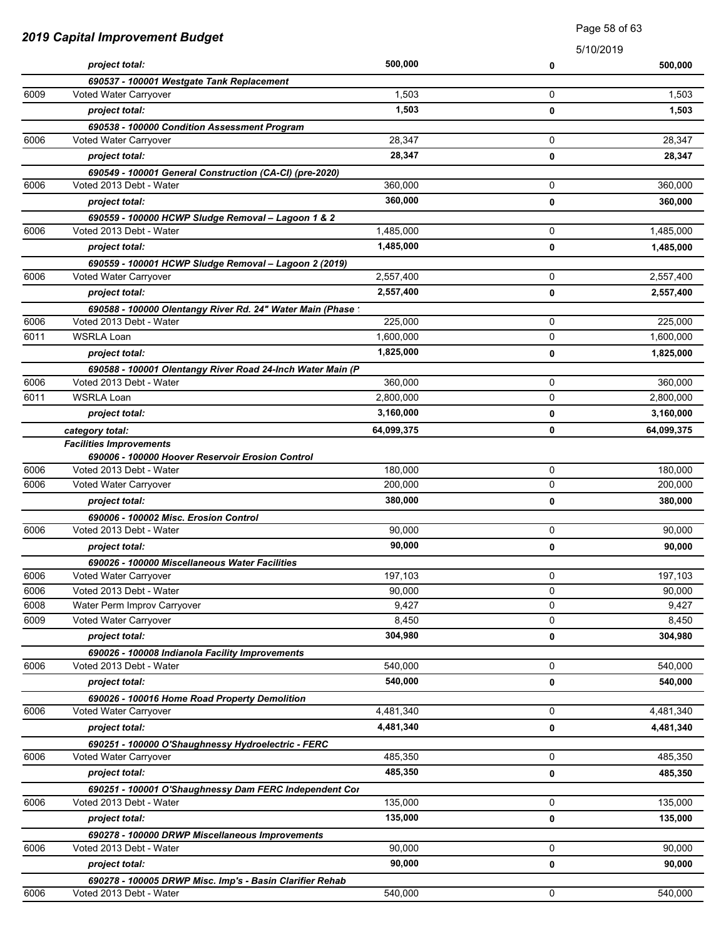|      | 2019 Capital Improvement Budget                                                     |            |           | <b>Faye</b> Jo UI UJ |
|------|-------------------------------------------------------------------------------------|------------|-----------|----------------------|
|      |                                                                                     |            | 5/10/2019 |                      |
|      | project total:                                                                      | 500,000    | 0         | 500,000              |
|      | 690537 - 100001 Westgate Tank Replacement                                           |            |           |                      |
| 6009 | Voted Water Carryover                                                               | 1,503      | 0         | 1,503                |
|      | project total:                                                                      | 1,503      | 0         | 1,503                |
|      | 690538 - 100000 Condition Assessment Program                                        |            |           |                      |
| 6006 | Voted Water Carryover                                                               | 28,347     | 0         | 28,347               |
|      | project total:                                                                      | 28,347     | 0         | 28,347               |
|      | 690549 - 100001 General Construction (CA-CI) (pre-2020)                             |            |           |                      |
| 6006 | Voted 2013 Debt - Water                                                             | 360,000    | 0         | 360,000              |
|      | project total:                                                                      | 360,000    | 0         | 360,000              |
|      | 690559 - 100000 HCWP Sludge Removal - Lagoon 1 & 2                                  |            |           |                      |
| 6006 | Voted 2013 Debt - Water                                                             | 1,485,000  | 0         | 1,485,000            |
|      | project total:                                                                      | 1,485,000  | 0         | 1,485,000            |
|      | 690559 - 100001 HCWP Sludge Removal - Lagoon 2 (2019)                               |            |           |                      |
| 6006 | Voted Water Carryover                                                               | 2,557,400  | 0         | 2,557,400            |
|      | project total:                                                                      | 2,557,400  | 0         | 2,557,400            |
|      | 690588 - 100000 Olentangy River Rd. 24" Water Main (Phase:                          |            |           |                      |
| 6006 | Voted 2013 Debt - Water                                                             | 225,000    | 0         | 225,000              |
| 6011 | <b>WSRLA Loan</b>                                                                   | 1,600,000  | 0         | 1,600,000            |
|      | project total:                                                                      | 1,825,000  | 0         | 1,825,000            |
|      | 690588 - 100001 Olentangy River Road 24-Inch Water Main (P                          |            |           |                      |
| 6006 | Voted 2013 Debt - Water                                                             | 360,000    | 0         | 360,000              |
| 6011 | <b>WSRLA Loan</b>                                                                   | 2,800,000  | 0         | 2,800,000            |
|      | project total:                                                                      | 3,160,000  | 0         | 3,160,000            |
|      | category total:                                                                     | 64,099,375 | 0         | 64,099,375           |
|      | <b>Facilities Improvements</b>                                                      |            |           |                      |
| 6006 | 690006 - 100000 Hoover Reservoir Erosion Control<br>Voted 2013 Debt - Water         | 180,000    | 0         | 180,000              |
| 6006 | Voted Water Carryover                                                               | 200,000    | 0         | 200,000              |
|      |                                                                                     | 380,000    |           |                      |
|      | project total:                                                                      |            | 0         | 380,000              |
| 6006 | 690006 - 100002 Misc. Erosion Control<br>Voted 2013 Debt - Water                    | 90.000     | 0         | 90,000               |
|      |                                                                                     | 90,000     |           | 90,000               |
|      | project total:                                                                      |            | 0         |                      |
| 6006 | 690026 - 100000 Miscellaneous Water Facilities<br>Voted Water Carryover             | 197,103    | 0         | 197,103              |
| 6006 | Voted 2013 Debt - Water                                                             | 90,000     | 0         | 90,000               |
| 6008 | Water Perm Improv Carryover                                                         | 9,427      | 0         | 9,427                |
| 6009 | Voted Water Carryover                                                               | 8,450      | 0         | 8,450                |
|      | project total:                                                                      | 304,980    | 0         | 304,980              |
|      | 690026 - 100008 Indianola Facility Improvements                                     |            |           |                      |
| 6006 | Voted 2013 Debt - Water                                                             | 540.000    | 0         | 540.000              |
|      | project total:                                                                      | 540,000    | 0         | 540,000              |
|      |                                                                                     |            |           |                      |
| 6006 | 690026 - 100016 Home Road Property Demolition<br>Voted Water Carryover              | 4,481,340  | 0         | 4,481,340            |
|      | project total:                                                                      | 4,481,340  | 0         | 4,481,340            |
|      | 690251 - 100000 O'Shaughnessy Hydroelectric - FERC                                  |            |           |                      |
| 6006 | Voted Water Carryover                                                               | 485,350    | 0         | 485,350              |
|      | project total:                                                                      | 485,350    | 0         | 485,350              |
|      |                                                                                     |            |           |                      |
| 6006 | 690251 - 100001 O'Shaughnessy Dam FERC Independent Cor<br>Voted 2013 Debt - Water   | 135,000    | 0         | 135,000              |
|      | project total:                                                                      | 135,000    | 0         | 135,000              |
|      |                                                                                     |            |           |                      |
| 6006 | 690278 - 100000 DRWP Miscellaneous Improvements<br>Voted 2013 Debt - Water          | 90,000     | 0         | 90,000               |
|      |                                                                                     | 90,000     | 0         | 90,000               |
|      | project total:                                                                      |            |           |                      |
| 6006 | 690278 - 100005 DRWP Misc. Imp's - Basin Clarifier Rehab<br>Voted 2013 Debt - Water | 540,000    | 0         | 540,000              |
|      |                                                                                     |            |           |                      |

Page 58 of 63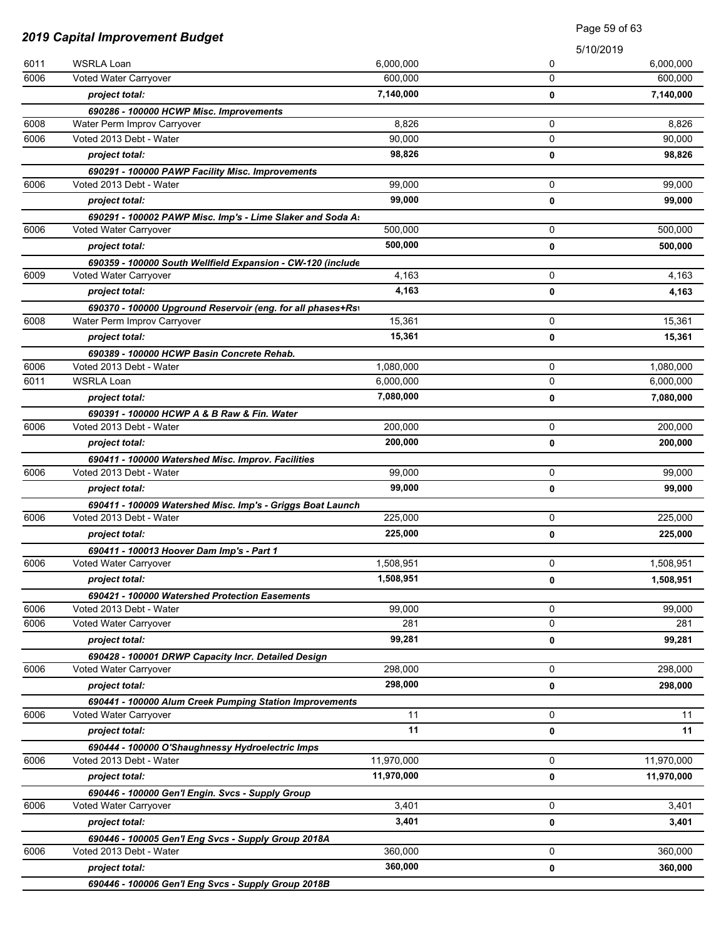|              | 2019 Capital Improvement Budget                                                       |                        | Page 59 of 63 |                        |
|--------------|---------------------------------------------------------------------------------------|------------------------|---------------|------------------------|
|              |                                                                                       |                        | 5/10/2019     |                        |
| 6011         | WSRLA Loan                                                                            | 6,000,000              | 0             | 6,000,000              |
| 6006         | Voted Water Carryover                                                                 | 600,000                | 0             | 600,000                |
|              | project total:                                                                        | 7,140,000              | 0             | 7,140,000              |
|              | 690286 - 100000 HCWP Misc. Improvements                                               |                        |               |                        |
| 6008         | Water Perm Improv Carryover                                                           | 8,826                  | 0             | 8,826                  |
| 6006         | Voted 2013 Debt - Water                                                               | 90,000                 | $\Omega$      | 90,000                 |
|              | project total:                                                                        | 98,826                 | 0             | 98,826                 |
|              | 690291 - 100000 PAWP Facility Misc. Improvements                                      |                        |               |                        |
| 6006         | Voted 2013 Debt - Water                                                               | 99.000                 | 0             | 99,000                 |
|              | project total:                                                                        | 99,000                 | 0             | 99,000                 |
|              | 690291 - 100002 PAWP Misc. Imp's - Lime Slaker and Soda A:                            |                        |               |                        |
| 6006         | Voted Water Carryover                                                                 | 500,000                | 0             | 500,000                |
|              | project total:                                                                        | 500,000                | 0             | 500,000                |
|              | 690359 - 100000 South Wellfield Expansion - CW-120 (include                           |                        |               |                        |
| 6009         | Voted Water Carryover                                                                 | 4,163                  | 0             | 4,163                  |
|              | project total:                                                                        | 4,163                  | 0             | 4,163                  |
|              | 690370 - 100000 Upground Reservoir (eng. for all phases+Rs)                           |                        |               |                        |
| 6008         | Water Perm Improv Carryover                                                           | 15,361                 | 0             | 15,361                 |
|              | project total:                                                                        | 15,361                 | 0             | 15,361                 |
|              | 690389 - 100000 HCWP Basin Concrete Rehab.                                            |                        |               |                        |
| 6006<br>6011 | Voted 2013 Debt - Water<br><b>WSRLA Loan</b>                                          | 1,080,000<br>6,000,000 | 0<br>0        | 1,080,000<br>6,000,000 |
|              |                                                                                       | 7,080,000              |               |                        |
|              | project total:                                                                        |                        | 0             | 7,080,000              |
| 6006         | 690391 - 100000 HCWP A & B Raw & Fin. Water<br>Voted 2013 Debt - Water                | 200,000                | 0             | 200,000                |
|              |                                                                                       | 200,000                |               |                        |
|              | project total:                                                                        |                        | 0             | 200,000                |
| 6006         | 690411 - 100000 Watershed Misc. Improv. Facilities<br>Voted 2013 Debt - Water         | 99,000                 | 0             | 99,000                 |
|              | project total:                                                                        | 99,000                 | 0             | 99,000                 |
|              |                                                                                       |                        |               |                        |
| 6006         | 690411 - 100009 Watershed Misc. Imp's - Griggs Boat Launch<br>Voted 2013 Debt - Water | 225,000                | 0             | 225,000                |
|              | project total:                                                                        | 225,000                | 0             | 225,000                |
|              | 690411 - 100013 Hoover Dam Imp's - Part 1                                             |                        |               |                        |
| 6006         | Voted Water Carryover                                                                 | 1,508,951              | 0             | 1,508,951              |
|              | project total:                                                                        | 1,508,951              | 0             | 1,508,951              |
|              | 690421 - 100000 Watershed Protection Easements                                        |                        |               |                        |
| 6006         | Voted 2013 Debt - Water                                                               | 99,000                 | 0             | 99,000                 |
| 6006         | Voted Water Carryover                                                                 | 281                    | 0             | 281                    |
|              | project total:                                                                        | 99,281                 | 0             | 99,281                 |
|              | 690428 - 100001 DRWP Capacity Incr. Detailed Design                                   |                        |               |                        |
| 6006         | Voted Water Carryover                                                                 | 298,000                | 0             | 298,000                |
|              | project total:                                                                        | 298,000                | 0             | 298,000                |
|              | 690441 - 100000 Alum Creek Pumping Station Improvements                               |                        |               |                        |
| 6006         | Voted Water Carryover                                                                 | 11                     | $\mathbf 0$   | 11                     |
|              | project total:                                                                        | 11                     | 0             | 11                     |
|              | 690444 - 100000 O'Shaughnessy Hydroelectric Imps                                      |                        |               |                        |
| 6006         | Voted 2013 Debt - Water                                                               | 11,970,000             | 0             | 11,970,000             |
|              | project total:                                                                        | 11,970,000             | 0             | 11,970,000             |
|              | 690446 - 100000 Gen'l Engin. Svcs - Supply Group                                      |                        |               |                        |
| 6006         | Voted Water Carryover                                                                 | 3,401                  | 0             | 3,401                  |
|              | project total:                                                                        | 3,401                  | 0             | 3,401                  |
|              | 690446 - 100005 Gen'l Eng Svcs - Supply Group 2018A                                   |                        |               |                        |
| 6006         | Voted 2013 Debt - Water                                                               | 360,000                | 0             | 360,000                |
|              | project total:                                                                        | 360,000                | 0             | 360,000                |
|              | 690446 - 100006 Gen'l Eng Svcs - Supply Group 2018B                                   |                        |               |                        |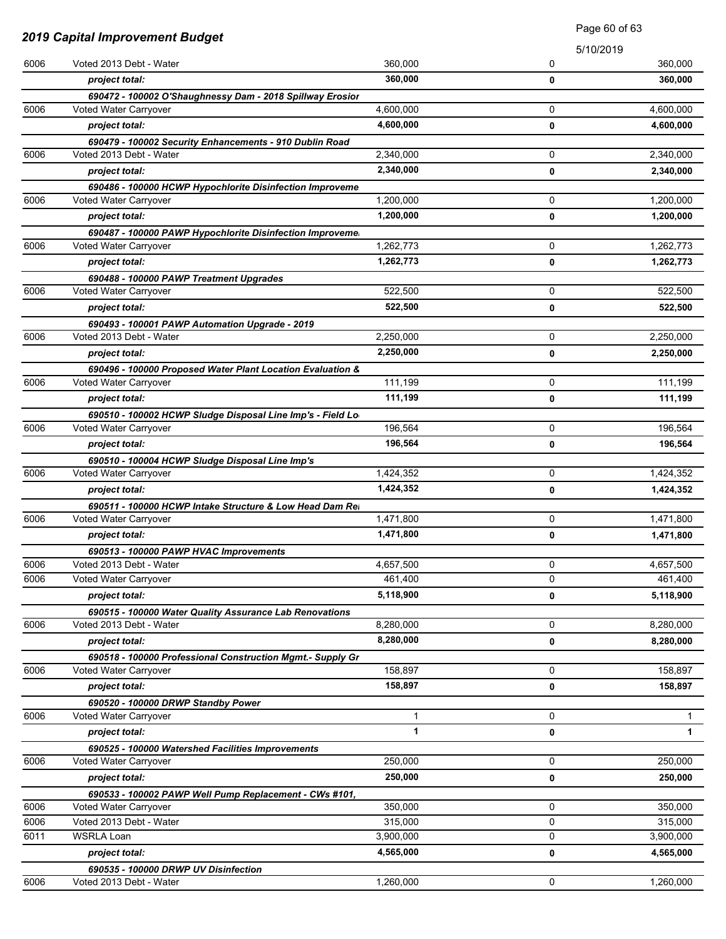|      | 2019 Capital Improvement Budget                             |           |             |              |
|------|-------------------------------------------------------------|-----------|-------------|--------------|
|      |                                                             |           | 5/10/2019   |              |
| 6006 | Voted 2013 Debt - Water                                     | 360,000   | 0           | 360,000      |
|      | project total:                                              | 360,000   | 0           | 360,000      |
|      | 690472 - 100002 O'Shaughnessy Dam - 2018 Spillway Erosior   |           |             |              |
| 6006 | Voted Water Carryover                                       | 4,600,000 | 0           | 4,600,000    |
|      | project total:                                              | 4,600,000 | $\mathbf 0$ | 4,600,000    |
|      | 690479 - 100002 Security Enhancements - 910 Dublin Road     |           |             |              |
| 6006 | Voted 2013 Debt - Water                                     | 2,340,000 | 0           | 2,340,000    |
|      | project total:                                              | 2,340,000 | 0           | 2,340,000    |
|      | 690486 - 100000 HCWP Hypochlorite Disinfection Improveme    |           |             |              |
| 6006 | Voted Water Carryover                                       | 1,200,000 | 0           | 1,200,000    |
|      | project total:                                              | 1,200,000 | 0           | 1,200,000    |
|      | 690487 - 100000 PAWP Hypochlorite Disinfection Improveme.   |           |             |              |
| 6006 | Voted Water Carryover                                       | 1,262,773 | 0           | 1,262,773    |
|      | project total:                                              | 1,262,773 | 0           | 1,262,773    |
|      | 690488 - 100000 PAWP Treatment Upgrades                     |           |             |              |
| 6006 | Voted Water Carryover                                       | 522,500   | 0           | 522,500      |
|      | project total:                                              | 522,500   | 0           | 522,500      |
|      | 690493 - 100001 PAWP Automation Upgrade - 2019              |           |             |              |
| 6006 | Voted 2013 Debt - Water                                     | 2,250,000 | 0           | 2,250,000    |
|      | project total:                                              | 2,250,000 | 0           | 2,250,000    |
|      | 690496 - 100000 Proposed Water Plant Location Evaluation &  |           |             |              |
| 6006 | Voted Water Carryover                                       | 111,199   | 0           | 111,199      |
|      | project total:                                              | 111,199   | 0           | 111,199      |
|      | 690510 - 100002 HCWP Sludge Disposal Line Imp's - Field Lo  |           |             |              |
| 6006 | Voted Water Carryover                                       | 196,564   | 0           | 196,564      |
|      | project total:                                              | 196,564   | 0           | 196,564      |
|      | 690510 - 100004 HCWP Sludge Disposal Line Imp's             |           |             |              |
| 6006 | Voted Water Carryover                                       | 1,424,352 | 0           | 1,424,352    |
|      | project total:                                              | 1,424,352 | 0           | 1,424,352    |
|      | 690511 - 100000 HCWP Intake Structure & Low Head Dam Rei    |           |             |              |
| 6006 | Voted Water Carryover                                       | 1,471,800 | 0           | 1,471,800    |
|      | project total:                                              | 1,471,800 | 0           | 1,471,800    |
|      | 690513 - 100000 PAWP HVAC Improvements                      |           |             |              |
| 6006 | Voted 2013 Debt - Water                                     | 4,657,500 | 0           | 4,657,500    |
| 6006 | Voted Water Carryover                                       | 461,400   | 0           | 461,400      |
|      | project total:                                              | 5,118,900 | 0           | 5,118,900    |
|      | 690515 - 100000 Water Quality Assurance Lab Renovations     |           |             |              |
| 6006 | Voted 2013 Debt - Water                                     | 8,280,000 | 0           | 8,280,000    |
|      | project total:                                              | 8,280,000 | 0           | 8,280,000    |
|      | 690518 - 100000 Professional Construction Mgmt. - Supply Gr |           |             |              |
| 6006 | Voted Water Carryover                                       | 158,897   | 0           | 158,897      |
|      | project total:                                              | 158,897   | 0           | 158,897      |
|      | 690520 - 100000 DRWP Standby Power                          |           |             |              |
| 6006 | Voted Water Carryover                                       | 1         | 0           | 1.           |
|      | project total:                                              | 1         | 0           | $\mathbf{1}$ |
|      | 690525 - 100000 Watershed Facilities Improvements           |           |             |              |
| 6006 | Voted Water Carryover                                       | 250,000   | 0           | 250,000      |
|      | project total:                                              | 250,000   | 0           | 250,000      |
|      | 690533 - 100002 PAWP Well Pump Replacement - CWs #101,      |           |             |              |
| 6006 | Voted Water Carryover                                       | 350,000   | 0           | 350,000      |
| 6006 | Voted 2013 Debt - Water                                     | 315,000   | 0           | 315,000      |
| 6011 | <b>WSRLA Loan</b>                                           | 3,900,000 | 0           | 3,900,000    |
|      | project total:                                              | 4,565,000 | 0           | 4,565,000    |
|      | 690535 - 100000 DRWP UV Disinfection                        |           |             |              |
| 6006 | Voted 2013 Debt - Water                                     | 1,260,000 | 0           | 1,260,000    |

Page 60 of 63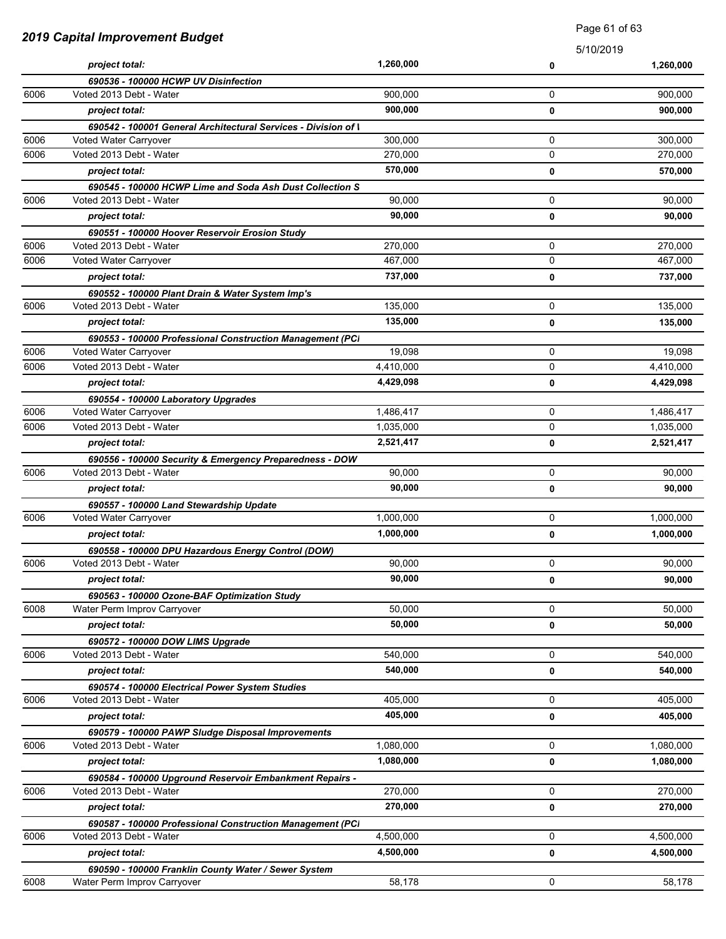| 2019 Capital Improvement Budget |                                                                | <b>Faye</b> UI UI UJ |             |           |
|---------------------------------|----------------------------------------------------------------|----------------------|-------------|-----------|
|                                 |                                                                |                      | 5/10/2019   |           |
|                                 | project total:                                                 | 1,260,000            | 0           | 1,260,000 |
|                                 | 690536 - 100000 HCWP UV Disinfection                           |                      |             |           |
| 6006                            | Voted 2013 Debt - Water                                        | 900.000              | 0           | 900,000   |
|                                 | project total:                                                 | 900,000              | 0           | 900,000   |
|                                 | 690542 - 100001 General Architectural Services - Division of I |                      |             |           |
| 6006                            | Voted Water Carryover                                          | 300,000              | 0           | 300,000   |
| 6006                            | Voted 2013 Debt - Water                                        | 270,000              | $\mathbf 0$ | 270,000   |
|                                 | project total:                                                 | 570,000              | 0           | 570,000   |
|                                 | 690545 - 100000 HCWP Lime and Soda Ash Dust Collection S       |                      |             |           |
| 6006                            | Voted 2013 Debt - Water                                        | 90,000               | 0           | 90,000    |
|                                 | project total:                                                 | 90,000               | 0           | 90,000    |
|                                 | 690551 - 100000 Hoover Reservoir Erosion Study                 |                      |             |           |
| 6006                            | Voted 2013 Debt - Water                                        | 270,000              | 0           | 270,000   |
| 6006                            | Voted Water Carryover                                          | 467,000              | 0           | 467,000   |
|                                 | project total:                                                 | 737,000              | 0           | 737,000   |
|                                 | 690552 - 100000 Plant Drain & Water System Imp's               |                      |             |           |
| 6006                            | Voted 2013 Debt - Water                                        | 135,000              | 0           | 135,000   |
|                                 | project total:                                                 | 135,000              | 0           | 135,000   |
|                                 | 690553 - 100000 Professional Construction Management (PCI      |                      |             |           |
| 6006                            | Voted Water Carryover                                          | 19.098               | 0           | 19,098    |
| 6006                            | Voted 2013 Debt - Water                                        | 4,410,000            | 0           | 4,410,000 |
|                                 | project total:                                                 | 4,429,098            | 0           | 4,429,098 |
|                                 | 690554 - 100000 Laboratory Upgrades                            |                      |             |           |
| 6006                            | Voted Water Carryover                                          | 1,486,417            | 0           | 1,486,417 |
| 6006                            | Voted 2013 Debt - Water                                        | 1,035,000            | 0           | 1,035,000 |
|                                 | project total:                                                 | 2,521,417            | 0           | 2,521,417 |
|                                 | 690556 - 100000 Security & Emergency Preparedness - DOW        |                      |             |           |
| 6006                            | Voted 2013 Debt - Water                                        | 90,000               | 0           | 90,000    |
|                                 | project total:                                                 | 90,000               | $\mathbf 0$ | 90,000    |
|                                 | 690557 - 100000 Land Stewardship Update                        |                      |             |           |
| 6006                            | Voted Water Carryover                                          | 1,000,000            | $\mathbf 0$ | 1,000,000 |
|                                 | project total:                                                 | 1,000,000            | $\mathbf 0$ | 1,000,000 |
|                                 | 690558 - 100000 DPU Hazardous Energy Control (DOW)             |                      |             |           |
| 6006                            | Voted 2013 Debt - Water                                        | 90,000               | U           | 90,000    |
|                                 | project total:                                                 | 90,000               | 0           | 90,000    |
|                                 | 690563 - 100000 Ozone-BAF Optimization Study                   |                      |             |           |
| 6008                            | Water Perm Improv Carryover                                    | 50,000               | 0           | 50.000    |
|                                 | project total:                                                 | 50,000               | 0           | 50,000    |
|                                 | 690572 - 100000 DOW LIMS Upgrade                               |                      |             |           |
| 6006                            | Voted 2013 Debt - Water                                        | 540,000              | 0           | 540,000   |
|                                 | project total:                                                 | 540,000              | 0           | 540,000   |
|                                 | 690574 - 100000 Electrical Power System Studies                |                      |             |           |
| 6006                            | Voted 2013 Debt - Water                                        | 405,000              | 0           | 405,000   |
|                                 | project total:                                                 | 405,000              | $\mathbf 0$ | 405.000   |
|                                 | 690579 - 100000 PAWP Sludge Disposal Improvements              |                      |             |           |
| 6006                            | Voted 2013 Debt - Water                                        | 1,080,000            | $\mathbf 0$ | 1,080,000 |
|                                 | project total:                                                 | 1,080,000            | 0           | 1,080,000 |
|                                 | 690584 - 100000 Upground Reservoir Embankment Repairs -        |                      |             |           |
| 6006                            | Voted 2013 Debt - Water                                        | 270,000              | 0           | 270,000   |
|                                 | project total:                                                 | 270,000              | 0           | 270,000   |
|                                 | 690587 - 100000 Professional Construction Management (PCI      |                      |             |           |
| 6006                            | Voted 2013 Debt - Water                                        | 4,500,000            | 0           | 4,500,000 |
|                                 | project total:                                                 | 4,500,000            | 0           | 4,500,000 |
|                                 | 690590 - 100000 Franklin County Water / Sewer System           |                      |             |           |
| 6008                            | Water Perm Improv Carryover                                    | 58,178               | $\mathbf 0$ | 58,178    |

Page 61 of 63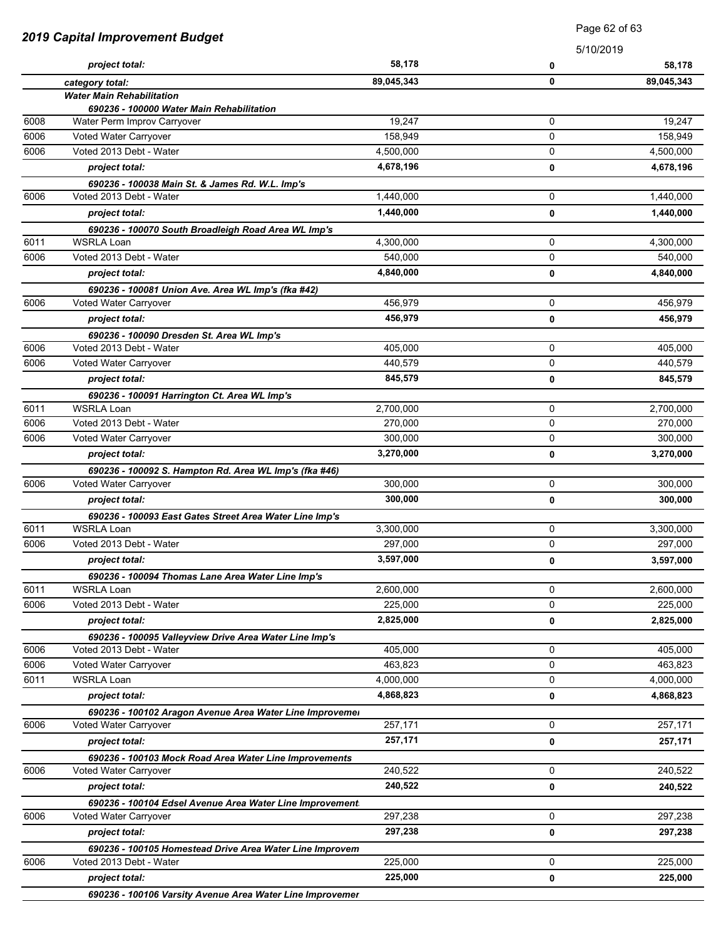|      | 2019 Capital Improvement Budget                                                     |            | Page 62 of 63 |            |
|------|-------------------------------------------------------------------------------------|------------|---------------|------------|
|      |                                                                                     |            | 5/10/2019     |            |
|      | project total:                                                                      | 58,178     | 0             | 58,178     |
|      | category total:                                                                     | 89,045,343 | 0             | 89,045,343 |
|      | <b>Water Main Rehabilitation</b>                                                    |            |               |            |
| 6008 | 690236 - 100000 Water Main Rehabilitation<br>Water Perm Improv Carryover            | 19,247     | 0             | 19,247     |
| 6006 | Voted Water Carryover                                                               | 158,949    | 0             | 158,949    |
| 6006 | Voted 2013 Debt - Water                                                             | 4,500,000  | 0             | 4,500,000  |
|      | project total:                                                                      | 4,678,196  | 0             | 4,678,196  |
|      | 690236 - 100038 Main St. & James Rd. W.L. Imp's                                     |            |               |            |
| 6006 | Voted 2013 Debt - Water                                                             | 1,440,000  | 0             | 1,440,000  |
|      | project total:                                                                      | 1,440,000  | 0             | 1,440,000  |
|      |                                                                                     |            |               |            |
| 6011 | 690236 - 100070 South Broadleigh Road Area WL Imp's<br><b>WSRLA Loan</b>            | 4,300,000  | 0             | 4,300,000  |
| 6006 | Voted 2013 Debt - Water                                                             | 540,000    | 0             | 540,000    |
|      | project total:                                                                      | 4,840,000  | 0             | 4,840,000  |
|      |                                                                                     |            |               |            |
| 6006 | 690236 - 100081 Union Ave. Area WL Imp's (fka #42)<br>Voted Water Carryover         | 456,979    | 0             | 456,979    |
|      | project total:                                                                      | 456,979    | 0             | 456,979    |
|      |                                                                                     |            |               |            |
| 6006 | 690236 - 100090 Dresden St. Area WL Imp's<br>Voted 2013 Debt - Water                | 405,000    | 0             | 405,000    |
| 6006 | Voted Water Carryover                                                               | 440,579    | 0             | 440.579    |
|      | project total:                                                                      | 845,579    | 0             | 845,579    |
|      |                                                                                     |            |               |            |
| 6011 | 690236 - 100091 Harrington Ct. Area WL Imp's<br><b>WSRLA Loan</b>                   | 2,700,000  | 0             | 2,700,000  |
| 6006 | Voted 2013 Debt - Water                                                             | 270,000    | 0             | 270,000    |
| 6006 | Voted Water Carryover                                                               | 300,000    | 0             | 300,000    |
|      | project total:                                                                      | 3,270,000  | 0             | 3,270,000  |
|      |                                                                                     |            |               |            |
| 6006 | 690236 - 100092 S. Hampton Rd. Area WL Imp's (fka #46)<br>Voted Water Carryover     | 300,000    | 0             | 300,000    |
|      | project total:                                                                      | 300.000    | 0             | 300,000    |
|      |                                                                                     |            |               |            |
| 6011 | 690236 - 100093 East Gates Street Area Water Line Imp's<br><b>WSRLA Loan</b>        | 3,300,000  | 0             | 3,300,000  |
| 6006 | Voted 2013 Debt - Water                                                             | 297,000    | 0             | 297,000    |
|      | project total:                                                                      | 3,597,000  |               | 3,597,000  |
|      |                                                                                     |            | 0             |            |
| 6011 | 690236 - 100094 Thomas Lane Area Water Line Imp's<br><b>WSRLA Loan</b>              | 2,600,000  | 0             | 2,600,000  |
| 6006 | Voted 2013 Debt - Water                                                             | 225,000    | 0             | 225,000    |
|      | project total:                                                                      | 2,825,000  | 0             | 2,825,000  |
|      |                                                                                     |            |               |            |
| 6006 | 690236 - 100095 Valleyview Drive Area Water Line Imp's<br>Voted 2013 Debt - Water   | 405,000    | 0             | 405,000    |
| 6006 | Voted Water Carryover                                                               | 463,823    | 0             | 463,823    |
| 6011 | <b>WSRLA Loan</b>                                                                   | 4,000,000  | 0             | 4,000,000  |
|      | project total:                                                                      | 4,868,823  | 0             | 4,868,823  |
|      |                                                                                     |            |               |            |
| 6006 | 690236 - 100102 Aragon Avenue Area Water Line Improvemer<br>Voted Water Carryover   | 257,171    | 0             | 257,171    |
|      | project total:                                                                      | 257,171    | 0             | 257,171    |
|      |                                                                                     |            |               |            |
| 6006 | 690236 - 100103 Mock Road Area Water Line Improvements<br>Voted Water Carryover     | 240,522    | 0             | 240,522    |
|      | project total:                                                                      | 240,522    | 0             | 240,522    |
|      |                                                                                     |            |               |            |
| 6006 | 690236 - 100104 Edsel Avenue Area Water Line Improvement<br>Voted Water Carryover   | 297,238    | 0             | 297,238    |
|      | project total:                                                                      | 297,238    |               | 297,238    |
|      |                                                                                     |            | 0             |            |
| 6006 | 690236 - 100105 Homestead Drive Area Water Line Improvem<br>Voted 2013 Debt - Water | 225,000    | 0             | 225,000    |
|      |                                                                                     | 225,000    |               |            |
|      | project total:<br>690236 - 100106 Varsity Avenue Area Water Line Improvemer         |            | 0             | 225,000    |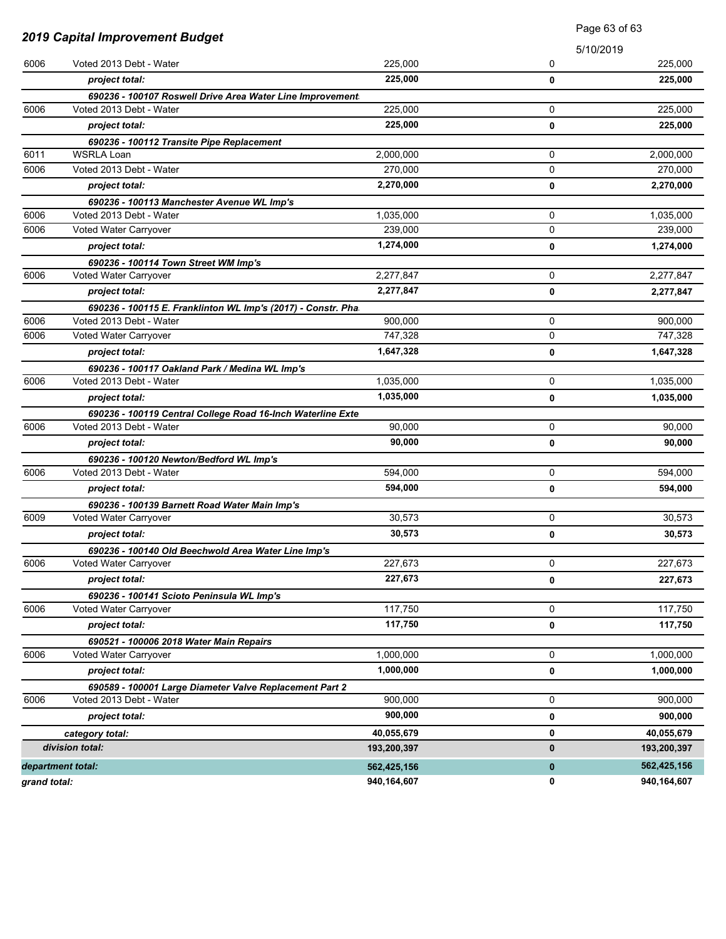| <b>2019 Capital Improvement Budget</b> |                                                                                    | Page 63 of 63 |             |             |
|----------------------------------------|------------------------------------------------------------------------------------|---------------|-------------|-------------|
|                                        |                                                                                    |               | 5/10/2019   |             |
| 6006                                   | Voted 2013 Debt - Water                                                            | 225,000       | 0           | 225,000     |
|                                        | project total:                                                                     | 225,000       | 0           | 225,000     |
|                                        | 690236 - 100107 Roswell Drive Area Water Line Improvement                          |               |             |             |
| 6006                                   | Voted 2013 Debt - Water                                                            | 225,000       | 0           | 225,000     |
|                                        | project total:                                                                     | 225,000       | 0           | 225,000     |
|                                        | 690236 - 100112 Transite Pipe Replacement                                          |               |             |             |
| 6011                                   | <b>WSRLA Loan</b>                                                                  | 2,000,000     | 0           | 2,000,000   |
| 6006                                   | Voted 2013 Debt - Water                                                            | 270,000       | 0           | 270,000     |
|                                        | project total:                                                                     | 2,270,000     | 0           | 2,270,000   |
|                                        | 690236 - 100113 Manchester Avenue WL Imp's                                         |               |             |             |
| 6006                                   | Voted 2013 Debt - Water                                                            | 1,035,000     | 0           | 1,035,000   |
| 6006                                   | Voted Water Carryover                                                              | 239,000       | 0           | 239,000     |
|                                        | project total:                                                                     | 1,274,000     | 0           | 1,274,000   |
|                                        | 690236 - 100114 Town Street WM Imp's                                               |               |             |             |
| 6006                                   | Voted Water Carryover                                                              | 2,277,847     | 0           | 2,277,847   |
|                                        | project total:                                                                     | 2,277,847     | 0           | 2,277,847   |
|                                        | 690236 - 100115 E. Franklinton WL Imp's (2017) - Constr. Pha                       |               |             |             |
| 6006                                   | Voted 2013 Debt - Water                                                            | 900,000       | 0           | 900.000     |
| 6006                                   | Voted Water Carryover                                                              | 747,328       | 0           | 747,328     |
|                                        | project total:                                                                     | 1,647,328     | 0           | 1,647,328   |
|                                        | 690236 - 100117 Oakland Park / Medina WL Imp's                                     |               |             |             |
| 6006                                   | Voted 2013 Debt - Water                                                            | 1,035,000     | 0           | 1,035,000   |
|                                        | project total:                                                                     | 1,035,000     | 0           | 1,035,000   |
|                                        | 690236 - 100119 Central College Road 16-Inch Waterline Exte                        |               |             |             |
| 6006                                   | Voted 2013 Debt - Water                                                            | 90,000        | 0           | 90,000      |
|                                        | project total:                                                                     | 90,000        | 0           | 90,000      |
|                                        | 690236 - 100120 Newton/Bedford WL Imp's                                            |               |             |             |
| 6006                                   | Voted 2013 Debt - Water                                                            | 594,000       | 0           | 594,000     |
|                                        | project total:                                                                     | 594,000       | 0           | 594,000     |
|                                        | 690236 - 100139 Barnett Road Water Main Imp's                                      |               |             |             |
| 6009                                   | Voted Water Carryover                                                              | 30,573        | 0           | 30,573      |
|                                        | project total:                                                                     | 30,573        | 0           | 30,573      |
| 6006                                   | 690236 - 100140 Old Beechwold Area Water Line Imp's<br>Voted Water Carryover       | 227,673       | 0           | 227,673     |
|                                        |                                                                                    | 227,673       |             |             |
|                                        | project total:                                                                     |               | 0           | 227,673     |
| 6006                                   | 690236 - 100141 Scioto Peninsula WL Imp's<br>Voted Water Carryover                 | 117,750       | 0           | 117,750     |
|                                        | project total:                                                                     | 117,750       |             | 117,750     |
|                                        |                                                                                    |               | 0           |             |
| 6006                                   | 690521 - 100006 2018 Water Main Repairs<br>Voted Water Carryover                   | 1,000,000     | 0           | 1,000,000   |
|                                        | project total:                                                                     | 1,000,000     | 0           | 1,000,000   |
|                                        |                                                                                    |               |             |             |
| 6006                                   | 690589 - 100001 Large Diameter Valve Replacement Part 2<br>Voted 2013 Debt - Water | 900,000       | 0           | 900,000     |
|                                        | project total:                                                                     | 900,000       | 0           | 900,000     |
|                                        |                                                                                    | 40,055,679    | 0           | 40,055,679  |
|                                        | category total:<br>division total:                                                 | 193,200,397   | 0           | 193,200,397 |
|                                        |                                                                                    |               |             |             |
|                                        | department total:                                                                  | 562,425,156   | $\mathbf 0$ | 562,425,156 |
| grand total:                           |                                                                                    | 940,164,607   | 0           | 940,164,607 |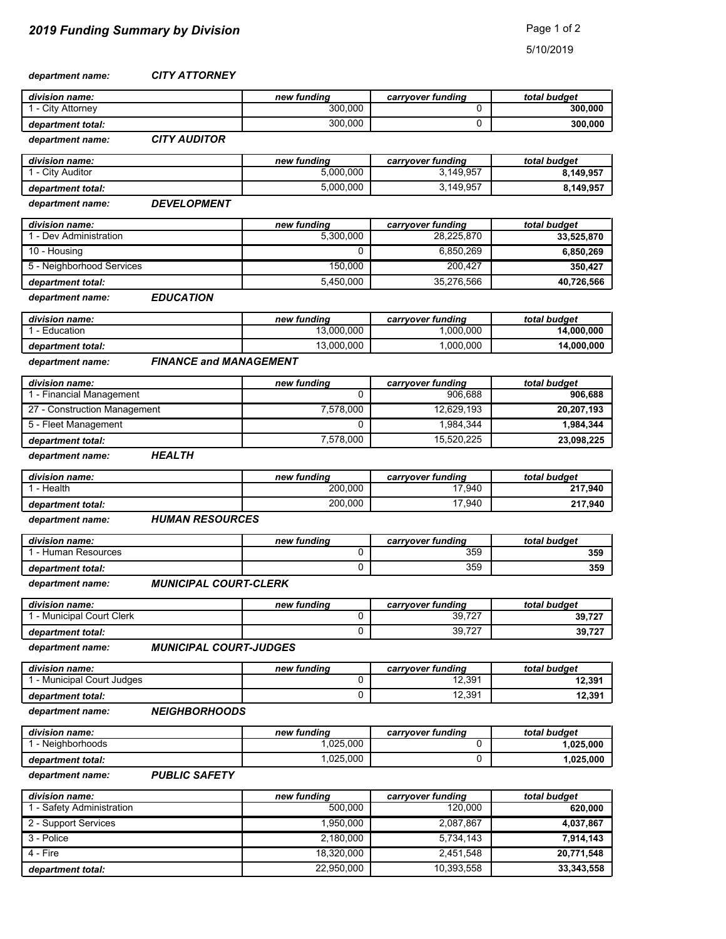*CITY ATTORNEY department name:*

| division name:                  |                     | new fundina | carryover funding                           | total budget   |
|---------------------------------|---------------------|-------------|---------------------------------------------|----------------|
| 1 - City Attorney               |                     | 300.000     |                                             | 300,000        |
| department total:               |                     | 300.000     |                                             | 300,000        |
| department name:                | <b>CITY AUDITOR</b> |             |                                             |                |
| and the factor of a second to a |                     |             | المستقلة المستنقل المستند والمستند والمستند | Andel buildwed |

| division name:    | new fundina | carrvover funding | total budget |
|-------------------|-------------|-------------------|--------------|
| . - Citv Auditor  | 5.000.000   | 3.149.957         | 8.149.957    |
| department total: | 5.000.000   | 3,149,957         | 8.149.957    |

#### *DEVELOPMENT department name:*

| division name:            | new fundina | carryover funding | total budget |
|---------------------------|-------------|-------------------|--------------|
| - Dev Administration      | 5.300.000   | 28,225,870        | 33,525,870   |
| 10 - Housing              |             | 6.850.269         | 6,850,269    |
| 5 - Neighborhood Services | 150,000     | 200.427           | 350.427      |
| department total:         | 5.450.000   | 35.276.566        | 40,726,566   |

*EDUCATION department name:*

| division name:    | new fundina | carrvover funding | total budget |
|-------------------|-------------|-------------------|--------------|
| - Education       | 3.000.000   | .000.000          | 14.000.000   |
| department total: | 13.000.000  | .000.000          | 14,000,000   |

*FINANCE and MANAGEMENT department name:*

| division name:               | new fundina | carryover funding | total budget |
|------------------------------|-------------|-------------------|--------------|
| - Financial Management       |             | 906.688           | 906.688      |
| 27 - Construction Management | 7.578.000   | 12.629.193        | 20,207,193   |
| 5 - Fleet Management         |             | 1.984.344         | 1,984,344    |
| department total:            | 7.578.000   | 15.520.225        | 23,098,225   |

*HEALTH department name:*

| division name:    | new fundina | carrvover funding | total budget |
|-------------------|-------------|-------------------|--------------|
| Health            | 200.000     | 17.940            | 217,940      |
| department total: | 200,000     | 17,940            | 217,940      |

*HUMAN RESOURCES department name:*

| division name:    | new fundina | carrvover funding | total budget |
|-------------------|-------------|-------------------|--------------|
| - Human Resources |             | 359               | 359          |
| department total: |             | 359               | 359          |

#### *MUNICIPAL COURT-CLERK department name:*

| division name:          | new fundina | carrvover funding | total budget |
|-------------------------|-------------|-------------------|--------------|
| - Municipal Court Clerk |             | 39.727            | 39,727       |
| department total:       |             | 39.727            | 39,727       |

*MUNICIPAL COURT-JUDGES department name:*

| division name:             | new fundina | carrvover funding | total budget |
|----------------------------|-------------|-------------------|--------------|
| . - Municipal Court Judges |             | 12,391            | 12,391       |
| department total:          |             | 12,391            | 12,391       |

*department name:*

| <b>NEIGHBORHOODS</b> |  |
|----------------------|--|
|----------------------|--|

| division name:    | new fundina | carrvover funding | total budget |
|-------------------|-------------|-------------------|--------------|
| Neighborhoods     | .025.000    |                   | .025.000     |
| department total: | .025.000    |                   | .025.000     |

*PUBLIC SAFETY department name:*

| division name:          | new fundina | carryover funding | total budget |
|-------------------------|-------------|-------------------|--------------|
| - Safety Administration | 500.000     | 120.000           | 620.000      |
| 2 - Support Services    | 1.950.000   | 2,087,867         | 4,037,867    |
| 3 - Police              | 2,180,000   | 5,734,143         | 7,914,143    |
| 4 - Fire                | 18.320.000  | 2.451.548         | 20,771,548   |
| department total:       | 22.950.000  | 10,393,558        | 33, 343, 558 |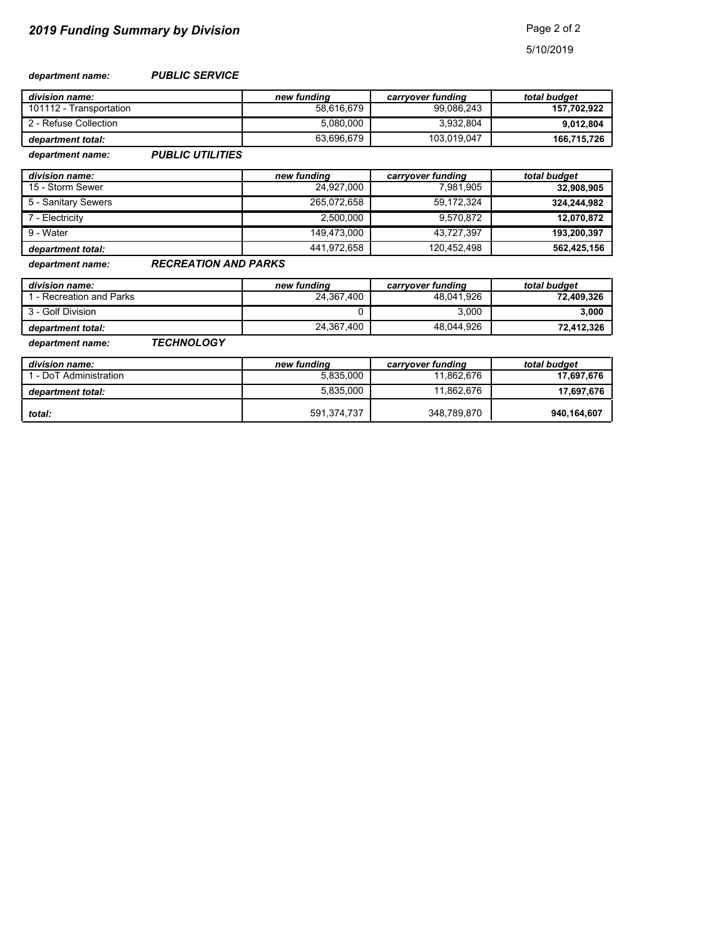#### *PUBLIC SERVICE department name:*

| division name:          | new fundina | carryover funding | total budget |
|-------------------------|-------------|-------------------|--------------|
| 101112 - Transportation | 58.616.679  | 99.086.243        | 157,702,922  |
| 2 - Refuse Collection   | 5.080.000   | 3.932.804         | 9,012,804    |
| department total:       | 63.696.679  | 103.019.047       | 166,715,726  |

*PUBLIC UTILITIES department name:*

| division name:      | new fundina | carryover funding | total budget |
|---------------------|-------------|-------------------|--------------|
| 15 - Storm Sewer    | 24.927.000  | 7.981.905         | 32,908,905   |
| 5 - Sanitary Sewers | 265.072.658 | 59,172,324        | 324,244,982  |
| 7 - Electricity     | 2.500.000   | 9,570,872         | 12,070,872   |
| 9 - Water           | 149.473.000 | 43.727.397        | 193,200,397  |
| department total:   | 441.972.658 | 120.452.498       | 562,425,156  |

*RECREATION AND PARKS department name:*

| division name:           | new fundina | carrvover funding | total budget |
|--------------------------|-------------|-------------------|--------------|
| 1 - Recreation and Parks | 24.367.400  | 48.041.926        | 72.409.326   |
| 3 - Golf Division        |             | 3.000             | 3.000        |
| department total:        | 24.367.400  | 48.044.926        | 72.412.326   |

*department name:*

| <b>TECHNOLOGY</b> |  |
|-------------------|--|
|                   |  |

| division name:         | new fundina | carrvover funding | total budget |
|------------------------|-------------|-------------------|--------------|
| 1 - DoT Administration | 5.835.000   | 11.862.676        | 17.697.676   |
| department total:      | 5.835.000   | 11.862.676        | 17,697,676   |
| total:                 | 591.374.737 | 348.789.870       | 940,164,607  |